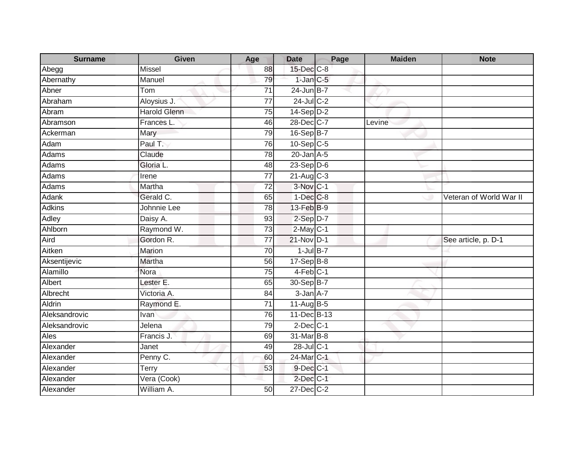| <b>Surname</b> | Given               | Age             | <b>Date</b>     | Page | <b>Maiden</b> | <b>Note</b>             |
|----------------|---------------------|-----------------|-----------------|------|---------------|-------------------------|
| Abegg          | <b>Missel</b>       | 88              | 15-Dec C-8      |      |               |                         |
| Abernathy      | Manuel              | 79              | $1$ -Jan $C$ -5 |      |               |                         |
| Abner          | Tom                 | 71              | $24$ -Jun B-7   |      |               |                         |
| Abraham        | Aloysius J.         | 77              | 24-Jul C-2      |      |               |                         |
| Abram          | <b>Harold Glenn</b> | 75              | 14-Sep D-2      |      |               |                         |
| Abramson       | Frances L.          | 46              | 28-Dec C-7      |      | Levine        |                         |
| Ackerman       | Mary                | 79              | 16-Sep B-7      |      |               |                         |
| Adam           | Paul T.             | 76              | 10-Sep C-5      |      |               |                         |
| <b>Adams</b>   | Claude              | 78              | $20$ -Jan $A-5$ |      |               |                         |
| Adams          | Gloria L.           | 48              | $23-Sep$ D-6    |      |               |                         |
| Adams          | Irene               | $\overline{77}$ | 21-Aug C-3      |      |               |                         |
| Adams          | Martha              | $\overline{72}$ | $3-Nov$ C-1     |      |               |                         |
| Adank          | Gerald C.           | 65              | $1-Dec$ $C-8$   |      |               | Veteran of World War II |
| <b>Adkins</b>  | Johnnie Lee         | 78              | $13$ -Feb $B-9$ |      |               |                         |
| <b>Adley</b>   | Daisy A.            | 93              | $2-Sep D-7$     |      |               |                         |
| Ahlborn        | Raymond W.          | 73              | $2$ -May $C-1$  |      |               |                         |
| Aird           | Gordon R.           | 77              | $21-Nov$ D-1    |      |               | See article, p. D-1     |
| Aitken         | Marion              | 70              | $1$ -Jul $B-7$  |      |               |                         |
| Aksentijevic   | Martha              | 56              | $17-Sep$ B-8    |      |               |                         |
| Alamillo       | Nora                | $\overline{75}$ | $4-Feb$ C-1     |      |               |                         |
| Albert         | Lester E.           | 65              | 30-Sep B-7      |      |               |                         |
| Albrecht       | Victoria A.         | 84              | $3-Jan1A-7$     |      |               |                         |
| Aldrin         | Raymond E.          | 71              | $11-Aug$ B-5    |      |               |                         |
| Aleksandrovic  | Ivan                | 76              | 11-Dec B-13     |      |               |                         |
| Aleksandrovic  | Jelena              | 79              | $2$ -Dec $C-1$  |      |               |                         |
| Ales           | Francis J.          | 69              | 31-Mar B-8      |      |               |                         |
| Alexander      | Janet               | 49              | 28-Jul C-1      |      |               |                         |
| Alexander      | Penny C.            | 60              | 24-Mar C-1      |      |               |                         |
| Alexander      | Terry               | 53              | $9$ -Dec $C-1$  |      |               |                         |
| Alexander      | Vera (Cook)         |                 | $2$ -Dec $C-1$  |      |               |                         |
| Alexander      | William A.          | 50              | 27-Dec C-2      |      |               |                         |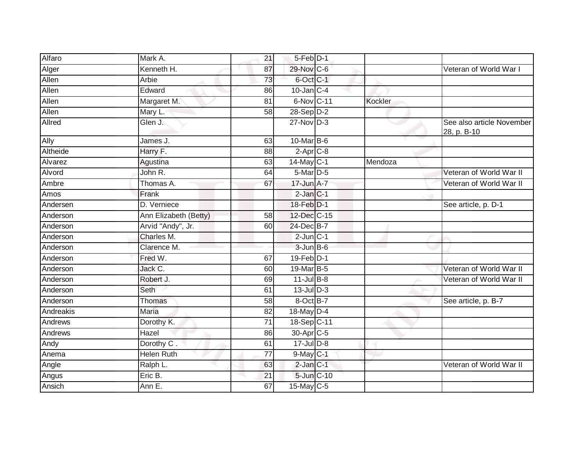| Alfaro    | Mark A.               | 21              | 5-Feb D-1        |         |                                          |
|-----------|-----------------------|-----------------|------------------|---------|------------------------------------------|
| Alger     | Kenneth H.            | 87              | 29-Nov C-6       |         | Veteran of World War I                   |
| Allen     | Arbie                 | 73              | 6-Oct C-1        |         |                                          |
| Allen     | Edward                | 86              | $10$ -Jan $C-4$  |         |                                          |
| Allen     | Margaret M.           | $\overline{81}$ | 6-Nov C-11       | Kockler |                                          |
| Allen     | Mary L.               | 58              | $28-Sep D-2$     |         |                                          |
| Allred    | Glen J.               |                 | $27$ -Nov $D-3$  |         | See also article November<br>28, p. B-10 |
| Ally      | James J.              | 63              | 10-Mar B-6       |         |                                          |
| Altheide  | Harry F.              | 88              | $2-Apr$ C-8      |         |                                          |
| Alvarez   | Agustina              | 63              | 14-May C-1       | Mendoza |                                          |
| Alvord    | John R.               | 64              | 5-Mar D-5        |         | Veteran of World War II                  |
| Ambre     | Thomas A.             | 67              | 17-Jun A-7       |         | Veteran of World War II                  |
| Amos      | Frank                 |                 | $2$ -Jan $C-1$   |         |                                          |
| Andersen  | D. Verniece           |                 | 18-Feb D-1       |         | See article, p. D-1                      |
| Anderson  | Ann Elizabeth (Betty) | $\overline{58}$ | 12-Dec C-15      |         |                                          |
| Anderson  | Arvid "Andy", Jr.     | 60              | 24-Dec B-7       |         |                                          |
| Anderson  | Charles M.            |                 | $2$ -Jun $C-1$   |         |                                          |
| Anderson  | Clarence M.           |                 | $3$ -Jun $B$ -6  |         |                                          |
| Anderson  | Fred W.               | 67              | 19-Feb D-1       |         |                                          |
| Anderson  | Jack C.               | 60              | 19-Mar B-5       |         | Veteran of World War II                  |
| Anderson  | Robert J.             | 69              | $11$ -Jul B-8    |         | Veteran of World War II                  |
| Anderson  | Seth                  | 61              | $13$ -JulD-3     |         |                                          |
| Anderson  | Thomas                | 58              | 8-Oct B-7        |         | See article, p. B-7                      |
| Andreakis | Maria                 | 82              | 18-May D-4       |         |                                          |
| Andrews   | Dorothy K.            | $\overline{71}$ | 18-Sep C-11      |         |                                          |
| Andrews   | Hazel                 | 86              | 30-Apr C-5       |         |                                          |
| Andy      | Dorothy C.            | 61              | $17 -$ Jul $D-8$ |         |                                          |
| Anema     | <b>Helen Ruth</b>     | 77              | $9$ -May $C-1$   |         |                                          |
| Angle     | Ralph L.              | 63              | 2-Jan C-1        |         | Veteran of World War II                  |
| Angus     | Eric B.               | 21              | $5$ -Jun $C$ -10 |         |                                          |
| Ansich    | Ann E.                | 67              | 15-May C-5       |         |                                          |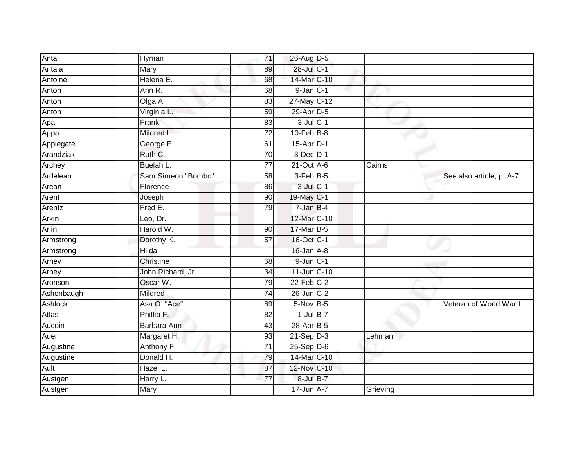| Antal        | Hyman              | 71              | 26-Aug D-5       |          |                          |
|--------------|--------------------|-----------------|------------------|----------|--------------------------|
| Antala       | Mary               | 89              | 28-Jul C-1       |          |                          |
| Antoine      | Helena E.          | 68              | 14-Mar C-10      |          |                          |
| Anton        | Ann R.             | 68              | $9$ -Jan $C-1$   |          |                          |
| Anton        | Olga A.            | 83              | 27-May C-12      |          |                          |
| Anton        | Virginia L.        | 59              | 29-Apr D-5       |          |                          |
| Apa          | Frank              | 83              | $3$ -Jul $C-1$   |          |                          |
| Appa         | Mildred L.         | 72              | $10$ -Feb $B$ -8 |          |                          |
| Applegate    | George E.          | 61              | $15$ -Apr $D-1$  |          |                          |
| Arandziak    | Ruth C.            | 70              | $3$ -Dec $D-1$   |          |                          |
| Archey       | Buelah L.          | 77              | $21$ -Oct $A$ -6 | Cairns   |                          |
| Ardelean     | Sam Simeon "Bombo" | 58              | 3-Feb B-5        |          | See also article, p. A-7 |
| Arean        | Florence           | 86              | $3$ -Jul $C-1$   |          |                          |
| Arent        | Joseph             | 90              | 19-May C-1       |          |                          |
| Arentz       | Fred E.            | 79              | 7-Jan B-4        |          |                          |
| Arkin        | Leo, Dr.           |                 | 12-Mar C-10      |          |                          |
| <b>Arlin</b> | Harold W.          | 90              | 17-Mar B-5       |          |                          |
| Armstrong    | Dorothy K.         | 57              | 16-Oct C-1       |          |                          |
| Armstrong    | Hilda              |                 | $16$ -Jan $A-8$  |          |                          |
| Arney        | <b>Christine</b>   | 68              | $9$ -Jun $C-1$   |          |                          |
| Arney        | John Richard, Jr.  | 34              | 11-Jun C-10      |          |                          |
| Aronson      | Oscar W.           | 79              | $22$ -Feb $C-2$  |          |                          |
| Ashenbaugh   | Mildred            | $\overline{74}$ | 26-Jun C-2       |          |                          |
| Ashlock      | Asa O. "Ace"       | 89              | $5-Nov$ B-5      |          | Veteran of World War I   |
| Atlas        | Phillip F.         | 82              | $1$ -Jul B-7     |          |                          |
| Aucoin       | Barbara Ann        | 43              | 28-Apr B-5       |          |                          |
| Auer         | Margaret H.        | 93              | $21-Sep$ D-3     | Lehman   |                          |
| Augustine    | Anthony F.         | $\overline{71}$ | $25-Sep D-6$     |          |                          |
| Augustine    | Donald H.          | 79              | 14-Mar C-10      |          |                          |
| Ault         | Hazel L.           | 87              | 12-Nov C-10      |          |                          |
| Austgen      | Harry L.           | $\overline{77}$ | 8-Jul B-7        |          |                          |
| Austgen      | Mary               |                 | 17-Jun A-7       | Grieving |                          |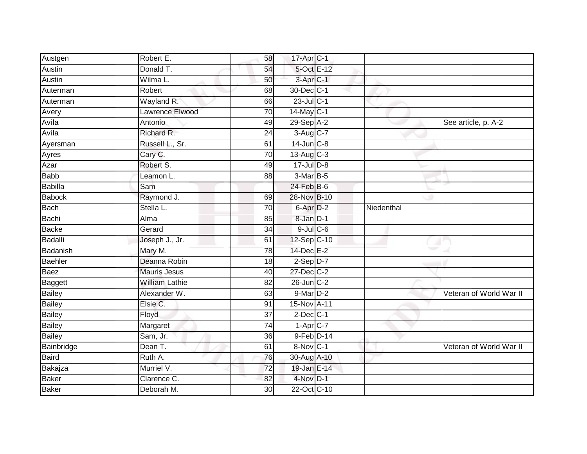| Austgen         | Robert E.             | 58              | 17-Apr C-1           |            |                         |
|-----------------|-----------------------|-----------------|----------------------|------------|-------------------------|
| Austin          | Donald T.             | 54              | 5-Oct E-12           |            |                         |
| Austin          | Wilma L.              | 50              | $3$ -Apr $C-1$       |            |                         |
| Auterman        | Robert                | 68              | 30-Dec C-1           |            |                         |
| Auterman        | Wayland R.            | 66              | 23-Jul C-1           |            |                         |
| Avery           | Lawrence Elwood       | 70              | $14$ -May C-1        |            |                         |
| Avila           | Antonio               | 49              | $29-Sep$ A-2         |            | See article, p. A-2     |
| Avila           | Richard R.            | 24              | 3-Aug C-7            |            |                         |
| Ayersman        | Russell L., Sr.       | 61              | $14$ -Jun $C-8$      |            |                         |
| Ayres           | Cary C.               | $\overline{70}$ | 13-Aug C-3           |            |                         |
| Azar            | Robert S.             | 49              | 17-Jul D-8           |            |                         |
| <b>Babb</b>     | Leamon L.             | 88              | $3-MarB-5$           |            |                         |
| Babilla         | Sam                   |                 | 24-Feb B-6           |            |                         |
| <b>Babock</b>   | Raymond J.            | 69              | 28-Nov B-10          |            |                         |
| <b>Bach</b>     | Stella L.             | 70              | 6-Apr D-2            | Niedenthal |                         |
| Bachi           | Alma                  | 85              | 8-Jan D-1            |            |                         |
| <b>Backe</b>    | Gerard                | $\overline{34}$ | $9$ -Jul $C$ -6      |            |                         |
| <b>Badalli</b>  | Joseph J., Jr.        | 61              | 12-Sep C-10          |            |                         |
| <b>Badanish</b> | Mary M.               | 78              | 14-Dec E-2           |            |                         |
| <b>Baehler</b>  | Deanna Robin          | 18              | $2-Sep$ $D-7$        |            |                         |
| <b>Baez</b>     | <b>Mauris Jesus</b>   | 40              | $27 - Dec$ $C-2$     |            |                         |
| <b>Baggett</b>  | <b>William Lathie</b> | $\overline{82}$ | $26$ -Jun $C-2$      |            |                         |
| <b>Bailey</b>   | Alexander W.          | 63              | 9-Mar <sub>D-2</sub> |            | Veteran of World War II |
| <b>Bailey</b>   | Elsie C.              | 91              | 15-Nov A-11          |            |                         |
| <b>Bailey</b>   | Floyd                 | 37              | $2$ -Dec $C-1$       |            |                         |
| <b>Bailey</b>   | Margaret              | 74              | $1 -$ Apr $C - 7$    |            |                         |
| <b>Bailey</b>   | Sam, Jr.              | 36              | 9-Feb D-14           |            |                         |
| Bainbridge      | Dean T.               | 61              | 8-Nov C-1            |            | Veteran of World War II |
| <b>Baird</b>    | Ruth A.               | 76              | 30-Aug A-10          |            |                         |
| Bakajza         | Murriel V.            | $\overline{72}$ | 19-Jan E-14          |            |                         |
| <b>Baker</b>    | Clarence C.           | 82              | 4-Nov D-1            |            |                         |
| <b>Baker</b>    | Deborah M.            | $\overline{30}$ | 22-Oct C-10          |            |                         |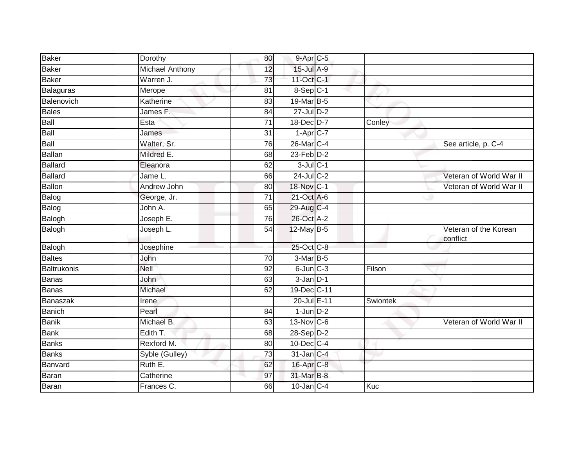| Baker         | Dorothy                | 80              | 9-Apr C-5              |          |                                   |
|---------------|------------------------|-----------------|------------------------|----------|-----------------------------------|
| Baker         | <b>Michael Anthony</b> | 12              | 15-Jul A-9             |          |                                   |
| Baker         | Warren J.              | 73              | 11-Oct C-1             |          |                                   |
| Balaguras     | Merope                 | 81              | 8-Sep C-1              |          |                                   |
| Balenovich    | Katherine              | $\overline{83}$ | 19-Mar B-5             |          |                                   |
| Bales         | James F.               | 84              | $27$ -Jul $D-2$        |          |                                   |
| Ball          | Esta                   | 71              | 18-Dec D-7             | Conley   |                                   |
| Ball          | James                  | 31              | $1-Apr$ <sub>C-7</sub> |          |                                   |
| Ball          | Walter, Sr.            | 76              | 26-Mar C-4             |          | See article, p. C-4               |
| Ballan        | Mildred E.             | 68              | $23$ -Feb $D-2$        |          |                                   |
| Ballard       | Eleanora               | 62              | $3$ -Jul $C-1$         |          |                                   |
| Ballard       | Jame L.                | 66              | 24-Jul C-2             |          | Veteran of World War II           |
| Ballon        | Andrew John            | 80              | 18-Nov C-1             |          | Veteran of World War II           |
| Balog         | George, Jr.            | $\overline{71}$ | 21-Oct A-6             |          |                                   |
| Balog         | John A.                | 65              | 29-Aug C-4             |          |                                   |
| Balogh        | Joseph E.              | 76              | 26-Oct A-2             |          |                                   |
| Balogh        | Joseph L.              | 54              | 12-May B-5             |          | Veteran of the Korean<br>conflict |
| Balogh        | Josephine              |                 | 25-Oct C-8             |          |                                   |
| <b>Baltes</b> | John                   | 70              | 3-Mar B-5              |          |                                   |
| Baltrukonis   | Nell                   | 92              | $6$ -Jun $C-3$         | Filson   |                                   |
| Banas         | John                   | 63              | $3$ -Jan $D-1$         |          |                                   |
| Banas         | Michael                | 62              | 19-Dec C-11            |          |                                   |
| Banaszak      | Irene                  |                 | 20-Jul E-11            | Swiontek |                                   |
| Banich        | Pearl                  | 84              | $1$ -Jun $D-2$         |          |                                   |
| <b>Banik</b>  | Michael B.             | 63              | $13-Nov$ C-6           |          | Veteran of World War II           |
| Bank          | Edith T.               | 68              | 28-Sep D-2             |          |                                   |
| <b>Banks</b>  | Rexford M.             | 80              | 10-Dec C-4             |          |                                   |
| <b>Banks</b>  | Syble (Gulley)         | $\overline{73}$ | 31-Jan C-4             |          |                                   |
| Banvard       | Ruth E.                | 62              | 16-Apr C-8             |          |                                   |
| Baran         | Catherine              | 97              | 31-Mar B-8             |          |                                   |
| Baran         | Frances C.             | 66              | $10$ -Jan $ C-4 $      | Kuc      |                                   |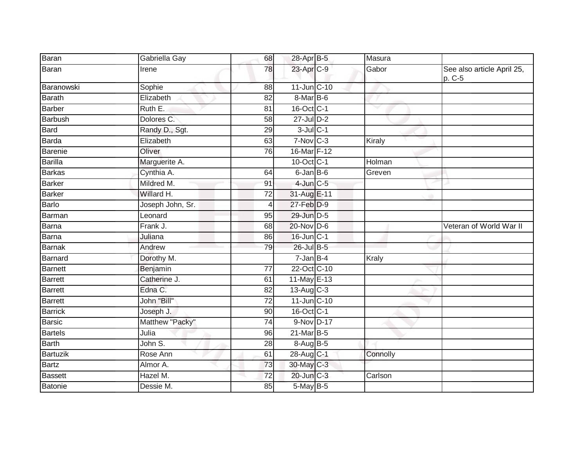| Baran          | Gabriella Gay    | 68              | 28-Apr B-5              | Masura   |                                      |
|----------------|------------------|-----------------|-------------------------|----------|--------------------------------------|
| Baran          | Irene            | 78              | 23-Apr C-9              | Gabor    | See also article April 25,<br>p. C-5 |
| Baranowski     | Sophie           | 88              | 11-Jun C-10             |          |                                      |
| <b>Barath</b>  | Elizabeth        | 82              | 8-Mar B-6               |          |                                      |
| <b>Barber</b>  | Ruth E.          | 81              | 16-Oct C-1              |          |                                      |
| Barbush        | Dolores C.       | 58              | 27-Jul D-2              |          |                                      |
| <b>Bard</b>    | Randy D., Sgt.   | 29              | $3$ -Jul $C-1$          |          |                                      |
| <b>Barda</b>   | Elizabeth        | 63              | $7-Nov$ $C-3$           | Kiraly   |                                      |
| Barenie        | Oliver           | 76              | 16-Mar F-12             |          |                                      |
| <b>Barilla</b> | Marguerite A.    |                 | 10-Oct C-1              | Holman   |                                      |
| <b>Barkas</b>  | Cynthia A.       | 64              | 6-Jan B-6               | Greven   |                                      |
| <b>Barker</b>  | Mildred M.       | 91              | $4$ -Jun $C - 5$        |          |                                      |
| <b>Barker</b>  | Willard H.       | 72              | 31-Aug E-11             |          |                                      |
| <b>Barlo</b>   | Joseph John, Sr. | 4               | 27-Feb D-9              |          |                                      |
| <b>Barman</b>  | Leonard          | 95              | 29-Jun D-5              |          |                                      |
| Barna          | Frank J.         | 68              | 20-Nov D-6              |          | Veteran of World War II              |
| <b>Barna</b>   | Juliana          | 86              | 16-Jun C-1              |          |                                      |
| <b>Barnak</b>  | Andrew           | 79              | 26-Jul B-5              |          |                                      |
| <b>Barnard</b> | Dorothy M.       |                 | $7 - Jan$ B-4           | Kraly    |                                      |
| <b>Barnett</b> | Benjamin         | $\overline{77}$ | 22-Oct C-10             |          |                                      |
| <b>Barrett</b> | Catherine J.     | 61              | 11-May E-13             |          |                                      |
| <b>Barrett</b> | Edna C.          | 82              | $13-Aug$ <sub>C-3</sub> |          |                                      |
| <b>Barrett</b> | John "Bill"      | $\overline{72}$ | 11-Jun C-10             |          |                                      |
| <b>Barrick</b> | Joseph J.        | 90              | 16-Oct C-1              |          |                                      |
| <b>Barsic</b>  | Matthew "Packy"  | $\overline{74}$ | 9-Nov D-17              |          |                                      |
| <b>Bartels</b> | Julia            | 96              | 21-Mar B-5              |          |                                      |
| <b>Barth</b>   | John S.          | 28              | 8-Aug B-5               |          |                                      |
| Bartuzik       | Rose Ann         | 61              | 28-Aug C-1              | Connolly |                                      |
| <b>Bartz</b>   | Almor A.         | 73              | 30-May C-3              |          |                                      |
| <b>Bassett</b> | Hazel M.         | 72              | 20-Jun C-3              | Carlson  |                                      |
| <b>Batonie</b> | Dessie M.        | 85              | 5-May B-5               |          |                                      |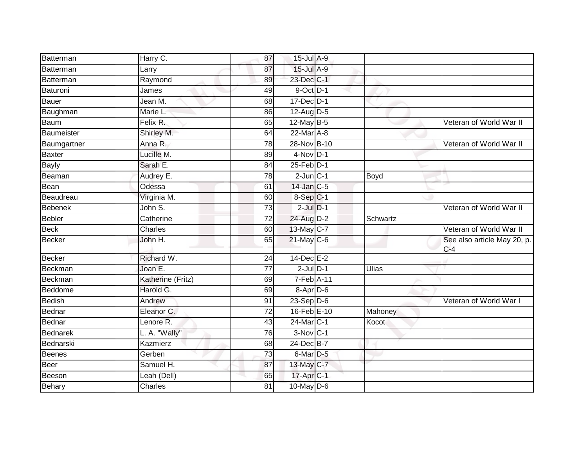| Batterman       | Harry C.          | 87              | 15-Jul A-9             |              |                                      |
|-----------------|-------------------|-----------------|------------------------|--------------|--------------------------------------|
| Batterman       | Larry             | 87              | 15-Jul A-9             |              |                                      |
| Batterman       | Raymond           | 89              | 23-Dec C-1             |              |                                      |
| Baturoni        | James             | 49              | $9$ -Oct $D-1$         |              |                                      |
| <b>Bauer</b>    | Jean M.           | 68              | 17-Dec D-1             |              |                                      |
| Baughman        | Marie L.          | 86              | 12-Aug D-5             |              |                                      |
| Baum            | Felix R.          | 65              | 12-May B-5             |              | Veteran of World War II              |
| Baumeister      | Shirley M.        | 64              | $22$ -Mar $A-8$        |              |                                      |
| Baumgartner     | Anna R.           | 78              | 28-Nov B-10            |              | Veteran of World War II              |
| <b>Baxter</b>   | Lucille M.        | 89              | $4-Nov$ D-1            |              |                                      |
| <b>Bayly</b>    | Sarah E.          | 84              | $25$ -Feb $D-1$        |              |                                      |
| Beaman          | Audrey E.         | 78              | $2$ -Jun $ C-1 $       | Boyd         |                                      |
| Bean            | Odessa            | 61              | 14-Jan C-5             |              |                                      |
| Beaudreau       | Virginia M.       | 60              | $8-Sep$ C-1            |              |                                      |
| <b>Bebenek</b>  | John S.           | $\overline{73}$ | $2$ -Jul $D-1$         |              | Veteran of World War II              |
| <b>Bebler</b>   | Catherine         | 72              | 24-Aug D-2             | Schwartz     |                                      |
| <b>Beck</b>     | Charles           | 60              | 13-May C-7             |              | Veteran of World War II              |
| <b>Becker</b>   | John H.           | 65              | 21-May C-6             |              | See also article May 20, p.<br>$C-4$ |
| <b>Becker</b>   | Richard W.        | 24              | 14-Dec E-2             |              |                                      |
| Beckman         | Joan E.           | 77              | $2$ -Jul $D-1$         | <b>Ulias</b> |                                      |
| Beckman         | Katherine (Fritz) | 69              | 7-Feb A-11             |              |                                      |
| Beddome         | Harold G.         | 69              | 8-Apr D-6              |              |                                      |
| Bedish          | Andrew            | 91              | $23-Sep D-6$           |              | Veteran of World War I               |
| Bednar          | Eleanor C.        | 72              | 16-Feb E-10            | Mahoney      |                                      |
| Bednar          | Lenore R.         | 43              | 24-Mar C-1             | Kocot        |                                      |
| <b>Bednarek</b> | L. A. "Wally"     | 76              | $3-Nov$ C-1            |              |                                      |
| Bednarski       | Kazmierz          | 68              | 24-Dec B-7             |              |                                      |
| <b>Beenes</b>   | Gerben            | 73              | $6$ -Mar $D-5$         |              |                                      |
| <b>Beer</b>     | Samuel H.         | 87              | 13-May C-7             |              |                                      |
| Beeson          | Leah (Dell)       | 65              | 17-Apr <sub>IC-1</sub> |              |                                      |
| Behary          | Charles           | 81              | $10$ -May $D-6$        |              |                                      |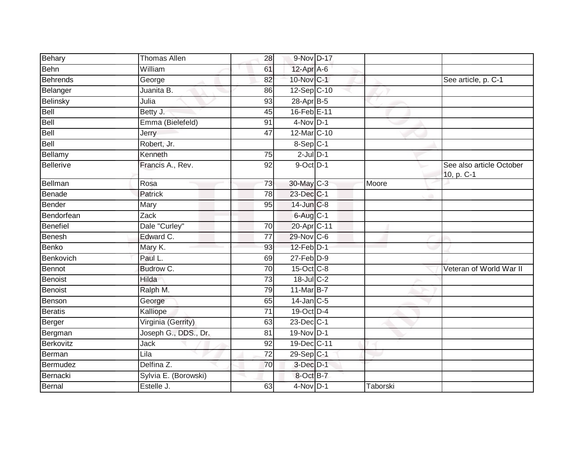| Behary           | <b>Thomas Allen</b>  | 28 | 9-Nov D-17      |          |                                        |
|------------------|----------------------|----|-----------------|----------|----------------------------------------|
| <b>Behn</b>      | William              | 61 | 12-Apr A-6      |          |                                        |
| <b>Behrends</b>  | George               | 82 | 10-Nov C-1      |          | See article, p. C-1                    |
| Belanger         | Juanita B.           | 86 | 12-Sep C-10     |          |                                        |
| Belinsky         | Julia                | 93 | 28-Apr B-5      |          |                                        |
| Bell             | Betty J.             | 45 | 16-Feb E-11     |          |                                        |
| Bell             | Emma (Bielefeld)     | 91 | $4$ -Nov D-1    |          |                                        |
| Bell             | Jerry                | 47 | 12-Mar C-10     |          |                                        |
| Bell             | Robert, Jr.          |    | $8-Sep$ C-1     |          |                                        |
| Bellamy          | Kenneth              | 75 | $2$ -Jul $D-1$  |          |                                        |
| <b>Bellerive</b> | Francis A., Rev.     | 92 | 9-Oct D-1       |          | See also article October<br>10, p. C-1 |
| Bellman          | Rosa                 | 73 | 30-May C-3      | Moore    |                                        |
| Benade           | Patrick              | 78 | 23-Dec C-1      |          |                                        |
| Bender           | Mary                 | 95 | 14-Jun C-8      |          |                                        |
| Bendorfean       | Zack                 |    | 6-Aug C-1       |          |                                        |
| Benefiel         | Dale "Curley"        | 70 | 20-Apr C-11     |          |                                        |
| <b>Benesh</b>    | Edward C.            | 77 | 29-Nov C-6      |          |                                        |
| <b>Benko</b>     | Mary K.              | 93 | $12$ -Feb $D-1$ |          |                                        |
| Benkovich        | Paul L.              | 69 | $27$ -Feb $D-9$ |          |                                        |
| <b>Bennot</b>    | Budrow C.            | 70 | 15-Oct C-8      |          | Veteran of World War II                |
| Benoist          | Hilda                | 73 | 18-Jul C-2      |          |                                        |
| <b>Benoist</b>   | Ralph M.             | 79 | 11-Mar B-7      |          |                                        |
| Benson           | George               | 65 | $14$ -Jan C-5   |          |                                        |
| <b>Beratis</b>   | Kalliope             | 71 | 19-Oct D-4      |          |                                        |
| Berger           | Virginia (Gerrity)   | 63 | 23-Dec C-1      |          |                                        |
| Bergman          | Joseph G., DDS., Dr. | 81 | 19-Nov D-1      |          |                                        |
| Berkovitz        | <b>Jack</b>          | 92 | 19-Dec C-11     |          |                                        |
| Berman           | Lila                 | 72 | 29-Sep C-1      |          |                                        |
| Bermudez         | Delfina Z.           | 70 | $3$ -Dec $D-1$  |          |                                        |
| Bernacki         | Sylvia E. (Borowski) |    | 8-Oct B-7       |          |                                        |
| Bernal           | Estelle J.           | 63 | $4$ -Nov $D-1$  | Taborski |                                        |
|                  |                      |    |                 |          |                                        |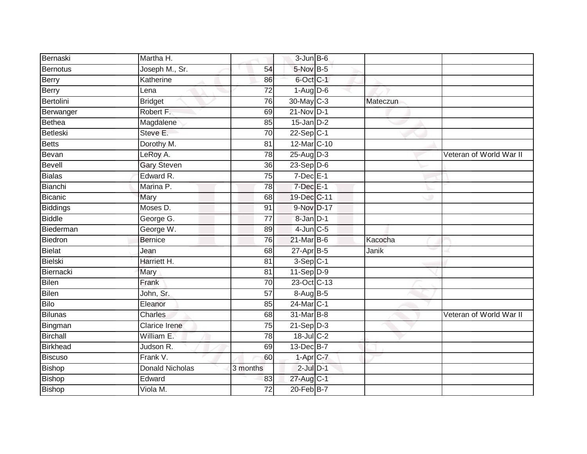| Bernaski        | Martha H.              |                 | $3 - Jun$ $B - 6$ |          |                         |
|-----------------|------------------------|-----------------|-------------------|----------|-------------------------|
| <b>Bernotus</b> | Joseph M., Sr.         | 54              | $5$ -Nov $B-5$    |          |                         |
| <b>Berry</b>    | Katherine              | 86              | 6-Oct C-1         |          |                         |
| Berry           | Lena                   | 72              | $1-Aug$ D-6       |          |                         |
| Bertolini       | <b>Bridget</b>         | 76              | 30-May C-3        | Mateczun |                         |
| Berwanger       | Robert F.              | 69              | $21-Nov$ D-1      |          |                         |
| Bethea          | Magdalene              | 85              | $15$ -Jan $D-2$   |          |                         |
| Betleski        | Steve E.               | 70              | $22-Sep C-1$      |          |                         |
| Betts           | Dorothy M.             | 81              | 12-Mar C-10       |          |                         |
| Bevan           | LeRoy A.               | 78              | $25-Aug$ D-3      |          | Veteran of World War II |
| Bevell          | <b>Gary Steven</b>     | 36              | $23-Sep D-6$      |          |                         |
| Bialas          | Edward R.              | 75              | $7$ -Dec $E-1$    |          |                         |
| Bianchi         | Marina P.              | 78              | $7$ -Dec $E-1$    |          |                         |
| Bicanic         | Mary                   | 68              | 19-Dec C-11       |          |                         |
| Biddings        | Moses D.               | 91              | 9-Nov D-17        |          |                         |
| <b>Biddle</b>   | George G.              | 77              | 8-Jan D-1         |          |                         |
| Biederman       | George W.              | 89              | $4$ -Jun $C$ -5   |          |                         |
| Biedron         | <b>Bernice</b>         | 76              | 21-Mar B-6        | Kacocha  |                         |
| <b>Bielat</b>   | Jean                   | 68              | $27$ -Apr $B-5$   | Janik    |                         |
| <b>Bielski</b>  | Harriett H.            | $\overline{81}$ | $3-Sep$ $C-1$     |          |                         |
| Biernacki       | Mary                   | 81              | $11-Sep D-9$      |          |                         |
| Bilen           | Frank                  | 70              | 23-Oct C-13       |          |                         |
| <b>Bilen</b>    | John, Sr.              | 57              | 8-Aug B-5         |          |                         |
| Bilo            | Eleanor                | 85              | 24-Mar C-1        |          |                         |
| <b>Bilunas</b>  | Charles                | 68              | 31-Mar B-8        |          | Veteran of World War II |
| Bingman         | <b>Clarice Irene</b>   | 75              | $21-Sep D-3$      |          |                         |
| Birchall        | William E.             | 78              | 18-Jul C-2        |          |                         |
| Birkhead        | Judson R.              | 69              | 13-Dec B-7        |          |                         |
| Biscuso         | Frank V.               | 60              | $1-Apr$ $C-7$     |          |                         |
| Bishop          | <b>Donald Nicholas</b> | 3 months        | $2$ -Jul $D-1$    |          |                         |
| Bishop          | Edward                 | 83              | 27-Aug C-1        |          |                         |
| Bishop          | Viola M.               | $\overline{72}$ | $20$ -Feb $B-7$   |          |                         |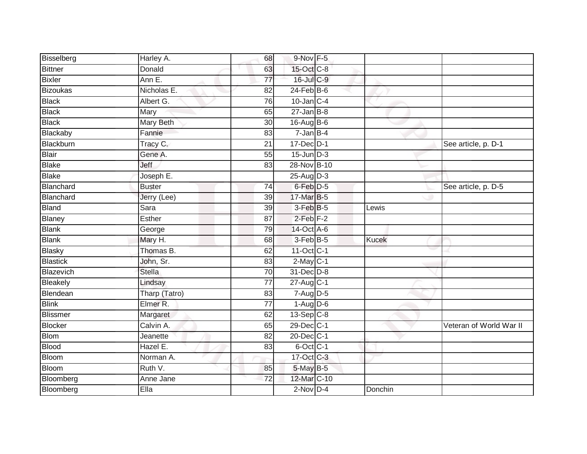| Bisselberg      | Harley A.        | 68              | 9-Nov F-5         |              |                         |
|-----------------|------------------|-----------------|-------------------|--------------|-------------------------|
| Bittner         | Donald           | 63              | 15-Oct C-8        |              |                         |
| Bixler          | Ann E.           | $\overline{77}$ | 16-Jul C-9        |              |                         |
| <b>Bizoukas</b> | Nicholas E.      | 82              | $24$ -Feb $B$ -6  |              |                         |
| <b>Black</b>    | Albert G.        | $\overline{76}$ | $10$ -Jan $ C-4 $ |              |                         |
| <b>Black</b>    | Mary             | 65              | $27 - Jan$ B-8    |              |                         |
| <b>Black</b>    | <b>Mary Beth</b> | 30              | $16$ -Aug B-6     |              |                         |
| Blackaby        | Fannie           | 83              | $7 - JanB-4$      |              |                         |
| Blackburn       | Tracy C.         | $\overline{21}$ | 17-Dec D-1        |              | See article, p. D-1     |
| <b>Blair</b>    | Gene A.          | 55              | $15$ -Jun $D-3$   |              |                         |
| Blake           | Jeff             | 83              | 28-Nov B-10       |              |                         |
| <b>Blake</b>    | Joseph E.        |                 | $25-Aug$ D-3      |              |                         |
| Blanchard       | <b>Buster</b>    | 74              | 6-Feb D-5         |              | See article, p. D-5     |
| Blanchard       | Jerry (Lee)      | 39              | 17-Mar B-5        |              |                         |
| <b>Bland</b>    | Sara             | 39              | 3-Feb B-5         | Lewis        |                         |
| Blaney          | Esther           | 87              | $2$ -Feb $F-2$    |              |                         |
| <b>Blank</b>    | George           | 79              | 14-Oct A-6        |              |                         |
| <b>Blank</b>    | Mary H.          | 68              | $3$ -Feb $B$ -5   | <b>Kucek</b> |                         |
| <b>Blasky</b>   | Thomas B.        | 62              | 11-Oct C-1        |              |                         |
| <b>Blastick</b> | John, Sr.        | 83              | $2-May$ C-1       |              |                         |
| Blazevich       | <b>Stella</b>    | 70              | 31-Dec D-8        |              |                         |
| Bleakely        | Lindsay          | $\overline{77}$ | 27-Aug C-1        |              |                         |
| Blendean        | Tharp (Tatro)    | 83              | $7 - Aug$ $D-5$   |              |                         |
| <b>Blink</b>    | Elmer R.         | 77              | $1-Aug$ D-6       |              |                         |
| <b>Blissmer</b> | Margaret         | 62              | $13-Sep$ C-8      |              |                         |
| Blocker         | Calvin A.        | 65              | 29-Dec C-1        |              | Veteran of World War II |
| Blom            | Jeanette         | $\overline{82}$ | 20-Dec C-1        |              |                         |
| <b>Blood</b>    | Hazel E.         | 83              | $6$ -Oct $C$ -1   |              |                         |
| <b>Bloom</b>    | Norman A.        |                 | 17-Oct C-3        |              |                         |
| <b>Bloom</b>    | Ruth V.          | 85              | 5-May B-5         |              |                         |
| Bloomberg       | Anne Jane        | $\overline{72}$ | 12-Mar C-10       |              |                         |
| Bloomberg       | Ella             |                 | $2$ -Nov $D-4$    | Donchin      |                         |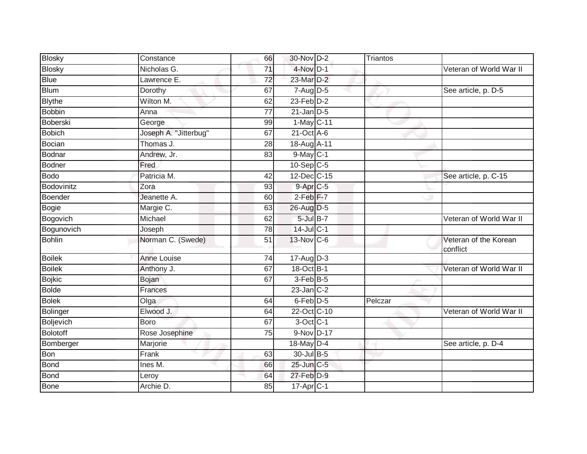| <b>Blosky</b> | Constance             | 66              | 30-Nov D-2        | Triantos |                                   |
|---------------|-----------------------|-----------------|-------------------|----------|-----------------------------------|
| <b>Blosky</b> | Nicholas G.           | 71              | $4$ -Nov D-1      |          | Veteran of World War II           |
| <b>Blue</b>   | Lawrence E.           | $\overline{72}$ | 23-Mar D-2        |          |                                   |
| <b>Blum</b>   | Dorothy               | 67              | $7 - Aug$ $D-5$   |          | See article, p. D-5               |
| <b>Blythe</b> | Wilton M.             | 62              | $23$ -Feb $D-2$   |          |                                   |
| <b>Bobbin</b> | Anna                  | 77              | $21$ -Jan $D-5$   |          |                                   |
| Boberski      | George                | 99              | 1-May C-11        |          |                                   |
| <b>Bobich</b> | Joseph A. "Jitterbug" | 67              | $21$ -Oct $A$ -6  |          |                                   |
| Bocian        | Thomas J.             | 28              | 18-Aug A-11       |          |                                   |
| Bodnar        | Andrew, Jr.           | 83              | $9$ -May $C-1$    |          |                                   |
| <b>Bodner</b> | Fred                  |                 | $10-Sep$ C-5      |          |                                   |
| Bodo          | Patricia M.           | 42              | 12-Dec C-15       |          | See article, p. C-15              |
| Bodovinitz    | Zora                  | 93              | 9-Apr C-5         |          |                                   |
| Boender       | Jeanette A.           | 60              | $2-Feb$ $F-7$     |          |                                   |
| Bogie         | Margie C.             | 63              | 26-Aug D-5        |          |                                   |
| Bogovich      | Michael               | 62              | $5$ -Jul $B-7$    |          | Veteran of World War II           |
| Bogunovich    | Joseph                | 78              | $14$ -Jul C-1     |          |                                   |
| <b>Bohlin</b> | Norman C. (Swede)     | 51              | 13-Nov C-6        |          | Veteran of the Korean<br>conflict |
| <b>Boilek</b> | <b>Anne Louise</b>    | 74              | $17$ -AugD-3      |          |                                   |
| <b>Boilek</b> | Anthony J.            | 67              | 18-Oct B-1        |          | Veteran of World War II           |
| <b>Bojkic</b> | Bojan                 | 67              | $3$ -Feb $B$ -5   |          |                                   |
| <b>Bolde</b>  | Frances               |                 | $23$ -Jan $ C-2 $ |          |                                   |
| <b>Bolek</b>  | Olga                  | 64              | $6$ -Feb $D-5$    | Pelczar  |                                   |
| Bolinger      | Elwood J.             | 64              | 22-Oct C-10       |          | Veteran of World War II           |
| Boljevich     | <b>Boro</b>           | 67              | 3-Oct C-1         |          |                                   |
| Bolotoff      | Rose Josephine        | 75              | 9-Nov D-17        |          |                                   |
| Bomberger     | Marjorie              |                 | 18-May D-4        |          | See article, p. D-4               |
| Bon           | Frank                 | 63              | 30-Jul B-5        |          |                                   |
| Bond          | Ines M.               | 66              | 25-Jun C-5        |          |                                   |
| Bond          | Leroy                 | 64              | $27$ -Feb $D-9$   |          |                                   |
| Bone          | Archie D.             | 85              | $17$ -Apr $ C-1 $ |          |                                   |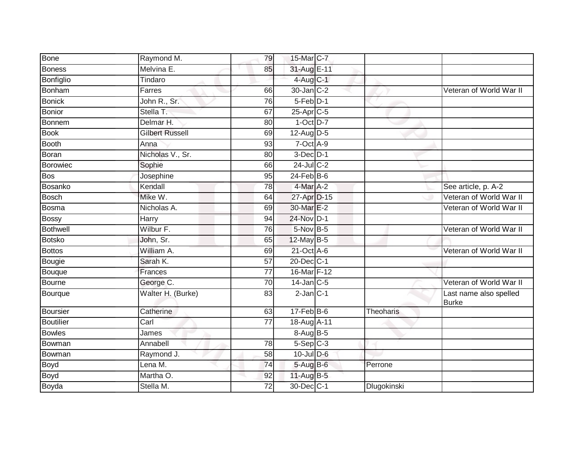| <b>Bone</b>      | Raymond M.             | 79              | 15-Mar C-7       |             |                                        |
|------------------|------------------------|-----------------|------------------|-------------|----------------------------------------|
| <b>Boness</b>    | Melvina E.             | 85              | 31-Aug E-11      |             |                                        |
| Bonfiglio        | Tindaro                |                 | 4-Aug C-1        |             |                                        |
| <b>Bonham</b>    | Farres                 | 66              | 30-Jan C-2       |             | Veteran of World War II                |
| <b>Bonick</b>    | John R., Sr.           | 76              | 5-Feb D-1        |             |                                        |
| <b>Bonior</b>    | Stella T.              | 67              | 25-Apr C-5       |             |                                        |
| Bonnem           | Delmar H.              | 80              | $1-Oct$ $D-7$    |             |                                        |
| <b>Book</b>      | <b>Gilbert Russell</b> | 69              | $12$ -Aug D-5    |             |                                        |
| <b>Booth</b>     | Anna                   | 93              | $7-Oct$ $A-9$    |             |                                        |
| <b>Boran</b>     | Nicholas V., Sr.       | 80              | $3$ -Dec $D-1$   |             |                                        |
| Borowiec         | Sophie                 | 66              | $24$ -Jul C-2    |             |                                        |
| <b>Bos</b>       | Josephine              | 95              | $24$ -Feb $B$ -6 |             |                                        |
| <b>Bosanko</b>   | Kendall                | 78              | 4-Mar A-2        |             | See article, p. A-2                    |
| <b>Bosch</b>     | Mike W.                | 64              | 27-Apr D-15      |             | Veteran of World War II                |
| <b>Bosma</b>     | Nicholas A.            | 69              | 30-Mar E-2       |             | Veteran of World War II                |
| Bossy            | Harry                  | 94              | 24-Nov D-1       |             |                                        |
| <b>Bothwell</b>  | Wilbur F.              | 76              | $5-Nov$ B-5      |             | Veteran of World War II                |
| <b>Botsko</b>    | John, Sr.              | 65              | $12$ -May B-5    |             |                                        |
| <b>Bottos</b>    | William A.             | 69              | 21-Oct A-6       |             | Veteran of World War II                |
| Bougie           | Sarah K.               | $\overline{57}$ | 20-Dec C-1       |             |                                        |
| Bouque           | Frances                | $\overline{77}$ | 16-Mar F-12      |             |                                        |
| <b>Bourne</b>    | George C.              | $\overline{70}$ | $14$ -Jan C-5    |             | Veteran of World War II                |
| Bourque          | Walter H. (Burke)      | 83              | $2$ -Jan $C-1$   |             | Last name also spelled<br><b>Burke</b> |
| <b>Boursier</b>  | Catherine              | 63              | $17$ -Feb $B$ -6 | Theoharis   |                                        |
| <b>Boutilier</b> | Carl                   | $\overline{77}$ | 18-Aug A-11      |             |                                        |
| <b>Bowles</b>    | James                  |                 | 8-Aug B-5        |             |                                        |
| Bowman           | Annabell               | 78              | $5-Sep$ $C-3$    |             |                                        |
| Bowman           | Raymond J.             | 58              | $10$ -Jul $D-6$  |             |                                        |
| Boyd             | Lena M.                | 74              | 5-Aug B-6        | Perrone     |                                        |
| <b>Boyd</b>      | Martha O.              | 92              | $11$ -Aug $B-5$  |             |                                        |
| Boyda            | Stella M.              | 72              | 30-Dec C-1       | Dlugokinski |                                        |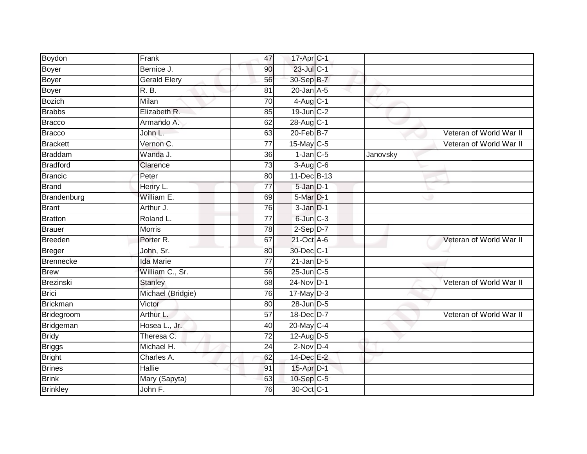| Boydon           | Frank                | 47              | 17-Apr C-1       |          |                         |
|------------------|----------------------|-----------------|------------------|----------|-------------------------|
| Boyer            | Bernice J.           | 90              | 23-Jul C-1       |          |                         |
| Boyer            | <b>Gerald Elery</b>  | 56              | 30-Sep B-7       |          |                         |
| Boyer            | R. B.                | 81              | $20$ -Jan $A-5$  |          |                         |
| <b>Bozich</b>    | Milan                | $\overline{70}$ | 4-Aug C-1        |          |                         |
| <b>Brabbs</b>    | Elizabeth R.         | 85              | 19-Jun C-2       |          |                         |
| Bracco           | Armando A.           | 62              | 28-Aug C-1       |          |                         |
| Bracco           | John L.              | 63              | $20$ -Feb $B$ -7 |          | Veteran of World War II |
| <b>Brackett</b>  | Vernon C.            | $\overline{77}$ | 15-May C-5       |          | Veteran of World War II |
| <b>Braddam</b>   | Wanda J.             | 36              | $1$ -Jan $C$ -5  | Janovsky |                         |
| <b>Bradford</b>  | Clarence             | $\overline{73}$ | 3-Aug C-6        |          |                         |
| Brancic          | Peter                | 80              | 11-Dec B-13      |          |                         |
| <b>Brand</b>     | Henry L.             | $\overline{77}$ | 5-Jan D-1        |          |                         |
| Brandenburg      | William E.           | 69              | $5-Mar$ $D-1$    |          |                         |
| <b>Brant</b>     | Arthur J.            | 76              | $3-JanD-1$       |          |                         |
| <b>Bratton</b>   | Roland L.            | 77              | 6-Jun C-3        |          |                         |
| Brauer           | <b>Morris</b>        | 78              | $2-Sep$ D-7      |          |                         |
| <b>Breeden</b>   | Porter <sub>R.</sub> | 67              | 21-Oct A-6       |          | Veteran of World War II |
| Breger           | John, Sr.            | 80              | 30-Dec C-1       |          |                         |
| <b>Brennecke</b> | <b>Ida Marie</b>     | $\overline{77}$ | $21$ -Jan $D-5$  |          |                         |
| <b>Brew</b>      | William C., Sr.      | 56              | 25-Jun C-5       |          |                         |
| Brezinski        | <b>Stanley</b>       | 68              | 24-Nov D-1       |          | Veteran of World War II |
| <b>Brici</b>     | Michael (Bridgie)    | 76              | $17$ -May $D-3$  |          |                         |
| Brickman         | Victor               | 80              | 28-Jun D-5       |          |                         |
| Bridegroom       | Arthur L.            | 57              | 18-Dec D-7       |          | Veteran of World War II |
| Bridgeman        | Hosea L., Jr.        | 40              | 20-May C-4       |          |                         |
| <b>Bridy</b>     | Theresa C.           | $\overline{72}$ | $12$ -Aug D-5    |          |                         |
| <b>Briggs</b>    | Michael H.           | 24              | $2-Nov$ D-4      |          |                         |
| <b>Bright</b>    | Charles A.           | 62              | 14-Dec E-2       |          |                         |
| <b>Brines</b>    | Hallie               | 91              | 15-Apr D-1       |          |                         |
| <b>Brink</b>     | Mary (Sapyta)        | 63              | 10-Sep C-5       |          |                         |
| <b>Brinkley</b>  | John F.              | 76              | 30-Oct C-1       |          |                         |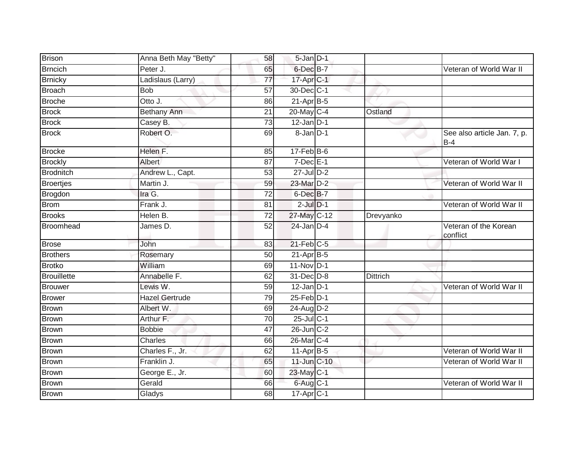| Brison             | Anna Beth May "Betty" | 58              | 5-Jan D-1         |                 |                                      |
|--------------------|-----------------------|-----------------|-------------------|-----------------|--------------------------------------|
| <b>Brncich</b>     | Peter J.              | 65              | 6-Dec B-7         |                 | Veteran of World War II              |
| <b>Brnicky</b>     | Ladislaus (Larry)     | $\overline{77}$ | 17-Apr C-1        |                 |                                      |
| <b>Broach</b>      | <b>Bob</b>            | 57              | 30-Dec C-1        |                 |                                      |
| <b>Broche</b>      | Otto J.               | 86              | $21-Apr$ B-5      |                 |                                      |
| <b>Brock</b>       | Bethany Ann           | $\overline{21}$ | 20-May C-4        | Ostland         |                                      |
| <b>Brock</b>       | Casey B.              | 73              | $12$ -Jan $D-1$   |                 |                                      |
| <b>Brock</b>       | Robert O.             | 69              | 8-Jan D-1         |                 | See also article Jan. 7, p.<br>$B-4$ |
| <b>Brocke</b>      | Helen F.              | 85              | $17$ -Feb $B$ -6  |                 |                                      |
| <b>Brockly</b>     | Albert                | 87              | $7$ -Dec $E-1$    |                 | Veteran of World War I               |
| <b>Brodnitch</b>   | Andrew L., Capt.      | 53              | 27-Jul D-2        |                 |                                      |
| <b>Broertjes</b>   | Martin J.             | 59              | 23-Mar D-2        |                 | Veteran of World War II              |
| Brogdon            | Ira G.                | $\overline{72}$ | 6-Dec B-7         |                 |                                      |
| <b>Brom</b>        | Frank J.              | 81              | $2$ -Jul $D-1$    |                 | Veteran of World War II              |
| <b>Brooks</b>      | Helen B.              | $\overline{72}$ | 27-May C-12       | Drevyanko       |                                      |
| <b>Broomhead</b>   | James D.              | 52              | $24$ -Jan D-4     |                 | Veteran of the Korean<br>conflict    |
| <b>Brose</b>       | John                  | 83              | 21-Feb C-5        |                 |                                      |
| <b>Brothers</b>    | Rosemary              | 50              | $21-Apr$ B-5      |                 |                                      |
| <b>Brotko</b>      | William               | 69              | 11-Nov D-1        |                 |                                      |
| <b>Brouillette</b> | Annabelle F.          | 62              | 31-Dec D-8        | <b>Dittrich</b> |                                      |
| <b>Brouwer</b>     | Lewis W.              | 59              | $12$ -Jan D-1     |                 | Veteran of World War II              |
| <b>Brower</b>      | <b>Hazel Gertrude</b> | 79              | $25$ -Feb $D-1$   |                 |                                      |
| <b>Brown</b>       | Albert W.             | 69              | 24-Aug D-2        |                 |                                      |
| <b>Brown</b>       | Arthur F.             | 70              | 25-Jul C-1        |                 |                                      |
| Brown              | <b>Bobbie</b>         | 47              | 26-Jun C-2        |                 |                                      |
| Brown              | Charles               | 66              | 26-Mar C-4        |                 |                                      |
| Brown              | Charles F., Jr.       | 62              | $11-Apr$ B-5      |                 | Veteran of World War II              |
| <b>Brown</b>       | Franklin J.           | 65              | 11-Jun C-10       |                 | Veteran of World War II              |
| <b>Brown</b>       | George E., Jr.        | 60              | 23-May C-1        |                 |                                      |
| <b>Brown</b>       | Gerald                | 66              | 6-Aug C-1         |                 | Veteran of World War II              |
| <b>Brown</b>       | Gladys                | 68              | $17$ -Apr $ C-1 $ |                 |                                      |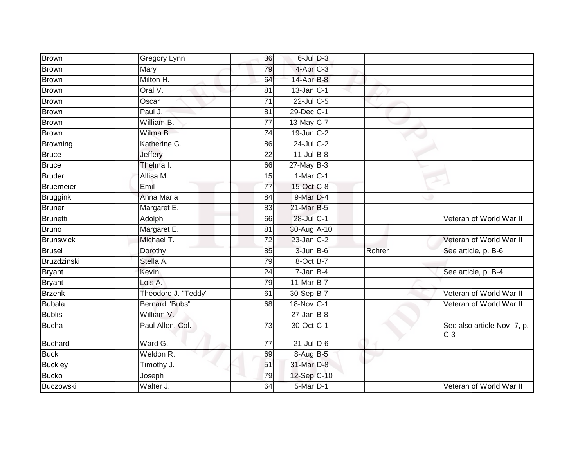| <b>Brown</b>     | Gregory Lynn          | 36              | $6$ -Jul $D-3$         |        |                                      |
|------------------|-----------------------|-----------------|------------------------|--------|--------------------------------------|
| <b>Brown</b>     | Mary                  | 79              | 4-Apr <sub>C-3</sub>   |        |                                      |
| <b>Brown</b>     | Milton H.             | 64              | 14-Apr B-8             |        |                                      |
| <b>Brown</b>     | Oral V.               | 81              | $13$ -Jan $ C-1 $      |        |                                      |
| <b>Brown</b>     | Oscar                 | $\overline{71}$ | $22$ -Jul C-5          |        |                                      |
| Brown            | Paul J.               | 81              | 29-Dec C-1             |        |                                      |
| <b>Brown</b>     | William B.            | 77              | 13-May C-7             |        |                                      |
| <b>Brown</b>     | Wilma B.              | 74              | $19$ -Jun $C-2$        |        |                                      |
| <b>Browning</b>  | Katherine G.          | 86              | 24-Jul C-2             |        |                                      |
| <b>Bruce</b>     | <b>Jeffery</b>        | $\overline{22}$ | $11$ -Jul B-8          |        |                                      |
| <b>Bruce</b>     | Thelma I.             | 66              | $27$ -May B-3          |        |                                      |
| <b>Bruder</b>    | Allisa M.             | 15              | $1-Mar$ <sub>C-1</sub> |        |                                      |
| Bruemeier        | Emil                  | 77              | 15-Oct C-8             |        |                                      |
| <b>Bruggink</b>  | Anna Maria            | 84              | 9-Mar D-4              |        |                                      |
| <b>Bruner</b>    | Margaret E.           | 83              | 21-Mar B-5             |        |                                      |
| Brunetti         | Adolph                | 66              | 28-Jul C-1             |        | Veteran of World War II              |
| <b>Bruno</b>     | Margaret E.           | 81              | 30-Aug A-10            |        |                                      |
| <b>Brunswick</b> | Michael T.            | 72              | $23$ -Jan $ C-2 $      |        | Veteran of World War II              |
| <b>Brusel</b>    | Dorothy               | 85              | $3$ -Jun $B$ -6        | Rohrer | See article, p. B-6                  |
| Bruzdzinski      | Stella A.             | 79              | 8-Oct B-7              |        |                                      |
| <b>Bryant</b>    | <b>Kevin</b>          | $\overline{24}$ | $7 - Jan$ B-4          |        | See article, p. B-4                  |
| <b>Bryant</b>    | Lois A.               | 79              | 11-Mar B-7             |        |                                      |
| <b>Brzenk</b>    | Theodore J. "Teddy"   | 61              | 30-Sep B-7             |        | Veteran of World War II              |
| <b>Bubala</b>    | <b>Bernard "Bubs"</b> | 68              | 18-Nov C-1             |        | Veteran of World War II              |
| <b>Bublis</b>    | William V.            |                 | $27 - Jan$ $B-8$       |        |                                      |
| <b>Bucha</b>     | Paul Allen, Col.      | 73              | 30-Oct C-1             |        | See also article Nov. 7, p.<br>$C-3$ |
| <b>Buchard</b>   | Ward G.               | $\overline{77}$ | $21$ -Jul $D-6$        |        |                                      |
| <b>Buck</b>      | Weldon R.             | 69              | 8-Aug B-5              |        |                                      |
| <b>Buckley</b>   | Timothy J.            | 51              | 31-Mar D-8             |        |                                      |
| <b>Bucko</b>     | Joseph                | 79              | 12-Sep C-10            |        |                                      |
| Buczowski        | Walter J.             | 64              | 5-Mar D-1              |        | Veteran of World War II              |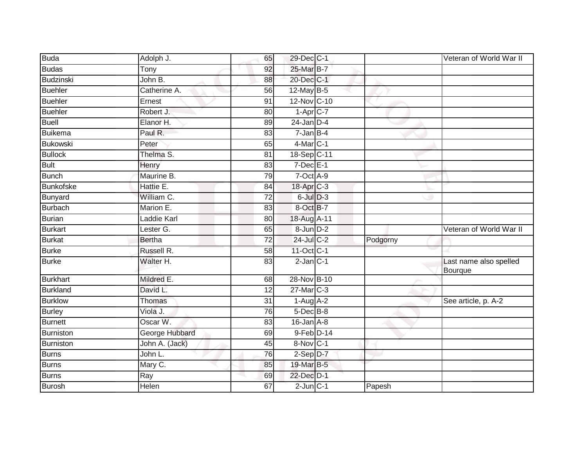| <b>Buda</b>      | Adolph J.      | 65 | 29-Dec C-1             |          | Veteran of World War II                  |
|------------------|----------------|----|------------------------|----------|------------------------------------------|
| <b>Budas</b>     | Tony           | 92 | 25-Mar B-7             |          |                                          |
| <b>Budzinski</b> | John B.        | 88 | 20-Dec C-1             |          |                                          |
| <b>Buehler</b>   | Catherine A.   | 56 | 12-May B-5             |          |                                          |
| Buehler          | Ernest         | 91 | 12-Nov C-10            |          |                                          |
| <b>Buehler</b>   | Robert J.      | 80 | $1-Apr$ <sub>C-7</sub> |          |                                          |
| <b>Buell</b>     | Elanor H.      | 89 | $24$ -Jan $D-4$        |          |                                          |
| Buikema          | Paul R.        | 83 | $7 - Jan$ B-4          |          |                                          |
| Bukowski         | Peter          | 65 | $4$ -Mar $C-1$         |          |                                          |
| <b>Bullock</b>   | Thelma S.      | 81 | 18-Sep C-11            |          |                                          |
| <b>Bult</b>      | Henry          | 83 | $7$ -Dec $E-1$         |          |                                          |
| <b>Bunch</b>     | Maurine B.     | 79 | $7-Oct$ A-9            |          |                                          |
| <b>Bunkofske</b> | Hattie E.      | 84 | 18-Apr C-3             |          |                                          |
| Bunyard          | William C.     | 72 | $6$ -Jul $D-3$         |          |                                          |
| <b>Burbach</b>   | Marion E.      | 83 | 8-Oct B-7              |          |                                          |
| Burian           | Laddie Karl    | 80 | 18-Aug A-11            |          |                                          |
| <b>Burkart</b>   | Lester G.      | 65 | 8-Jun D-2              |          | Veteran of World War II                  |
| <b>Burkat</b>    | <b>Bertha</b>  | 72 | $24$ -Jul C-2          | Podgorny |                                          |
| <b>Burke</b>     | Russell R.     | 58 | 11-Oct C-1             |          |                                          |
| <b>Burke</b>     | Walter H.      | 83 | $2$ -Jan $C-1$         |          | Last name also spelled<br><b>Bourque</b> |
| <b>Burkhart</b>  | Mildred E.     | 68 | 28-Nov B-10            |          |                                          |
| <b>Burkland</b>  | David L.       | 12 | $27$ -Mar $ C-3 $      |          |                                          |
| <b>Burklow</b>   | Thomas         | 31 | $1-Aug$ A-2            |          | See article, p. A-2                      |
| <b>Burley</b>    | Viola J.       | 76 | $5$ -Dec $B$ -8        |          |                                          |
| <b>Burnett</b>   | Oscar W.       | 83 | $16$ -Jan $A$ -8       |          |                                          |
| Burniston        | George Hubbard | 69 | $9$ -Feb $D-14$        |          |                                          |
| Burniston        | John A. (Jack) | 45 | 8-Nov C-1              |          |                                          |
| Burns            | John L.        | 76 | $2-Sep$ $D-7$          |          |                                          |
| <b>Burns</b>     | Mary C.        | 85 | 19-Mar B-5             |          |                                          |
| <b>Burns</b>     | Ray            | 69 | 22-Dec D-1             |          |                                          |
| Burosh           | Helen          | 67 | $2$ -Jun $C-1$         | Papesh   |                                          |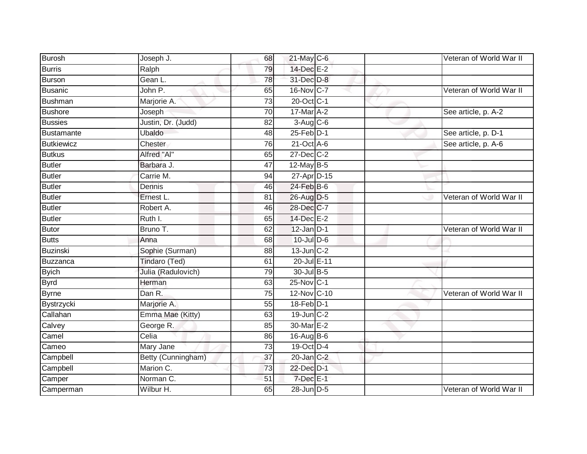| Burosh         | Joseph J.          | 68              | 21-May C-6      | Veteran of World War II |
|----------------|--------------------|-----------------|-----------------|-------------------------|
| Burris         | Ralph              | 79              | 14-Dec E-2      |                         |
| Burson         | Gean L.            | 78              | 31-Dec D-8      |                         |
| Busanic        | John P.            | 65              | 16-Nov C-7      | Veteran of World War II |
| <b>Bushman</b> | Marjorie A.        | $\overline{73}$ | 20-Oct C-1      |                         |
| Bushore        | Joseph             | 70              | 17-Mar A-2      | See article, p. A-2     |
| <b>Bussies</b> | Justin, Dr. (Judd) | 82              | $3-Aug$ $C-6$   |                         |
| Bustamante     | Ubaldo             | 48              | $25$ -Feb $D-1$ | See article, p. D-1     |
| Butkiewicz     | Chester            | 76              | 21-Oct A-6      | See article, p. A-6     |
| <b>Butkus</b>  | Alfred "Al"        | 65              | 27-Dec C-2      |                         |
| Butler         | Barbara J.         | 47              | 12-May B-5      |                         |
| Butler         | Carrie M.          | 94              | 27-Apr D-15     |                         |
| Butler         | Dennis             | 46              | 24-Feb B-6      |                         |
| <b>Butler</b>  | Ernest L.          | 81              | 26-Aug D-5      | Veteran of World War II |
| Butler         | Robert A.          | 46              | 28-Dec C-7      |                         |
| Butler         | Ruth I.            | 65              | 14-Dec E-2      |                         |
| Butor          | Bruno T.           | 62              | $12$ -Jan $D-1$ | Veteran of World War II |
| <b>Butts</b>   | Anna               | 68              | $10$ -Jul $D-6$ |                         |
| Buzinski       | Sophie (Surman)    | 88              | $13$ -Jun $C-2$ |                         |
| Buzzanca       | Tindaro (Ted)      | 61              | 20-Jul E-11     |                         |
| <b>Byich</b>   | Julia (Radulovich) | 79              | 30-Jul B-5      |                         |
| <b>Byrd</b>    | Herman             | 63              | 25-Nov C-1      |                         |
| <b>Byrne</b>   | Dan R.             | 75              | 12-Nov C-10     | Veteran of World War II |
| Bystrzycki     | Marjorie A.        | 55              | 18-Feb D-1      |                         |
| Callahan       | Emma Mae (Kitty)   | 63              | $19$ -Jun $C-2$ |                         |
| Calvey         | George R.          | 85              | 30-Mar E-2      |                         |
| Camel          | Celia              | 86              | 16-Aug B-6      |                         |
| Cameo          | Mary Jane          | 73              | 19-Oct D-4      |                         |
| Campbell       | Betty (Cunningham) | 37              | 20-Jan C-2      |                         |
| Campbell       | Marion C.          | 73              | 22-Dec D-1      |                         |
| Camper         | Norman C.          | 51              | $7$ -Dec $E-1$  |                         |
| Camperman      | Wilbur H.          | 65              | 28-Jun D-5      | Veteran of World War II |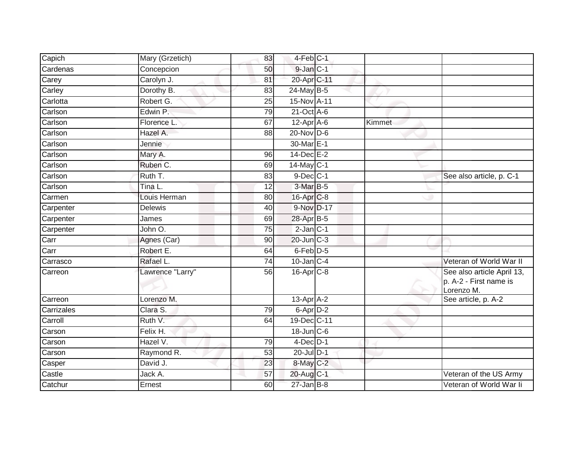| Capich     | Mary (Grzetich)  | 83              | 4-Feb C-1             |        |                                                                    |
|------------|------------------|-----------------|-----------------------|--------|--------------------------------------------------------------------|
| Cardenas   | Concepcion       | 50              | 9-Jan C-1             |        |                                                                    |
| Carey      | Carolyn J.       | 81              | 20-Apr C-11           |        |                                                                    |
| Carley     | Dorothy B.       | 83              | $24$ -May B-5         |        |                                                                    |
| Carlotta   | Robert G.        | $\overline{25}$ | 15-Nov A-11           |        |                                                                    |
| Carlson    | Edwin P.         | 79              | $21-Oct$ A-6          |        |                                                                    |
| Carlson    | Florence L.      | 67              | $12-Apr$ A-6          | Kimmet |                                                                    |
| Carlson    | Hazel A.         | 88              | $20$ -Nov D-6         |        |                                                                    |
| Carlson    | Jennie           |                 | 30-Mar <sub>E-1</sub> |        |                                                                    |
| Carlson    | Mary A.          | $\overline{96}$ | $14$ -Dec $E-2$       |        |                                                                    |
| Carlson    | Ruben C.         | 69              | 14-May C-1            |        |                                                                    |
| Carlson    | Ruth T.          | 83              | $9$ -Dec $C-1$        |        | See also article, p. C-1                                           |
| Carlson    | Tina L.          | 12              | 3-Mar B-5             |        |                                                                    |
| Carmen     | Louis Herman     | 80              | 16-Apr C-8            |        |                                                                    |
| Carpenter  | <b>Delewis</b>   | 40              | 9-Nov D-17            |        |                                                                    |
| Carpenter  | James            | 69              | 28-Apr B-5            |        |                                                                    |
| Carpenter  | John O.          | 75              | $2$ -Jan $C-1$        |        |                                                                    |
| Carr       | Agnes (Car)      | 90              | 20-Jun C-3            |        |                                                                    |
| Carr       | Robert E.        | 64              | 6-Feb <sup>D-5</sup>  |        |                                                                    |
| Carrasco   | Rafael L.        | 74              | $10$ -Jan $C-4$       |        | Veteran of World War II                                            |
| Carreon    | Lawrence "Larry" | 56              | $16$ -Apr $C$ -8      |        | See also article April 13,<br>p. A-2 - First name is<br>Lorenzo M. |
| Carreon    | Lorenzo M.       |                 | 13-Apr A-2            |        | See article, p. A-2                                                |
| Carrizales | Clara S.         | 79              | 6-Apr D-2             |        |                                                                    |
| Carroll    | Ruth V.          | 64              | 19-Dec C-11           |        |                                                                    |
| Carson     | Felix H.         |                 | 18-Jun C-6            |        |                                                                    |
| Carson     | Hazel V.         | 79              | $4$ -Dec $D-1$        |        |                                                                    |
| Carson     | Raymond R.       | 53              | 20-Jul D-1            |        |                                                                    |
| Casper     | David J.         | 23              | 8-May C-2             |        |                                                                    |
| Castle     | Jack A.          | 57              | 20-Aug C-1            |        | Veteran of the US Army                                             |
| Catchur    | Ernest           | 60              | $27 - Jan$ $B-8$      |        | Veteran of World War li                                            |
|            |                  |                 |                       |        |                                                                    |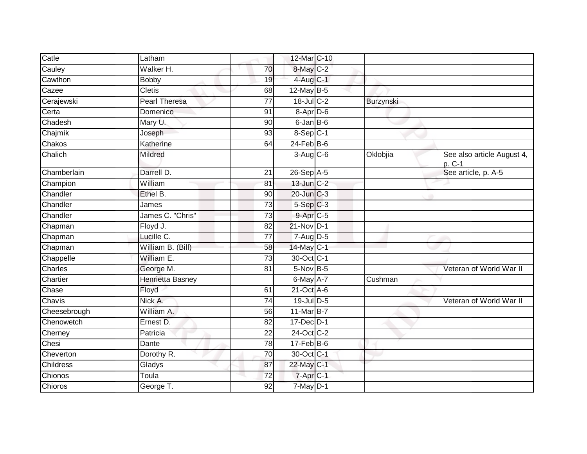| Catle            | Latham            |                 | 12-Mar C-10           |           |                                      |
|------------------|-------------------|-----------------|-----------------------|-----------|--------------------------------------|
| Cauley           | Walker H.         | 70              | 8-May C-2             |           |                                      |
| Cawthon          | <b>Bobby</b>      | 19              | 4-Aug C-1             |           |                                      |
| Cazee            | <b>Cletis</b>     | 68              | 12-May B-5            |           |                                      |
| Cerajewski       | Pearl Theresa     | $\overline{77}$ | $18$ -Jul C-2         | Burzynski |                                      |
| Certa            | Domenico          | 91              | $8-$ Apr $D-6$        |           |                                      |
| Chadesh          | Mary U.           | 90              | $6$ -Jan $B$ -6       |           |                                      |
| Chajmik          | Joseph            | 93              | $8-Sep$ C-1           |           |                                      |
| Chakos           | Katherine         | 64              | $24$ -Feb $B$ -6      |           |                                      |
| Chalich          | Mildred           |                 | $3-Aug$ $C-6$         | Oklobjia  | See also article August 4,<br>p. C-1 |
| Chamberlain      | Darrell D.        | 21              | $26-Sep$ A-5          |           | See article, p. A-5                  |
| Champion         | William           | 81              | $13$ -Jun $C-2$       |           |                                      |
| Chandler         | Ethel B.          | 90              | $20$ -Jun $C-3$       |           |                                      |
| Chandler         | James             | 73              | $5-Sep$ $C-3$         |           |                                      |
| Chandler         | James C. "Chris"  | $\overline{73}$ | 9-Apr C-5             |           |                                      |
| Chapman          | Floyd J.          | 82              | 21-Nov D-1            |           |                                      |
| Chapman          | Lucille C.        | 77              | $7 - Aug$ $D-5$       |           |                                      |
| Chapman          | William B. (Bill) | 58              | 14-May C-1            |           |                                      |
| Chappelle        | William E.        | 73              | 30-Oct C-1            |           |                                      |
| Charles          | George M.         | 81              | $5-Nov$ B-5           |           | Veteran of World War II              |
| Chartier         | Henrietta Basney  |                 | $6$ -May $A$ -7       | Cushman   |                                      |
| Chase            | Floyd             | 61              | $21$ -Oct $A$ -6      |           |                                      |
| Chavis           | Nick A.           | 74              | 19-Jul D-5            |           | Veteran of World War II              |
| Cheesebrough     | William A.        | 56              | 11-Mar B-7            |           |                                      |
| Chenowetch       | Ernest D.         | 82              | 17-Dec D-1            |           |                                      |
| Cherney          | Patricia          | 22              | 24-Oct C-2            |           |                                      |
| Chesi            | Dante             | $\overline{78}$ | $17$ -Feb $B$ -6      |           |                                      |
| Cheverton        | Dorothy R.        | $\overline{70}$ | 30-Oct C-1            |           |                                      |
| <b>Childress</b> | Gladys            | 87              | 22-May C-1            |           |                                      |
| Chionos          | Toula             | 72              | 7-Apr <sub>IC-1</sub> |           |                                      |
| Chioros          | George T.         | 92              | $7$ -May $D-1$        |           |                                      |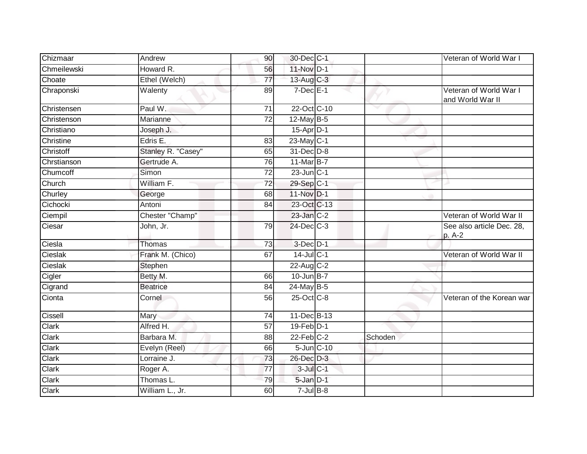| Chizmaar     | Andrew             | 90              | 30-Dec C-1              |         | Veteran of World War I                     |
|--------------|--------------------|-----------------|-------------------------|---------|--------------------------------------------|
| Chmeilewski  | Howard R.          | 56              | 11-Nov D-1              |         |                                            |
| Choate       | Ethel (Welch)      | $\overline{77}$ | 13-Aug C-3              |         |                                            |
| Chraponski   | Walenty            | 89              | $7$ -Dec $E-1$          |         | Veteran of World War I<br>and World War II |
| Christensen  | Paul W.            | 71              | 22-Oct C-10             |         |                                            |
| Christenson  | Marianne           | 72              | 12-May B-5              |         |                                            |
| Christiano   | Joseph J.          |                 | 15-Apr D-1              |         |                                            |
| Christine    | Edris E.           | $\overline{83}$ | 23-May C-1              |         |                                            |
| Christoff    | Stanley R. "Casey" | 65              | 31-Dec D-8              |         |                                            |
| Chrstianson  | Gertrude A.        | 76              | 11-Mar B-7              |         |                                            |
| Chumcoff     | Simon              | $\overline{72}$ | $23$ -Jun $C-1$         |         |                                            |
| Church       | William F.         | $\overline{72}$ | $29-Sep$ <sub>C-1</sub> |         |                                            |
| Churley      | George             | 68              | 11-Nov D-1              |         |                                            |
| Cichocki     | Antoni             | 84              | 23-Oct C-13             |         |                                            |
| Ciempil      | Chester "Champ"    |                 | 23-Jan C-2              |         | Veteran of World War II                    |
| Ciesar       | John, Jr.          | 79              | 24-Dec C-3              |         | See also article Dec. 28,<br>p. A-2        |
| Ciesla       | <b>Thomas</b>      | 73              | 3-Dec D-1               |         |                                            |
| Cieslak      | Frank M. (Chico)   | 67              | $14$ -Jul C-1           |         | Veteran of World War II                    |
| Cieslak      | Stephen            |                 | 22-Aug C-2              |         |                                            |
| Cigler       | Betty M.           | 66              | $10$ -Jun B-7           |         |                                            |
| Cigrand      | <b>Beatrice</b>    | 84              | $24$ -May B-5           |         |                                            |
| Cionta       | Cornel             | 56              | 25-Oct C-8              |         | Veteran of the Korean war                  |
| Cissell      | Mary               | $\overline{74}$ | 11-Dec B-13             |         |                                            |
| Clark        | Alfred H.          | $\overline{57}$ | $19$ -Feb $D-1$         |         |                                            |
| Clark        | Barbara M.         | 88              | $22$ -Feb $C-2$         | Schoden |                                            |
| <b>Clark</b> | Evelyn (Reel)      | 66              | 5-Jun C-10              |         |                                            |
| Clark        | Lorraine J.        | 73              | 26-Dec D-3              |         |                                            |
| Clark        | Roger A.           | 77              | 3-Jul C-1               |         |                                            |
| Clark        | Thomas L.          | 79              | 5-Jan D-1               |         |                                            |
| Clark        | William L., Jr.    | 60              | $7 -$ Jul $B - 8$       |         |                                            |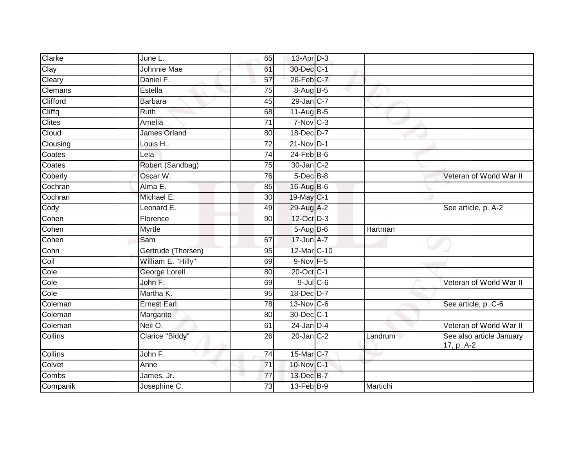| Clarke        | June L.             | 65              | 13-Apr D-3             |          |                                        |
|---------------|---------------------|-----------------|------------------------|----------|----------------------------------------|
| Clay          | <b>Johnnie Mae</b>  | 61              | 30-Dec C-1             |          |                                        |
| Cleary        | Daniel F.           | 57              | 26-Feb C-7             |          |                                        |
| Clemans       | Estella             | 75              | 8-Aug B-5              |          |                                        |
| Clifford      | <b>Barbara</b>      | 45              | 29-Jan C-7             |          |                                        |
| Cliffq        | Ruth                | 68              | 11-Aug B-5             |          |                                        |
| <b>Clites</b> | Amelia              | 71              | $7-Nov$ <sub>C-3</sub> |          |                                        |
| Cloud         | <b>James Orland</b> | 80              | 18-Dec D-7             |          |                                        |
| Clousing      | Louis H.            | 72              | $21-Nov$ D-1           |          |                                        |
| Coates        | Lela                | $\overline{74}$ | $24$ -Feb $B$ -6       |          |                                        |
| Coates        | Robert (Sandbag)    | 75              | 30-Jan C-2             |          |                                        |
| Coberly       | Oscar W.            | 76              | 5-Dec B-8              |          | Veteran of World War II                |
| Cochran       | Alma E.             | 85              | 16-Aug B-6             |          |                                        |
| Cochran       | Michael E.          | 30 <sup>°</sup> | 19-May C-1             |          |                                        |
| Cody          | Leonard E.          | 49              | 29-Aug A-2             |          | See article, p. A-2                    |
| Cohen         | Florence            | 90              | 12-Oct D-3             |          |                                        |
| Cohen         | <b>Myrtle</b>       |                 | $5-AugB-6$             | Hartman  |                                        |
| Cohen         | Sam                 | 67              | 17-Jun A-7             |          |                                        |
| Cohn          | Gertrude (Thorsen)  | 95              | 12-Mar C-10            |          |                                        |
| Coil          | William E. "Hilly"  | 69              | 9-Nov F-5              |          |                                        |
| Cole          | George Lorell       | 80              | 20-Oct C-1             |          |                                        |
| Cole          | John F.             | 69              | $9$ -Jul $C$ -6        |          | Veteran of World War II                |
| Cole          | Martha K.           | 95              | 18-Dec D-7             |          |                                        |
| Coleman       | <b>Ernest Earl</b>  | 78              | 13-Nov C-6             |          | See article, p. C-6                    |
| Coleman       | Margarite           | 80              | 30-Dec C-1             |          |                                        |
| Coleman       | Neil O.             | 61              | $24$ -Jan D-4          |          | Veteran of World War II                |
| Collins       | Clarice "Biddy"     | 26              | $20$ -Jan $C-2$        | Landrum  | See also article January<br>17, p. A-2 |
| Collins       | John F.             | 74              | 15-Mar C-7             |          |                                        |
| Colvet        | Anne                | 71              | 10-Nov C-1             |          |                                        |
| Combs         | James, Jr.          | 77              | 13-Dec B-7             |          |                                        |
| Companik      | Josephine C.        | 73              | 13-Feb B-9             | Martichi |                                        |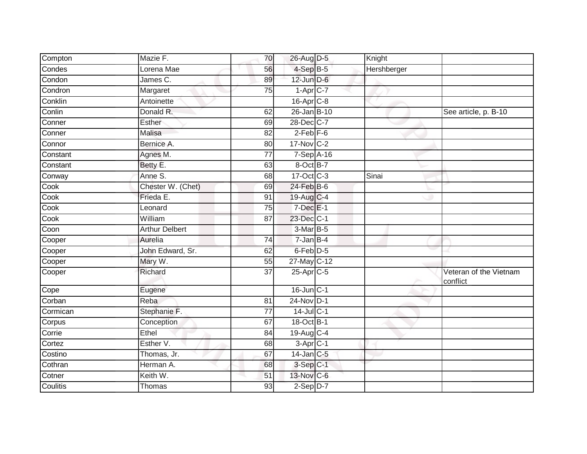| Compton  | Mazie F.              | 70              | 26-Aug D-5             | Knight      |                                    |
|----------|-----------------------|-----------------|------------------------|-------------|------------------------------------|
| Condes   | Lorena Mae            | 56              | $4-SepB-5$             | Hershberger |                                    |
| Condon   | James C.              | 89              | $12$ -Jun $D-6$        |             |                                    |
| Condron  | Margaret              | 75              | $1-Apr$ <sub>C-7</sub> |             |                                    |
| Conklin  | Antoinette            |                 | 16-Apr C-8             |             |                                    |
| Conlin   | Donald <sub>R.</sub>  | 62              | 26-Jan B-10            |             | See article, p. B-10               |
| Conner   | Esther                | 69              | 28-Dec C-7             |             |                                    |
| Conner   | Malisa                | 82              | $2$ -Feb $F-6$         |             |                                    |
| Connor   | Bernice A.            | 80              | 17-Nov C-2             |             |                                    |
| Constant | Agnes M.              | $\overline{77}$ | 7-Sep A-16             |             |                                    |
| Constant | Betty E.              | 63              | 8-Oct B-7              |             |                                    |
| Conway   | Anne S.               | 68              | 17-Oct C-3             | Sinai       |                                    |
| Cook     | Chester W. (Chet)     | 69              | $24$ -Feb $B$ -6       |             |                                    |
| Cook     | Frieda E.             | 91              | 19-Aug C-4             |             |                                    |
| Cook     | Leonard               | $\overline{75}$ | $7$ -Dec $E-1$         |             |                                    |
| Cook     | William               | 87              | 23-Dec C-1             |             |                                    |
| Coon     | <b>Arthur Delbert</b> |                 | $3-MarB-5$             |             |                                    |
| Cooper   | Aurelia               | 74              | 7-Jan B-4              |             |                                    |
| Cooper   | John Edward, Sr.      | 62              | 6-Feb D-5              |             |                                    |
| Cooper   | Mary W.               | 55              | 27-May C-12            |             |                                    |
| Cooper   | Richard               | 37              | $25$ -Apr $C$ -5       |             | Veteran of the Vietnam<br>conflict |
| Cope     | Eugene                |                 | $16$ -Jun $C-1$        |             |                                    |
| Corban   | Reba                  | 81              | 24-Nov D-1             |             |                                    |
| Cormican | Stephanie F.          | 77              | $14$ -Jul C-1          |             |                                    |
| Corpus   | Conception            | 67              | 18-Oct B-1             |             |                                    |
| Corrie   | Ethel                 | 84              | 19-Aug C-4             |             |                                    |
| Cortez   | Esther V.             | 68              | $3-Apr$ <sub>C-1</sub> |             |                                    |
| Costino  | Thomas, Jr.           | 67              | $14$ -Jan $ C-5 $      |             |                                    |
| Cothran  | Herman A.             | 68              | $3-Sep$ $C-1$          |             |                                    |
| Cotner   | Keith W.              | 51              | 13-Nov C-6             |             |                                    |
| Coulitis | Thomas                | 93              | $2-Sep$ $D-7$          |             |                                    |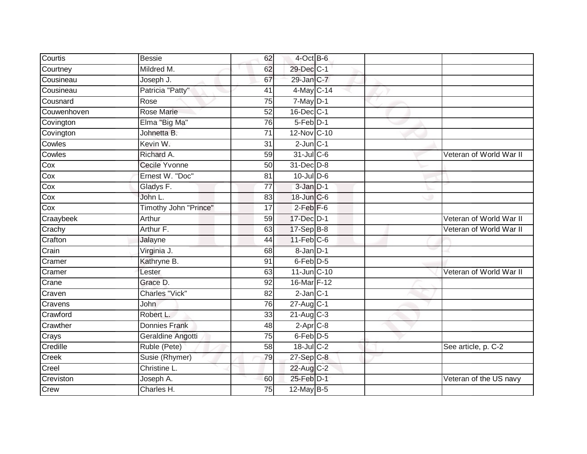| Courtis                 | <b>Bessie</b>         | 62              | $4$ -Oct B-6            |  |                         |
|-------------------------|-----------------------|-----------------|-------------------------|--|-------------------------|
| Courtney                | Mildred M.            | 62              | 29-Dec C-1              |  |                         |
| Cousineau               | Joseph J.             | 67              | 29-Jan C-7              |  |                         |
| Cousineau               | Patricia "Patty"      | 41              | 4-May C-14              |  |                         |
| Cousnard                | Rose                  | $\overline{75}$ | $7$ -May $D-1$          |  |                         |
| Couwenhoven             | <b>Rose Marie</b>     | 52              | 16-Dec C-1              |  |                         |
| Covington               | Elma "Big Ma"         | 76              | 5-Feb D-1               |  |                         |
| Covington               | Johnetta B.           | 71              | 12-Nov C-10             |  |                         |
| Cowles                  | Kevin W.              | 31              | $2$ -Jun $C-1$          |  |                         |
| Cowles                  | Richard A.            | 59              | 31-Jul C-6              |  | Veteran of World War II |
| Cox                     | <b>Cecile Yvonne</b>  | 50              | 31-Dec D-8              |  |                         |
| Cox                     | Ernest W. "Doc"       | 81              | $10$ -Jul $D-6$         |  |                         |
| Cox                     | Gladys F.             | $\overline{77}$ | $3 - Jan$ $D-1$         |  |                         |
| Cox                     | John L.               | 83              | 18-Jun C-6              |  |                         |
| $\overline{\text{Cox}}$ | Timothy John "Prince" | $\overline{17}$ | $2$ -Feb $F-6$          |  |                         |
| Craaybeek               | Arthur                | 59              | 17-Dec D-1              |  | Veteran of World War II |
| Crachy                  | Arthur F.             | 63              | $17-Sep$ B-8            |  | Veteran of World War II |
| Crafton                 | Jalayne               | 44              | $11-Feb$ C-6            |  |                         |
| Crain                   | Virginia J.           | 68              | 8-Jan D-1               |  |                         |
| Cramer                  | Kathryne B.           | 91              | $6$ -Feb $D-5$          |  |                         |
| Cramer                  | Lester                | 63              | $11$ -Jun $C-10$        |  | Veteran of World War II |
| Crane                   | Grace D.              | $\overline{92}$ | 16-Mar F-12             |  |                         |
| Craven                  | <b>Charles "Vick"</b> | 82              | $2$ -Jan $C-1$          |  |                         |
| Cravens                 | <b>John</b>           | 76              | 27-Aug C-1              |  |                         |
| Crawford                | Robert L.             | 33              | $21-Aug$ <sub>C-3</sub> |  |                         |
| Crawther                | <b>Donnies Frank</b>  | 48              | $2-Apr2-8$              |  |                         |
| Crays                   | Geraldine Angotti     | 75              | 6-Feb D-5               |  |                         |
| Credille                | Ruble (Pete)          | 58              | 18-Jul C-2              |  | See article, p. C-2     |
| Creek                   | Susie (Rhymer)        | 79              | $27$ -Sep C-8           |  |                         |
| Creel                   | Christine L.          |                 | 22-Aug C-2              |  |                         |
| Creviston               | Joseph A.             | 60              | 25-Feb D-1              |  | Veteran of the US navy  |
| Crew                    | Charles H.            | 75              | $12$ -May B-5           |  |                         |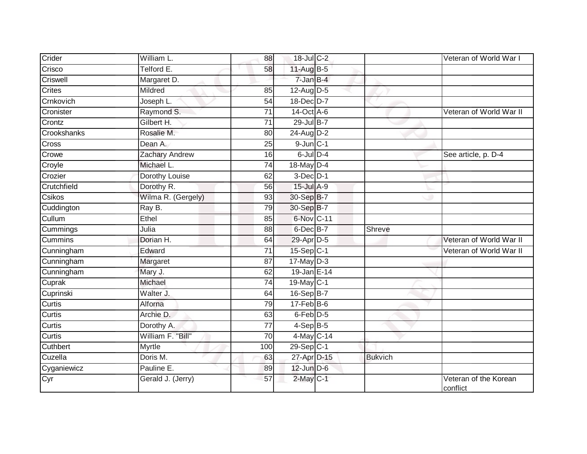| Crider         | William L.            | 88              | 18-Jul C-2           |                | Veteran of World War I            |
|----------------|-----------------------|-----------------|----------------------|----------------|-----------------------------------|
| Crisco         | Telford E.            | 58              | 11-Aug B-5           |                |                                   |
| Criswell       | Margaret D.           |                 | 7-Jan B-4            |                |                                   |
| Crites         | Mildred               | 85              | $12$ -Aug D-5        |                |                                   |
| Crnkovich      | Joseph L.             | $\overline{54}$ | 18-Dec D-7           |                |                                   |
| Cronister      | Raymond S.            | 71              | 14-Oct A-6           |                | Veteran of World War II           |
| Crontz         | Gilbert H.            | 71              | 29-Jul B-7           |                |                                   |
| Crookshanks    | Rosalie M.            | 80              | $24$ -Aug D-2        |                |                                   |
| Cross          | Dean A.               | 25              | $9$ -Jun $C-1$       |                |                                   |
| Crowe          | <b>Zachary Andrew</b> | 16              | $6$ -Jul $D-4$       |                | See article, p. D-4               |
| Croyle         | Michael L.            | 74              | 18-May D-4           |                |                                   |
| Crozier        | Dorothy Louise        | 62              | $3-Dec$ D-1          |                |                                   |
| Crutchfield    | Dorothy R.            | 56              | 15-Jul A-9           |                |                                   |
| Csikos         | Wilma R. (Gergely)    | 93              | 30-Sep B-7           |                |                                   |
| Cuddington     | Ray B.                | 79              | 30-Sep B-7           |                |                                   |
| Cullum         | Ethel                 | 85              | 6-Nov C-11           |                |                                   |
| Cummings       | Julia                 | 88              | $6$ -Dec $B$ -7      | Shreve         |                                   |
| <b>Cummins</b> | Dorian H.             | 64              | 29-Apr D-5           |                | Veteran of World War II           |
| Cunningham     | Edward                | $\overline{71}$ | $15-Sep C-1$         |                | Veteran of World War II           |
| Cunningham     | Margaret              | 87              | $17$ -May $D-3$      |                |                                   |
| Cunningham     | Mary J.               | 62              | 19-Jan E-14          |                |                                   |
| Cuprak         | Michael               | $\overline{74}$ | 19-May C-1           |                |                                   |
| Cuprinski      | Walter J.             | 64              | 16-Sep B-7           |                |                                   |
| Curtis         | Alforna               | 79              | $17$ -Feb $B$ -6     |                |                                   |
| Curtis         | Archie D.             | 63              | 6-Feb <sup>D-5</sup> |                |                                   |
| Curtis         | Dorothy A.            | 77              | $4-SepB-5$           |                |                                   |
| Curtis         | William F. "Bill"     | $\overline{70}$ | 4-May C-14           |                |                                   |
| Cuthbert       | Myrtle                | 100             | 29-Sep C-1           |                |                                   |
| Cuzella        | Doris M.              | 63              | 27-Apr D-15          | <b>Bukvich</b> |                                   |
| Cyganiewicz    | Pauline E.            | 89              | $12$ -Jun $D-6$      |                |                                   |
| Cyr            | Gerald J. (Jerry)     | 57              | $2$ -May $C-1$       |                | Veteran of the Korean<br>conflict |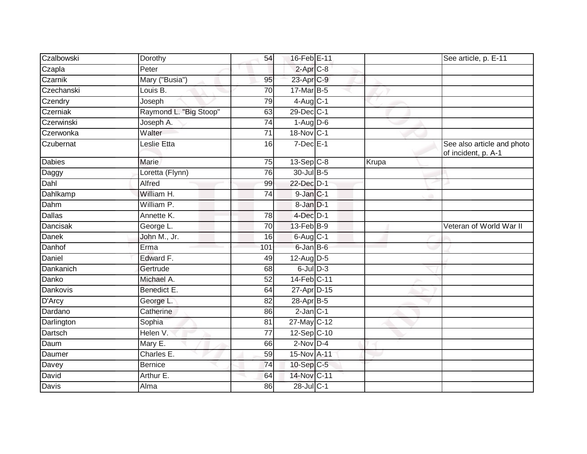| Czalbowski    | Dorothy                | 54              | 16-Feb E-11    |       | See article, p. E-11                              |
|---------------|------------------------|-----------------|----------------|-------|---------------------------------------------------|
| Czapla        | Peter                  |                 | $2-AprC-8$     |       |                                                   |
| Czarnik       | Mary ("Busia")         | 95              | 23-Apr C-9     |       |                                                   |
| Czechanski    | Louis B.               | 70              | 17-Mar B-5     |       |                                                   |
| Czendry       | Joseph                 | $\overline{79}$ | $4$ -Aug C-1   |       |                                                   |
| Czerniak      | Raymond L. "Big Stoop" | 63              | 29-Dec C-1     |       |                                                   |
| Czerwinski    | Joseph A.              | 74              | $1-Aug$ $D-6$  |       |                                                   |
| Czerwonka     | Walter                 | 71              | 18-Nov C-1     |       |                                                   |
| Czubernat     | Leslie Etta            | 16              | $7$ -Dec $E-1$ |       | See also article and photo<br>of incident, p. A-1 |
| <b>Dabies</b> | Marie                  | 75              | $13-Sep$ C-8   | Krupa |                                                   |
| Daggy         | Loretta (Flynn)        | 76              | 30-Jul B-5     |       |                                                   |
| Dahl          | Alfred                 | 99              | 22-Dec D-1     |       |                                                   |
| Dahlkamp      | William H.             | $\overline{74}$ | 9-Jan C-1      |       |                                                   |
| Dahm          | William P.             |                 | 8-Jan D-1      |       |                                                   |
| <b>Dallas</b> | Annette K.             | 78              | $4$ -Dec $D-1$ |       |                                                   |
| Dancisak      | George L.              | 70              | 13-Feb B-9     |       | Veteran of World War II                           |
| <b>Danek</b>  | John M., Jr.           | 16              | $6$ -Aug $C-1$ |       |                                                   |
| Danhof        | Erma                   | 101             | 6-Jan B-6      |       |                                                   |
| Daniel        | Edward F.              | 49              | $12$ -AugD-5   |       |                                                   |
| Dankanich     | Gertrude               | 68              | $6$ -Jul $D-3$ |       |                                                   |
| Danko         | Michael A.             | 52              | 14-Feb C-11    |       |                                                   |
| Dankovis      | Benedict E.            | 64              | 27-Apr D-15    |       |                                                   |
| D'Arcy        | George L.              | 82              | 28-Apr B-5     |       |                                                   |
| Dardano       | Catherine              | 86              | $2$ -Jan $C-1$ |       |                                                   |
| Darlington    | Sophia                 | 81              | 27-May C-12    |       |                                                   |
| Dartsch       | Helen V.               | 77              | 12-Sep C-10    |       |                                                   |
| Daum          | Mary E.                | 66              | $2-Nov$ D-4    |       |                                                   |
| Daumer        | Charles E.             | 59              | 15-Nov A-11    |       |                                                   |
| Davey         | <b>Bernice</b>         | 74              | 10-Sep C-5     |       |                                                   |
| David         | Arthur E.              | 64              | 14-Nov C-11    |       |                                                   |
| Davis         | Alma                   | 86              | 28-Jul C-1     |       |                                                   |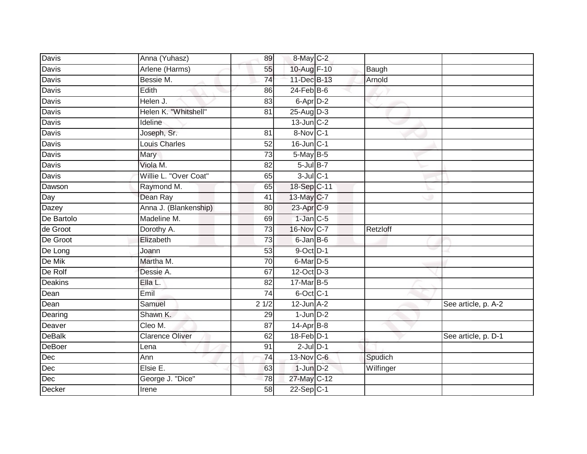| Davis          | Anna (Yuhasz)          | 89              | $8$ -May $C-2$       |           |                     |
|----------------|------------------------|-----------------|----------------------|-----------|---------------------|
| <b>Davis</b>   | Arlene (Harms)         | 55              | 10-Aug F-10          | Baugh     |                     |
| Davis          | Bessie M.              | $\overline{74}$ | 11-Dec B-13          | Arnold    |                     |
| Davis          | Edith                  | 86              | $24$ -Feb $B$ -6     |           |                     |
| <b>Davis</b>   | Helen J.               | $\overline{83}$ | 6-Apr <sub>D-2</sub> |           |                     |
| Davis          | Helen K. "Whitshell"   | 81              | 25-Aug D-3           |           |                     |
| Davis          | Ideline                |                 | $13$ -Jun $C-2$      |           |                     |
| Davis          | Joseph, Sr.            | 81              | 8-Nov C-1            |           |                     |
| Davis          | <b>Louis Charles</b>   | 52              | 16-Jun C-1           |           |                     |
| Davis          | Mary                   | $\overline{73}$ | 5-May B-5            |           |                     |
| Davis          | Viola M.               | 82              | $5$ -Jul $B-7$       |           |                     |
| Davis          | Willie L. "Over Coat"  | 65              | $3$ -Jul $C-1$       |           |                     |
| Dawson         | Raymond M.             | 65              | 18-Sep C-11          |           |                     |
| Day            | Dean Ray               | 41              | 13-May C-7           |           |                     |
| Dazey          | Anna J. (Blankenship)  | $\overline{80}$ | 23-Apr C-9           |           |                     |
| De Bartolo     | Madeline M.            | 69              | $1$ -Jan $C-5$       |           |                     |
| de Groot       | Dorothy A.             | 73              | 16-Nov C-7           | Retzloff  |                     |
| De Groot       | Elizabeth              | 73              | 6-Jan B-6            |           |                     |
| De Long        | Joann                  | 53              | $9$ -Oct $D-1$       |           |                     |
| De Mik         | Martha M.              | 70              | 6-Mar D-5            |           |                     |
| De Rolf        | Dessie A.              | 67              | 12-Oct D-3           |           |                     |
| <b>Deakins</b> | Ella L.                | $\overline{82}$ | 17-Mar B-5           |           |                     |
| Dean           | Emil                   | 74              | 6-Oct C-1            |           |                     |
| Dean           | Samuel                 | 21/2            | $12$ -Jun $A-2$      |           | See article, p. A-2 |
| Dearing        | Shawn K.               | 29              | $1$ -Jun $D-2$       |           |                     |
| Deaver         | Cleo M.                | 87              | $14$ -Apr $B$ -8     |           |                     |
| <b>DeBalk</b>  | <b>Clarence Oliver</b> | 62              | 18-Feb D-1           |           | See article, p. D-1 |
| DeBoer         | Lena                   | 91              | $2$ -Jul $D-1$       |           |                     |
| Dec            | Ann                    | 74              | 13-Nov C-6           | Spudich   |                     |
| Dec            | Elsie E.               | 63              | $1$ -Jun $D-2$       | Wilfinger |                     |
| Dec            | George J. "Dice"       | 78              | 27-May C-12          |           |                     |
| Decker         | Irene                  | 58              | $22-Sep C-1$         |           |                     |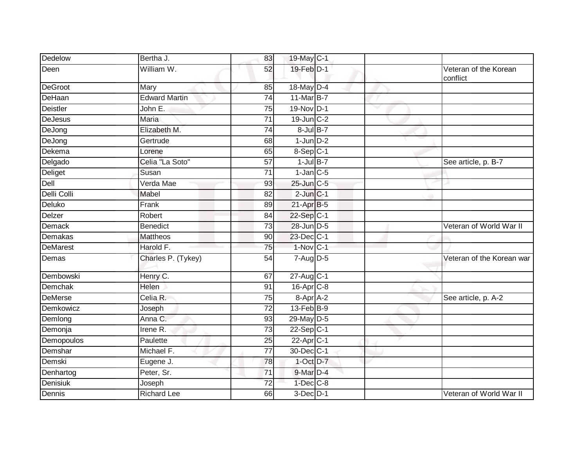| Dedelow         | Bertha J.            | 83              | 19-May C-1             |   |                                   |
|-----------------|----------------------|-----------------|------------------------|---|-----------------------------------|
| Deen            | William W.           | 52              | 19-Feb D-1             |   | Veteran of the Korean<br>conflict |
| <b>DeGroot</b>  | Mary                 | 85              | 18-May D-4             |   |                                   |
| DeHaan          | <b>Edward Martin</b> | 74              | 11-Mar B-7             |   |                                   |
| Deistler        | John E.              | 75              | 19-Nov D-1             | v |                                   |
| <b>DeJesus</b>  | Maria                | $\overline{71}$ | $19$ -Jun $C-2$        |   |                                   |
| DeJong          | Elizabeth M.         | 74              | $8$ -Jul $B-7$         |   |                                   |
| DeJong          | Gertrude             | 68              | $1$ -Jun $D-2$         |   |                                   |
| Dekema          | Lorene               | 65              | $8-Sep$ C-1            |   |                                   |
| Delgado         | Celia "La Soto"      | 57              | $1$ -Jul B-7           |   | See article, p. B-7               |
| Deliget         | Susan                | 71              | $1$ -Jan $ C$ -5       |   |                                   |
| Dell            | Verda Mae            | 93              | 25-Jun C-5             |   |                                   |
| Delli Colli     | Mabel                | 82              | $2$ -Jun $C-1$         |   |                                   |
| Deluko          | Frank                | 89              | 21-Apr B-5             |   |                                   |
| Delzer          | Robert               | 84              | 22-Sep C-1             |   |                                   |
| Demack          | <b>Benedict</b>      | 73              | 28-Jun D-5             |   | Veteran of World War II           |
| <b>Demakas</b>  | <b>Mattheos</b>      | 90              | 23-Dec C-1             |   |                                   |
| <b>DeMarest</b> | Harold F.            | 75              | $1-Nov$ <sub>C-1</sub> |   |                                   |
| Demas           | Charles P. (Tykey)   | 54              | $7-Aug$ $D-5$          |   | Veteran of the Korean war         |
| Dembowski       | Henry C.             | 67              | 27-Aug C-1             |   |                                   |
| Demchak         | Helen                | 91              | 16-Apr C-8             |   |                                   |
| <b>DeMerse</b>  | Celia R.             | 75              | 8-Apr <sup>A-2</sup>   |   | See article, p. A-2               |
| Demkowicz       | Joseph               | 72              | 13-Feb B-9             |   |                                   |
| Demlong         | Anna C.              | 93              | 29-May D-5             |   |                                   |
| Demonja         | Irene R.             | 73              | $22-Sep C-1$           |   |                                   |
| Demopoulos      | Paulette             | 25              | 22-Apr C-1             |   |                                   |
| Demshar         | Michael F.           | $\overline{77}$ | 30-Dec C-1             |   |                                   |
| Demski          | Eugene J.            | 78              | 1-Oct D-7              |   |                                   |
| Denhartog       | Peter, Sr.           | $\overline{71}$ | 9-Mar D-4              |   |                                   |
| <b>Denisiuk</b> | Joseph               | $\overline{72}$ | $1-Dec$ $C-8$          |   |                                   |
| Dennis          | <b>Richard Lee</b>   | 66              | $3$ -Dec $D-1$         |   | Veteran of World War II           |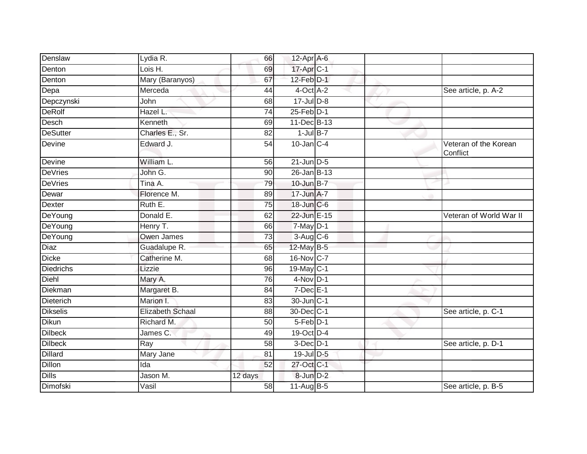| Denslaw          | Lydia R.                | 66              | 12-Apr $A-6$      |  |                                   |
|------------------|-------------------------|-----------------|-------------------|--|-----------------------------------|
| Denton           | Lois H.                 | 69              | 17-Apr C-1        |  |                                   |
| Denton           | Mary (Baranyos)         | 67              | 12-Feb D-1        |  |                                   |
| Depa             | Merceda                 | 44              | $4$ -Oct $A$ -2   |  | See article, p. A-2               |
| Depczynski       | John                    | 68              | $17 -$ Jul $D-8$  |  |                                   |
| DeRolf           | Hazel L.                | 74              | $25$ -Feb $D-1$   |  |                                   |
| Desch            | Kenneth                 | 69              | 11-Dec B-13       |  |                                   |
| <b>DeSutter</b>  | Charles E., Sr.         | 82              | $1$ -Jul B-7      |  |                                   |
| Devine           | Edward J.               | 54              | $10$ -Jan $C-4$   |  | Veteran of the Korean<br>Conflict |
| Devine           | William L.              | 56              | $21$ -Jun $D-5$   |  |                                   |
| <b>DeVries</b>   | John G.                 | 90              | $26$ -Jan B-13    |  |                                   |
| <b>DeVries</b>   | Tina A.                 | 79              | $10$ -Jun $B - 7$ |  |                                   |
| Dewar            | Florence M.             | 89              | 17-Jun A-7        |  |                                   |
| Dexter           | Ruth E.                 | 75              | 18-Jun C-6        |  |                                   |
| DeYoung          | Donald E.               | 62              | 22-Jun E-15       |  | Veteran of World War II           |
| DeYoung          | Henry T.                | 66              | $7$ -May $ D-1$   |  |                                   |
| DeYoung          | Owen James              | 73              | 3-Aug C-6         |  |                                   |
| Diaz             | Guadalupe R.            | 65              | 12-May B-5        |  |                                   |
| Dicke            | Catherine M.            | 68              | 16-Nov C-7        |  |                                   |
| <b>Diedrichs</b> | Lizzie                  | 96              | 19-May C-1        |  |                                   |
| Diehl            | Mary A.                 | 76              | $4-Nov$ D-1       |  |                                   |
| Diekman          | Margaret B.             | 84              | $7$ -Dec $E-1$    |  |                                   |
| Dieterich        | Marion I.               | 83              | 30-Jun C-1        |  |                                   |
| <b>Dikselis</b>  | <b>Elizabeth Schaal</b> | 88              | 30-Dec C-1        |  | See article, p. C-1               |
| <b>Dikun</b>     | Richard M.              | $\overline{50}$ | $5-Feb$ $D-1$     |  |                                   |
| <b>Dilbeck</b>   | James C.                | 49              | 19-Oct D-4        |  |                                   |
| Dilbeck          | Ray                     | 58              | $3$ -Dec $D-1$    |  | See article, p. D-1               |
| <b>Dillard</b>   | Mary Jane               | 81              | 19-Jul D-5        |  |                                   |
| <b>Dillon</b>    | Ida                     | 52              | 27-Oct C-1        |  |                                   |
| <b>Dills</b>     | Jason M.                | 12 days         | 8-Jun D-2         |  |                                   |
| Dimofski         | Vasil                   | 58              | 11-Aug B-5        |  | See article, p. B-5               |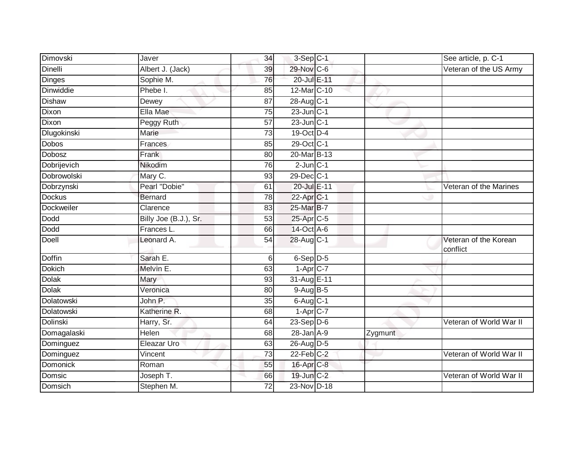| Dimovski      | Javer                 | 34              | 3-Sep C-1                |         | See article, p. C-1               |
|---------------|-----------------------|-----------------|--------------------------|---------|-----------------------------------|
| Dinelli       | Albert J. (Jack)      | 39              | 29-Nov C-6               |         | Veteran of the US Army            |
| Dinges        | Sophie M.             | 76              | 20-Jul E-11              |         |                                   |
| Dinwiddie     | Phebe I.              | 85              | 12-Mar <sub>C-10</sub>   |         |                                   |
| <b>Dishaw</b> | Dewey                 | $\overline{87}$ | 28-Aug C-1               |         |                                   |
| Dixon         | Ella Mae              | 75              | $23$ -Jun $C-1$          |         |                                   |
| Dixon         | Peggy Ruth            | 57              | $23$ -Jun $ C-1 $        |         |                                   |
| Dlugokinski   | Marie                 | 73              | 19-Oct D-4               |         |                                   |
| Dobos         | Frances               | 85              | 29-Oct C-1               |         |                                   |
| Dobosz        | Frank                 | 80              | 20-Mar B-13              |         |                                   |
| Dobrijevich   | Nikodim               | 76              | $2$ -Jun $C-1$           |         |                                   |
| Dobrowolski   | Mary C.               | 93              | 29-Dec C-1               |         |                                   |
| Dobrzynski    | Pearl "Dobie"         | 61              | 20-Jul E-11              |         | Veteran of the Marines            |
| <b>Dockus</b> | <b>Bernard</b>        | 78              | 22-Apr <sub>C-1</sub>    |         |                                   |
| Dockweiler    | Clarence              | 83              | 25-Mar B-7               |         |                                   |
| Dodd          | Billy Joe (B.J.), Sr. | 53              | 25-Apr C-5               |         |                                   |
| Dodd          | Frances L.            | 66              | 14-Oct A-6               |         |                                   |
| Doell         | Leonard A.            | 54              | 28-Aug C-1               |         | Veteran of the Korean<br>conflict |
| Doffin        | Sarah E.              | $6 \mid$        | 6-Sep D-5                |         |                                   |
| <b>Dokich</b> | Melvin E.             | 63              | $1 - Apr$ <sub>C-7</sub> |         |                                   |
| <b>Dolak</b>  | Mary                  | 93              | 31-Aug E-11              |         |                                   |
| <b>Dolak</b>  | Veronica              | 80              | $9-Aug$ B-5              |         |                                   |
| Dolatowski    | John P.               | 35              | $6$ -Aug $C-1$           |         |                                   |
| Dolatowski    | Katherine R.          | 68              | $1 - Apr$ $C-7$          |         |                                   |
| Dolinski      | Harry, Sr.            | 64              | $23-Sep$ D-6             |         | Veteran of World War II           |
| Domagalaski   | Helen                 | 68              | $28$ -Jan $A-9$          | Zygmunt |                                   |
| Dominguez     | Eleazar Uro           | 63              | 26-Aug D-5               |         |                                   |
| Dominguez     | Vincent               | 73              | $22$ -Feb $ C-2 $        |         | Veteran of World War II           |
| Domonick      | Roman                 | 55              | 16-Apr C-8               |         |                                   |
| Domsic        | Joseph T.             | 66              | 19-Jun C-2               |         | Veteran of World War II           |
| Domsich       | Stephen M.            | 72              | 23-Nov D-18              |         |                                   |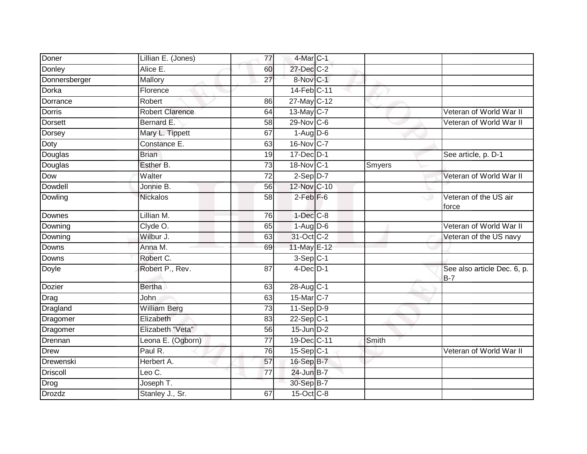| Doner          | Lillian E. (Jones)     | 77              | 4-Mar C-1               |        |                                           |
|----------------|------------------------|-----------------|-------------------------|--------|-------------------------------------------|
| Donley         | Alice E.               | 60              | 27-Dec C-2              |        |                                           |
| Donnersberger  | Mallory                | $\overline{27}$ | 8-Nov C-1               |        |                                           |
| Dorka          | Florence               |                 | 14-Feb C-11             |        |                                           |
| Dorrance       | Robert                 | 86              | 27-May C-12             |        |                                           |
| <b>Dorris</b>  | <b>Robert Clarence</b> | 64              | 13-May C-7              |        | Veteran of World War II                   |
| <b>Dorsett</b> | Bernard E.             | 58              | 29-Nov C-6              |        | Veteran of World War II                   |
| Dorsey         | Mary L. Tippett        | 67              | $1-Aug$ D-6             |        |                                           |
| Doty           | Constance E.           | 63              | 16-Nov C-7              |        |                                           |
| Douglas        | <b>Brian</b>           | 19              | 17-Dec D-1              |        | See article, p. D-1                       |
| Douglas        | Esther B.              | $\overline{73}$ | $18-Nov$ <sub>C-1</sub> | Smyers |                                           |
| Dow            | Walter                 | 72              | $2-Sep$ $D-7$           |        | Veteran of World War II                   |
| Dowdell        | Jonnie B.              | 56              | 12-Nov C-10             |        |                                           |
| Dowling        | Nickalos               | 58              | $2$ -Feb $F-6$          |        | Veteran of the US air<br>force            |
| Downes         | Lillian M.             | 76              | $1$ -Dec $C-8$          |        |                                           |
| Downing        | Clyde O.               | 65              | $1-Aug$ $D-6$           |        | Veteran of World War II                   |
| Downing        | Wilbur J.              | 63              | 31-Oct C-2              |        | Veteran of the US navy                    |
| <b>Downs</b>   | Anna M.                | 69              | 11-May E-12             |        |                                           |
| <b>Downs</b>   | Robert C.              |                 | $3-Sep C-1$             |        |                                           |
| <b>Doyle</b>   | Robert P., Rev.        | $\overline{87}$ | $4$ -Dec $D-1$          |        | See also article Dec. 6, p.<br><b>B-7</b> |
| <b>Dozier</b>  | <b>Bertha</b>          | 63              | 28-Aug C-1              |        |                                           |
| Drag           | John                   | 63              | 15-Mar C-7              |        |                                           |
| Dragland       | <b>William Berg</b>    | 73              | $11-Sep D-9$            |        |                                           |
| Dragomer       | Elizabeth              | 83              | $22-Sep$ C-1            |        |                                           |
| Dragomer       | Elizabeth "Veta"       | 56              | $15$ -Jun $D-2$         |        |                                           |
| Drennan        | Leona E. (Ogborn)      | 77              | 19-Dec C-11             | Smith  |                                           |
| <b>Drew</b>    | Paul R.                | 76              | $15-Sep C-1$            |        | Veteran of World War II                   |
| Drewenski      | Herbert A.             | 57              | 16-Sep B-7              |        |                                           |
| Driscoll       | Leo $C$ .              | 77              | 24-Jun B-7              |        |                                           |
| Drog           | Joseph T.              |                 | 30-Sep B-7              |        |                                           |
| <b>Drozdz</b>  | Stanley J., Sr.        | 67              | $15$ -Oct $C$ -8        |        |                                           |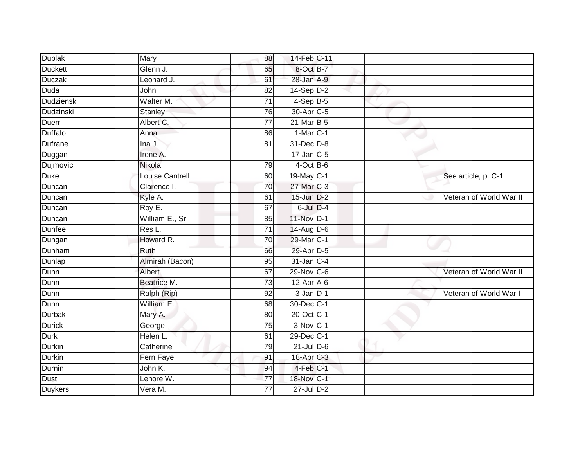| Mary                   | 88              |  |                                                                                                                                                                                                                                                                                                                                                                                                                                                                                                    |                         |
|------------------------|-----------------|--|----------------------------------------------------------------------------------------------------------------------------------------------------------------------------------------------------------------------------------------------------------------------------------------------------------------------------------------------------------------------------------------------------------------------------------------------------------------------------------------------------|-------------------------|
| Glenn J.               | 65              |  |                                                                                                                                                                                                                                                                                                                                                                                                                                                                                                    |                         |
| Leonard J.             | 61              |  |                                                                                                                                                                                                                                                                                                                                                                                                                                                                                                    |                         |
| John                   | 82              |  |                                                                                                                                                                                                                                                                                                                                                                                                                                                                                                    |                         |
| Walter M.              | $\overline{71}$ |  |                                                                                                                                                                                                                                                                                                                                                                                                                                                                                                    |                         |
| Stanley                | 76              |  |                                                                                                                                                                                                                                                                                                                                                                                                                                                                                                    |                         |
| Albert C.              | 77              |  |                                                                                                                                                                                                                                                                                                                                                                                                                                                                                                    |                         |
| Anna                   | 86              |  |                                                                                                                                                                                                                                                                                                                                                                                                                                                                                                    |                         |
| Ina J.                 | 81              |  |                                                                                                                                                                                                                                                                                                                                                                                                                                                                                                    |                         |
| Irene A.               |                 |  |                                                                                                                                                                                                                                                                                                                                                                                                                                                                                                    |                         |
| Nikola                 | 79              |  |                                                                                                                                                                                                                                                                                                                                                                                                                                                                                                    |                         |
| <b>Louise Cantrell</b> | 60              |  |                                                                                                                                                                                                                                                                                                                                                                                                                                                                                                    | See article, p. C-1     |
| Clarence I.            | 70              |  |                                                                                                                                                                                                                                                                                                                                                                                                                                                                                                    |                         |
| Kyle A.                | 61              |  |                                                                                                                                                                                                                                                                                                                                                                                                                                                                                                    | Veteran of World War II |
| Roy E.                 | 67              |  |                                                                                                                                                                                                                                                                                                                                                                                                                                                                                                    |                         |
| William E., Sr.        | 85              |  |                                                                                                                                                                                                                                                                                                                                                                                                                                                                                                    |                         |
| Res L.                 | $\overline{71}$ |  |                                                                                                                                                                                                                                                                                                                                                                                                                                                                                                    |                         |
| Howard R.              | $\overline{70}$ |  |                                                                                                                                                                                                                                                                                                                                                                                                                                                                                                    |                         |
| Ruth                   | 66              |  |                                                                                                                                                                                                                                                                                                                                                                                                                                                                                                    |                         |
| Almirah (Bacon)        | 95              |  |                                                                                                                                                                                                                                                                                                                                                                                                                                                                                                    |                         |
| Albert                 | 67              |  |                                                                                                                                                                                                                                                                                                                                                                                                                                                                                                    | Veteran of World War II |
| Beatrice M.            | $\overline{73}$ |  |                                                                                                                                                                                                                                                                                                                                                                                                                                                                                                    |                         |
| Ralph (Rip)            | 92              |  |                                                                                                                                                                                                                                                                                                                                                                                                                                                                                                    | Veteran of World War I  |
| William E.             | 68              |  |                                                                                                                                                                                                                                                                                                                                                                                                                                                                                                    |                         |
| Mary A.                | 80              |  |                                                                                                                                                                                                                                                                                                                                                                                                                                                                                                    |                         |
| George                 | 75              |  |                                                                                                                                                                                                                                                                                                                                                                                                                                                                                                    |                         |
| Helen L.               | 61              |  |                                                                                                                                                                                                                                                                                                                                                                                                                                                                                                    |                         |
| Catherine              | 79              |  |                                                                                                                                                                                                                                                                                                                                                                                                                                                                                                    |                         |
| Fern Faye              | 91              |  |                                                                                                                                                                                                                                                                                                                                                                                                                                                                                                    |                         |
| John K.                | 94              |  |                                                                                                                                                                                                                                                                                                                                                                                                                                                                                                    |                         |
| Lenore W.              | 77              |  |                                                                                                                                                                                                                                                                                                                                                                                                                                                                                                    |                         |
| Vera M.                | $\overline{77}$ |  |                                                                                                                                                                                                                                                                                                                                                                                                                                                                                                    |                         |
|                        |                 |  | 14-Feb C-11<br>8-Oct B-7<br>28-Jan A-9<br>$14-Sep$ D-2<br>$4-SepB-5$<br>30-Apr C-5<br>$21$ -Mar $B-5$<br>$1-MarC-1$<br>31-Dec D-8<br>$17$ -Jan C-5<br>$4$ -Oct B-6<br>19-May C-1<br>27-Mar C-3<br>15-Jun D-2<br>6-Jul D-4<br>11-Nov D-1<br>14-Aug D-6<br>29-Mar C-1<br>29-Apr D-5<br>$31$ -Jan C-4<br>29-Nov C-6<br>$12-Apr$ A-6<br>$3$ -Jan $D-1$<br>30-Dec C-1<br>20-Oct C-1<br>$3-Nov$ C-1<br>29-Dec C-1<br>$21$ -Jul D-6<br>$18$ -Apr $C-3$<br>$4-Feb$ $C-1$<br>18-Nov C-1<br>$27 -$ Jul $D-2$ |                         |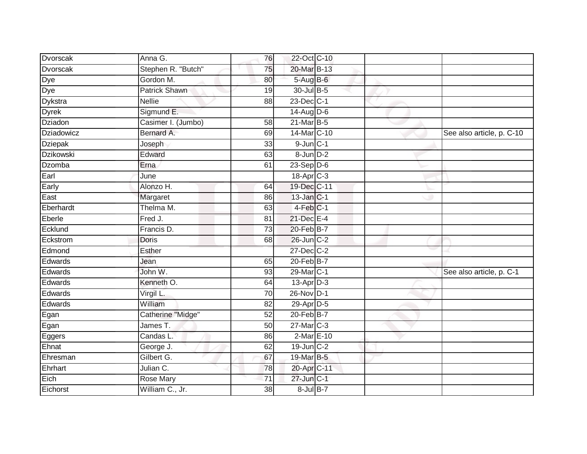| Dvorscak       | Anna G.              | 76              | 22-Oct C-10      |  |                           |
|----------------|----------------------|-----------------|------------------|--|---------------------------|
| Dvorscak       | Stephen R. "Butch"   | 75              | 20-Mar B-13      |  |                           |
|                | Gordon M.            | 80              | 5-Aug B-6        |  |                           |
| Dye<br>Dye     | <b>Patrick Shawn</b> | 19              | 30-Jul B-5       |  |                           |
| <b>Dykstra</b> | <b>Nellie</b>        | $\overline{88}$ | 23-Dec C-1       |  |                           |
| <b>Dyrek</b>   | Sigmund E.           |                 | 14-Aug D-6       |  |                           |
| <b>Dziadon</b> | Casimer I. (Jumbo)   | 58              | $21$ -Mar $B-5$  |  |                           |
| Dziadowicz     | Bernard A.           | 69              | 14-Mar C-10      |  | See also article, p. C-10 |
| <b>Dziepak</b> | Joseph               | 33              | $9$ -Jun $C-1$   |  |                           |
| Dzikowski      | Edward               | 63              | 8-Jun D-2        |  |                           |
| Dzomba         | Erna                 | 61              | $23-Sep$ D-6     |  |                           |
| Earl           | June                 |                 | 18-Apr C-3       |  |                           |
| Early          | Alonzo H.            | 64              | 19-Dec C-11      |  |                           |
| East           | Margaret             | 86              | 13-Jan C-1       |  |                           |
| Eberhardt      | Thelma M.            | 63              | $4$ -Feb $ C-1 $ |  |                           |
| Eberle         | Fred J.              | 81              | 21-Dec E-4       |  |                           |
| Ecklund        | Francis D.           | 73              | 20-Feb B-7       |  |                           |
| Eckstrom       | <b>Doris</b>         | 68              | 26-Jun C-2       |  |                           |
| Edmond         | Esther               |                 | 27-Dec C-2       |  |                           |
| Edwards        | Jean                 | 65              | $20$ -Feb $B$ -7 |  |                           |
| Edwards        | John W.              | 93              | 29-Mar C-1       |  | See also article, p. C-1  |
| Edwards        | Kenneth O.           | 64              | 13-Apr D-3       |  |                           |
| Edwards        | Virgil L.            | 70              | 26-Nov D-1       |  |                           |
| Edwards        | William              | 82              | 29-Apr D-5       |  |                           |
| Egan           | Catherine "Midge"    | 52              | $20$ -Feb $B$ -7 |  |                           |
| Egan           | James T.             | 50              | $27$ -Mar $C-3$  |  |                           |
| Eggers         | Candas L.            | 86              | 2-Mar E-10       |  |                           |
| Ehnat          | George J.            | 62              | $19$ -Jun $C-2$  |  |                           |
| Ehresman       | Gilbert G.           | 67              | 19-Mar B-5       |  |                           |
| Ehrhart        | Julian C.            | 78              | 20-Apr C-11      |  |                           |
| Eich           | Rose Mary            | 71              | 27-Jun C-1       |  |                           |
| Eichorst       | William C., Jr.      | 38              | $8$ -Jul $B$ -7  |  |                           |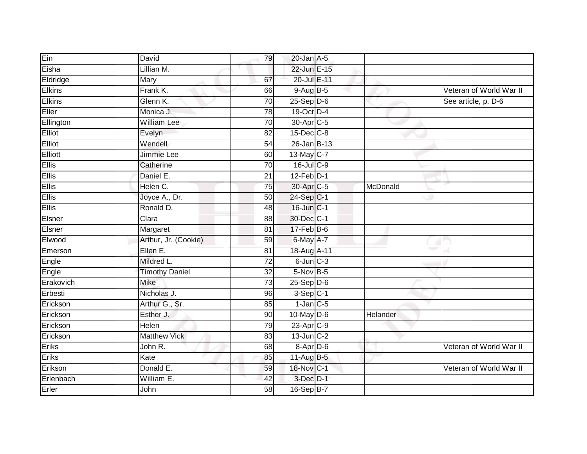| Ein           | David                 | 79              | $20$ -Jan $A-5$       |          |                         |
|---------------|-----------------------|-----------------|-----------------------|----------|-------------------------|
| Eisha         | Lillian M.            |                 | 22-Jun E-15           |          |                         |
| Eldridge      | Mary                  | 67              | 20-Jul E-11           |          |                         |
| <b>Elkins</b> | Frank K.              | 66              | 9-Aug B-5             |          | Veteran of World War II |
| Elkins        | Glenn K.              | $\overline{70}$ | $25-Sep$ $D-6$        |          | See article, p. D-6     |
| Eller         | Monica J.             | 78              | 19-Oct D-4            |          |                         |
| Ellington     | <b>William Lee</b>    | 70              | 30-Apr <sub>C-5</sub> |          |                         |
| Elliot        | Evelyn                | 82              | $15$ -Dec $C-8$       |          |                         |
| Elliot        | Wendell               | 54              | 26-Jan B-13           |          |                         |
| Elliott       | Jimmie Lee            | 60              | 13-May C-7            |          |                         |
| <b>Ellis</b>  | Catherine             | 70              | $16$ -Jul C-9         |          |                         |
| <b>Ellis</b>  | Daniel E.             | 21              | $12$ -Feb $D-1$       |          |                         |
| Ellis         | Helen C.              | 75              | 30-Apr C-5            | McDonald |                         |
| Ellis         | Joyce A., Dr.         | 50              | 24-Sep C-1            |          |                         |
| <b>Ellis</b>  | Ronald D.             | 48              | 16-Jun C-1            |          |                         |
| Elsner        | Clara                 | 88              | 30-Dec C-1            |          |                         |
| Elsner        | Margaret              | 81              | $17$ -Feb $ B-6 $     |          |                         |
| Elwood        | Arthur, Jr. (Cookie)  | 59              | 6-May A-7             |          |                         |
| Emerson       | Ellen E.              | 81              | 18-Aug A-11           |          |                         |
| Engle         | Mildred L.            | $\overline{72}$ | $6$ -Jun $C-3$        |          |                         |
| Engle         | <b>Timothy Daniel</b> | $\overline{32}$ | $5-Nov$ B-5           |          |                         |
| Erakovich     | <b>Mike</b>           | 73              | $25-$ Sep $D-6$       |          |                         |
| Erbesti       | Nicholas J.           | 96              | $3-Sep$ C-1           |          |                         |
| Erickson      | Arthur G., Sr.        | 85              | $1$ -Jan $C$ -5       |          |                         |
| Erickson      | Esther J.             | 90              | $10$ -May $D-6$       | Helander |                         |
| Erickson      | <b>Helen</b>          | 79              | $23$ -Apr $C-9$       |          |                         |
| Erickson      | <b>Matthew Vick</b>   | $\overline{83}$ | $13$ -Jun $C-2$       |          |                         |
| Eriks         | John R.               | 68              | 8-Apr D-6             |          | Veteran of World War II |
| Eriks         | Kate                  | 85              | $11-Aug$ B-5          |          |                         |
| Erikson       | Donald E.             | 59              | 18-Nov C-1            |          | Veteran of World War II |
| Erlenbach     | William E.            | 42              | $3$ -Dec $D-1$        |          |                         |
| Erler         | John                  | $\overline{58}$ | 16-Sep B-7            |          |                         |
|               |                       |                 |                       |          |                         |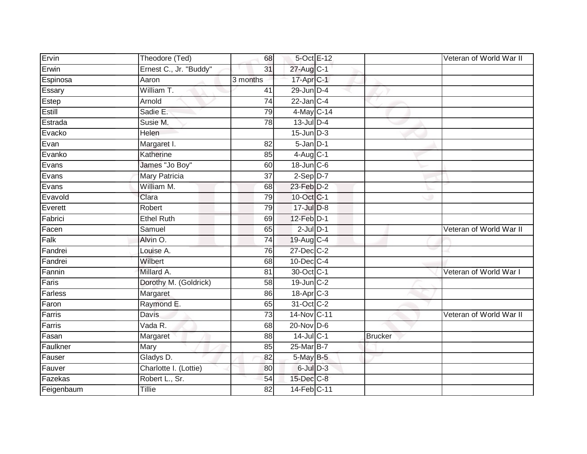| Ervin      | Theodore (Ted)         | 68              |                          | 5-Oct E-12 |                | Veteran of World War II |
|------------|------------------------|-----------------|--------------------------|------------|----------------|-------------------------|
| Erwin      | Ernest C., Jr. "Buddy" | 31              | 27-Aug C-1               |            |                |                         |
| Espinosa   | Aaron                  | 3 months        | 17-Apr C-1               |            |                |                         |
| Essary     | William T.             | 41              | 29-Jun D-4               |            |                |                         |
| Estep      | Arnold                 | $\overline{74}$ | $22$ -Jan C-4            |            |                |                         |
| Estill     | Sadie E.               | 79              | 4-May C-14               |            |                |                         |
| Estrada    | Susie M.               | 78              | 13-Jul D-4               |            |                |                         |
| Evacko     | Helen                  |                 | $15$ -Jun $D-3$          |            |                |                         |
| Evan       | Margaret I.            | 82              | $5 - Jan$ $D-1$          |            |                |                         |
| Evanko     | Katherine              | 85              | $4 - Aug$ <sub>C-1</sub> |            |                |                         |
| Evans      | James "Jo Boy"         | 60              | 18-Jun C-6               |            |                |                         |
| Evans      | <b>Mary Patricia</b>   | $\overline{37}$ | $2-Sep$ D-7              |            |                |                         |
| Evans      | William M.             | 68              | $23$ -Feb $D-2$          |            |                |                         |
| Evavold    | Clara                  | 79              | 10-Oct C-1               |            |                |                         |
| Everett    | Robert                 | 79              | 17-Jul D-8               |            |                |                         |
| Fabrici    | <b>Ethel Ruth</b>      | 69              | $12$ -Feb $D-1$          |            |                |                         |
| Facen      | Samuel                 | 65              | $2$ -Jul $D-1$           |            |                | Veteran of World War II |
| Falk       | Alvin O.               | 74              | 19-Aug C-4               |            |                |                         |
| Fandrei    | Louise A.              | 76              | 27-Dec C-2               |            |                |                         |
| Fandrei    | Wilbert                | 68              | 10-Dec C-4               |            |                |                         |
| Fannin     | Millard A.             | 81              | 30-Oct C-1               |            |                | Veteran of World War I  |
| Faris      | Dorothy M. (Goldrick)  | 58              | 19-Jun C-2               |            |                |                         |
| Farless    | Margaret               | 86              | 18-Apr <sub>C-3</sub>    |            |                |                         |
| Faron      | Raymond E.             | 65              | 31-Oct C-2               |            |                |                         |
| Farris     | <b>Davis</b>           | 73              | 14-Nov C-11              |            |                | Veteran of World War II |
| Farris     | Vada R.                | 68              | $20$ -Nov D-6            |            |                |                         |
| Fasan      | Margaret               | $\overline{88}$ | 14-Jul C-1               |            | <b>Brucker</b> |                         |
| Faulkner   | Mary                   | 85              | 25-Mar B-7               |            |                |                         |
| Fauser     | Gladys D.              | 82              | 5-May B-5                |            |                |                         |
| Fauver     | Charlotte I. (Lottie)  | 80              | $6$ -Jul $D-3$           |            |                |                         |
| Fazekas    | Robert L., Sr.         | 54              | 15-Dec C-8               |            |                |                         |
| Feigenbaum | <b>Tillie</b>          | 82              | 14-Feb C-11              |            |                |                         |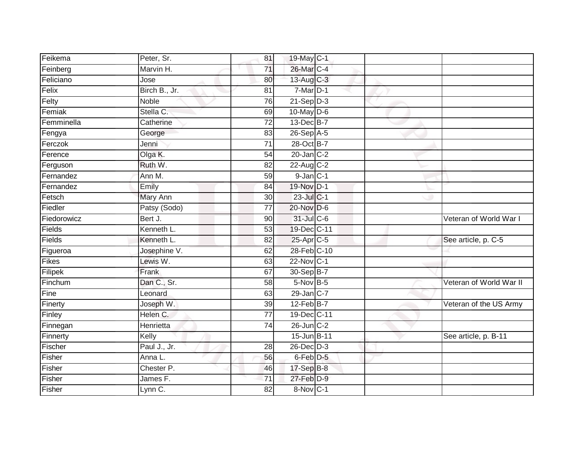| Feikema     | Peter, Sr.    | 81              | 19-May C-1       |  |                         |
|-------------|---------------|-----------------|------------------|--|-------------------------|
| Feinberg    | Marvin H.     | 71              | 26-Mar C-4       |  |                         |
| Feliciano   | Jose          | 80              | 13-Aug C-3       |  |                         |
| Felix       | Birch B., Jr. | 81              | $7-Mar$ D-1      |  |                         |
| Felty       | <b>Noble</b>  | 76              | $21-Sep D-3$     |  |                         |
| Femiak      | Stella C.     | 69              | 10-May $D-6$     |  |                         |
| Femminella  | Catherine     | 72              | 13-Dec B-7       |  |                         |
| Fengya      | George        | 83              | $26-Sep$ A-5     |  |                         |
| Ferczok     | Jenni         | $\overline{71}$ | 28-Oct B-7       |  |                         |
| Ference     | Olga K.       | $\overline{54}$ | $20$ -Jan $C-2$  |  |                         |
| Ferguson    | Ruth W.       | 82              | 22-Aug C-2       |  |                         |
| Fernandez   | Ann M.        | 59              | $9$ -Jan $C-1$   |  |                         |
| Fernandez   | Emily         | 84              | 19-Nov D-1       |  |                         |
| Fetsch      | Mary Ann      | 30              | 23-Jul C-1       |  |                         |
| Fiedler     | Patsy (Sodo)  | $\overline{77}$ | 20-Nov D-6       |  |                         |
| Fiedorowicz | Bert J.       | $\overline{90}$ | 31-Jul C-6       |  | Veteran of World War I  |
| Fields      | Kenneth L.    | 53              | 19-Dec C-11      |  |                         |
| Fields      | Kenneth L.    | 82              | 25-Apr C-5       |  | See article, p. C-5     |
| Figueroa    | Josephine V.  | 62              | 28-Feb C-10      |  |                         |
| Fikes       | Lewis W.      | 63              | 22-Nov C-1       |  |                         |
| Filipek     | Frank         | 67              | 30-Sep B-7       |  |                         |
| Finchum     | Dan C., Sr.   | 58              | 5-Nov B-5        |  | Veteran of World War II |
| Fine        | Leonard       | 63              | 29-Jan C-7       |  |                         |
| Finerty     | Joseph W.     | 39              | $12$ -Feb $B$ -7 |  | Veteran of the US Army  |
| Finley      | Helen C.      | $\overline{77}$ | 19-Dec C-11      |  |                         |
| Finnegan    | Henrietta     | $\overline{74}$ | $26$ -Jun $C-2$  |  |                         |
| Finnerty    | Kelly         |                 | 15-Jun B-11      |  | See article, p. B-11    |
| Fischer     | Paul J., Jr.  | 28              | $26$ -Dec $D-3$  |  |                         |
| Fisher      | Anna L.       | 56              | 6-Feb D-5        |  |                         |
| Fisher      | Chester P.    | 46              | 17-Sep B-8       |  |                         |
| Fisher      | James F.      | 71              | $27$ -Feb $D-9$  |  |                         |
| Fisher      | Lynn C.       | 82              | 8-Nov C-1        |  |                         |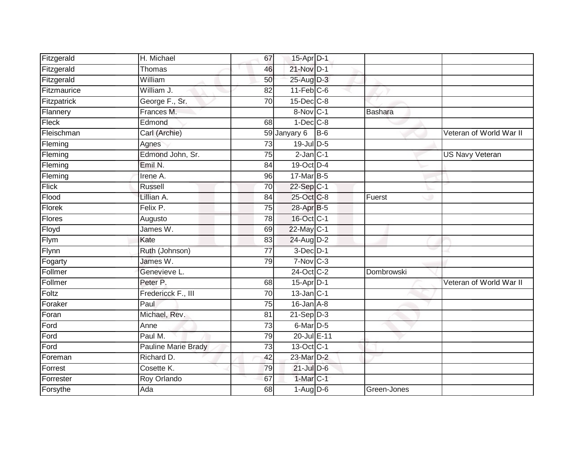| Fitzgerald   | H. Michael                 | 67              | 15-Apr D-1              |       |                |                         |
|--------------|----------------------------|-----------------|-------------------------|-------|----------------|-------------------------|
| Fitzgerald   | Thomas                     | 46              | 21-Nov D-1              |       |                |                         |
| Fitzgerald   | William                    | 50              | 25-Aug D-3              |       |                |                         |
| Fitzmaurice  | William J.                 | 82              | $11-Feb$ C-6            |       |                |                         |
| Fitzpatrick  | George F., Sr.             | $\overline{70}$ | $15$ -Dec $C$ -8        |       |                |                         |
| Flannery     | Frances M.                 |                 | 8-Nov C-1               |       | <b>Bashara</b> |                         |
| Fleck        | Edmond                     | 68              | $1-Dec$ $C-8$           |       |                |                         |
| Fleischman   | Carl (Archie)              |                 | 59 Janyary 6            | $B-6$ |                | Veteran of World War II |
| Fleming      | Agnes                      | $\overline{73}$ | 19-Jul D-5              |       |                |                         |
| Fleming      | Edmond John, Sr.           | 75              | $2$ -Jan $C-1$          |       |                | <b>US Navy Veteran</b>  |
| Fleming      | Emil N.                    | 84              | 19-Oct D-4              |       |                |                         |
| Fleming      | Irene A.                   | 96              | 17-Mar B-5              |       |                |                         |
| <b>Flick</b> | <b>Russell</b>             | 70              | $22-Sep C-1$            |       |                |                         |
| Flood        | Lillian A.                 | 84              | 25-Oct C-8              |       | Fuerst         |                         |
| Florek       | Felix P.                   | $\overline{75}$ | 28-Apr B-5              |       |                |                         |
| Flores       | Augusto                    | 78              | 16-Oct C-1              |       |                |                         |
| Floyd        | James W.                   | 69              | 22-May C-1              |       |                |                         |
| Flym         | Kate                       | 83              | 24-Aug D-2              |       |                |                         |
| Flynn        | Ruth (Johnson)             | $\overline{77}$ | $3$ -Dec $D-1$          |       |                |                         |
| Fogarty      | James W.                   | 79              | $7-Nov$ C-3             |       |                |                         |
| Follmer      | Genevieve L.               |                 | 24-Oct C-2              |       | Dombrowski     |                         |
| Follmer      | Peter P.                   | 68              | $15-Apr$ D-1            |       |                | Veteran of World War II |
| Foltz        | Fredericck F., III         | 70              | $13$ -Jan $ C-1 $       |       |                |                         |
| Foraker      | Paul                       | 75              | $16$ -Jan $A-8$         |       |                |                         |
| Foran        | Michael, Rev.              | 81              | $21-Sep D-3$            |       |                |                         |
| Ford         | Anne                       | 73              | 6-Mar D-5               |       |                |                         |
| Ford         | Paul M.                    | 79              | 20-Jul E-11             |       |                |                         |
| Ford         | <b>Pauline Marie Brady</b> | 73              | $13-Oct$ <sub>C-1</sub> |       |                |                         |
| Foreman      | Richard D.                 | 42              | 23-Mar D-2              |       |                |                         |
| Forrest      | Cosette K.                 | 79              | $21$ -Jul $D-6$         |       |                |                         |
| Forrester    | Roy Orlando                | 67              | 1-Mar C-1               |       |                |                         |
| Forsythe     | Ada                        | 68              | $1-Aug$ D-6             |       | Green-Jones    |                         |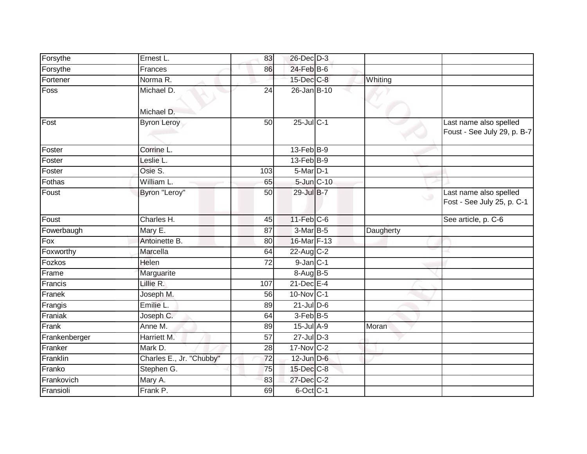| Forsythe      | Ernest L.                | 83              | 26-Dec D-3              |            |           |                                                       |
|---------------|--------------------------|-----------------|-------------------------|------------|-----------|-------------------------------------------------------|
| Forsythe      | Frances                  | 86              | 24-Feb B-6              |            |           |                                                       |
| Fortener      | Norma R.                 |                 | 15-Dec C-8              |            | Whiting   |                                                       |
| Foss          | Michael D.<br>Michael D. | 24              | 26-Jan B-10             |            |           |                                                       |
| Fost          | <b>Byron Leroy</b>       | 50              | 25-Jul C-1              |            |           | Last name also spelled<br>Foust - See July 29, p. B-7 |
| Foster        | Corrine L.               |                 | $13$ -Feb $B-9$         |            |           |                                                       |
| Foster        | Leslie L.                |                 | $13$ -Feb $B - 9$       |            |           |                                                       |
| Foster        | Osie S.                  | 103             | $5-Mar$ D-1             |            |           |                                                       |
| Fothas        | William L.               | 65              |                         | 5-Jun C-10 |           |                                                       |
| Foust         | Byron "Leroy"            | 50              | 29-Jul B-7              |            | $\circ$   | Last name also spelled<br>Fost - See July 25, p. C-1  |
| Foust         | Charles H.               | 45              | $11$ -Feb $C$ -6        |            |           | See article, p. C-6                                   |
| Fowerbaugh    | Mary E.                  | 87              | $3-Mar$ B-5             |            | Daugherty |                                                       |
| Fox           | Antoinette B.            | 80              | 16-Mar F-13             |            |           |                                                       |
| Foxworthy     | Marcella                 | 64              | 22-Aug C-2              |            |           |                                                       |
| Fozkos        | Helen                    | $\overline{72}$ | $9$ -Jan $C-1$          |            |           |                                                       |
| Frame         | Marguarite               |                 | $8-Aug$ B-5             |            |           |                                                       |
| Francis       | Lillie R.                | 107             | 21-Dec E-4              |            |           |                                                       |
| Franek        | Joseph M.                | 56              | $10$ -Nov $C-1$         |            |           |                                                       |
| Frangis       | Emilie L.                | 89              | $21$ -Jul D-6           |            |           |                                                       |
| Franiak       | Joseph C.                | 64              | $3-Feb$ B-5             |            |           |                                                       |
| Frank         | Anne M.                  | 89              | 15-Jul A-9              |            | Moran     |                                                       |
| Frankenberger | Harriett M.              | 57              | $27 -$ Jul $D-3$        |            |           |                                                       |
| Franker       | Mark D.                  | 28              | $17-Nov$ <sub>C-2</sub> |            |           |                                                       |
| Franklin      | Charles E., Jr. "Chubby" | 72              | $12$ -Jun $D-6$         |            |           |                                                       |
| Franko        | Stephen G.               | 75              | 15-Dec C-8              |            |           |                                                       |
| Frankovich    | Mary A.                  | 83              | 27-Dec C-2              |            |           |                                                       |
| Fransioli     | Frank P.                 | 69              | $6$ -Oct $C-1$          |            |           |                                                       |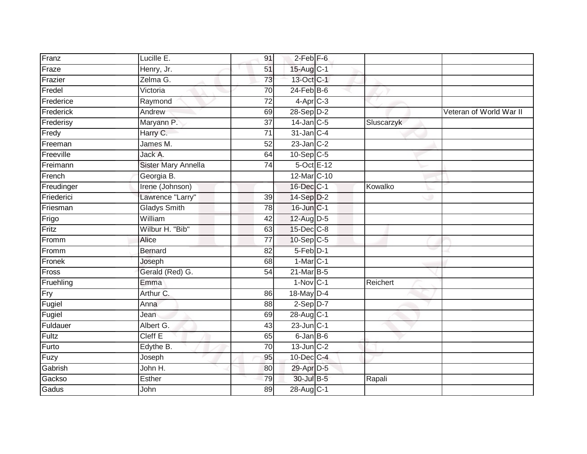| Franz      | Lucille E.          | 91              | $2$ -Feb $F-6$         |            |                         |
|------------|---------------------|-----------------|------------------------|------------|-------------------------|
| Fraze      | Henry, Jr.          | 51              | 15-Aug C-1             |            |                         |
| Frazier    | Zelma G.            | 73              | 13-Oct C-1             |            |                         |
| Fredel     | Victoria            | 70              | $24$ -Feb $B$ -6       |            |                         |
| Frederice  | Raymond             | $\overline{72}$ | $4-Apr$ <sub>C-3</sub> |            |                         |
| Frederick  | Andrew              | 69              | $28-Sep D-2$           |            | Veteran of World War II |
| Frederisy  | Maryann P.          | 37              | 14-Jan C-5             | Sluscarzyk |                         |
| Fredy      | Harry C.            | 71              | $31$ -Jan $C-4$        |            |                         |
| Freeman    | James M.            | 52              | $23$ -Jan $C-2$        |            |                         |
| Freeville  | Jack A.             | 64              | $10-Sep$ C-5           |            |                         |
| Freimann   | Sister Mary Annella | $\overline{74}$ | $5$ -Oct $E-12$        |            |                         |
| French     | Georgia B.          |                 | 12-Mar C-10            |            |                         |
| Freudinger | Irene (Johnson)     |                 | $16$ -Dec $C-1$        | Kowalko    |                         |
| Friederici | Lawrence "Larry"    | 39              | 14-Sep D-2             |            |                         |
| Friesman   | <b>Gladys Smith</b> | 78              | 16-Jun C-1             |            |                         |
| Frigo      | William             | 42              | 12-Aug D-5             |            |                         |
| Fritz      | Wilbur H. "Bib"     | 63              | 15-Dec C-8             |            |                         |
| Fromm      | Alice               | $\overline{77}$ | $10-Sep$ C-5           |            |                         |
| Fromm      | <b>Bernard</b>      | 82              | 5-Feb D-1              |            |                         |
| Fronek     | Joseph              | 68              | $1-MarC-1$             |            |                         |
| Fross      | Gerald (Red) G.     | 54              | 21-Mar B-5             |            |                         |
| Fruehling  | Emma                |                 | $1-Nov$ C-1            | Reichert   |                         |
| Fry        | Arthur C.           | 86              | 18-May D-4             |            |                         |
| Fugiel     | Anna                | 88              | $2-Sep$ D-7            |            |                         |
| Fugiel     | Jean                | 69              | 28-Aug C-1             |            |                         |
| Fuldauer   | Albert G.           | 43              | $23$ -Jun $ C-1 $      |            |                         |
| Fultz      | Cleff E             | 65              | $6$ -Jan $B$ -6        |            |                         |
| Furto      | Edythe B.           | 70              | $13$ -Jun $ C-2 $      |            |                         |
| Fuzy       | Joseph              | 95              | 10-Dec C-4             |            |                         |
| Gabrish    | John H.             | 80              | 29-Apr D-5             |            |                         |
| Gackso     | Esther              | 79              | 30-Jul B-5             | Rapali     |                         |
| Gadus      | John                | 89              | 28-Aug C-1             |            |                         |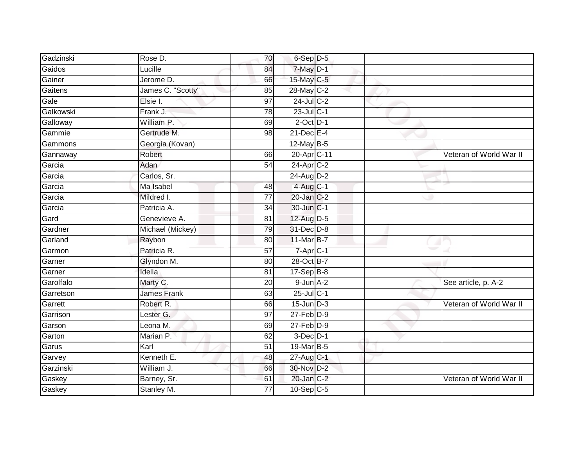| Gadzinski | Rose D.            | 70              | $6-Sep$ D-5             |  |                         |
|-----------|--------------------|-----------------|-------------------------|--|-------------------------|
| Gaidos    | Lucille            | 84              | 7-May D-1               |  |                         |
| Gainer    | Jerome D.          | 66              | 15-May C-5              |  |                         |
| Gaitens   | James C. "Scotty"  | 85              | 28-May C-2              |  |                         |
| Gale      | Elsie I.           | $\overline{97}$ | $24$ -Jul C-2           |  |                         |
| Galkowski | Frank J.           | 78              | $23$ -Jul C-1           |  |                         |
| Galloway  | William P.         | 69              | $2$ -Oct $D-1$          |  |                         |
| Gammie    | Gertrude M.        | 98              | $21$ -Dec $E-4$         |  |                         |
| Gammons   | Georgia (Kovan)    |                 | $12$ -May B-5           |  |                         |
| Gannaway  | Robert             | 66              | 20-Apr C-11             |  | Veteran of World War II |
| Garcia    | Adan               | 54              | $24$ -Apr $C-2$         |  |                         |
| Garcia    | Carlos, Sr.        |                 | 24-Aug D-2              |  |                         |
| Garcia    | Ma Isabel          | 48              | 4-Aug C-1               |  |                         |
| Garcia    | Mildred I.         | 77              | 20-Jan C-2              |  |                         |
| Garcia    | Patricia A.        | $\overline{34}$ | 30-Jun C-1              |  |                         |
| Gard      | Genevieve A.       | 81              | 12-Aug D-5              |  |                         |
| Gardner   | Michael (Mickey)   | 79              | 31-Dec D-8              |  |                         |
| Garland   | Raybon             | 80              | 11-Mar B-7              |  |                         |
| Garmon    | Patricia R.        | 57              | $7$ -Apr $C-1$          |  |                         |
| Garner    | Glyndon M.         | 80              | 28-Oct B-7              |  |                         |
| Garner    | Idella             | 81              | $17-Sep$ B-8            |  |                         |
| Garolfalo | Marty C.           | $\overline{20}$ | $9$ -Jun $A-2$          |  | See article, p. A-2     |
| Garretson | <b>James Frank</b> | 63              | $25$ -Jul C-1           |  |                         |
| Garrett   | Robert R.          | 66              | $15$ -Jun $D-3$         |  | Veteran of World War II |
| Garrison  | Lester G.          | 97              | $27$ -Feb $D-9$         |  |                         |
| Garson    | Leona M.           | 69              | $27$ -Feb $D-9$         |  |                         |
| Garton    | Marian P.          | 62              | $3$ -Dec $D-1$          |  |                         |
| Garus     | Karl               | 51              | 19-Mar B-5              |  |                         |
| Garvey    | Kenneth E.         | 48              | 27-Aug C-1              |  |                         |
| Garzinski | William J.         | 66              | 30-Nov D-2              |  |                         |
| Gaskey    | Barney, Sr.        | 61              | 20-Jan C-2              |  | Veteran of World War II |
| Gaskey    | Stanley M.         | $\overline{77}$ | $10-Sep$ <sub>C-5</sub> |  |                         |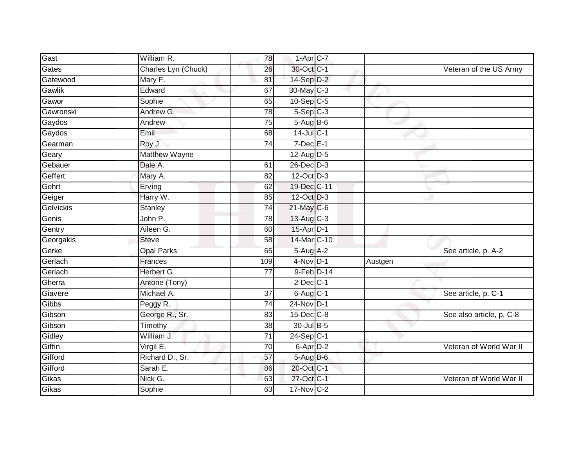| Gast      | William R.          | 78  | $1-Apr$ <sub>C-7</sub>  |         |                          |
|-----------|---------------------|-----|-------------------------|---------|--------------------------|
| Gates     | Charles Lyn (Chuck) | 26  | 30-Oct C-1              |         | Veteran of the US Army   |
| Gatewood  | Mary F.             | 81  | $14-Sep$ D-2            |         |                          |
| Gawlik    | Edward              | 67  | $30$ -May C-3           |         |                          |
| Gawor     | Sophie              | 65  | $10-Sep$ $C-5$          |         |                          |
| Gawronski | Andrew G.           | 78  | $5-Sep$ $C-3$           |         |                          |
| Gaydos    | Andrew              | 75  | $5-Aug$ B-6             |         |                          |
| Gaydos    | Emil                | 68  | $14$ -Jul C-1           |         |                          |
| Gearman   | Roy J.              | 74  | $7$ -Dec $E-1$          |         |                          |
| Geary     | Matthew Wayne       |     | 12-Aug D-5              |         |                          |
| Gebauer   | Dale A.             | 61  | $26$ -Dec $D-3$         |         |                          |
| Geffert   | Mary A.             | 82  | 12-Oct D-3              |         |                          |
| Gehrt     | Erving              | 62  | 19-Dec C-11             |         |                          |
| Geiger    | Harry W.            | 85  | 12-Oct D-3              |         |                          |
| Gelvickis | Stanley             | 74  | $21$ -May C-6           |         |                          |
| Genis     | John P.             | 78  | $13$ -Aug C-3           |         |                          |
| Gentry    | Aileen G.           | 60  | 15-Apr D-1              |         |                          |
| Georgakis | <b>Steve</b>        | 58  | 14-Mar C-10             |         |                          |
| Gerke     | <b>Opal Parks</b>   | 65  | $5-Aug$ A-2             |         | See article, p. A-2      |
| Gerlach   | <b>Frances</b>      | 109 | $4-Nov$ D-1             | Austgen |                          |
| Gerlach   | Herbert G.          | 77  | 9-Feb D-14              |         |                          |
| Gherra    | Antone (Tony)       |     | $2$ -Dec $C-1$          |         |                          |
| Giavere   | Michael A.          | 37  | $6-Aug$ $C-1$           |         | See article, p. C-1      |
| Gibbs     | Peggy R.            | 74  | 24-Nov D-1              |         |                          |
| Gibson    | George R., Sr.      | 83  | $15$ -Dec $C$ -8        |         | See also article, p. C-8 |
| Gibson    | Timothy             | 38  | 30-Jul B-5              |         |                          |
| Gidley    | William J.          | 71  | $24-Sep$ <sub>C-1</sub> |         |                          |
| Giffin    | Virgil E.           | 70  | $6$ -Apr $D-2$          |         | Veteran of World War II  |
| Gifford   | Richard D., Sr.     | 57  | 5-Aug B-6               |         |                          |
| Gifford   | Sarah E.            | 86  | 20-Oct C-1              |         |                          |
| Gikas     | Nick G.             | 63  | 27-Oct C-1              |         | Veteran of World War II  |
| Gikas     | Sophie              | 63  | 17-Nov C-2              |         |                          |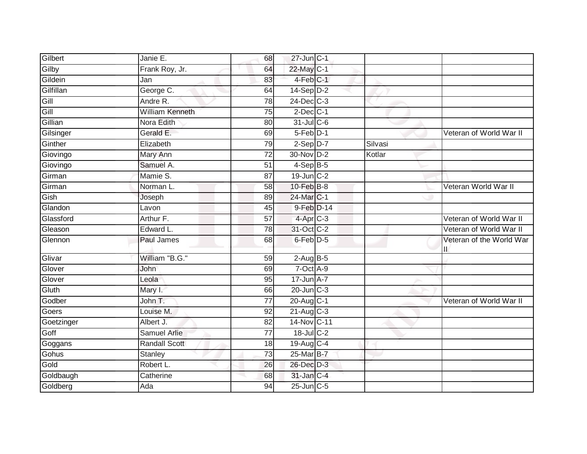| Gilbert    | Janie E.               | 68              | 27-Jun C-1      |         |                                |
|------------|------------------------|-----------------|-----------------|---------|--------------------------------|
| Gilby      | Frank Roy, Jr.         | 64              | 22-May C-1      |         |                                |
| Gildein    | Jan                    | 83              | $4$ -Feb $C-1$  |         |                                |
| Gilfillan  | George C.              | 64              | $14-Sep$ D-2    |         |                                |
| Gill       | Andre R.               | 78              | $24$ -Dec $C-3$ |         |                                |
| Gill       | <b>William Kenneth</b> | 75              | $2$ -Dec $C-1$  |         |                                |
| Gillian    | Nora Edith             | 80              | $31$ -Jul C-6   |         |                                |
| Gilsinger  | Gerald E.              | 69              | 5-Feb D-1       |         | Veteran of World War II        |
| Ginther    | Elizabeth              | 79              | $2-Sep$ $D-7$   | Silvasi |                                |
| Giovingo   | Mary Ann               | $\overline{72}$ | 30-Nov D-2      | Kotlar  |                                |
| Giovingo   | Samuel A.              | 51              | $4-SepB-5$      |         |                                |
| Girman     | Mamie S.               | 87              | 19-Jun C-2      |         |                                |
| Girman     | Norman L.              | 58              | 10-Feb B-8      |         | Veteran World War II           |
| Gish       | Joseph                 | 89              | 24-Mar C-1      |         |                                |
| Glandon    | Lavon                  | 45              | 9-Feb D-14      |         |                                |
| Glassford  | Arthur F.              | 57              | 4-Apr C-3       |         | Veteran of World War II        |
| Gleason    | Edward L.              | 78              | 31-Oct C-2      |         | Veteran of World War II        |
| Glennon    | Paul James             | 68              | $6$ -Feb $D-5$  |         | Veteran of the World War<br>II |
| Glivar     | William "B.G."         | 59              | $2-AugB-5$      |         |                                |
| Glover     | John                   | 69              | 7-Oct A-9       |         |                                |
| Glover     | Leola                  | 95              | 17-Jun A-7      |         |                                |
| Gluth      | Mary I.                | 66              | 20-Jun C-3      |         |                                |
| Godber     | John T.                | $\overline{77}$ | 20-Aug C-1      |         | Veteran of World War II        |
| Goers      | Louise M.              | 92              | $21-Aug$ C-3    |         |                                |
| Goetzinger | Albert J.              | 82              | 14-Nov C-11     |         |                                |
| Goff       | <b>Samuel Arlie</b>    | 77              | $18$ -Jul C-2   |         |                                |
| Goggans    | <b>Randall Scott</b>   | 18              | 19-Aug C-4      |         |                                |
| Gohus      | Stanley                | $\overline{73}$ | 25-Mar B-7      |         |                                |
| Gold       | Robert L.              | 26              | 26-Dec D-3      |         |                                |
| Goldbaugh  | Catherine              | 68              | 31-Jan C-4      |         |                                |
| Goldberg   | Ada                    | 94              | $25$ -Jun $C-5$ |         |                                |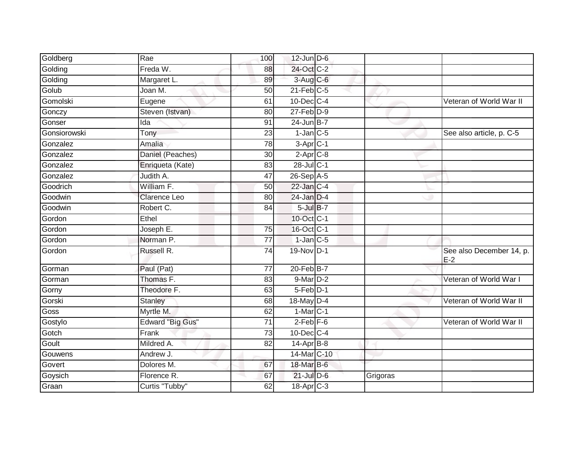| Goldberg     | Rae                     | 100             | $12$ -Jun $D-6$       |          |                                   |
|--------------|-------------------------|-----------------|-----------------------|----------|-----------------------------------|
| Golding      | Freda W.                | 88              | 24-Oct C-2            |          |                                   |
| Golding      | Margaret L.             | 89              | 3-Aug C-6             |          |                                   |
| Golub        | Joan M.                 | 50              | $21$ -Feb $C-5$       |          |                                   |
| Gomolski     | Eugene                  | 61              | $10$ -Dec $C-4$       |          | Veteran of World War II           |
| Gonczy       | Steven (Istvan)         | 80              | $27$ -Feb $D-9$       |          |                                   |
| Gonser       | Ida                     | 91              | $24$ -Jun B-7         |          |                                   |
| Gonsiorowski | Tony                    | 23              | $1$ -Jan $C$ -5       |          | See also article, p. C-5          |
| Gonzalez     | Amalia                  | 78              | $3-Apr$ $C-1$         |          |                                   |
| Gonzalez     | Daniel (Peaches)        | 30              | $2-Apr$ C-8           |          |                                   |
| Gonzalez     | Enriqueta (Kate)        | 83              | 28-Jul C-1            |          |                                   |
| Gonzalez     | Judith A.               | 47              | 26-Sep A-5            |          |                                   |
| Goodrich     | William F.              | 50              | $22$ -Jan C-4         |          |                                   |
| Goodwin      | <b>Clarence Leo</b>     | 80              | 24-Jan D-4            |          |                                   |
| Goodwin      | Robert C.               | 84              | $5$ -Jul $B-7$        |          |                                   |
| Gordon       | Ethel                   |                 | 10-Oct C-1            |          |                                   |
| Gordon       | Joseph E.               | 75              | 16-Oct C-1            |          |                                   |
| Gordon       | Norman P.               | 77              | $1$ -Jan $C$ -5       |          |                                   |
| Gordon       | Russell R.              | 74              | 19-Nov D-1            |          | See also December 14, p.<br>$E-2$ |
| Gorman       | Paul (Pat)              | $\overline{77}$ | $20$ -Feb $B-7$       |          |                                   |
| Gorman       | Thomas F.               | 83              | 9-Mar D-2             |          | Veteran of World War I            |
| Gorny        | Theodore F.             | 63              | 5-Feb D-1             |          |                                   |
| Gorski       | <b>Stanley</b>          | 68              | 18-May D-4            |          | Veteran of World War II           |
| Goss         | Myrtle M.               | 62              | $1-MarC-1$            |          |                                   |
| Gostylo      | <b>Edward "Big Gus"</b> | 71              | $2$ -Feb $F-6$        |          | Veteran of World War II           |
| Gotch        | Frank                   | 73              | $10$ -Dec $C-4$       |          |                                   |
| Goult        | Mildred A.              | $\overline{82}$ | $14-Apr$ B-8          |          |                                   |
| Gouwens      | Andrew J.               |                 | 14-Mar C-10           |          |                                   |
| Govert       | Dolores M.              | 67              | 18-Mar B-6            |          |                                   |
| Goysich      | Florence R.             | 67              | $21$ -Jul $D-6$       | Grigoras |                                   |
| Graan        | Curtis "Tubby"          | 62              | 18-Apr <sub>C-3</sub> |          |                                   |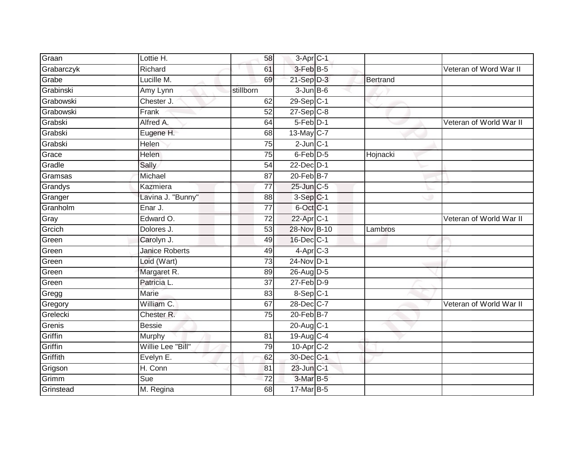| Graan      | Lottie H.             | 58              | 3-Apr C-1       |          |                         |
|------------|-----------------------|-----------------|-----------------|----------|-------------------------|
| Grabarczyk | Richard               | 61              | 3-Feb B-5       |          | Veteran of Word War II  |
| Grabe      | Lucille M.            | 69              | $21-Sep$ D-3    | Bertrand |                         |
| Grabinski  | Amy Lynn              | stillborn       | $3$ -Jun $B$ -6 |          |                         |
| Grabowski  | Chester J.            | 62              | $29-Sep C-1$    |          |                         |
| Grabowski  | Frank                 | 52              | $27 - Sep$ C-8  |          |                         |
| Grabski    | Alfred A.             | 64              | 5-Feb D-1       |          | Veteran of World War II |
| Grabski    | Eugene H.             | 68              | 13-May C-7      |          |                         |
| Grabski    | Helen                 | 75              | $2$ -Jun $C-1$  |          |                         |
| Grace      | <b>Helen</b>          | $\overline{75}$ | 6-Feb D-5       | Hojnacki |                         |
| Gradle     | Sally                 | 54              | 22-Dec D-1      |          |                         |
| Gramsas    | Michael               | 87              | 20-Feb B-7      |          |                         |
| Grandys    | Kazmiera              | 77              | 25-Jun C-5      |          |                         |
| Granger    | Lavina J. "Bunny"     | 88              | $3-Sep$ C-1     |          |                         |
| Granholm   | Enar J.               | $\overline{77}$ | 6-Oct C-1       |          |                         |
| Gray       | Edward O.             | 72              | $22$ -Apr $C-1$ |          | Veteran of World War II |
| Grcich     | Dolores J.            | $\overline{53}$ | 28-Nov B-10     | Lambros  |                         |
| Green      | Carolyn J.            | 49              | 16-Dec C-1      |          |                         |
| Green      | <b>Janice Roberts</b> | 49              | $4$ -Apr $C-3$  |          |                         |
| Green      | Loid (Wart)           | 73              | 24-Nov D-1      |          |                         |
| Green      | Margaret R.           | 89              | 26-Aug D-5      |          |                         |
| Green      | Patricia L.           | $\overline{37}$ | $27$ -Feb $D-9$ |          |                         |
| Gregg      | <b>Marie</b>          | 83              | 8-Sep C-1       |          |                         |
| Gregory    | William C.            | 67              | 28-Dec C-7      |          | Veteran of World War II |
| Grelecki   | Chester R.            | $\overline{75}$ | 20-Feb B-7      |          |                         |
| Grenis     | <b>Bessie</b>         |                 | 20-Aug C-1      |          |                         |
| Griffin    | Murphy                | 81              | 19-Aug C-4      |          |                         |
| Griffin    | Willie Lee "Bill"     | 79              | $10$ -Apr $C-2$ |          |                         |
| Griffith   | Evelyn E.             | 62              | 30-Dec C-1      |          |                         |
| Grigson    | H. Conn               | 81              | $23$ -Jun $C-1$ |          |                         |
| Grimm      | Sue                   | 72              | 3-Mar B-5       |          |                         |
| Grinstead  | M. Regina             | 68              | 17-Mar B-5      |          |                         |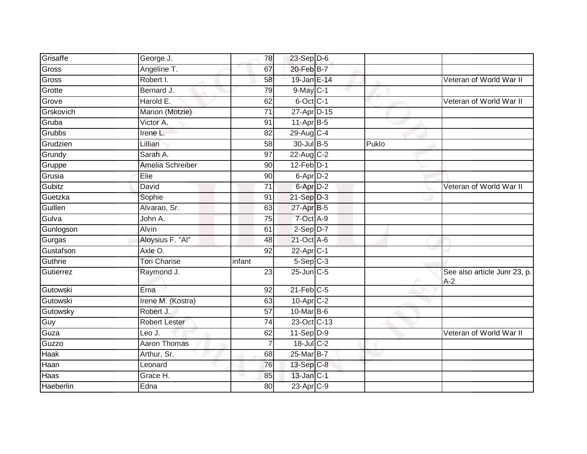| Grisaffe  | George J.           | 78              | 23-Sep D-6            |       |                                       |
|-----------|---------------------|-----------------|-----------------------|-------|---------------------------------------|
| Gross     | Angeline T.         | 67              | 20-Feb B-7            |       |                                       |
| Gross     | Robert I.           | 58              | 19-Jan E-14           |       | Veteran of World War II               |
| Grotte    | Bernard J.          | 79              | $9$ -May $ C-1 $      |       |                                       |
| Grove     | Harold E.           | 62              | 6-Oct C-1             |       | Veteran of World War II               |
| Grskovich | Marion (Motzie)     | $\overline{71}$ | 27-Apr D-15           |       |                                       |
| Gruba     | Victor A.           | 91              | $11-AprB-5$           |       |                                       |
| Grubbs    | Irene L.            | 82              | 29-Aug C-4            |       |                                       |
| Grudzien  | Lillian             | 58              | 30-Jul B-5            | Puklo |                                       |
| Grundy    | Sarah A.            | $\overline{97}$ | $22$ -Aug C-2         |       |                                       |
| Gruppe    | Amelia Schreiber    | 90              | $12$ -Feb $D-1$       |       |                                       |
| Grusia    | Elie                | 90              | 6-Apr D-2             |       |                                       |
| Gubitz    | David               | 71              | 6-Apr <sub>D-2</sub>  |       | Veteran of World War II               |
| Guetzka   | Sophie              | 91              | $21-Sep D-3$          |       |                                       |
| Guillen   | Alvarao, Sr.        | 63              | 27-Apr B-5            |       |                                       |
| Gulva     | John A.             | 75              | 7-Oct A-9             |       |                                       |
| Gunlogson | Alvin               | 61              | $2-Sep$ D-7           |       |                                       |
| Gurgas    | Aloysius F. "Al"    | 48              | 21-Oct A-6            |       |                                       |
| Gustafson | Axle O.             | 92              | 22-Apr <sub>C-1</sub> |       |                                       |
| Guthrie   | <b>Tori Charise</b> | infant          | $5-Sep$ $C-3$         |       |                                       |
| Gutierrez | Raymond J.          | 23              | $25$ -Jun $C$ -5      |       | See also article Junr 23, p.<br>$A-2$ |
| Gutowski  | Erna                | 92              | $21$ -Feb $C-5$       |       |                                       |
| Gutowski  | Irene M. (Kostra)   | 63              | $10$ -Apr $C-2$       |       |                                       |
| Gutowsky  | Robert J.           | 57              | 10-Mar B-6            |       |                                       |
| Guy       | Robert Lester       | $\overline{74}$ | 23-Oct C-13           |       |                                       |
| Guza      | Leo J.              | 62              | $11-Sep$ D-9          |       | Veteran of World War II               |
| Guzzo     | <b>Aaron Thomas</b> | 7               | $18$ -Jul C-2         |       |                                       |
| Haak      | Arthur, Sr.         | 68              | 25-Mar B-7            |       |                                       |
| Haan      | Leonard             | 76              | 13-Sep C-8            |       |                                       |
| Haas      | Grace H.            | 85              | 13-Jan C-1            |       |                                       |
| Haeberlin | Edna                | 80              | 23-Apr <sub>C-9</sub> |       |                                       |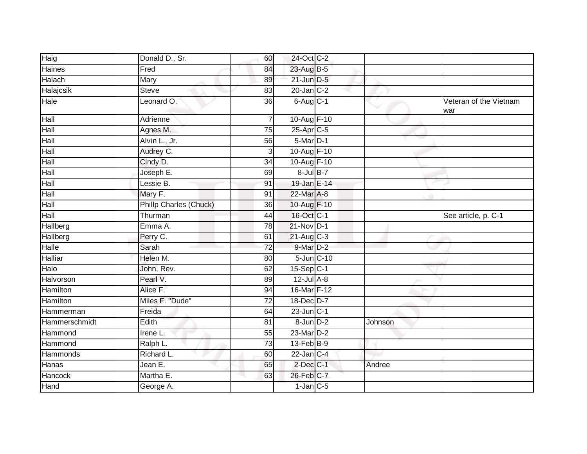| Haig          | Donald D., Sr.                | 60              | 24-Oct C-2        |         |                               |
|---------------|-------------------------------|-----------------|-------------------|---------|-------------------------------|
| Haines        | Fred                          | 84              | 23-Aug B-5        |         |                               |
| Halach        | Mary                          | 89              | $21$ -Jun $D-5$   |         |                               |
| Halajcsik     | <b>Steve</b>                  | 83              | $20$ -Jan $C-2$   |         |                               |
| Hale          | Leonard O.                    | $\overline{36}$ | 6-Aug C-1         |         | Veteran of the Vietnam<br>war |
| Hall          | Adrienne                      | $\overline{7}$  | 10-Aug F-10       |         |                               |
| Hall          | Agnes M.                      | 75              | 25-Apr C-5        |         |                               |
| Hall          | Alvin L., Jr.                 | 56              | 5-Mar D-1         |         |                               |
| Hall          | Audrey C.                     | 3               | 10-Aug F-10       |         |                               |
| Hall          | Cindy D.                      | 34              | 10-Aug F-10       |         |                               |
| Hall          | Joseph E.                     | 69              | $8$ -Jul $B-7$    |         |                               |
| Hall          | Lessie B.                     | 91              | 19-Jan E-14       |         |                               |
| Hall          | Mary F.                       | 91              | 22-Mar A-8        |         |                               |
| Hall          | <b>Phillp Charles (Chuck)</b> | 36              | 10-Aug F-10       |         |                               |
| Hall          | Thurman                       | 44              | 16-Oct C-1        |         | See article, p. C-1           |
| Hallberg      | Emma A.                       | 78              | $21-Nov$ D-1      |         |                               |
| Hallberg      | Perry C.                      | 61              | $21-Aug$ $C-3$    |         |                               |
| $H$ alle      | Sarah                         | $\overline{72}$ | 9-Mar D-2         |         |                               |
| Halliar       | Helen M.                      | 80              | 5-Jun C-10        |         |                               |
| Halo          | John, Rev.                    | 62              | $15-Sep$ C-1      |         |                               |
| Halvorson     | Pearl V.                      | 89              | $12$ -Jul $A-8$   |         |                               |
| Hamilton      | Alice F.                      | 94              | 16-Mar F-12       |         |                               |
| Hamilton      | Miles F. "Dude"               | $\overline{72}$ | 18-Dec D-7        |         |                               |
| Hammerman     | Freida                        | 64              | $23$ -Jun $ C-1 $ |         |                               |
| Hammerschmidt | Edith                         | 81              | $8$ -Jun $D-2$    | Johnson |                               |
| Hammond       | Irene L.                      | 55              | 23-Mar D-2        |         |                               |
| Hammond       | Ralph L.                      | $\overline{73}$ | 13-Feb B-9        |         |                               |
| Hammonds      | Richard L.                    | 60              | $22$ -Jan $C-4$   |         |                               |
| Hanas         | Jean E.                       | 65              | $2$ -Dec $C-1$    | Andree  |                               |
| Hancock       | Martha E.                     | 63              | 26-Feb C-7        |         |                               |
| Hand          | George A.                     |                 | $1$ -Jan $C-5$    |         |                               |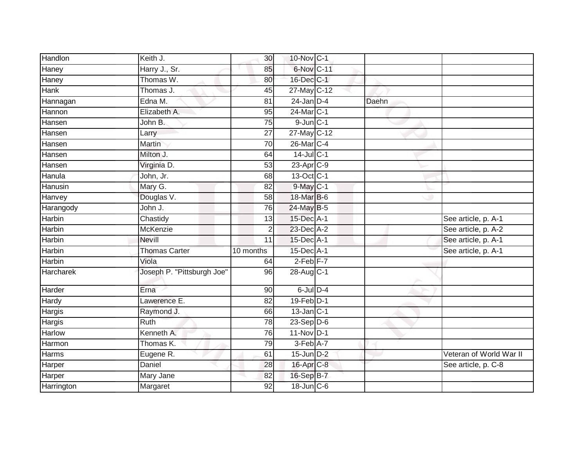| Handlon       | Keith J.                   | 30              | 10-Nov C-1              |       |                         |
|---------------|----------------------------|-----------------|-------------------------|-------|-------------------------|
| Haney         | Harry J., Sr.              | 85              | 6-Nov C-11              |       |                         |
| Haney         | Thomas W.                  | 80              | 16-Dec C-1              |       |                         |
| Hank          | Thomas J.                  | 45              | 27-May C-12             |       |                         |
| Hannagan      | Edna M.                    | $\overline{81}$ | $24$ -Jan D-4           | Daehn |                         |
| Hannon        | Elizabeth A.               | 95              | 24-Mar C-1              |       |                         |
| Hansen        | John B.                    | 75              | $9$ -Jun $C-1$          |       |                         |
| Hansen        | Larry                      | 27              | 27-May C-12             |       |                         |
| Hansen        | Martin                     | 70              | 26-Mar C-4              |       |                         |
| Hansen        | Milton J.                  | 64              | $14$ -Jul C-1           |       |                         |
| Hansen        | Virginia D.                | 53              | 23-Apr C-9              |       |                         |
| Hanula        | John, Jr.                  | 68              | $13-Oct$ <sub>C-1</sub> |       |                         |
| Hanusin       | Mary G.                    | 82              | $9$ -May $C-1$          |       |                         |
| Hanvey        | Douglas V.                 | 58              | 18-Mar B-6              |       |                         |
| Harangody     | John J.                    | $\overline{76}$ | 24-May B-5              |       |                         |
| <b>Harbin</b> | Chastidy                   | 13              | 15-Dec A-1              |       | See article, p. A-1     |
| <b>Harbin</b> | McKenzie                   | $\overline{c}$  | 23-Dec A-2              |       | See article, p. A-2     |
| Harbin        | <b>Nevill</b>              | 11              | $15$ -Dec $A-1$         |       | See article, p. A-1     |
| Harbin        | <b>Thomas Carter</b>       | 10 months       | 15-Dec A-1              |       | See article, p. A-1     |
| <b>Harbin</b> | Viola                      | 64              | $2-Feb$ $F-7$           |       |                         |
| Harcharek     | Joseph P. "Pittsburgh Joe" | 96              | 28-Aug C-1              |       |                         |
| Harder        | Erna                       | 90              | $6$ -Jul $D-4$          |       |                         |
| Hardy         | Lawerence E.               | 82              | $19$ -Feb $D-1$         |       |                         |
| Hargis        | Raymond J.                 | 66              | $13$ -Jan $ C-1 $       |       |                         |
| Hargis        | <b>Ruth</b>                | 78              | $23-Sep$ D-6            |       |                         |
| Harlow        | Kenneth A.                 | 76              | 11-Nov D-1              |       |                         |
| Harmon        | Thomas K.                  | 79              | 3-Feb A-7               |       |                         |
| Harms         | Eugene R.                  | 61              | $15$ -Jun $D-2$         |       | Veteran of World War II |
| Harper        | Daniel                     | 28              | 16-Apr <sub>C-8</sub>   |       | See article, p. C-8     |
| Harper        | Mary Jane                  | 82              | 16-Sep B-7              |       |                         |
| Harrington    | Margaret                   | 92              | $18$ -Jun $C$ -6        |       |                         |
|               |                            |                 |                         |       |                         |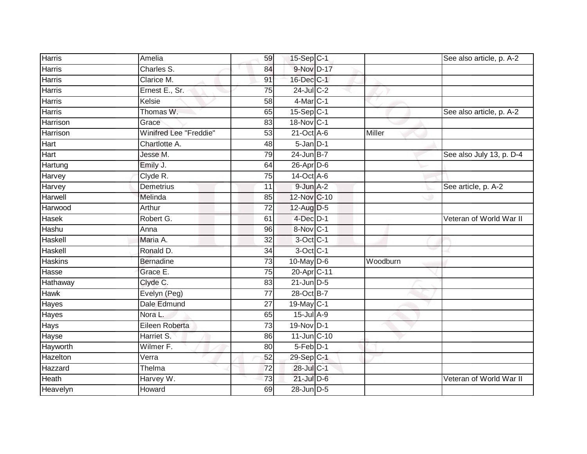| <b>Harris</b>  | Amelia                        | 59              | 15-Sep C-1             |          | See also article, p. A-2 |
|----------------|-------------------------------|-----------------|------------------------|----------|--------------------------|
| Harris         | Charles S.                    | 84              | 9-Nov D-17             |          |                          |
| <b>Harris</b>  | Clarice M.                    | 91              | 16-Dec C-1             |          |                          |
| Harris         | Ernest E., Sr.                | 75              | 24-Jul C-2             |          |                          |
| Harris         | Kelsie                        | 58              | $4$ -Mar $C-1$         |          |                          |
| Harris         | Thomas W.                     | 65              | 15-Sep C-1             |          | See also article, p. A-2 |
| Harrison       | Grace                         | 83              | 18-Nov C-1             |          |                          |
| Harrison       | <b>Winifred Lee "Freddie"</b> | 53              | $21$ -Oct $A-6$        | Miller   |                          |
| Hart           | Chartlotte A.                 | 48              | $5 - Jan$ $D-1$        |          |                          |
| Hart           | Jesse M.                      | 79              | $24$ -Jun B-7          |          | See also July 13, p. D-4 |
| Hartung        | Emily J.                      | 64              | 26-Apr D-6             |          |                          |
| Harvey         | Clyde R.                      | 75              | 14-Oct A-6             |          |                          |
| Harvey         | <b>Demetrius</b>              | 11              | 9-Jun A-2              |          | See article, p. A-2      |
| Harwell        | Melinda                       | 85              | 12-Nov C-10            |          |                          |
| Harwood        | Arthur                        | $\overline{72}$ | 12-Aug D-5             |          |                          |
| Hasek          | Robert G.                     | 61              | $4$ -Dec $D-1$         |          | Veteran of World War II  |
| Hashu          | Anna                          | 96              | 8-Nov C-1              |          |                          |
| Haskell        | Maria A.                      | $\overline{32}$ | $3$ -Oct C-1           |          |                          |
| Haskell        | Ronald D.                     | 34              | 3-Oct C-1              |          |                          |
| <b>Haskins</b> | <b>Bernadine</b>              | 73              | $10$ -May $D-6$        | Woodburn |                          |
| Hasse          | Grace E.                      | 75              | 20-Apr <sub>C-11</sub> |          |                          |
| Hathaway       | Clyde C.                      | 83              | $21$ -Jun $D-5$        |          |                          |
| <b>Hawk</b>    | Evelyn (Peg)                  | 77              | 28-Oct B-7             |          |                          |
| Hayes          | Dale Edmund                   | 27              | 19-May C-1             |          |                          |
| Hayes          | Nora L.                       | 65              | 15-Jul A-9             |          |                          |
| Hays           | Eileen Roberta                | 73              | 19-Nov D-1             |          |                          |
| Hayse          | Harriet S.                    | 86              | 11-Jun C-10            |          |                          |
| Hayworth       | Wilmer F.                     | 80              | 5-Feb D-1              |          |                          |
| Hazelton       | Verra                         | 52              | 29-Sep C-1             |          |                          |
| Hazzard        | Thelma                        | $\overline{72}$ | 28-Jul C-1             |          |                          |
| Heath          | Harvey W.                     | 73              | $21$ -Jul D-6          |          | Veteran of World War II  |
| Heavelyn       | Howard                        | 69              | 28-Jun D-5             |          |                          |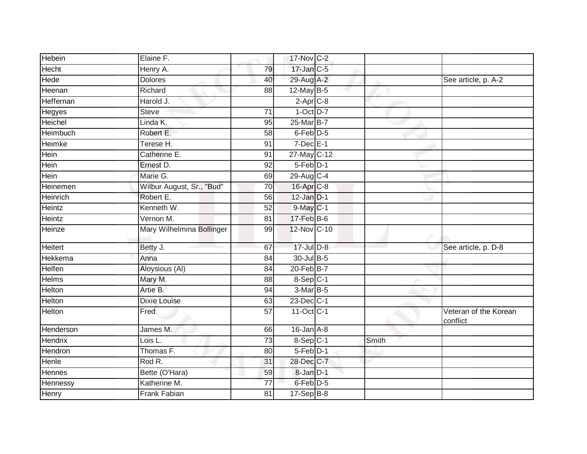| Hebein        | Elaine F.                 |                 | 17-Nov C-2             |       |                                   |
|---------------|---------------------------|-----------------|------------------------|-------|-----------------------------------|
| Hecht         | Henry A.                  | 79              | 17-Jan C-5             |       |                                   |
| Hede          | <b>Dolores</b>            | 40              | 29-Aug A-2             |       | See article, p. A-2               |
| Heenan        | Richard                   | 88              | $12$ -May B-5          |       |                                   |
| Heffernan     | Harold J.                 |                 | $2-Apr$ $C-8$          |       |                                   |
| Hegyes        | <b>Steve</b>              | $\overline{71}$ | $1-Oct$ $D-7$          |       |                                   |
| Heichel       | Linda K.                  | 95              | 25-Mar B-7             |       |                                   |
| Heimbuch      | Robert E.                 | 58              | 6-Feb D-5              |       |                                   |
| Heimke        | Terese H.                 | 91              | $7$ -Dec $E-1$         |       |                                   |
| Hein          | Catherine E.              | 91              | 27-May C-12            |       |                                   |
| Hein          | Ernest D.                 | 92              | $5-Feb$ $D-1$          |       |                                   |
| Hein          | Marie G.                  | 69              | 29-Aug C-4             |       |                                   |
| Heinemen      | Wilbur August, Sr., "Bud" | 70              | 16-Apr C-8             |       |                                   |
| Heinrich      | Robert E.                 | 56              | $12$ -Jan $D-1$        |       |                                   |
| Heintz        | Kenneth W.                | 52              | 9-May C-1              |       |                                   |
| Heintz        | Vernon M.                 | 81              | $17 - Feb$ $B-6$       |       |                                   |
| Heinze        | Mary Wilhelmina Bollinger | 99              | 12-Nov C-10            |       |                                   |
| Heitert       | Betty J.                  | 67              | 17-Jul D-8             |       | See article, p. D-8               |
| Hekkema       | Anna                      | 84              | 30-Jul B-5             |       |                                   |
| Helfen        | Aloysious (AI)            | 84              | 20-Feb B-7             |       |                                   |
| Helms         | Mary M.                   | 88              | $8-$ Sep $ C-1 $       |       |                                   |
| Helton        | Artie B.                  | 94              | 3-Mar B-5              |       |                                   |
| Helton        | <b>Dixie Louise</b>       | 63              | 23-Dec C-1             |       |                                   |
| Helton        | Fred                      | 57              | 11-Oct C-1             |       | Veteran of the Korean<br>conflict |
| Henderson     | James M.                  | 66              | $16$ -Jan $A-8$        |       |                                   |
| Hendrix       | Lois L.                   | $\overline{73}$ | $8-Sep$ <sub>C-1</sub> | Smith |                                   |
| Hendron       | Thomas F.                 | 80              | 5-Feb D-1              |       |                                   |
| Henle         | Rod R.                    | 31              | 28-Dec C-7             |       |                                   |
| <b>Hennes</b> | Bette (O'Hara)            | 59              | 8-Jan D-1              |       |                                   |
| Hennessy      | Katherine M.              | 77              | 6-Feb D-5              |       |                                   |
| Henry         | Frank Fabian              | 81              | $17-Sep$ B-8           |       |                                   |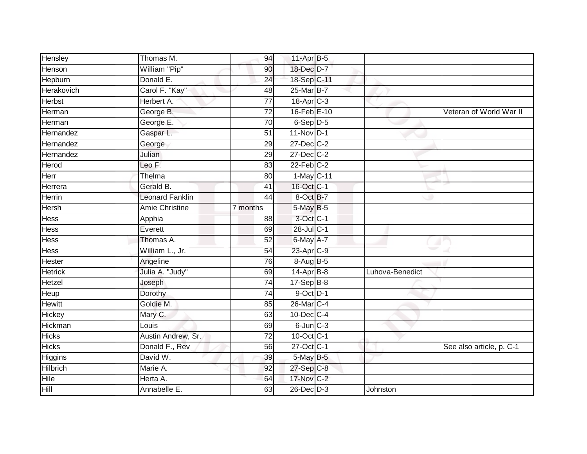| Hensley         | Thomas M.             | 94              | 11-Apr B-5            |                 |                          |
|-----------------|-----------------------|-----------------|-----------------------|-----------------|--------------------------|
| Henson          | William "Pip"         | 90              | 18-Dec D-7            |                 |                          |
| Hepburn         | Donald E.             | 24              | 18-Sep C-11           |                 |                          |
| Herakovich      | Carol F. "Kay"        | 48              | 25-Mar B-7            |                 |                          |
| <b>Herbst</b>   | Herbert A.            | $\overline{77}$ | 18-Apr <sub>C-3</sub> |                 |                          |
| Herman          | George B.             | $\overline{72}$ | 16-Feb E-10           |                 | Veteran of World War II  |
| Herman          | George E.             | 70              | 6-Sep D-5             |                 |                          |
| Hernandez       | Gaspar L.             | 51              | 11-Nov D-1            |                 |                          |
| Hernandez       | George                | $\overline{29}$ | $27 - Dec$ $C-2$      |                 |                          |
| Hernandez       | <b>Julian</b>         | 29              | 27-Dec C-2            |                 |                          |
| Herod           | Leo F.                | 83              | $22$ -Feb $C-2$       |                 |                          |
| Herr            | Thelma                | 80              | 1-May C-11            |                 |                          |
| Herrera         | Gerald B.             | 41              | 16-Oct C-1            |                 |                          |
| Herrin          | Leonard Fanklin       | 44              | 8-Oct B-7             |                 |                          |
| <b>Hersh</b>    | <b>Amie Christine</b> | 7 months        | 5-May B-5             |                 |                          |
| Hess            | Apphia                | 88              | 3-Oct C-1             |                 |                          |
| <b>Hess</b>     | Everett               | 69              | 28-Jul C-1            |                 |                          |
| <b>Hess</b>     | Thomas A.             | 52              | 6-May A-7             |                 |                          |
| <b>Hess</b>     | William L., Jr.       | 54              | 23-Apr C-9            |                 |                          |
| Hester          | Angeline              | 76              | 8-Aug B-5             |                 |                          |
| <b>Hetrick</b>  | Julia A. "Judy"       | 69              | $14$ -Apr $B-8$       | Luhova-Benedict |                          |
| Hetzel          | Joseph                | 74              | $17-Sep$ B-8          |                 |                          |
| Heup            | Dorothy               | 74              | $9$ -Oct $D-1$        |                 |                          |
| <b>Hewitt</b>   | Goldie M.             | 85              | 26-Mar C-4            |                 |                          |
| Hickey          | Mary C.               | 63              | 10-Dec C-4            |                 |                          |
| Hickman         | Louis                 | 69              | $6$ -Jun $C-3$        |                 |                          |
| <b>Hicks</b>    | Austin Andrew, Sr.    | $\overline{72}$ | 10-Oct C-1            |                 |                          |
| <b>Hicks</b>    | Donald F., Rev        | 56              | 27-Oct C-1            |                 | See also article, p. C-1 |
| Higgins         | David W.              | 39              | 5-May B-5             |                 |                          |
| <b>Hilbrich</b> | Marie A.              | 92              | 27-Sep C-8            |                 |                          |
| Hile            | Herta A.              | 64              | 17-Nov C-2            |                 |                          |
| <b>Hill</b>     | Annabelle E.          | 63              | $26$ -Dec $D-3$       | Johnston        |                          |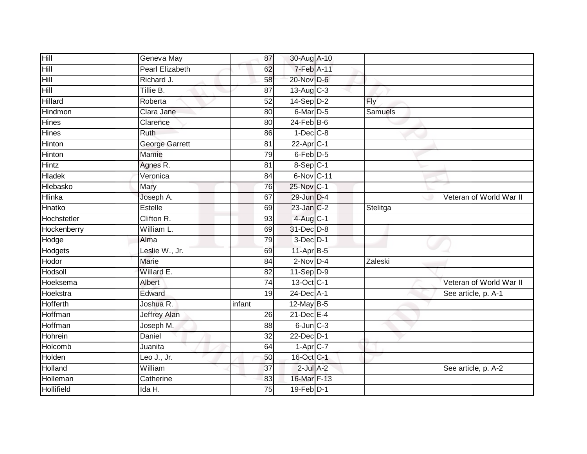| Hill              | Geneva May            | 87              | 30-Aug A-10             |            |                         |
|-------------------|-----------------------|-----------------|-------------------------|------------|-------------------------|
| Hill              | Pearl Elizabeth       | 62              | 7-Feb A-11              |            |                         |
| Hill              | Richard J.            | 58              | 20-Nov D-6              |            |                         |
| Hill              | Tillie B.             | 87              | $13-Aug$ <sub>C-3</sub> |            |                         |
| <b>Hillard</b>    | Roberta               | $\overline{52}$ | $14-Sep$ D-2            | <b>Fly</b> |                         |
| Hindmon           | Clara Jane            | 80              | 6-Mar D-5               | Samuels    |                         |
| <b>Hines</b>      | Clarence              | 80              | $24$ -Feb $B$ -6        |            |                         |
| Hines             | Ruth                  | 86              | $1-Dec$ $C-8$           |            |                         |
| Hinton            | <b>George Garrett</b> | 81              | $22$ -Apr $C-1$         |            |                         |
| Hinton            | Mamie                 | 79              | 6-Feb <sup>D-5</sup>    |            |                         |
| Hintz             | Agnes R.              | 81              | 8-Sep C-1               |            |                         |
| <b>Hladek</b>     | Veronica              | 84              | 6-Nov C-11              |            |                         |
| Hlebasko          | Mary                  | 76              | 25-Nov C-1              |            |                         |
| <b>Hlinka</b>     | Joseph A.             | 67              | 29-Jun D-4              |            | Veteran of World War II |
| Hnatko            | <b>Estelle</b>        | 69              | 23-Jan C-2              | Stelitga   |                         |
| Hochstetler       | Clifton R.            | 93              | $4$ -Aug C-1            |            |                         |
| Hockenberry       | William L.            | 69              | 31-Dec D-8              |            |                         |
| Hodge             | Alma                  | 79              | $3$ -Dec $D-1$          |            |                         |
| Hodgets           | Leslie W., Jr.        | 69              | 11-Apr B-5              |            |                         |
| Hodor             | Marie                 | 84              | $2$ -Nov $D-4$          | Zaleski    |                         |
| Hodsoll           | Willard E.            | 82              | $11-Sep$ D-9            |            |                         |
| Hoeksema          | Albert                | 74              | 13-Oct C-1              |            | Veteran of World War II |
| Hoekstra          | Edward                | 19              | 24-Dec A-1              |            | See article, p. A-1     |
| <b>Hofferth</b>   | Joshua R.             | infant          | 12-May B-5              |            |                         |
| Hoffman           | <b>Jeffrey Alan</b>   | 26              | $21$ -Dec $E-4$         |            |                         |
| Hoffman           | Joseph M.             | 88              | $6$ -Jun $C-3$          |            |                         |
| Hohrein           | Daniel                | 32              | 22-Dec D-1              |            |                         |
| Holcomb           | Juanita               | 64              | $1-AprC-7$              |            |                         |
| Holden            | Leo J., Jr.           | 50              | 16-Oct C-1              |            |                         |
| Holland           | William               | 37              | $2$ -Jul $A-2$          |            | See article, p. A-2     |
| Holleman          | Catherine             | 83              | 16-Mar F-13             |            |                         |
| <b>Hollifield</b> | Ida H.                | 75              | 19-Feb D-1              |            |                         |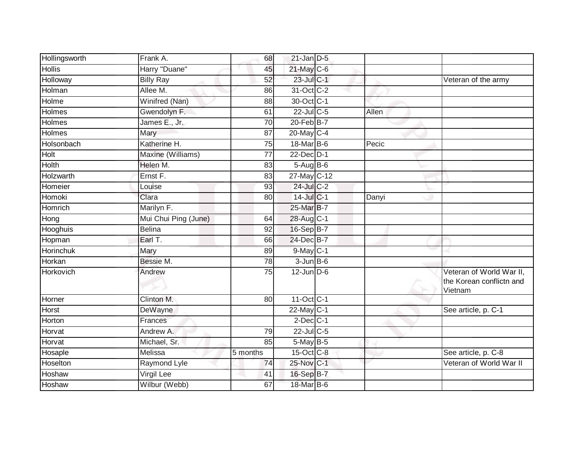| Hollingsworth | Frank A.              | 68              | $21$ -Jan D-5    |       |                                                                        |
|---------------|-----------------------|-----------------|------------------|-------|------------------------------------------------------------------------|
| <b>Hollis</b> | Harry "Duane"         | 45              | 21-May C-6       |       |                                                                        |
| Holloway      | <b>Billy Ray</b>      | 52              | 23-Jul C-1       |       | Veteran of the army                                                    |
| Holman        | Allee M.              | 86              | 31-Oct C-2       |       |                                                                        |
| Holme         | <b>Winifred (Nan)</b> | 88              | 30-Oct C-1       |       |                                                                        |
| Holmes        | Gwendolyn F.          | 61              | 22-Jul C-5       | Allen |                                                                        |
| Holmes        | James E., Jr.         | 70              | $20$ -Feb $B$ -7 |       |                                                                        |
| <b>Holmes</b> | Mary                  | 87              | 20-May C-4       |       |                                                                        |
| Holsonbach    | Katherine H.          | 75              | 18-Mar B-6       | Pecic |                                                                        |
| Holt          | Maxine (Williams)     | 77              | 22-Dec D-1       |       |                                                                        |
| <b>Holth</b>  | Helen M.              | 83              | $5-Aug$ B-6      |       |                                                                        |
| Holzwarth     | Ernst F.              | 83              | 27-May C-12      |       |                                                                        |
| Homeier       | Louise                | 93              | $24$ -Jul C-2    |       |                                                                        |
| Homoki        | Clara                 | 80              | $14$ -Jul C-1    | Danyi |                                                                        |
| Homrich       | Marilyn F.            |                 | 25-Mar B-7       |       |                                                                        |
| Hong          | Mui Chui Ping (June)  | 64              | 28-Aug C-1       |       |                                                                        |
| Hooghuis      | <b>Belina</b>         | 92              | 16-Sep B-7       |       |                                                                        |
| Hopman        | Earl T.               | 66              | 24-Dec B-7       |       |                                                                        |
| Horinchuk     | Mary                  | 89              | $9$ -May $ C-1 $ |       |                                                                        |
| Horkan        | Bessie M.             | $\overline{78}$ | $3 - Jun$ B-6    |       |                                                                        |
| Horkovich     | Andrew                | 75              | $12$ -Jun $D-6$  |       | Veteran of World War II,<br>the Korean conflictn and<br><b>Vietnam</b> |
| Horner        | Clinton M.            | 80              | $11$ -Oct C-1    |       |                                                                        |
| Horst         | <b>DeWayne</b>        |                 | $22$ -May C-1    |       | See article, p. C-1                                                    |
| Horton        | Frances               |                 | $2$ -Dec $C-1$   |       |                                                                        |
| Horvat        | Andrew A.             | 79              | $22$ -Jul C-5    |       |                                                                        |
| Horvat        | Michael, Sr.          | 85              | $5$ -May $B-5$   |       |                                                                        |
| Hosaple       | Melissa               | 5 months        | $15$ -Oct $C$ -8 |       | See article, p. C-8                                                    |
| Hoselton      | <b>Raymond Lyle</b>   | 74              | 25-Nov C-1       |       | Veteran of World War II                                                |
| Hoshaw        | Virgil Lee            | 41              | 16-Sep B-7       |       |                                                                        |
| Hoshaw        | Wilbur (Webb)         | 67              | 18-Mar B-6       |       |                                                                        |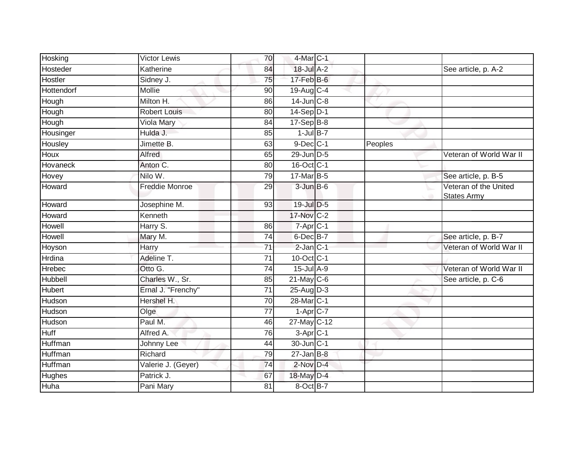| Hosking       | <b>Victor Lewis</b>   | 70              | 4-Mar C-1         |         |                                                  |
|---------------|-----------------------|-----------------|-------------------|---------|--------------------------------------------------|
| Hosteder      | Katherine             | 84              | 18-Jul A-2        |         | See article, p. A-2                              |
| Hostler       | Sidney J.             | 75              | $17$ -Feb $B$ -6  |         |                                                  |
| Hottendorf    | Mollie                | 90              | 19-Aug C-4        |         |                                                  |
| Hough         | Milton H.             | 86              | $14$ -Jun $C-8$   |         |                                                  |
| Hough         | <b>Robert Louis</b>   | 80              | 14-Sep D-1        |         |                                                  |
| Hough         | Viola Mary            | 84              | $17-Sep$ B-8      |         |                                                  |
| Housinger     | Hulda J.              | 85              | $1$ -Jul B-7      |         |                                                  |
| Housley       | Jimette B.            | 63              | $9$ -Dec $C-1$    | Peoples |                                                  |
| Houx          | Alfred                | 65              | 29-Jun D-5        |         | Veteran of World War II                          |
| Hovaneck      | Anton C.              | 80              | 16-Oct C-1        |         |                                                  |
| Hovey         | Nilo W.               | 79              | $17$ -Mar $B-5$   |         | See article, p. B-5                              |
| Howard        | <b>Freddie Monroe</b> | 29              | $3$ -Jun $B$ -6   |         | Veteran of the United<br><b>States Army</b><br>a |
| Howard        | Josephine M.          | 93              | 19-Jul D-5        |         |                                                  |
| Howard        | Kenneth               |                 | 17-Nov C-2        |         |                                                  |
| Howell        | Harry S.              | 86              | $7-Apr$ $C-1$     |         |                                                  |
| Howell        | Mary M.               | 74              | 6-Dec B-7         |         | See article, p. B-7                              |
| Hoyson        | Harry                 | 71              | $2$ -Jan $C-1$    |         | Veteran of World War II                          |
| Hrdina        | Adeline T.            | 71              | $10$ -Oct $ C-1 $ |         |                                                  |
| <b>Hrebec</b> | Otto G.               | 74              | $15$ -Jul $A-9$   |         | Veteran of World War II                          |
| Hubbell       | Charles W., Sr.       | 85              | $21$ -May C-6     |         | See article, p. C-6                              |
| <b>Hubert</b> | Ernal J. "Frenchy"    | $\overline{71}$ | $25$ -AugD-3      |         |                                                  |
| Hudson        | Hershel H.            | 70              | 28-Mar C-1        |         |                                                  |
| Hudson        | Olge                  | 77              | $1-Apr$ C-7       |         |                                                  |
| Hudson        | Paul M.               | 46              | 27-May C-12       |         |                                                  |
| <b>Huff</b>   | Alfred A.             | 76              | 3-Apr C-1         |         |                                                  |
| Huffman       | Johnny Lee            | 44              | 30-Jun C-1        |         |                                                  |
| Huffman       | Richard               | 79              | $27$ -Jan B-8     |         |                                                  |
| Huffman       | Valerie J. (Geyer)    | 74              | $2$ -Nov $D-4$    |         |                                                  |
| Hughes        | Patrick J.            | 67              | 18-May D-4        |         |                                                  |
| Huha          | Pani Mary             | 81              | 8-Oct B-7         |         |                                                  |
|               |                       |                 |                   |         |                                                  |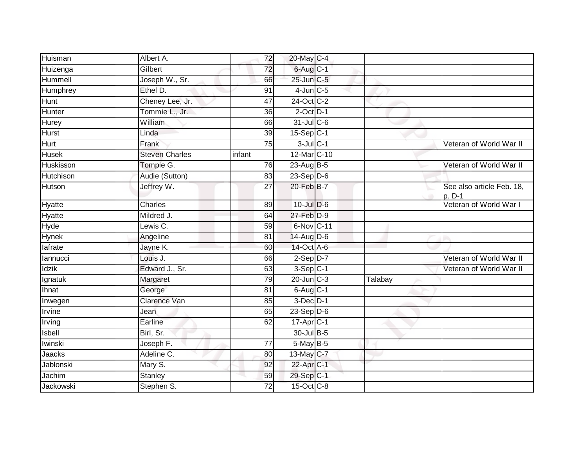| Huisman       | Albert A.             | 72     | 20-May C-4            |               |                                     |
|---------------|-----------------------|--------|-----------------------|---------------|-------------------------------------|
| Huizenga      | Gilbert               | 72     | $6$ -Aug $C$ -1       |               |                                     |
| Hummell       | Joseph W., Sr.        | 66     | 25-Jun C-5            |               |                                     |
| Humphrey      | Ethel D.              | 91     | $4$ -Jun $C$ -5       |               |                                     |
| Hunt          | Cheney Lee, Jr.       | 47     | 24-Oct C-2            |               |                                     |
| Hunter        | Tommie L., Jr.        | 36     | $2$ -Oct $D-1$        |               |                                     |
| Hurey         | <b>William</b>        | 66     | 31-Jul C-6            |               |                                     |
| <b>Hurst</b>  | Linda                 | 39     | 15-Sep C-1            |               |                                     |
| <b>Hurt</b>   | Frank                 | 75     | $3$ -Jul $C-1$        |               | Veteran of World War II             |
| <b>Husek</b>  | <b>Steven Charles</b> | infant | 12-Mar C-10           |               |                                     |
| Huskisson     | Tompie G.             | 76     | $23$ -Aug $B-5$       |               | Veteran of World War II             |
| Hutchison     | Audie (Sutton)        | 83     | $23-Sep$ D-6          |               |                                     |
| Hutson        | Jeffrey W.            | 27     | 20-Feb B-7            | $\rightarrow$ | See also article Feb. 18,<br>p. D-1 |
| Hyatte        | Charles               | 89     | 10-Jul D-6            |               | Veteran of World War I              |
| <b>Hyatte</b> | Mildred J.            | 64     | 27-Feb D-9            |               |                                     |
| Hyde          | Lewis C.              | 59     | 6-Nov C-11            |               |                                     |
| Hynek         | Angeline              | 81     | 14-Aug D-6            |               |                                     |
| lafrate       | Jayne K.              | 60     | 14-Oct A-6            |               |                                     |
| lannucci      | Louis J.              | 66     | $2-SepD-7$            |               | Veteran of World War II             |
| <b>Idzik</b>  | Edward J., Sr.        | 63     | $3-Sep$ C-1           |               | Veteran of World War II             |
| Ignatuk       | Margaret              | 79     | 20-Jun C-3            | Talabay       |                                     |
| Ihnat         | George                | 81     | $6$ -Aug $C-1$        |               |                                     |
| Inwegen       | Clarence Van          | 85     | $3-Dec$ $D-1$         |               |                                     |
| Irvine        | Jean                  | 65     | 23-Sep D-6            |               |                                     |
| Irving        | Earline               | 62     | 17-Apr <sub>C-1</sub> |               |                                     |
| Isbell        | Birl, Sr.             |        | 30-Jul B-5            |               |                                     |
| Iwinski       | Joseph F.             | 77     | 5-May B-5             |               |                                     |
| Jaacks        | Adeline C.            | 80     | 13-May C-7            |               |                                     |
| Jablonski     | Mary S.               | 92     | 22-Apr C-1            |               |                                     |
| Jachim        | <b>Stanley</b>        | 59     | 29-Sep C-1            |               |                                     |
| Jackowski     | Stephen S.            | 72     | 15-Oct C-8            |               |                                     |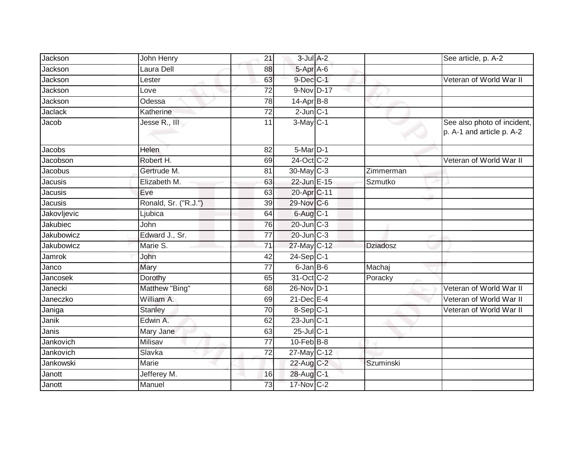| Jackson           | John Henry           | 21              | $3$ -Jul $A-2$    |                 | See article, p. A-2                                      |
|-------------------|----------------------|-----------------|-------------------|-----------------|----------------------------------------------------------|
| Jackson           | Laura Dell           | 88              | 5-Apr A-6         |                 |                                                          |
| Jackson           | Lester               | 63              | $9$ -Dec $C-1$    |                 | Veteran of World War II                                  |
| Jackson           | Love                 | 72              | 9-Nov D-17        |                 |                                                          |
| Jackson           | Odessa               | $\overline{78}$ | $14$ -Apr $B-8$   |                 |                                                          |
| <b>Jaclack</b>    | Katherine            | 72              | $2$ -Jun $C-1$    |                 |                                                          |
| Jacob             | Jesse R., III        | 11              | $3-May$ C-1       |                 | See also photo of incident,<br>p. A-1 and article p. A-2 |
| Jacobs            | Helen                | 82              | 5-Mar D-1         |                 |                                                          |
| Jacobson          | Robert H.            | 69              | 24-Oct C-2        |                 | Veteran of World War II                                  |
| Jacobus           | Gertrude M.          | 81              | $30$ -May C-3     | Zimmerman       |                                                          |
| Jacusis           | Elizabeth M.         | 63              | 22-Jun E-15       | Szmutko         |                                                          |
| Jacusis           | Eve                  | 63              | 20-Apr C-11       |                 |                                                          |
| Jacusis           | Ronald, Sr. ("R.J.") | 39              | 29-Nov C-6        |                 |                                                          |
| Jakovljevic       | Ljubica              | 64              | 6-Aug C-1         |                 |                                                          |
| Jakubiec          | John                 | 76              | 20-Jun C-3        |                 |                                                          |
| <b>Jakubowicz</b> | Edward J., Sr.       | $\overline{77}$ | 20-Jun C-3        |                 |                                                          |
| Jakubowicz        | Marie S.             | $\overline{71}$ | 27-May C-12       | <b>Dziadosz</b> |                                                          |
| Jamrok            | John                 | 42              | $24-Sep$ C-1      |                 |                                                          |
| Janco             | Mary                 | 77              | $6$ -Jan B-6      | Machaj          |                                                          |
| Jancosek          | Dorothy              | 65              | 31-Oct C-2        | Poracky         |                                                          |
| Janecki           | Matthew "Bing"       | 68              | 26-Nov D-1        |                 | Veteran of World War II                                  |
| Janeczko          | William A.           | 69              | $21$ -Dec $E-4$   |                 | Veteran of World War II                                  |
| Janiga            | <b>Stanley</b>       | $\overline{70}$ | $8-Sep$ C-1       |                 | Veteran of World War II                                  |
| Janik             | Edwin A.             | 62              | $23$ -Jun $ C-1 $ |                 |                                                          |
| Janis             | Mary Jane            | 63              | 25-Jul C-1        |                 |                                                          |
| Jankovich         | Milisav              | 77              | $10$ -Feb $B$ -8  |                 |                                                          |
| Jankovich         | Slavka               | $\overline{72}$ | 27-May C-12       |                 |                                                          |
| Jankowski         | <b>Marie</b>         |                 | 22-Aug C-2        | Szuminski       |                                                          |
| Janott            | Jefferey M.          | 16              | 28-Aug C-1        |                 |                                                          |
| Janott            | Manuel               | 73              | $17$ -Nov $ C-2 $ |                 |                                                          |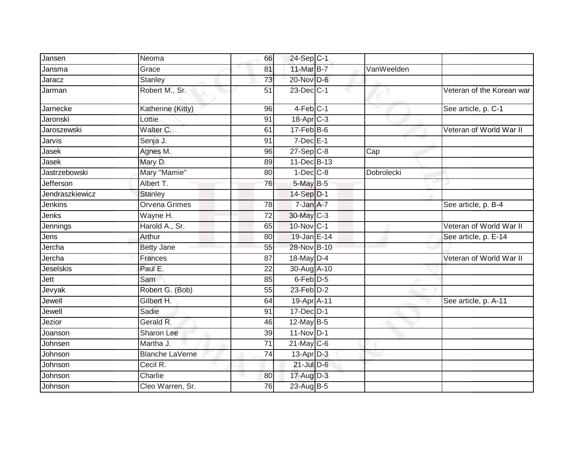| Jansen           | Neoma                  | 66 | 24-Sep C-1              |            |                           |
|------------------|------------------------|----|-------------------------|------------|---------------------------|
| Jansma           | Grace                  | 81 | 11-Mar B-7              | VanWeelden |                           |
| Jaracz           | <b>Stanley</b>         | 73 | 20-Nov D-6              |            |                           |
| Jarman           | Robert M., Sr.         | 51 | $23$ -Dec $C-1$         |            | Veteran of the Korean war |
| Jarnecke         | Katherine (Kitty)      | 96 | $4-Feb$ C-1             |            | See article, p. C-1       |
| Jaronski         | Lottie                 | 91 | $18-Apr$ $C-3$          |            |                           |
| Jaroszewski      | Walter C.              | 61 | $17$ -Feb $B$ -6        |            | Veteran of World War II   |
| Jarvis           | Senja J.               | 91 | $7$ -Dec $E-1$          |            |                           |
| Jasek            | Agnes M.               | 96 | $27-Sep$ <sub>C-8</sub> | Cap        |                           |
| Jasek            | Mary D.                | 89 | 11-Dec B-13             |            |                           |
| Jastrzebowski    | Mary "Mamie"           | 80 | $1-Dec$ $C-8$           | Dobrolecki |                           |
| Jefferson        | Albert T.              | 76 | 5-May B-5               |            |                           |
| Jendraszkiewicz  | <b>Stanley</b>         |    | 14-Sep D-1              |            |                           |
| <b>Jenkins</b>   | <b>Orvena Grimes</b>   | 78 | $7$ -Jan $A$ -7         |            | See article, p. B-4       |
| Jenks            | Wayne H.               | 72 | 30-May C-3              |            |                           |
| Jennings         | Harold A., Sr.         | 65 | $10$ -Nov $ C-1 $       |            | Veteran of World War II   |
| Jens             | Arthur                 | 80 | 19-Jan E-14             |            | See article, p. E-14      |
| Jercha           | <b>Betty Jane</b>      | 55 | 28-Nov B-10             |            |                           |
| Jercha           | <b>Frances</b>         | 87 | 18-May $D-4$            |            | Veteran of World War II   |
| <b>Jeselskis</b> | Paul E.                | 22 | 30-Aug A-10             |            |                           |
| Jett             | Sam                    | 85 | 6-Feb <sup>D-5</sup>    |            |                           |
| Jevyak           | Robert G. (Bob)        | 55 | $23$ -Feb $D-2$         |            |                           |
| Jewell           | Gilbert H.             | 64 | 19-Apr A-11             |            | See article, p. A-11      |
| Jewell           | Sadie                  | 91 | 17-Dec D-1              |            |                           |
| Jezior           | Gerald R.              | 46 | $12$ -May B-5           |            |                           |
| Joanson          | Sharon Lee             | 39 | 11-Nov D-1              |            |                           |
| Johnsen          | Martha J.              | 71 | $21$ -May C-6           |            |                           |
| Johnson          | <b>Blanche LaVerne</b> | 74 | $13$ -Apr $D-3$         |            |                           |
| Johnson          | Cecil R.               |    | $21$ -Jul $D-6$         |            |                           |
| Johnson          | Charlie                | 80 | 17-Aug D-3              |            |                           |
| Johnson          | Cleo Warren, Sr.       | 76 | 23-Aug B-5              |            |                           |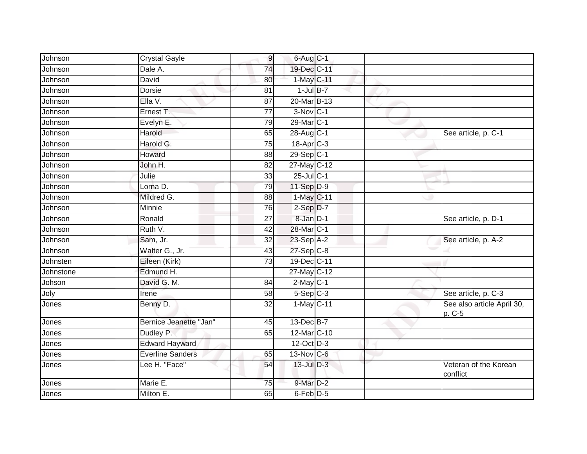| Johnson   | <b>Crystal Gayle</b>    | $\overline{9}$  | $6$ -Aug $C-1$          |  |                                      |
|-----------|-------------------------|-----------------|-------------------------|--|--------------------------------------|
| Johnson   | Dale A.                 | 74              | 19-Dec C-11             |  |                                      |
| Johnson   | David                   | 80              | 1-May C-11              |  |                                      |
| Johnson   | Dorsie                  | 81              | $1$ -Jul B-7            |  |                                      |
| Johnson   | Ella V.                 | $\overline{87}$ | 20-Mar B-13             |  |                                      |
| Johnson   | Ernest T.               | $\overline{77}$ | 3-Nov C-1               |  |                                      |
| Johnson   | Evelyn E.               | 79              | 29-Mar <sub>IC-1</sub>  |  |                                      |
| Johnson   | Harold                  | 65              | 28-Aug C-1              |  | See article, p. C-1                  |
| Johnson   | Harold G.               | 75              | 18-Apr C-3              |  |                                      |
| Johnson   | Howard                  | 88              | $29-Sep$ <sub>C-1</sub> |  |                                      |
| Johnson   | John H.                 | 82              | 27-May C-12             |  |                                      |
| Johnson   | Julie                   | 33              | $25$ -Jul $C-1$         |  |                                      |
| Johnson   | Lorna D.                | 79              | 11-Sep D-9              |  |                                      |
| Johnson   | Mildred G.              | 88              | 1-May C-11              |  |                                      |
| Johnson   | Minnie                  | 76              | $2-Sep D-7$             |  |                                      |
| Johnson   | Ronald                  | 27              | 8-Jan D-1               |  | See article, p. D-1                  |
| Johnson   | Ruth V.                 | 42              | 28-Mar C-1              |  |                                      |
| Johnson   | Sam, Jr.                | $\overline{32}$ | $23-Sep$ A-2            |  | See article, p. A-2                  |
| Johnson   | Walter G., Jr.          | 43              | $27-$ Sep $ C-8 $       |  |                                      |
| Johnsten  | Eileen (Kirk)           | $\overline{73}$ | 19-Dec C-11             |  |                                      |
| Johnstone | Edmund H.               |                 | 27-May C-12             |  |                                      |
| Johson    | David G. M.             | 84              | $2$ -May $C-1$          |  |                                      |
| Joly      | Irene                   | 58              | $5-Sep$ $C-3$           |  | See article, p. C-3                  |
| Jones     | Benny D.                | 32              | 1-May C-11              |  | See also article April 30,<br>p. C-5 |
| Jones     | Bernice Jeanette "Jan"  | 45              | 13-Dec B-7              |  |                                      |
| Jones     | Dudley P.               | 65              | 12-Mar C-10             |  |                                      |
| Jones     | <b>Edward Hayward</b>   |                 | 12-Oct D-3              |  |                                      |
| Jones     | <b>Everline Sanders</b> | 65              | 13-Nov C-6              |  |                                      |
| Jones     | Lee H. "Face"           | 54              | 13-Jul D-3              |  | Veteran of the Korean<br>conflict    |
| Jones     | Marie E.                | 75              | 9-Mar D-2               |  |                                      |
| Jones     | Milton E.               | 65              | 6-Feb D-5               |  |                                      |
|           |                         |                 |                         |  |                                      |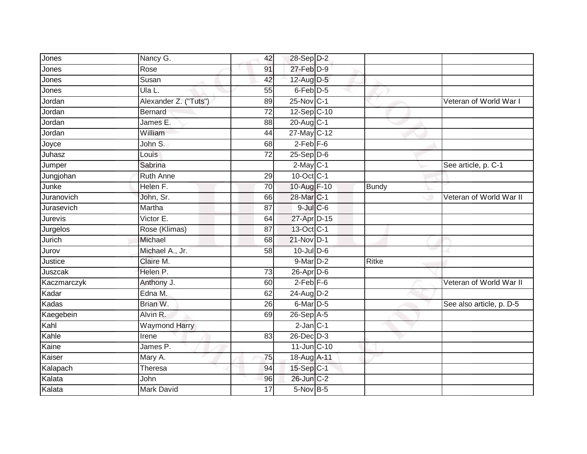| Jones       | Nancy G.              | 42              | 28-Sep D-2       |              |                          |
|-------------|-----------------------|-----------------|------------------|--------------|--------------------------|
| Jones       | Rose                  | 91              | $27$ -Feb $D-9$  |              |                          |
| Jones       | Susan                 | 42              | 12-Aug D-5       |              |                          |
| Jones       | Ula L.                | 55              | 6-Feb D-5        |              |                          |
| Jordan      | Alexander Z. ("Tuts") | 89              | 25-Nov C-1       |              | Veteran of World War I   |
| Jordan      | <b>Bernard</b>        | $\overline{72}$ | 12-Sep C-10      |              |                          |
| Jordan      | James E.              | 88              | 20-Aug C-1       |              |                          |
| Jordan      | William               | 44              | 27-May C-12      |              |                          |
| Joyce       | John S.               | 68              | $2-Feb$ $F-6$    |              |                          |
| Juhasz      | Louis                 | $\overline{72}$ | $25 - Sep$ $D-6$ |              |                          |
| Jumper      | Sabrina               |                 | $2$ -May $ C-1 $ |              | See article, p. C-1      |
| Jungjohan   | <b>Ruth Anne</b>      | 29              | 10-Oct C-1       |              |                          |
| Junke       | Helen F.              | 70              | 10-Aug F-10      | <b>Bundy</b> |                          |
| Juranovich  | John, Sr.             | 66              | 28-Mar C-1       |              | Veteran of World War II  |
| Jurasevich  | Martha                | 87              | $9$ -Jul $C$ -6  |              |                          |
| Jurevis     | Victor E.             | 64              | 27-Apr D-15      |              |                          |
| Jurgelos    | Rose (Klimas)         | 87              | 13-Oct C-1       |              |                          |
| Jurich      | Michael               | 68              | 21-Nov D-1       |              |                          |
| Jurov       | Michael A., Jr.       | 58              | 10-Jul D-6       |              |                          |
| Justice     | Claire M.             |                 | $9$ -Mar $D-2$   | <b>Ritke</b> |                          |
| Juszcak     | Helen P.              | 73              | $26$ -Apr $D$ -6 |              |                          |
| Kaczmarczyk | Anthony J.            | 60              | $2$ -Feb $F-6$   |              | Veteran of World War II  |
| Kadar       | Edna M.               | 62              | 24-Aug D-2       |              |                          |
| Kadas       | Brian W.              | 26              | 6-Mar D-5        |              | See also article, p. D-5 |
| Kaegebein   | Alvin R.              | 69              | $26-SepA-5$      |              |                          |
| Kahl        | <b>Waymond Harry</b>  |                 | $2$ -Jan $C-1$   |              |                          |
| Kahle       | Irene                 | 83              | $26$ -Dec $D-3$  |              |                          |
| Kaine       | James P.              |                 | 11-Jun C-10      |              |                          |
| Kaiser      | Mary A.               | 75              | 18-Aug A-11      |              |                          |
| Kalapach    | Theresa               | 94              | $15-Sep$ C-1     |              |                          |
| Kalata      | John                  | 96              | 26-Jun C-2       |              |                          |
| Kalata      | <b>Mark David</b>     | 17              | $5-Nov$ B-5      |              |                          |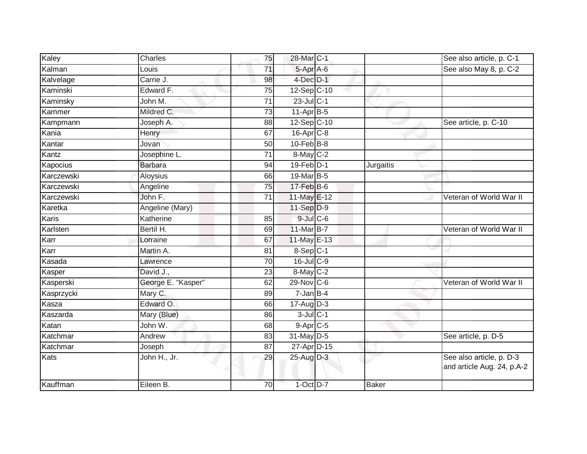| Kaley      | Charles            | 75              | 28-Mar C-1            |              | See also article, p. C-1                               |
|------------|--------------------|-----------------|-----------------------|--------------|--------------------------------------------------------|
| Kalman     | Louis              | 71              | 5-Apr A-6             |              | See also May 8, p. C-2                                 |
| Kalvelage  | Carrie J.          | 98              | $4$ -Dec $D-1$        |              |                                                        |
| Kaminski   | Edward F.          | 75              | 12-Sep C-10           |              |                                                        |
| Kaminsky   | John M.            | $\overline{71}$ | 23-Jul C-1            |              |                                                        |
| Kammer     | Mildred C.         | 73              | $11-Apr$ B-5          |              |                                                        |
| Kampmann   | Joseph A.          | 88              | $12-Sep$ C-10         |              | See article, p. C-10                                   |
| Kania      | Henry              | 67              | 16-Apr <sub>C-8</sub> |              |                                                        |
| Kantar     | Jovan              | 50              | $10$ -Feb $B$ -8      |              |                                                        |
| Kantz      | Josephine L.       | 71              | 8-May C-2             |              |                                                        |
| Kapocius   | <b>Barbara</b>     | 94              | $19$ -Feb $D-1$       | Jurgaitis    |                                                        |
| Karczewski | Aloysius           | 66              | 19-Mar B-5            |              |                                                        |
| Karczewski | Angeline           | 75              | 17-Feb B-6            |              |                                                        |
| Karczewski | John F.            | 71              | 11-May E-12           |              | Veteran of World War II                                |
| Karetka    | Angeline (Mary)    |                 | 11-Sep D-9            |              |                                                        |
| Karis      | Katherine          | 85              | $9$ -Jul $C$ -6       |              |                                                        |
| Karlsten   | Bertil H.          | 69              | 11-Mar B-7            |              | Veteran of World War II                                |
| Karr       | Lorraine           | 67              | $11$ -May E-13        |              |                                                        |
| Karr       | Martin A.          | 81              | 8-Sep C-1             |              |                                                        |
| Kasada     | Lawrence           | 70              | 16-Jul C-9            |              |                                                        |
| Kasper     | David J.,          | 23              | $8$ -May $C-2$        |              |                                                        |
| Kasperski  | George E. "Kasper" | 62              | 29-Nov C-6            |              | Veteran of World War II                                |
| Kasprzycki | Mary C.            | 89              | $7$ -Jan $B-4$        |              |                                                        |
| Kasza      | Edward O.          | 66              | $17$ -Aug D-3         |              |                                                        |
| Kaszarda   | Mary (Blue)        | 86              | $3$ -Jul $C-1$        |              |                                                        |
| Katan      | John W.            | 68              | $9-Apr$ C-5           |              |                                                        |
| Katchmar   | Andrew             | 83              | 31-May D-5            |              | See article, p. D-5                                    |
| Katchmar   | Joseph             | 87              | 27-Apr D-15           |              |                                                        |
| Kats       | John H., Jr.       | 29              | 25-Aug D-3            |              | See also article, p. D-3<br>and article Aug. 24, p.A-2 |
| Kauffman   | Eileen B.          | 70              | 1-Oct D-7             | <b>Baker</b> |                                                        |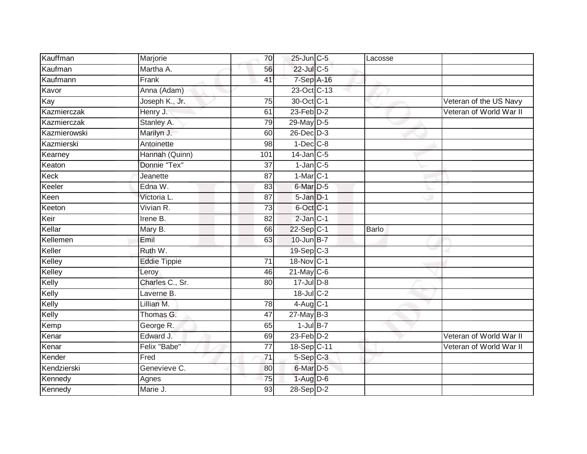| Kauffman     | Marjorie            | 70              | 25-Jun C-5      | Lacosse      |                         |
|--------------|---------------------|-----------------|-----------------|--------------|-------------------------|
| Kaufman      | Martha A.           | 56              | $22$ -Jul C-5   |              |                         |
| Kaufmann     | Frank               | 41              | 7-Sep A-16      |              |                         |
| Kavor        | Anna (Adam)         |                 | 23-Oct C-13     |              |                         |
| Kay          | Joseph K., Jr.      | 75              | 30-Oct C-1      |              | Veteran of the US Navy  |
| Kazmierczak  | Henry J.            | 61              | $23$ -Feb $D-2$ |              | Veteran of World War II |
| Kazmierczak  | Stanley A.          | 79              | 29-May D-5      |              |                         |
| Kazmierowski | Marilyn J.          | 60              | $26$ -Dec $D-3$ |              |                         |
| Kazmierski   | Antoinette          | 98              | $1-Dec$ $C-8$   |              |                         |
| Kearney      | Hannah (Quinn)      | 101             | $14$ -Jan $C-5$ |              |                         |
| Keaton       | Donnie "Tex"        | 37              | $1$ -Jan $C$ -5 |              |                         |
| Keck         | Jeanette            | 87              | $1-MarC-1$      |              |                         |
| Keeler       | Edna W.             | 83              | 6-Mar D-5       |              |                         |
| Keen         | Victoria L.         | 87              | $5 - Jan$ $D-1$ |              |                         |
| Keeton       | Vivian R.           | $\overline{73}$ | 6-Oct C-1       |              |                         |
| Keir         | Irene B.            | 82              | 2-Jan C-1       |              |                         |
| Kellar       | Mary B.             | 66              | 22-Sep C-1      | <b>Barlo</b> |                         |
| Kellemen     | Emil                | 63              | 10-Jun B-7      |              |                         |
| Keller       | Ruth W.             |                 | $19-Sep$ $C-3$  |              |                         |
| Kelley       | <b>Eddie Tippie</b> | 71              | 18-Nov C-1      |              |                         |
| Kelley       | Leroy               | 46              | $21$ -May C-6   |              |                         |
| Kelly        | Charles C., Sr.     | 80              | 17-Jul D-8      |              |                         |
| Kelly        | Laverne B.          |                 | 18-Jul C-2      |              |                         |
| Kelly        | Lillian M.          | 78              | $4$ -Aug C-1    |              |                         |
| Kelly        | Thomas G.           | 47              | $27$ -May B-3   |              |                         |
| Kemp         | George R.           | 65              | $1$ -Jul B-7    |              |                         |
| Kenar        | Edward J.           | 69              | $23$ -Feb $D-2$ |              | Veteran of World War II |
| Kenar        | Felix "Babe"        | 77              | 18-Sep C-11     |              | Veteran of World War II |
| Kender       | Fred                | 71              | $5-Sep$ $C-3$   |              |                         |
| Kendzierski  | Genevieve C.        | 80              | 6-Mar D-5       |              |                         |
| Kennedy      | Agnes               | 75              | $1-Aug$ D-6     |              |                         |
| Kennedy      | Marie J.            | $\overline{93}$ | $28-Sep D-2$    |              |                         |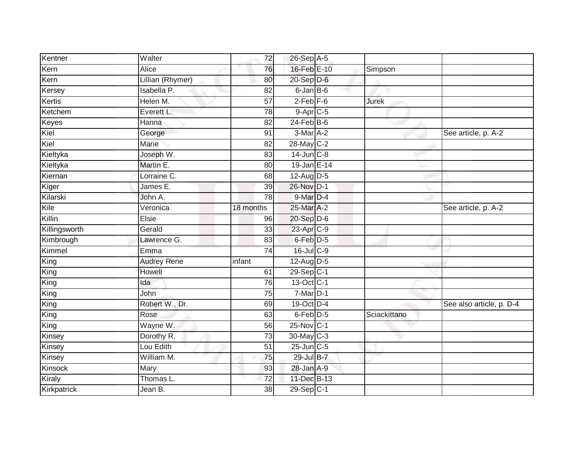| Kentner       | Walter             | 72              | 26-Sep A-5              |              |                          |
|---------------|--------------------|-----------------|-------------------------|--------------|--------------------------|
| Kern          | Alice              | 76              | 16-Feb E-10             | Simpson      |                          |
| Kern          | Lillian (Rhymer)   | 80              | $20 - Sep$ $D-6$        |              |                          |
| Kersey        | Isabella P.        | 82              | $6$ -Jan $B$ -6         |              |                          |
| Kertis        | Helen M.           | 57              | $2$ -Feb $F-6$          | <b>Jurek</b> |                          |
| Ketchem       | Everett L.         | 78              | $9-Apr$ C-5             |              |                          |
| Keyes         | Hanna              | 82              | $24$ -Feb $B$ -6        |              |                          |
| Kiel          | George             | 91              | 3-Mar A-2               |              | See article, p. A-2      |
| Kiel          | Marie              | 82              | 28-May C-2              |              |                          |
| Kieltyka      | Joseph W.          | 83              | 14-Jun C-8              |              |                          |
| Kieltyka      | Martin E.          | 80              | 19-Jan E-14             |              |                          |
| Kiernan       | Lorraine C.        | 68              | $12$ -Aug D-5           |              |                          |
| Kiger         | James E.           | 39              | 26-Nov D-1              |              |                          |
| Kilarski      | John A.            | 78              | 9-Mar D-4               |              |                          |
| Kile          | Veronica           | 18 months       | 25-Mar A-2              |              | See article, p. A-2      |
| Killin        | Elsie              | 96              | 20-Sep D-6              |              |                          |
| Killingsworth | Gerald             | $\overline{33}$ | 23-Apr C-9              |              |                          |
| Kimbrough     | Lawrence G.        | 83              | 6-Feb D-5               |              |                          |
| Kimmel        | Emma               | 74              | 16-Jul C-9              |              |                          |
| King          | <b>Audrey Rene</b> | infant          | $12$ -Aug D-5           |              |                          |
| King          | Howell             | 61              | $29-Sep$ <sub>C-1</sub> |              |                          |
| King          | Ida                | 76              | 13-Oct C-1              |              |                          |
| King          | John               | 75              | $7$ -Mar $D-1$          |              |                          |
| King          | Robert W., Dr.     | 69              | 19-Oct D-4              |              | See also article, p. D-4 |
| King          | Rose               | 63              | 6-Feb D-5               | Sciackittano |                          |
| King          | Wayne W.           | 56              | 25-Nov C-1              |              |                          |
| Kinsey        | Dorothy R.         | $\overline{73}$ | 30-May C-3              |              |                          |
| Kinsey        | Lou Edith          | 51              | 25-Jun C-5              |              |                          |
| Kinsey        | William M.         | 75              | 29-Jul B-7              |              |                          |
| Kinsock       | Mary               | 93              | 28-Jan A-9              |              |                          |
| Kiraly        | Thomas L.          | $\overline{72}$ | 11-Dec B-13             |              |                          |
| Kirkpatrick   | Jean B.            | $\overline{38}$ | 29-Sep C-1              |              |                          |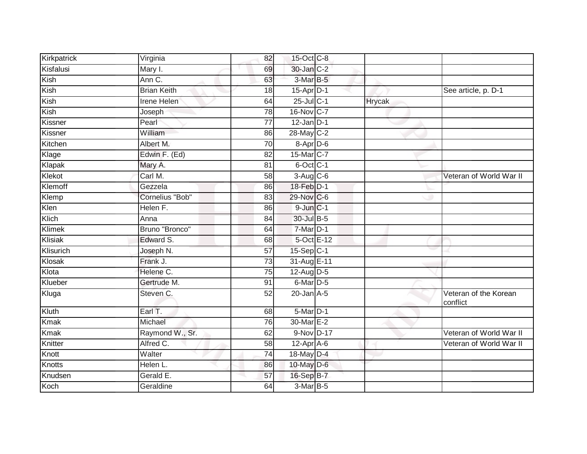| Kirkpatrick | Virginia           | 82              | 15-Oct C-8             |        |                                   |
|-------------|--------------------|-----------------|------------------------|--------|-----------------------------------|
| Kisfalusi   | Mary I.            | 69              | 30-Jan C-2             |        |                                   |
| Kish        | Ann C.             | 63              | 3-Mar B-5              |        |                                   |
| Kish        | <b>Brian Keith</b> | 18              | $15$ -Apr $D-1$        |        | See article, p. D-1               |
| Kish        | <b>Irene Helen</b> | 64              | $25$ -Jul C-1          | Hrycak |                                   |
| Kish        | Joseph             | 78              | 16-Nov C-7             |        |                                   |
| Kissner     | Pearl              | 77              | $12$ -Jan D-1          |        |                                   |
| Kissner     | William            | 86              | 28-May C-2             |        |                                   |
| Kitchen     | Albert M.          | 70              | 8-Apr D-6              |        |                                   |
| Klage       | Edwin F. (Ed)      | 82              | 15-Mar C-7             |        |                                   |
| Klapak      | Mary A.            | 81              | 6-Oct C-1              |        |                                   |
| Klekot      | Carl M.            | 58              | $3-Aug$ $C-6$          |        | Veteran of World War II           |
| Klemoff     | Gezzela            | 86              | 18-Feb D-1             |        |                                   |
| Klemp       | Cornelius "Bob"    | 83              | 29-Nov C-6             |        |                                   |
| Klen        | Helen F.           | 86              | $9$ -Jun $C-1$         |        |                                   |
| Klich       | Anna               | 84              | 30-Jul B-5             |        |                                   |
| Klimek      | Bruno "Bronco"     | 64              | $7-Mar$ D-1            |        |                                   |
| Klisiak     | Edward S.          | 68              | 5-Oct E-12             |        |                                   |
| Klisurich   | Joseph N.          | 57              | 15-Sep C-1             |        |                                   |
| Klosak      | Frank J.           | 73              | 31-Aug E-11            |        |                                   |
| Klota       | Helene C.          | $\overline{75}$ | $12$ -Aug D-5          |        |                                   |
| Klueber     | Gertrude M.        | $\overline{91}$ | 6-Mar D-5              |        |                                   |
| Kluga       | Steven C.          | 52              | $20$ -Jan $A-5$        |        | Veteran of the Korean<br>conflict |
| Kluth       | Earl T.            | 68              | $5-Mar$ D-1            |        |                                   |
| <b>Kmak</b> | Michael            | 76              | 30-Mar E-2             |        |                                   |
| <b>Kmak</b> | Raymond W., Sr.    | 62              | 9-Nov D-17             |        | Veteran of World War II           |
| Knitter     | Alfred C.          | 58              | $12-Apr\overline{A-6}$ |        | Veteran of World War II           |
| Knott       | Walter             | $\overline{74}$ | 18-May D-4             |        |                                   |
| Knotts      | Helen L.           | 86              | 10-May D-6             |        |                                   |
| Knudsen     | Gerald E.          | 57              | 16-Sep B-7             |        |                                   |
| Koch        | Geraldine          | 64              | 3-Mar B-5              |        |                                   |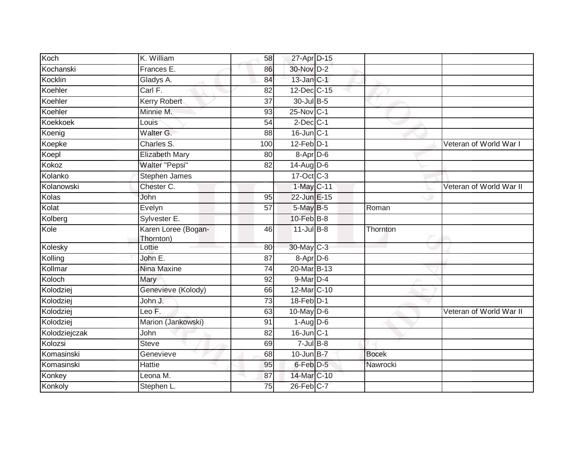| Koch          | K. William                       | 58              | 27-Apr D-15       |              |                         |
|---------------|----------------------------------|-----------------|-------------------|--------------|-------------------------|
| Kochanski     | Frances E.                       | 86              | 30-Nov D-2        |              |                         |
| Kocklin       | Gladys A.                        | 84              | 13-Jan C-1        |              |                         |
| Koehler       | Carl F.                          | 82              | 12-Dec C-15       |              |                         |
| Koehler       | <b>Kerry Robert</b>              | $\overline{37}$ | 30-Jul B-5        |              |                         |
| Koehler       | Minnie M.                        | 93              | 25-Nov C-1        |              |                         |
| Koekkoek      | Louis                            | 54              | $2$ -Dec $C-1$    |              |                         |
| Koenig        | Walter G.                        | 88              | $16$ -Jun $C-1$   |              |                         |
| Koepke        | Charles S.                       | 100             | 12-Feb D-1        |              | Veteran of World War I  |
| Koepl         | <b>Elizabeth Mary</b>            | 80              | 8-Apr D-6         |              |                         |
| Kokoz         | <b>Walter "Pepsi"</b>            | 82              | $14$ -Aug D-6     |              |                         |
| Kolanko       | Stephen James                    |                 | 17-Oct C-3        |              |                         |
| Kolanowski    | Chester C.                       |                 | 1-May C-11        |              | Veteran of World War II |
| Kolas         | John                             | 95              | 22-Jun E-15       |              |                         |
| Kolat         | Evelyn                           | $\overline{57}$ | 5-May B-5         | Roman        |                         |
| Kolberg       | Sylvester E.                     |                 | $10$ -Feb $B-8$   |              |                         |
| Kole          | Karen Loree (Bogan-<br>Thornton) | 46              | $11$ -Jul B-8     | Thornton     |                         |
| Kolesky       | Lottie                           | 80              | 30-May C-3        |              |                         |
| Kolling       | John E.                          | 87              | 8-Apr D-6         |              |                         |
| Kollmar       | Nina Maxine                      | 74              | 20-Mar B-13       |              |                         |
| Koloch        | Mary                             | 92              | 9-Mar D-4         |              |                         |
| Kolodziej     | Genevieve (Kolody)               | 66              | 12-Mar C-10       |              |                         |
| Kolodziej     | John J.                          | 73              | 18-Feb D-1        |              |                         |
| Kolodziej     | Leo F.                           | 63              | 10-May D-6        |              | Veteran of World War II |
| Kolodziej     | Marion (Jankowski)               | 91              | $1-Aug$ D-6       |              |                         |
| Kolodziejczak | John                             | 82              | 16-Jun C-1        |              |                         |
| Kolozsi       | <b>Steve</b>                     | 69              | $7 -$ Jul B-8     |              |                         |
| Komasinski    | Genevieve                        | 68              | $10$ -Jun $B - 7$ | <b>Bocek</b> |                         |
| Komasinski    | Hattie                           | 95              | 6-Feb D-5         | Nawrocki     |                         |
| Konkey        | Leona M.                         | 87              | 14-Mar C-10       |              |                         |
| Konkoly       | Stephen L.                       | 75              | 26-Feb C-7        |              |                         |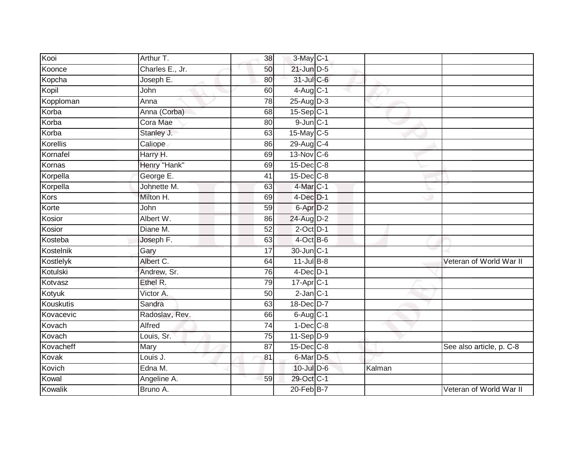| Kooi      | Arthur T.       | 38              | 3-May C-1                         |        |                          |
|-----------|-----------------|-----------------|-----------------------------------|--------|--------------------------|
| Koonce    | Charles E., Jr. | 50              | $21$ -Jun $D-5$                   |        |                          |
| Kopcha    | Joseph E.       | 80              | 31-Jul C-6                        |        |                          |
| Kopil     | John            | 60              | $4-\overline{Aug}$ <sub>C-1</sub> |        |                          |
| Kopploman | Anna            | 78              | 25-Aug D-3                        |        |                          |
| Korba     | Anna (Corba)    | 68              | $15-Sep C-1$                      |        |                          |
| Korba     | Cora Mae        | 80              | $9$ -Jun $C-1$                    |        |                          |
| Korba     | Stanley J.      | 63              | 15-May C-5                        |        |                          |
| Korellis  | Caliope         | 86              | 29-Aug C-4                        |        |                          |
| Kornafel  | Harry H.        | 69              | 13-Nov C-6                        |        |                          |
| Kornas    | Henry "Hank"    | 69              | 15-Dec C-8                        |        |                          |
| Korpella  | George E.       | 41              | 15-Dec C-8                        |        |                          |
| Korpella  | Johnette M.     | 63              | 4-Mar C-1                         |        |                          |
| Kors      | Milton H.       | 69              | $4$ -Dec $D-1$                    |        |                          |
| Korte     | John            | $\overline{59}$ | $6 - Apr$ $D-2$                   |        |                          |
| Kosior    | Albert W.       | 86              | 24-Aug D-2                        |        |                          |
| Kosior    | Diane M.        | $\overline{52}$ | $2$ -Oct $D-1$                    |        |                          |
| Kosteba   | Joseph F.       | 63              | $4$ -Oct B-6                      |        |                          |
| Kostelnik | Gary            | 17              | 30-Jun C-1                        |        |                          |
| Kostlelyk | Albert C.       | 64              | $11$ -Jul B-8                     |        | Veteran of World War II  |
| Kotulski  | Andrew, Sr.     | 76              | $4$ -Dec $D-1$                    |        |                          |
| Kotvasz   | Ethel R.        | 79              | $17$ -Apr $C-1$                   |        |                          |
| Kotyuk    | Victor A.       | 50              | $2$ -Jan $C-1$                    |        |                          |
| Kouskutis | Sandra          | 63              | 18-Dec D-7                        |        |                          |
| Kovacevic | Radoslav, Rev.  | 66              | $6$ -Aug $C-1$                    |        |                          |
| Kovach    | Alfred          | 74              | $1-Dec$ $C-8$                     |        |                          |
| Kovach    | Louis, Sr.      | 75              | $11-Sep$ D-9                      |        |                          |
| Kovacheff | Mary            | 87              | 15-Dec C-8                        |        | See also article, p. C-8 |
| Kovak     | Louis J.        | 81              | 6-Mar <sub>D-5</sub>              |        |                          |
| Kovich    | Edna M.         |                 | 10-Jul D-6                        | Kalman |                          |
| Kowal     | Angeline A.     | 59              | 29-Oct C-1                        |        |                          |
| Kowalik   | Bruno A.        |                 | 20-Feb B-7                        |        | Veteran of World War II  |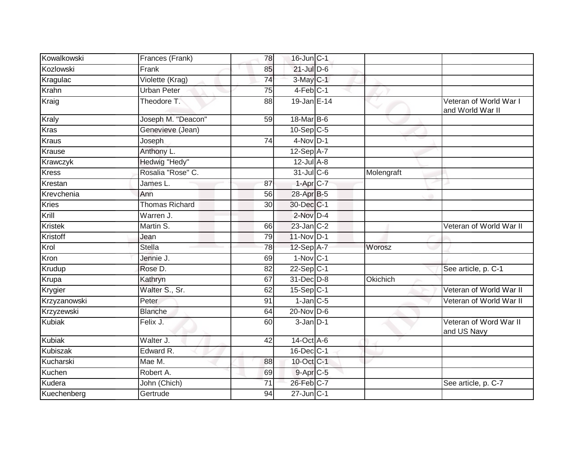| Kowalkowski    | Frances (Frank)       | 78              | 16-Jun C-1             |            |                                            |
|----------------|-----------------------|-----------------|------------------------|------------|--------------------------------------------|
| Kozlowski      | Frank                 | 85              | $21$ -Jul D-6          |            |                                            |
| Kragulac       | Violette (Krag)       | $\overline{74}$ | 3-May C-1              |            |                                            |
| Krahn          | <b>Urban Peter</b>    | 75              | $4-Feb$ C-1            |            |                                            |
| Kraig          | Theodore T.           | 88              | 19-Jan E-14            |            | Veteran of World War I<br>and World War II |
| <b>Kraly</b>   | Joseph M. "Deacon"    | 59              | 18-Mar B-6             |            |                                            |
| <b>Kras</b>    | Genevieve (Jean)      |                 | $10-Sep$ C-5           |            |                                            |
| <b>Kraus</b>   | Joseph                | $\overline{74}$ | $4-Nov$ D-1            |            |                                            |
| Krause         | Anthony L.            |                 | $12-Sep$ A-7           |            |                                            |
| Krawczyk       | Hedwig "Hedy"         |                 | $12$ -Jul $A-8$        |            |                                            |
| <b>Kress</b>   | Rosalia "Rose" C.     |                 | 31-Jul C-6             | Molengraft |                                            |
| Krestan        | James L.              | 87              | $1-Apr$ <sub>C-7</sub> |            |                                            |
| Krevchenia     | Ann                   | 56              | 28-Apr B-5             |            |                                            |
| <b>Kries</b>   | <b>Thomas Richard</b> | 30              | 30-Dec C-1             |            |                                            |
| Krill          | Warren J.             |                 | $2$ -Nov $D-4$         |            |                                            |
| <b>Kristek</b> | Martin S.             | 66              | $23$ -Jan $ C-2 $      |            | Veteran of World War II                    |
| Kristoff       | Jean                  | 79              | 11-Nov D-1             |            |                                            |
| Krol           | Stella                | 78              | $12$ -Sep $A-7$        | Worosz     |                                            |
| Kron           | Jennie J.             | 69              | $1-Nov$ C-1            |            |                                            |
| Krudup         | Rose D.               | 82              | $22-Sep$ C-1           |            | See article, p. C-1                        |
| Krupa          | Kathryn               | 67              | 31-Dec D-8             | Okichich   |                                            |
| Krygier        | Walter S., Sr.        | 62              | 15-Sep C-1             |            | Veteran of World War II                    |
| Krzyzanowski   | Peter                 | 91              | $1$ -Jan $C$ -5        |            | Veteran of World War II                    |
| Krzyzewski     | <b>Blanche</b>        | 64              | $20$ -Nov $D-6$        |            |                                            |
| <b>Kubiak</b>  | Felix J.              | 60              | $3 - Jan$ $D-1$        |            | Veteran of Word War II<br>and US Navy      |
| Kubiak         | Walter J.             | 42              | 14-Oct A-6             |            |                                            |
| Kubiszak       | Edward R.             |                 | 16-Dec C-1             |            |                                            |
| Kucharski      | Mae M.                | 88              | 10-Oct C-1             |            |                                            |
| Kuchen         | Robert A.             | 69              | 9-Apr C-5              |            |                                            |
| Kudera         | John (Chich)          | 71              | 26-Feb C-7             |            | See article, p. C-7                        |
| Kuechenberg    | Gertrude              | 94              | $27$ -Jun $ C-1 $      |            |                                            |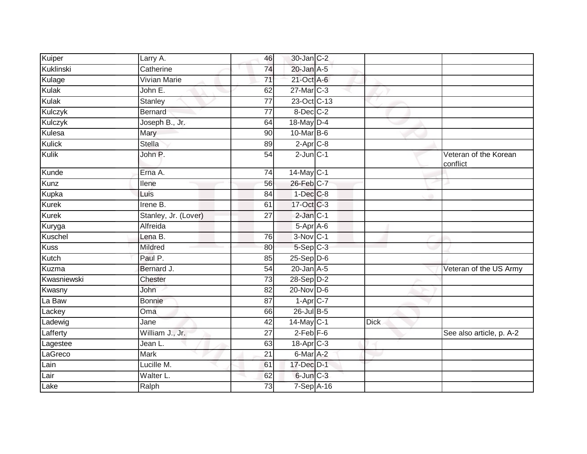| Kuiper       | Larry A.             | 46              | 30-Jan C-2                          |             |                                   |
|--------------|----------------------|-----------------|-------------------------------------|-------------|-----------------------------------|
| Kuklinski    | Catherine            | 74              | $20$ -Jan $A-5$                     |             |                                   |
| Kulage       | <b>Vivian Marie</b>  | 71              | 21-Oct A-6                          |             |                                   |
| <b>Kulak</b> | John E.              | 62              | 27-Mar C-3                          |             |                                   |
| Kulak        | Stanley              | $\overline{77}$ | 23-Oct C-13                         |             |                                   |
| Kulczyk      | <b>Bernard</b>       | $\overline{77}$ | 8-Dec C-2                           |             |                                   |
| Kulczyk      | Joseph B., Jr.       | 64              | 18-May D-4                          |             |                                   |
| Kulesa       | Mary                 | 90              | 10-Mar B-6                          |             |                                   |
| Kulick       | <b>Stella</b>        | 89              | $2-Apr$ C-8                         |             |                                   |
| Kulik        | John P.              | 54              | $2$ -Jun $C-1$                      |             | Veteran of the Korean<br>conflict |
| Kunde        | Erna A.              | 74              | $14$ -May C-1                       |             |                                   |
| Kunz         | Ilene                | 56              | 26-Feb C-7                          |             |                                   |
| Kupka        | Luis                 | 84              | $1-Dec$ $C-8$                       |             |                                   |
| Kurek        | Irene B.             | 61              | 17-Oct C-3                          |             |                                   |
| Kurek        | Stanley, Jr. (Lover) | $\overline{27}$ | 2-Jan C-1                           |             |                                   |
| Kuryga       | Alfreida             |                 | $5-Apr$ A-6                         |             |                                   |
| Kuschel      | Lena B.              | 76              | 3-Nov C-1                           |             |                                   |
| <b>Kuss</b>  | Mildred              | 80              | $5-Sep$ <sub><math>C-3</math></sub> |             |                                   |
| Kutch        | Paul P.              | 85              | $25-Sep D-6$                        |             |                                   |
| Kuzma        | Bernard J.           | 54              | $20$ -Jan $A-5$                     |             | Veteran of the US Army            |
| Kwasniewski  | Chester              | 73              | $28-Sep$ D-2                        |             |                                   |
| Kwasny       | John                 | 82              | $20$ -Nov D-6                       |             |                                   |
| La Baw       | Bonnie               | 87              | $1-AprC-7$                          |             |                                   |
| Lackey       | Oma                  | 66              | 26-Jul B-5                          |             |                                   |
| Ladewig      | Jane                 | 42              | $14$ -May C-1                       | <b>Dick</b> |                                   |
| Lafferty     | William J., Jr.      | 27              | $2-Feb$ $F-6$                       |             | See also article, p. A-2          |
| Lagestee     | Jean L.              | 63              | $18-Apr$ $C-3$                      |             |                                   |
| LaGreco      | <b>Mark</b>          | 21              | $6$ -Mar $A-2$                      |             |                                   |
| Lain         | Lucille M.           | 61              | 17-Dec D-1                          |             |                                   |
| Lair         | Walter L.            | 62              | $6$ -Jun $C-3$                      |             |                                   |
| Lake         | Ralph                | 73              | 7-Sep A-16                          |             |                                   |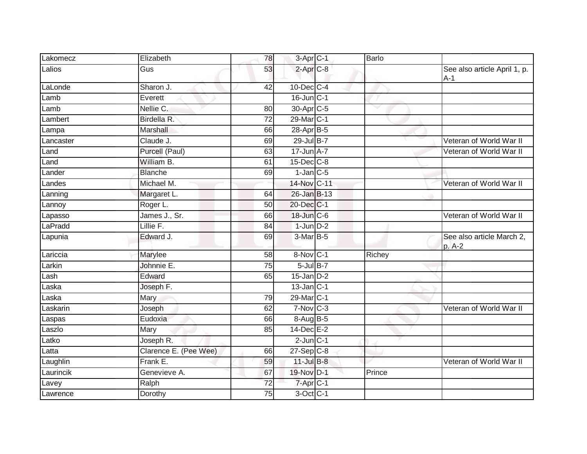| Lakomecz  | Elizabeth             | 78              | 3-Apr C-1             | <b>Barlo</b> |                                       |
|-----------|-----------------------|-----------------|-----------------------|--------------|---------------------------------------|
| Lalios    | Gus                   | 53              | $2-AprC-8$            |              | See also article April 1, p.<br>$A-1$ |
| LaLonde   | Sharon J.             | 42              | 10-Dec C-4            |              |                                       |
| Lamb      | Everett               |                 | 16-Jun C-1            |              |                                       |
| Lamb      | Nellie C.             | 80              | 30-Apr <sub>C-5</sub> | v            |                                       |
| Lambert   | Birdella R.           | 72              | 29-Mar C-1            |              |                                       |
| Lampa     | Marshall              | 66              | 28-Apr B-5            |              |                                       |
| Lancaster | Claude J.             | 69              | 29-Jul B-7            |              | Veteran of World War II               |
| Land      | Purcell (Paul)        | 63              | 17-Jun A-7            |              | Veteran of World War II               |
| Land      | William B.            | 61              | 15-Dec C-8            |              |                                       |
| Lander    | <b>Blanche</b>        | 69              | $1$ -Jan $C$ -5       |              |                                       |
| Landes    | Michael M.            |                 | 14-Nov C-11           |              | Veteran of World War II               |
| Lanning   | Margaret L.           | 64              | 26-Jan B-13           |              |                                       |
| Lannoy    | Roger L.              | 50              | 20-Dec C-1            |              |                                       |
| Lapasso   | James J., Sr.         | 66              | 18-Jun C-6            |              | Veteran of World War II               |
| LaPradd   | Lillie F.             | 84              | $1$ -Jun $D-2$        |              |                                       |
| Lapunia   | Edward J.             | 69              | 3-Mar B-5             |              | See also article March 2,<br>p. A-2   |
| Lariccia  | Marylee               | 58              | 8-Nov C-1             | Richey       |                                       |
| Larkin    | Johnnie E.            | $\overline{75}$ | $5$ -Jul $B-7$        |              |                                       |
| Lash      | Edward                | 65              | $15$ -Jan $D-2$       |              |                                       |
| _aska     | Joseph F.             |                 | $13$ -Jan $ C-1 $     |              |                                       |
| Laska     | Mary                  | 79              | 29-Mar C-1            |              |                                       |
| Laskarin  | Joseph                | 62              | $7-Nov$ C-3           |              | Veteran of World War II               |
| Laspas    | Eudoxia               | 66              | 8-Aug B-5             |              |                                       |
| Laszlo    | Mary                  | 85              | $14$ -Dec $E-2$       |              |                                       |
| Latko     | Joseph R.             |                 | $2$ -Jun $C-1$        |              |                                       |
| Latta     | Clarence E. (Pee Wee) | 66              | $27-SepC-8$           |              |                                       |
| Laughlin  | Frank E.              | 59              | $11$ -Jul $B-8$       |              | Veteran of World War II               |
| Laurincik | Genevieve A.          | 67              | 19-Nov D-1            | Prince       |                                       |
| Lavey     | Ralph                 | $\overline{72}$ | 7-Apr C-1             |              |                                       |
| Lawrence  | Dorothy               | 75              | $3$ -Oct $C-1$        |              |                                       |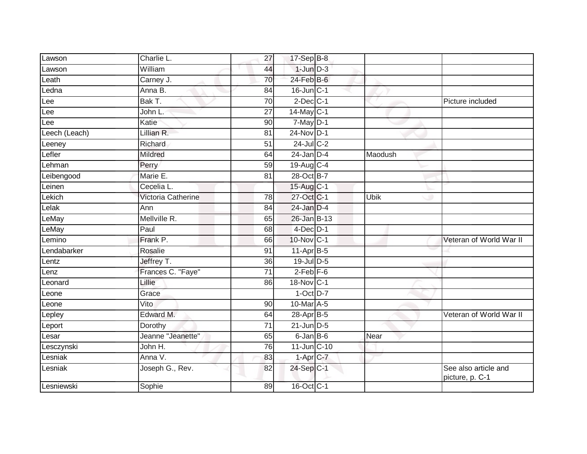| Lawson        | Charlie L.         | 27              | 17-Sep B-8       |             |                                         |
|---------------|--------------------|-----------------|------------------|-------------|-----------------------------------------|
| Lawson        | William            | 44              | $1$ -Jun $D-3$   |             |                                         |
| Leath         | Carney J.          | 70              | $24$ -Feb $B$ -6 |             |                                         |
| Ledna         | Anna B.            | 84              | $16$ -Jun $C-1$  |             |                                         |
| Lee           | Bak T.             | 70              | $2$ -Dec $C-1$   |             | Picture included                        |
| Lee           | John L.            | $\overline{27}$ | 14-May C-1       |             |                                         |
| Lee           | Katie              | 90              | 7-May D-1        |             |                                         |
| Leech (Leach) | Lillian R.         | 81              | 24-Nov D-1       |             |                                         |
| Leeney        | Richard            | 51              | $24$ -Jul C-2    |             |                                         |
| Lefler        | Mildred            | 64              | $24$ -Jan $D-4$  | Maodush     |                                         |
| Lehman        | Perry              | 59              | 19-Aug C-4       |             |                                         |
| Leibengood    | Marie E.           | 81              | 28-Oct B-7       |             |                                         |
| Leinen        | Cecelia L.         |                 | 15-Aug C-1       |             |                                         |
| Lekich        | Victoria Catherine | 78              | 27-Oct C-1       | <b>Ubik</b> |                                         |
| Lelak         | Ann                | 84              | 24-Jan D-4       |             |                                         |
| LeMay         | Mellville R.       | 65              | 26-Jan B-13      |             |                                         |
| LeMay         | Paul               | 68              | $4$ -Dec $D-1$   |             |                                         |
| Lemino        | Frank P.           | 66              | 10-Nov C-1       |             | Veteran of World War II                 |
| Lendabarker   | Rosalie            | 91              | 11-Apr B-5       |             |                                         |
| Lentz         | Jeffrey T.         | 36              | 19-Jul D-5       |             |                                         |
| Lenz          | Frances C. "Faye"  | 71              | $2$ -Feb $ F-6$  |             |                                         |
| Leonard       | Lillie             | 86              | 18-Nov C-1       |             |                                         |
| _eone         | Grace              |                 | $1$ -Oct $D-7$   |             |                                         |
| Leone         | Vito               | 90              | 10-Mar A-5       |             |                                         |
| Lepley        | Edward M.          | 64              | 28-Apr B-5       |             | Veteran of World War II                 |
| Leport        | Dorothy            | 71              | $21$ -Jun $D-5$  |             |                                         |
| _esar         | Jeanne "Jeanette"  | 65              | $6$ -Jan $B$ -6  | Near        |                                         |
| Lesczynski    | John H.            | 76              | 11-Jun C-10      |             |                                         |
| Lesniak       | Anna V.            | 83              | 1-Apr C-7        |             |                                         |
| Lesniak       | Joseph G., Rev.    | 82              | 24-Sep C-1       |             | See also article and<br>picture, p. C-1 |
| Lesniewski    | Sophie             | 89              | 16-Oct C-1       |             |                                         |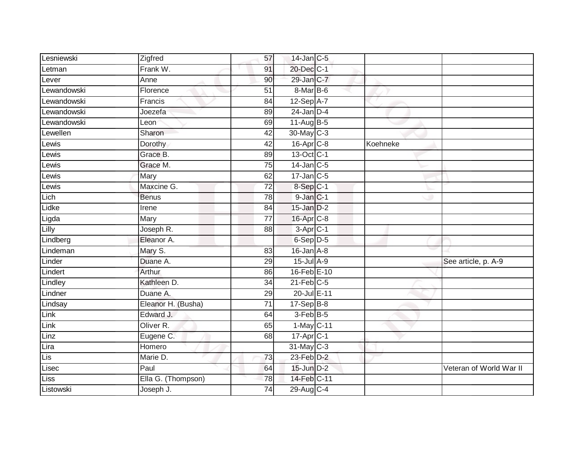| Lesniewski  | Zigfred            | 57              | $14$ -Jan $C-5$        |          |                         |
|-------------|--------------------|-----------------|------------------------|----------|-------------------------|
| Letman      | Frank W.           | 91              | 20-Dec C-1             |          |                         |
| Lever       | Anne               | 90              | 29-Jan C-7             |          |                         |
| _ewandowski | Florence           | 51              | 8-Mar B-6              |          |                         |
| Lewandowski | Francis            | $\overline{84}$ | $12-Sep$ A-7           |          |                         |
| Lewandowski | Joezefa            | 89              | $24$ -Jan $D-4$        |          |                         |
| Lewandowski | Leon               | 69              | 11-Aug B-5             |          |                         |
| Lewellen    | Sharon             | 42              | 30-May C-3             |          |                         |
| Lewis       | Dorothy            | 42              | 16-Apr C-8             | Koehneke |                         |
| Lewis       | Grace B.           | 89              | 13-Oct C-1             |          |                         |
| Lewis       | Grace M.           | 75              | $14$ -Jan $C-5$        |          |                         |
| Lewis       | Mary               | 62              | $17$ -Jan $C-5$        |          |                         |
| Lewis       | Maxcine G.         | $\overline{72}$ | 8-Sep C-1              |          |                         |
| Lich        | <b>Benus</b>       | 78              | $9$ -Jan $C-1$         |          |                         |
| Lidke       | Irene              | 84              | 15-Jan D-2             |          |                         |
| Ligda       | Mary               | 77              | 16-Apr <sub>C-8</sub>  |          |                         |
| Lilly       | Joseph R.          | 88              | $3-Apr$ <sub>C-1</sub> |          |                         |
| Lindberg    | Eleanor A.         |                 | 6-Sep D-5              |          |                         |
| Lindeman    | Mary S.            | 83              | $16$ -Jan $A$ -8       |          |                         |
| Linder      | Duane A.           | 29              | $15$ -Jul $A-9$        |          | See article, p. A-9     |
| Lindert     | Arthur             | 86              | 16-Feb E-10            |          |                         |
| Lindley     | Kathleen D.        | $\overline{34}$ | $21$ -Feb $C-5$        |          |                         |
| Lindner     | Duane A.           | 29              | 20-Jul E-11            |          |                         |
| Lindsay     | Eleanor H. (Busha) | $\overline{71}$ | $17 - SepB-8$          |          |                         |
| Link        | Edward J.          | 64              | 3-Feb B-5              |          |                         |
| Link        | Oliver R.          | 65              | 1-May C-11             |          |                         |
| Linz        | Eugene C.          | 68              | 17-Apr <sub>C-1</sub>  |          |                         |
| Lira        | Homero             |                 | 31-May C-3             |          |                         |
| Lis         | Marie D.           | 73              | $23$ -Feb $D-2$        |          |                         |
| Lisec       | Paul               | 64              | 15-Jun D-2             |          | Veteran of World War II |
| <b>Liss</b> | Ella G. (Thompson) | 78              | 14-Feb C-11            |          |                         |
| Listowski   | Joseph J.          | $\overline{74}$ | 29-Aug C-4             |          |                         |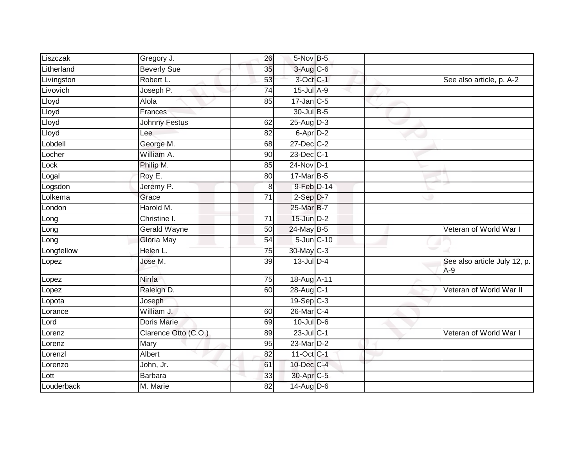| Liszczak   | Gregory J.           | 26              | 5-Nov B-5               |  |                                       |
|------------|----------------------|-----------------|-------------------------|--|---------------------------------------|
| Litherland | <b>Beverly Sue</b>   | 35              | 3-Aug C-6               |  |                                       |
| Livingston | Robert L.            | 53              | 3-Oct C-1               |  | See also article, p. A-2              |
| Livovich   | Joseph P.            | 74              | 15-Jul A-9              |  |                                       |
| Lloyd      | Alola                | 85              | $17$ -Jan C-5           |  |                                       |
| Lloyd      | Frances              |                 | 30-Jul B-5              |  |                                       |
| Lloyd      | <b>Johnny Festus</b> | 62              | $25$ -AugD-3            |  |                                       |
| Lloyd      | Lee                  | 82              | 6-Apr <sub>D-2</sub>    |  |                                       |
| _obdell    | George M.            | 68              | 27-Dec C-2              |  |                                       |
| Locher     | William A.           | 90              | 23-Dec C-1              |  |                                       |
| Lock       | Philip M.            | 85              | 24-Nov D-1              |  |                                       |
| _ogal      | Roy E.               | 80              | $17$ -Mar $B-5$         |  |                                       |
| Logsdon    | Jeremy P.            | 8               | $9-Feb$ $D-14$          |  |                                       |
| Lolkema    | Grace                | $\overline{71}$ | $2-Sep$ $D-7$           |  |                                       |
| _ondon     | Harold M.            |                 | 25-Mar B-7              |  |                                       |
| Long       | Christine I.         | 71              | $15$ -Jun $D-2$         |  |                                       |
| Long       | <b>Gerald Wayne</b>  | 50              | 24-May B-5              |  | Veteran of World War I                |
| Long       | Gloria May           | 54              | $5$ -Jun $ C-10$        |  |                                       |
| Longfellow | Helen L.             | 75              | 30-May C-3              |  |                                       |
| Lopez      | Jose M.              | 39              | $13$ -Jul $D-4$         |  | See also article July 12, p.<br>$A-9$ |
| Lopez      | Ninfa                | 75              | 18-Aug A-11             |  |                                       |
| Lopez      | Raleigh D.           | 60              | 28-Aug C-1              |  | Veteran of World War II               |
| Lopota     | Joseph               |                 | $19-Sep$ C-3            |  |                                       |
| _orance    | William J.           | 60              | 26-Mar C-4              |  |                                       |
| Lord       | <b>Doris Marie</b>   | 69              | $10$ -Jul $D-6$         |  |                                       |
| Lorenz     | Clarence Otto (C.O.) | 89              | 23-Jul C-1              |  | Veteran of World War I                |
| Lorenz     | Mary                 | 95              | 23-Mar D-2              |  |                                       |
| _orenzl    | Albert               | 82              | $11-Oct$ <sub>C-1</sub> |  |                                       |
| Lorenzo    | John, Jr.            | 61              | 10-Dec C-4              |  |                                       |
| Lott       | Barbara              | 33              | 30-Apr C-5              |  |                                       |
| Louderback | M. Marie             | 82              | $14$ -Aug $D-6$         |  |                                       |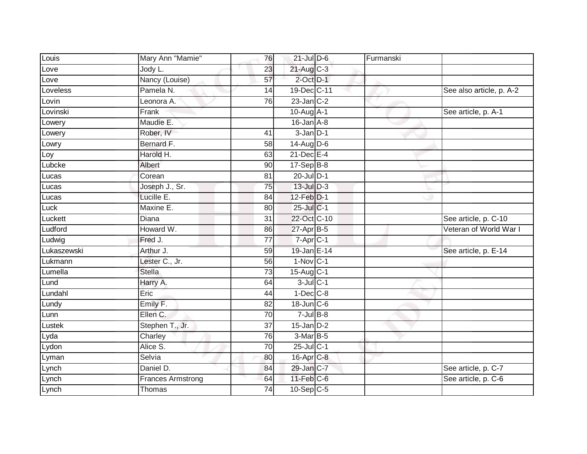| Louis       | Mary Ann "Mamie"         | 76              | $21$ -Jul $D-6$  | Furmanski |                          |
|-------------|--------------------------|-----------------|------------------|-----------|--------------------------|
| Love        | Jody L.                  | 23              | $21$ -Aug C-3    |           |                          |
| Love        | Nancy (Louise)           | $\overline{57}$ | $2$ -Oct $D-1$   |           |                          |
| Loveless    | Pamela N.                | 14              | 19-Dec C-11      |           | See also article, p. A-2 |
| Lovin       | Leonora A.               | 76              | $23$ -Jan $C-2$  |           |                          |
| Lovinski    | Frank                    |                 | 10-Aug A-1       |           | See article, p. A-1      |
| Lowery      | Maudie E.                |                 | $16$ -Jan $A-8$  |           |                          |
| Lowery      | Rober, IV                | 41              | $3 - Jan$ $D-1$  |           |                          |
| Lowry       | Bernard F.               | 58              | $14$ -Aug D-6    |           |                          |
| Loy         | Harold H.                | 63              | $21$ -Dec $E-4$  |           |                          |
| Lubcke      | Albert                   | 90              | $17-Sep$ B-8     |           |                          |
| Lucas       | Corean                   | 81              | $20$ -Jul $D-1$  |           |                          |
| Lucas       | Joseph J., Sr.           | 75              | $13$ -Jul $D-3$  |           |                          |
| Lucas       | Lucille E.               | 84              | 12-Feb D-1       |           |                          |
| Luck        | Maxine E.                | 80              | 25-Jul C-1       |           |                          |
| Luckett     | Diana                    | 31              | 22-Oct C-10      |           | See article, p. C-10     |
| Ludford     | Howard W.                | 86              | $27$ -Apr $B$ -5 |           | Veteran of World War I   |
| Ludwig      | Fred J.                  | 77              | 7-Apr C-1        |           |                          |
| Lukaszewski | Arthur J.                | 59              | 19-Jan E-14      |           | See article, p. E-14     |
| Lukmann     | Lester C., Jr.           | 56              | $1-Nov$ C-1      |           |                          |
| Lumella     | <b>Stella</b>            | 73              | 15-Aug C-1       |           |                          |
| Lund        | Harry A.                 | 64              | $3$ -Jul $C-1$   |           |                          |
| Lundahl     | Eric                     | 44              | $1$ -Dec $C$ -8  |           |                          |
| Lundy       | Emily F.                 | 82              | $18$ -Jun $C$ -6 |           |                          |
| Lunn        | Ellen C.                 | 70              | $7$ -Jul B-8     |           |                          |
| Lustek      | Stephen T., Jr.          | 37              | $15$ -Jan $D-2$  |           |                          |
| Lyda        | Charley                  | 76              | $3-MarB-5$       |           |                          |
| Lydon       | Alice S.                 | 70              | $25$ -Jul C-1    |           |                          |
| Lyman       | Selvia                   | 80              | $16$ -Apr $C$ -8 |           |                          |
| Lynch       | Daniel D.                | 84              | 29-Jan C-7       |           | See article, p. C-7      |
| Lynch       | <b>Frances Armstrong</b> | 64              | $11$ -Feb $C$ -6 |           | See article, p. C-6      |
| Lynch       | Thomas                   | $\overline{74}$ | $10-Sep$ C-5     |           |                          |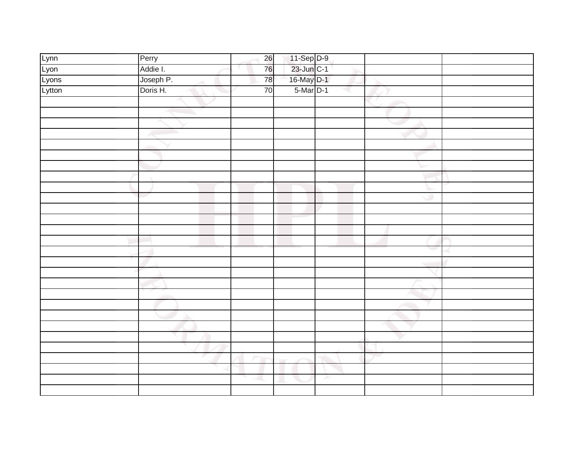| Lynn   | Perry     | 26 |                          |   |   |  |
|--------|-----------|----|--------------------------|---|---|--|
| Lyon   | Addie I.  | 76 | 11-Sep D-9<br>23-Jun C-1 |   |   |  |
| Lyons  | Joseph P. | 78 | 16-May D-1               |   |   |  |
| Lytton | Doris H.  | 70 | $5-Mar$ D-1              |   |   |  |
|        |           |    |                          |   |   |  |
|        |           |    |                          |   |   |  |
|        |           |    |                          |   |   |  |
|        |           |    |                          |   |   |  |
|        |           |    |                          |   |   |  |
|        |           |    |                          |   |   |  |
|        |           |    |                          |   |   |  |
|        |           |    |                          |   |   |  |
|        |           |    |                          |   |   |  |
|        |           |    |                          |   | ۰ |  |
|        |           |    |                          |   |   |  |
|        |           |    |                          |   |   |  |
|        |           |    |                          |   |   |  |
|        |           |    |                          |   |   |  |
|        |           |    |                          |   |   |  |
|        |           |    |                          |   |   |  |
|        |           |    |                          |   |   |  |
|        |           |    |                          |   |   |  |
|        |           |    |                          |   |   |  |
|        |           |    |                          |   |   |  |
|        |           |    |                          |   |   |  |
|        |           |    |                          |   |   |  |
|        |           |    |                          |   |   |  |
|        |           |    |                          |   |   |  |
|        |           |    |                          |   |   |  |
|        |           |    |                          |   |   |  |
|        |           |    |                          | ≻ |   |  |
|        |           |    |                          |   |   |  |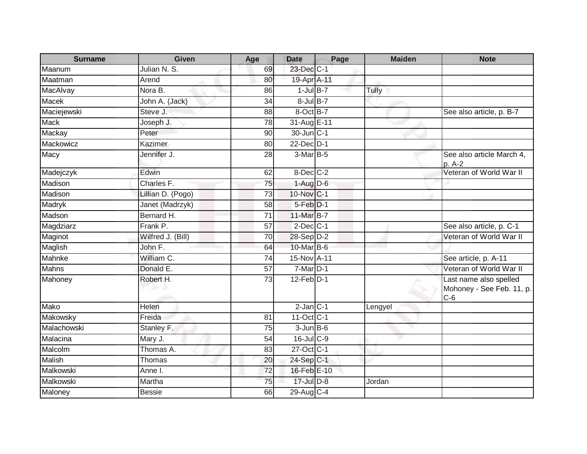| <b>Surname</b> | <b>Given</b>          | Age             | <b>Date</b>             | Page | <b>Maiden</b> | <b>Note</b>                                                  |
|----------------|-----------------------|-----------------|-------------------------|------|---------------|--------------------------------------------------------------|
| Maanum         | Julian N. S.          | 69              | 23-Dec C-1              |      |               |                                                              |
| Maatman        | Arend                 | 80              | 19-Apr A-11             |      |               |                                                              |
| MacAlvay       | Nora B.               | 86              | $1$ -Jul $B-7$          |      | Tully         |                                                              |
| <b>Macek</b>   | John A. (Jack)        | $\overline{34}$ | $8 -$ Jul $B - 7$       |      |               |                                                              |
| Maciejewski    | Steve J.              | 88              | 8-OctB-7                |      |               | See also article, p. B-7                                     |
| <b>Mack</b>    | Joseph J.             | 78              | 31-Aug E-11             |      |               |                                                              |
| Mackay         | Peter                 | 90              | 30-Jun C-1              |      |               |                                                              |
| Mackowicz      | Kazimer               | 80              | $22$ -Dec $D-1$         |      |               |                                                              |
| Macy           | Jennifer J.           | 28              | $3-MarB-5$              |      |               | See also article March 4,<br>p. A-2                          |
| Madejczyk      | Edwin                 | 62              | 8-Dec C-2               |      |               | Veteran of World War II                                      |
| Madison        | Charles <sub>F.</sub> | 75              | $1-Aug$ $D-6$           |      |               |                                                              |
| Madison        | Lillian D. (Pogo)     | $\overline{73}$ | 10-Nov C-1              |      |               |                                                              |
| Madryk         | Janet (Madrzyk)       | 58              | $5$ -Feb $D-1$          |      |               |                                                              |
| Madson         | Bernard H.            | $\overline{71}$ | 11-Mar B-7              |      |               |                                                              |
| Magdziarz      | Frank P.              | 57              | $2$ -Dec $C-1$          |      |               | See also article, p. C-1                                     |
| Maginot        | Wilfred J. (Bill)     | 70              | 28-Sep D-2              |      |               | Veteran of World War II                                      |
| Maglish        | John F.               | 64              | 10-Mar B-6              |      |               |                                                              |
| Mahnke         | William C.            | 74              | 15-Nov A-11             |      |               | See article, p. A-11                                         |
| <b>Mahns</b>   | Donald E.             | $\overline{57}$ | $7-Mar$ D-1             |      |               | Veteran of World War II                                      |
| Mahoney        | Robert H.             | 73              | $12$ -Feb $D-1$         |      |               | Last name also spelled<br>Mohoney - See Feb. 11, p.<br>$C-6$ |
| Mako           | Helen                 |                 | $2$ -Jan $C-1$          |      | Lengyel       |                                                              |
| Makowsky       | Freida                | 81              | $11-Oct$ <sub>C-1</sub> |      |               |                                                              |
| Malachowski    | Stanley F.            | 75              | $3$ -Jun $B$ -6         |      |               |                                                              |
| Malacina       | Mary J.               | 54              | 16-Jul C-9              |      |               |                                                              |
| Malcolm        | Thomas A.             | 83              | 27-Oct C-1              |      |               |                                                              |
| <b>Malish</b>  | Thomas                | 20              | 24-Sep C-1              |      |               |                                                              |
| Malkowski      | Anne I.               | $\overline{72}$ | 16-Feb E-10             |      |               |                                                              |
| Malkowski      | Martha                | 75              | 17-Jul D-8              |      | Jordan        |                                                              |
| Maloney        | <b>Bessie</b>         | 66              | 29-Aug C-4              |      |               |                                                              |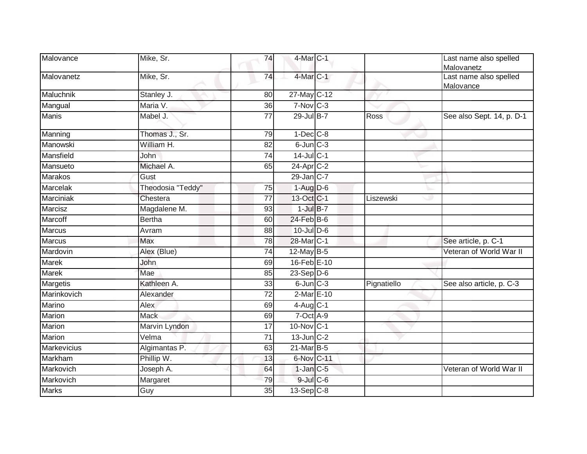| Malovance       | Mike, Sr.         | 74              | 4-Mar C-1        |             | Last name also spelled<br>Malovanetz |
|-----------------|-------------------|-----------------|------------------|-------------|--------------------------------------|
| Malovanetz      | Mike, Sr.         | 74              | 4-Mar C-1        |             | Last name also spelled<br>Malovance  |
| Maluchnik       | Stanley J.        | 80              | 27-May C-12      |             |                                      |
| Mangual         | Maria V.          | 36              | $7-Nov$ C-3      |             |                                      |
| <b>Manis</b>    | Mabel J.          | 77              | $29$ -Jul B-7    | Ross        | See also Sept. 14, p. D-1            |
| Manning         | Thomas J., Sr.    | 79              | $1-Dec$ $C-8$    |             |                                      |
| Manowski        | William H.        | 82              | $6$ -Jun $C-3$   |             |                                      |
| Mansfield       | John              | 74              | $14$ -JulC-1     |             |                                      |
| Mansueto        | Michael A.        | 65              | 24-Apr C-2       |             |                                      |
| <b>Marakos</b>  | Gust              |                 | $29$ -Jan C-7    |             |                                      |
| <b>Marcelak</b> | Theodosia "Teddy" | $\overline{75}$ | $1-Aug$ D-6      |             |                                      |
| Marciniak       | Chestera          | 77              | 13-Oct C-1       | Liszewski   |                                      |
| Marcisz         | Magdalene M.      | 93              | $1$ -Jul $B-7$   |             |                                      |
| Marcoff         | <b>Bertha</b>     | 60              | $24$ -Feb $B$ -6 |             |                                      |
| <b>Marcus</b>   | Avram             | 88              | $10$ -Jul $D-6$  |             |                                      |
| <b>Marcus</b>   | <b>Max</b>        | 78              | 28-Mar C-1       |             | See article, p. C-1                  |
| Mardovin        | Alex (Blue)       | 74              | $12$ -May B-5    |             | Veteran of World War II              |
| Marek           | John              | 69              | 16-Feb E-10      |             |                                      |
| Marek           | Mae               | 85              | $23-SepD-6$      |             |                                      |
| Margetis        | Kathleen A.       | 33              | $6$ -Jun $C-3$   | Pignatiello | See also article, p. C-3             |
| Marinkovich     | Alexander         | 72              | 2-Mar E-10       |             |                                      |
| Marino          | Alex              | 69              | $4$ -Aug $C-1$   |             |                                      |
| Marion          | <b>Mack</b>       | 69              | 7-Oct A-9        |             |                                      |
| Marion          | Marvin Lyndon     | 17              | 10-Nov C-1       |             |                                      |
| Marion          | Velma             | 71              | $13$ -Jun $C-2$  |             |                                      |
| Markevicius     | Algimantas P.     | 63              | $21$ -Mar $B-5$  |             |                                      |
| Markham         | Phillip W.        | 13              | 6-Nov C-11       |             |                                      |
| Markovich       | Joseph A.         | 64              | $1$ -Jan $C$ -5  |             | Veteran of World War II              |
| Markovich       | Margaret          | 79              | $9$ -Jul $C$ -6  |             |                                      |
| <b>Marks</b>    | Guy               | $\overline{35}$ | $13-Sep$ C-8     |             |                                      |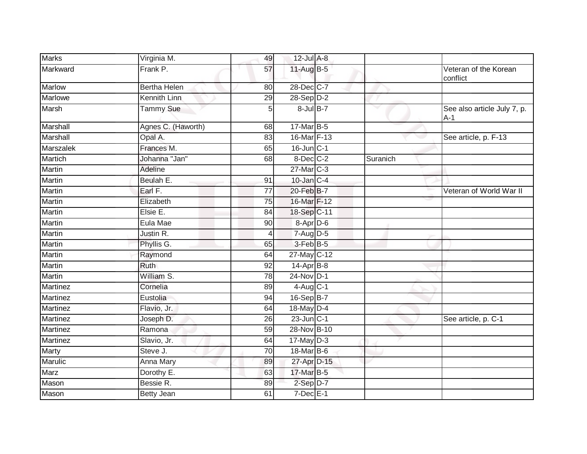| <b>Marks</b>     | Virginia M.         | 49              | $12$ -Jul A-8     |          |                                      |
|------------------|---------------------|-----------------|-------------------|----------|--------------------------------------|
| Markward         | Frank P.            | 57              | 11-Aug B-5        |          | Veteran of the Korean<br>conflict    |
| <b>Marlow</b>    | <b>Bertha Helen</b> | 80              | 28-Dec C-7        |          |                                      |
| <b>Marlowe</b>   | Kennith Linn        | 29              | $28-SepD-2$       |          |                                      |
| Marsh            | Tammy Sue           | 5               | $8$ -Jul $B-7$    | v        | See also article July 7, p.<br>$A-1$ |
| Marshall         | Agnes C. (Haworth)  | 68              | 17-Mar B-5        |          |                                      |
| Marshall         | Opal A.             | 83              | 16-Mar F-13       |          | See article, p. F-13                 |
| <b>Marszalek</b> | Frances M.          | 65              | $16$ -Jun $C-1$   |          |                                      |
| <b>Martich</b>   | Johanna "Jan"       | 68              | $8$ -Dec $C-2$    | Suranich |                                      |
| <b>Martin</b>    | Adeline             |                 | 27-Mar C-3        |          |                                      |
| Martin           | Beulah E.           | 91              | $10$ -Jan $C-4$   |          |                                      |
| Martin           | Earl F.             | 77              | 20-Feb B-7        |          | Veteran of World War II              |
| Martin           | Elizabeth           | 75              | 16-Mar F-12       |          |                                      |
| <b>Martin</b>    | Elsie E.            | 84              | 18-Sep C-11       |          |                                      |
| <b>Martin</b>    | Eula Mae            | 90              | 8-Apr D-6         |          |                                      |
| Martin           | Justin R.           | 4               | 7-Aug D-5         |          |                                      |
| Martin           | Phyllis G.          | 65              | 3-Feb B-5         |          |                                      |
| <b>Martin</b>    | Raymond             | 64              | 27-May C-12       |          |                                      |
| <b>Martin</b>    | Ruth                | 92              | 14-Apr B-8        |          |                                      |
| <b>Martin</b>    | William S.          | 78              | $24$ -Nov D-1     |          |                                      |
| Martinez         | Cornelia            | 89              | $4$ -Aug $C-1$    |          |                                      |
| Martinez         | Eustolia            | 94              | 16-Sep B-7        |          |                                      |
| <b>Martinez</b>  | Flavio, Jr.         | 64              | 18-May D-4        |          |                                      |
| Martinez         | Joseph D.           | 26              | $23$ -Jun $ C-1 $ |          | See article, p. C-1                  |
| <b>Martinez</b>  | Ramona              | $\overline{59}$ | 28-Nov B-10       |          |                                      |
| Martinez         | Slavio, Jr.         | 64              | $17$ -May $D-3$   |          |                                      |
| <b>Marty</b>     | Steve J.            | $\overline{70}$ | 18-Mar B-6        |          |                                      |
| <b>Marulic</b>   | Anna Mary           | 89              | 27-Apr D-15       |          |                                      |
| Marz             | Dorothy E.          | 63              | 17-Mar B-5        |          |                                      |
| Mason            | Bessie R.           | 89              | 2-Sep D-7         |          |                                      |
| Mason            | <b>Betty Jean</b>   | 61              | $7$ -Dec $E-1$    |          |                                      |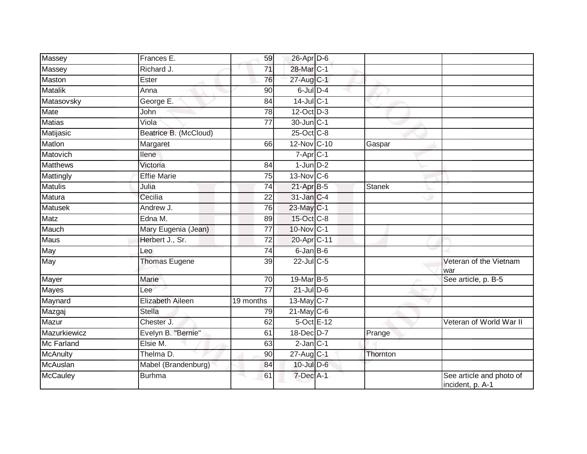| Massey            | Frances E.            | 59              | 26-Apr D-6                  |          |                                              |
|-------------------|-----------------------|-----------------|-----------------------------|----------|----------------------------------------------|
| Massey            | Richard J.            | 71              | 28-Mar C-1                  |          |                                              |
| Maston            | Ester                 | 76              | 27-Aug C-1                  |          |                                              |
| <b>Matalik</b>    | Anna                  | 90              | $6$ -Jul $D-4$              |          |                                              |
| Matasovsky        | George E.             | $\overline{84}$ | 14-Jul C-1                  |          |                                              |
| Mate              | John                  | 78              | $12$ -Oct $\overline{D}$ -3 |          |                                              |
| <b>Matias</b>     | Viola                 | 77              | 30-Jun C-1                  |          |                                              |
| Matijasic         | Beatrice B. (McCloud) |                 | 25-Oct C-8                  |          |                                              |
| Matlon            | Margaret              | 66              | 12-Nov C-10                 | Gaspar   |                                              |
| Matovich          | llene                 |                 | 7-Apr C-1                   |          |                                              |
| <b>Matthews</b>   | Victoria              | 84              | $1$ -Jun $D-2$              |          |                                              |
| Mattingly         | <b>Effie Marie</b>    | $\overline{75}$ | 13-Nov C-6                  |          |                                              |
| <b>Matulis</b>    | Julia                 | 74              | 21-Apr B-5                  | Stanek   |                                              |
| Matura            | Cecilia               | 22              | 31-Jan C-4                  |          |                                              |
| <b>Matusek</b>    | Andrew J.             | 76              | 23-May C-1                  |          |                                              |
| Matz              | Edna M.               | 89              | 15-Oct C-8                  |          |                                              |
| Mauch             | Mary Eugenia (Jean)   | 77              | 10-Nov C-1                  |          |                                              |
| Maus              | Herbert J., Sr.       | 72              | 20-Apr C-11                 |          |                                              |
| May               | Leo                   | 74              | $6$ -Jan $B$ -6             |          |                                              |
| May               | <b>Thomas Eugene</b>  | 39              | $22$ -Jul C-5               |          | Veteran of the Vietnam<br>war                |
| Mayer             | Marie                 | 70              | 19-Mar B-5                  |          | See article, p. B-5                          |
| <b>Mayes</b>      | Lee                   | $\overline{77}$ | $21$ -Jul D-6               |          |                                              |
| Maynard           | Elizabeth Aileen      | 19 months       | 13-May $C-7$                |          |                                              |
| Mazgaj            | <b>Stella</b>         | 79              | $21$ -May C-6               |          |                                              |
| Mazur             | Chester J.            | 62              | $5$ -Oct $E-12$             |          | Veteran of World War II                      |
| Mazurkiewicz      | Evelyn B. "Bernie"    | 61              | 18-Dec D-7                  | Prange   |                                              |
| <b>Mc Farland</b> | Elsie M.              | 63              | $2$ -Jan $C-1$              |          |                                              |
| <b>McAnulty</b>   | Thelma D.             | 90              | 27-Aug C-1                  | Thornton |                                              |
| McAuslan          | Mabel (Brandenburg)   | 84              | 10-Jul D-6                  |          |                                              |
| <b>McCauley</b>   | <b>Burhma</b>         | 61              | 7-Dec A-1                   |          | See article and photo of<br>incident, p. A-1 |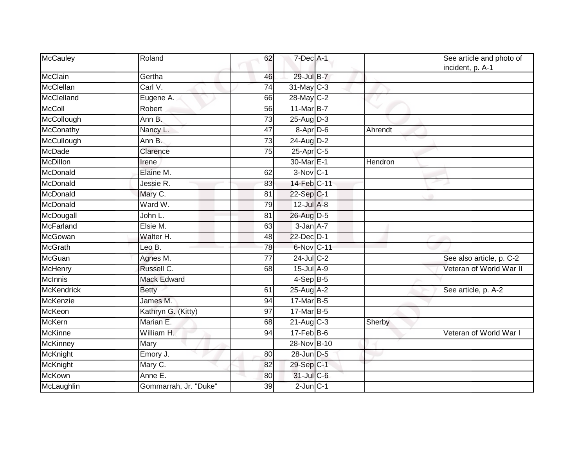| McCauley          | Roland                | 62              | 7-Dec A-1               |         | See article and photo of<br>incident, p. A-1 |
|-------------------|-----------------------|-----------------|-------------------------|---------|----------------------------------------------|
| McClain           | Gertha                | 46              | 29-Jul B-7              |         |                                              |
| McClellan         | Carl V.               | 74              | 31-May C-3              |         |                                              |
| McClelland        | Eugene A.             | 66              | 28-May C-2              |         |                                              |
| <b>McColl</b>     | Robert                | 56              | 11-Mar B-7              |         |                                              |
| McCollough        | Ann B.                | 73              | $25 - \text{Aug}$ $D-3$ |         |                                              |
| <b>McConathy</b>  | Nancy L.              | 47              | 8-Apr D-6               | Ahrendt |                                              |
| McCullough        | Ann B.                | $\overline{73}$ | $24$ -Aug D-2           |         |                                              |
| <b>McDade</b>     | Clarence              | 75              | 25-Apr C-5              |         |                                              |
| McDillon          | Irene                 |                 | 30-Mar <sub>E-1</sub>   | Hendron |                                              |
| McDonald          | Elaine M.             | 62              | $3-Nov$ <sub>C-1</sub>  |         |                                              |
| McDonald          | Jessie R.             | 83              | 14-Feb C-11             |         |                                              |
| McDonald          | Mary C.               | 81              | 22-Sep C-1              |         |                                              |
| McDonald          | Ward W.               | 79              | $12$ -Jul $A-8$         |         |                                              |
| McDougall         | John L.               | 81              | 26-Aug D-5              |         |                                              |
| McFarland         | Elsie M.              | 63              | $3$ -Jan $A$ -7         |         |                                              |
| McGowan           | Walter H.             | 48              | 22-Dec D-1              |         |                                              |
| McGrath           | Leo B.                | 78              | 6-Nov C-11              |         |                                              |
| McGuan            | Agnes M.              | 77              | $24$ -Jul C-2           |         | See also article, p. C-2                     |
| <b>McHenry</b>    | Russell C.            | 68              | $15$ -Jul $A-9$         |         | Veteran of World War II                      |
| McInnis           | <b>Mack Edward</b>    |                 | $4-Sep$ B-5             |         |                                              |
| <b>McKendrick</b> | <b>Betty</b>          | 61              | $25$ -Aug $A$ -2        |         | See article, p. A-2                          |
| McKenzie          | James M.              | 94              | 17-Mar B-5              |         |                                              |
| McKeon            | Kathryn G. (Kitty)    | 97              | 17-Mar B-5              |         |                                              |
| <b>McKern</b>     | Marian E.             | 68              | $21$ -Aug C-3           | Sherby  |                                              |
| <b>McKinne</b>    | William H.            | 94              | $17$ -Feb $B$ -6        |         | Veteran of World War I                       |
| <b>McKinney</b>   | Mary                  |                 | 28-Nov B-10             |         |                                              |
| McKnight          | Emory J.              | 80              | 28-Jun D-5              |         |                                              |
| McKnight          | Mary C.               | 82              | 29-Sep C-1              |         |                                              |
| <b>McKown</b>     | Anne E.               | 80              | $31$ -Jul C-6           |         |                                              |
| McLaughlin        | Gommarrah, Jr. "Duke" | 39              | $2$ -Jun $C-1$          |         |                                              |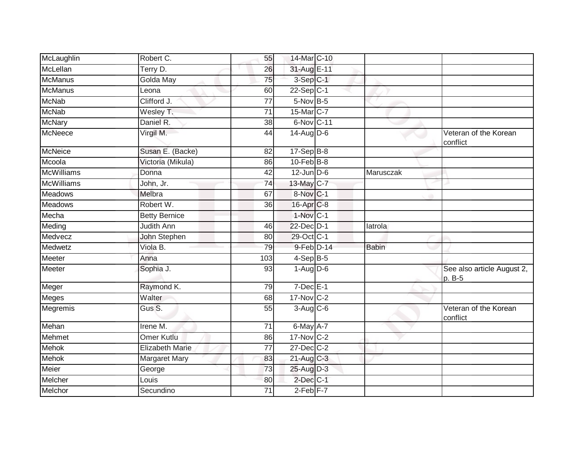| McLaughlin        | Robert C.              | 55              | 14-Mar C-10            |              |                                      |
|-------------------|------------------------|-----------------|------------------------|--------------|--------------------------------------|
| McLellan          | Terry D.               | 26              | 31-Aug E-11            |              |                                      |
| <b>McManus</b>    | Golda May              | $\overline{75}$ | $3-Sep C-1$            |              |                                      |
| <b>McManus</b>    | Leona                  | 60              | $22-Sep C-1$           |              |                                      |
| <b>McNab</b>      | Clifford J.            | 77              | 5-Nov B-5              |              |                                      |
| <b>McNab</b>      | Wesley T.              | 71              | 15-Mar C-7             |              |                                      |
| <b>McNary</b>     | Daniel R.              | 38              | 6-Nov C-11             |              |                                      |
| <b>McNeece</b>    | Virgil M.              | 44              | $14$ -Aug D-6          |              | Veteran of the Korean<br>conflict    |
| McNeice           | Susan E. (Backe)       | 82              | $17 - \text{Sep}B - 8$ |              |                                      |
| Mcoola            | Victoria (Mikula)      | 86              | $10$ -Feb $B$ -8       |              |                                      |
| <b>McWilliams</b> | Donna                  | 42              | $12$ -Jun $D-6$        | Marusczak    |                                      |
| <b>McWilliams</b> | John, Jr.              | 74              | 13-May C-7             |              |                                      |
| <b>Meadows</b>    | Melbra                 | 67              | 8-Nov C-1              |              |                                      |
| Meadows           | Robert W.              | 36              | 16-Apr <sub>C-8</sub>  |              |                                      |
| Mecha             | <b>Betty Bernice</b>   |                 | $1-Nov$ C-1            |              |                                      |
| Meding            | <b>Judith Ann</b>      | 46              | 22-Dec D-1             | latrola      |                                      |
| Medvecz           | John Stephen           | 80              | 29-Oct C-1             |              |                                      |
| Medwetz           | Viola B.               | 79              | 9-Feb D-14             | <b>Babin</b> |                                      |
| Meeter            | Anna                   | 103             | $4-SepB-5$             |              |                                      |
| Meeter            | Sophia J.              | 93              | $1-Aug$ $D-6$          |              | See also article August 2,<br>p. B-5 |
| Meger             | Raymond K.             | 79              | $7$ -Dec $E-1$         |              |                                      |
| Meges             | Walter                 | 68              | 17-Nov C-2             |              |                                      |
| Megremis          | Gus S.                 | 55              | $3-Aug$ $C-6$          |              | Veteran of the Korean<br>conflict    |
| Mehan             | Irene $\overline{M}$ . | 71              | 6-May A-7              |              |                                      |
| Mehmet            | <b>Omer Kutlu</b>      | 86              | 17-Nov C-2             |              |                                      |
| <b>Mehok</b>      | <b>Elizabeth Marie</b> | 77              | $27 - Dec$ C-2         |              |                                      |
| <b>Mehok</b>      | Margaret Mary          | 83              | 21-Aug C-3             |              |                                      |
| Meier             | George                 | 73              | 25-Aug D-3             |              |                                      |
| Melcher           | Louis                  | 80              | $2$ -Dec $C-1$         |              |                                      |
| Melchor           | Secundino              | $\overline{71}$ | $2-Feb$ $F-7$          |              |                                      |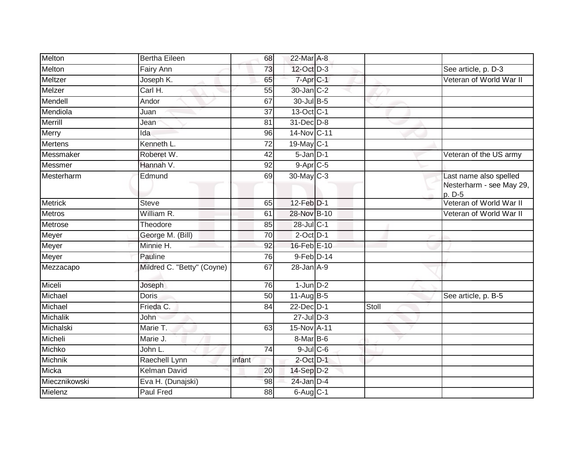| Melton         | <b>Bertha Eileen</b>       | 68              | 22-Mar A-8       |       |                                                              |
|----------------|----------------------------|-----------------|------------------|-------|--------------------------------------------------------------|
| Melton         | Fairy Ann                  | 73              | 12-Oct D-3       |       | See article, p. D-3                                          |
| Meltzer        | Joseph K.                  | 65              | 7-Apr C-1        |       | Veteran of World War II                                      |
| Melzer         | Carl H.                    | 55              | 30-Jan C-2       |       |                                                              |
| Mendell        | Andor                      | 67              | 30-Jul B-5       |       |                                                              |
| Mendiola       | Juan                       | $\overline{37}$ | 13-Oct C-1       |       |                                                              |
| Merrill        | Jean                       | 81              | 31-Dec D-8       |       |                                                              |
| Merry          | Ida                        | 96              | 14-Nov C-11      |       |                                                              |
| <b>Mertens</b> | Kenneth L.                 | 72              | 19-May C-1       |       |                                                              |
| Messmaker      | Roberet W.                 | 42              | $5 - Jan$ $D-1$  |       | Veteran of the US army                                       |
| Messmer        | Hannah V.                  | 92              | $9-Apr$ $C-5$    |       |                                                              |
| Mesterharm     | Edmund                     | 69              | 30-May C-3       |       | Last name also spelled<br>Nesterharm - see May 29,<br>p. D-5 |
| <b>Metrick</b> | <b>Steve</b>               | 65              | 12-Feb D-1       |       | Veteran of World War II                                      |
| <b>Metros</b>  | William R.                 | 61              | 28-Nov B-10      |       | Veteran of World War II                                      |
| Metrose        | Theodore                   | 85              | 28-Jul C-1       |       |                                                              |
| Meyer          | George M. (Bill)           | 70              | $2$ -Oct $D-1$   |       |                                                              |
| Meyer          | Minnie H.                  | 92              | 16-Feb E-10      |       |                                                              |
| Meyer          | Pauline                    | 76              | 9-Feb D-14       |       |                                                              |
| Mezzacapo      | Mildred C. "Betty" (Coyne) | 67              | $28$ -Jan $A-9$  |       |                                                              |
| Miceli         | Joseph                     | 76              | $1$ -Jun $D-2$   |       |                                                              |
| Michael        | <b>Doris</b>               | 50              | 11-Aug B-5       |       | See article, p. B-5                                          |
| Michael        | Frieda C.                  | 84              | 22-Dec D-1       | Stoll |                                                              |
| Michalik       | John                       |                 | $27 -$ Jul $D-3$ |       |                                                              |
| Michalski      | Marie T.                   | 63              | 15-Nov A-11      |       |                                                              |
| Micheli        | Marie J.                   |                 | 8-Mar B-6        |       |                                                              |
| Michko         | John L.                    | 74              | $9$ -Jul $C$ -6  |       |                                                              |
| Michnik        | Raechell Lynn              | infant          | $2$ -Oct $D-1$   |       |                                                              |
| Micka          | <b>Kelman David</b>        | 20              | 14-Sep D-2       |       |                                                              |
| Miecznikowski  | Eva H. (Dunajski)          | 98              | 24-Jan D-4       |       |                                                              |
| Mielenz        | Paul Fred                  | 88              | $6-Aug$ $C-1$    |       |                                                              |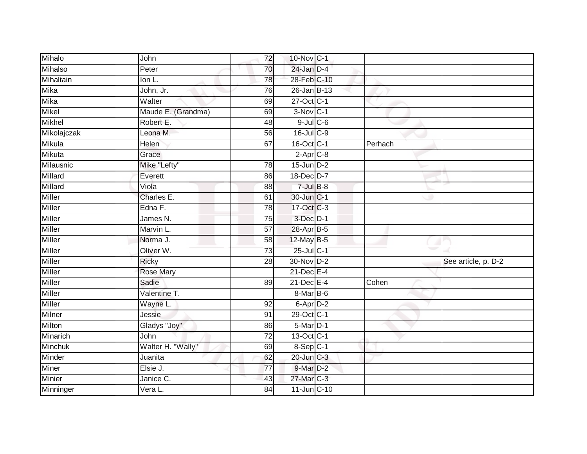| Mihalo        | John                        | 72              | 10-Nov C-1             |         |                     |
|---------------|-----------------------------|-----------------|------------------------|---------|---------------------|
| Mihalso       | $P$ eter                    | 70              | $24$ -Jan $D-4$        |         |                     |
| Mihaltain     | Ion L.                      | 78              | 28-Feb C-10            |         |                     |
| Mika          | John, Jr.                   | 76              | 26-Jan B-13            |         |                     |
| Mika          | Walter                      | 69              | 27-Oct C-1             |         |                     |
| Mikel         | Maude E. (Grandma)          | 69              | $3-Nov$ C-1            |         |                     |
| <b>Mikhel</b> | Robert E.                   | 48              | $9$ -Jul $C$ -6        |         |                     |
| Mikolajczak   | Leona M.                    | 56              | 16-Jul C-9             |         |                     |
| Mikula        | Helen                       | 67              | 16-Oct C-1             | Perhach |                     |
| Mikuta        | Grace                       |                 | $2-Apr$ <sub>C-8</sub> |         |                     |
| Milausnic     | Mike "Lefty"                | 78              | $15$ -Jun $D-2$        |         |                     |
| Millard       | Everett                     | 86              | 18-Dec D-7             |         |                     |
| Millard       | Viola                       | 88              | $7$ -Jul $B-8$         |         |                     |
| <b>Miller</b> | Charles E.                  | 61              | 30-Jun C-1             |         |                     |
| <b>Miller</b> | Edna F.                     | 78              | 17-Oct C-3             |         |                     |
| Miller        | James N.                    | 75              | 3-Dec D-1              |         |                     |
| Miller        | Marvin L.                   | $\overline{57}$ | 28-Apr B-5             |         |                     |
| Miller        | Norma J.                    | 58              | 12-May B-5             |         |                     |
| Miller        | Oliver W.                   | 73              | 25-Jul C-1             |         |                     |
| Miller        | <b>Ricky</b>                | $\overline{28}$ | 30-Nov D-2             |         | See article, p. D-2 |
| Miller        | <b>Rose Mary</b>            |                 | 21-Dec E-4             |         |                     |
| Miller        | Sadie                       | 89              | $21$ -Dec $E-4$        | Cohen   |                     |
| Miller        | Valentine T.                |                 | 8-Mar B-6              |         |                     |
| Miller        | Wayne L.                    | 92              | 6-Apr D-2              |         |                     |
| Milner        | Jessie                      | 91              | 29-Oct C-1             |         |                     |
| Milton        | Gladys "Joy"                | 86              | $5-Mar$ D-1            |         |                     |
| Minarich      | John                        | $\overline{72}$ | 13-Oct C-1             |         |                     |
| Minchuk       | Walter H. "Wally"           | 69              | $8-Sep$ C-1            |         |                     |
| Minder        | Juanita                     | 62              | 20-Jun C-3             |         |                     |
| Miner         | Elsie J.                    | $\overline{77}$ | 9-Mar D-2              |         |                     |
| Minier        | Janice $\overline{C}$ .     | 43              | 27-Mar C-3             |         |                     |
| Minninger     | $\overline{\text{Vera}}$ L. | $\overline{84}$ | 11-Jun C-10            |         |                     |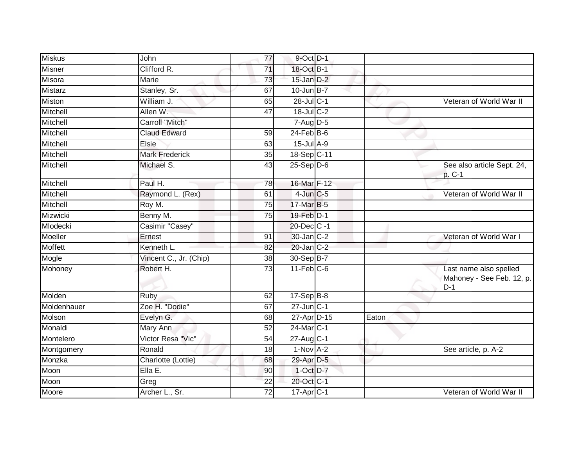| <b>Miskus</b>  | John                   | 77              | 9-Oct D-1        |       |                                                              |
|----------------|------------------------|-----------------|------------------|-------|--------------------------------------------------------------|
| <b>Misner</b>  | Clifford R.            | $\overline{71}$ | 18-Oct B-1       |       |                                                              |
| Misora         | Marie                  | 73              | $15$ -Jan $D-2$  |       |                                                              |
| Mistarz        | Stanley, Sr.           | 67              | $10$ -Jun $B-7$  |       |                                                              |
| <b>Miston</b>  | William J.             | 65              | 28-Jul C-1       |       | Veteran of World War II                                      |
| Mitchell       | Allen W.               | 47              | 18-Jul C-2       |       |                                                              |
| Mitchell       | Carroll "Mitch"        |                 | $7-Aug$ D-5      |       |                                                              |
| Mitchell       | <b>Claud Edward</b>    | 59              | $24$ -Feb $B$ -6 |       |                                                              |
| Mitchell       | Elsie                  | 63              | $15$ -Jul $A-9$  |       |                                                              |
| Mitchell       | <b>Mark Frederick</b>  | 35              | 18-Sep C-11      |       |                                                              |
| Mitchell       | Michael S.             | 43              | $25-Sep$ $D-6$   |       | See also article Sept. 24,<br>p. C-1                         |
| Mitchell       | Paul H.                | 78              | 16-Mar F-12      |       |                                                              |
| Mitchell       | Raymond L. (Rex)       | 61              | $4$ -Jun $C$ -5  |       | Veteran of World War II                                      |
| Mitchell       | Roy M.                 | 75              | 17-Mar B-5       |       |                                                              |
| Mizwicki       | Benny M.               | $\overline{75}$ | 19-Feb D-1       |       |                                                              |
| Mlodecki       | Casimir "Casey"        |                 | 20-Dec C -1      |       |                                                              |
| Moeller        | Ernest                 | 91              | 30-Jan C-2       |       | Veteran of World War I                                       |
| <b>Moffett</b> | Kenneth L.             | 82              | $20$ -Jan $C-2$  |       |                                                              |
| Mogle          | Vincent C., Jr. (Chip) | 38              | 30-Sep B-7       |       |                                                              |
| Mohoney        | Robert H.              | $\overline{73}$ | $11$ -Feb $C$ -6 |       | Last name also spelled<br>Mahoney - See Feb. 12, p.<br>$D-1$ |
| Molden         | Ruby                   | 62              | $17-Sep$ B-8     |       |                                                              |
| Moldenhauer    | Zoe H. "Dodie"         | 67              | $27$ -Jun $C-1$  |       |                                                              |
| Molson         | Evelyn G.              | 68              | 27-Apr D-15      | Eaton |                                                              |
| Monaldi        | Mary Ann               | $\overline{52}$ | 24-Mar C-1       |       |                                                              |
| Montelero      | Victor Resa "Vic"      | 54              | $27$ -Aug C-1    |       |                                                              |
| Montgomery     | Ronald                 | $\overline{18}$ | $1-Nov1 - 2$     |       | See article, p. A-2                                          |
| Monzka         | Charlotte (Lottie)     | 68              | 29-Apr D-5       |       |                                                              |
| Moon           | Ella E.                | 90              | 1-Oct D-7        |       |                                                              |
| Moon           | Greg                   | 22              | 20-Oct C-1       |       |                                                              |
| Moore          | Archer L., Sr.         | 72              | 17-Apr C-1       |       | Veteran of World War II                                      |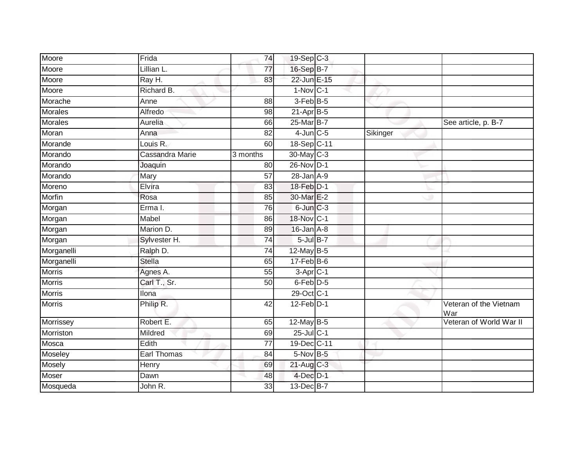| Moore          | Frida           | 74              | 19-Sep C-3      |          |                               |
|----------------|-----------------|-----------------|-----------------|----------|-------------------------------|
| Moore          | Lillian L.      | 77              | 16-Sep B-7      |          |                               |
| Moore          | Ray H.          | 83              | 22-Jun E-15     |          |                               |
| Moore          | Richard B.      |                 | $1-Nov$ C-1     |          |                               |
| Morache        | Anne            | $\overline{88}$ | 3-Feb B-5       |          |                               |
| Morales        | Alfredo         | 98              | $21-Apr$ B-5    |          |                               |
| <b>Morales</b> | Aurelia         | 66              | 25-Mar B-7      |          | See article, p. B-7           |
| Moran          | Anna            | 82              | $4$ -Jun $C$ -5 | Sikinger |                               |
| Morande        | Louis R.        | 60              | 18-Sep C-11     |          |                               |
| Morando        | Cassandra Marie | 3 months        | 30-May C-3      |          |                               |
| Morando        | Joaquin         | 80              | 26-Nov D-1      |          |                               |
| Morando        | Mary            | 57              | $28$ -Jan $A-9$ |          |                               |
| Moreno         | Elvira          | 83              | $18$ -Feb $D-1$ |          |                               |
| Morfin         | Rosa            | 85              | 30-Mar E-2      |          |                               |
| Morgan         | Erma I.         | $\overline{76}$ | $6$ -Jun $C-3$  |          |                               |
| Morgan         | Mabel           | 86              | 18-Nov C-1      |          |                               |
| Morgan         | Marion D.       | 89              | $16$ -Jan $A-8$ |          |                               |
| Morgan         | Sylvester H.    | 74              | $5$ -Jul $B-7$  |          |                               |
| Morganelli     | Ralph D.        | 74              | 12-May B-5      |          |                               |
| Morganelli     | <b>Stella</b>   | 65              | $17 - Feb$ B-6  |          |                               |
| <b>Morris</b>  | Agnes A.        | 55              | $3-Apr$ C-1     |          |                               |
| <b>Morris</b>  | Carl T., Sr.    | $\overline{50}$ | $6$ -Feb $D-5$  |          |                               |
| Morris         | llona           |                 | 29-Oct C-1      |          |                               |
| <b>Morris</b>  | Philip R.       | 42              | $12$ -Feb $D-1$ |          | Veteran of the Vietnam<br>War |
| Morrissey      | Robert E.       | 65              | 12-May B-5      |          | Veteran of World War II       |
| Morriston      | Mildred         | 69              | 25-Jul C-1      |          |                               |
| Mosca          | Edith           | $\overline{77}$ | 19-Dec C-11     |          |                               |
| Moseley        | Earl Thomas     | 84              | 5-Nov B-5       |          |                               |
| Mosely         | Henry           | 69              | $21$ -Aug C-3   |          |                               |
| Moser          | Dawn            | 48              | $4$ -Dec $D-1$  |          |                               |
| Mosqueda       | John R.         | 33              | 13-Dec B-7      |          |                               |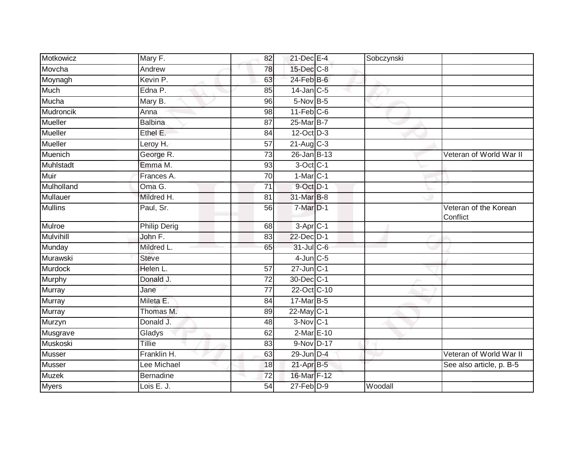| Motkowicz        | Mary F.             | 82              | 21-Dec E-4                 | Sobczynski |                                   |
|------------------|---------------------|-----------------|----------------------------|------------|-----------------------------------|
| Movcha           | Andrew              | 78              | 15-Dec C-8                 |            |                                   |
| Moynagh          | Kevin P.            | 63              | 24-Feb B-6                 |            |                                   |
| Much             | Edna P.             | 85              | $14$ -Jan C-5              |            |                                   |
| Mucha            | Mary B.             | 96              | $5-Nov$ B-5                |            |                                   |
| <b>Mudroncik</b> | Anna                | 98              | $11-Feb$ C-6               |            |                                   |
| Mueller          | Balbina             | 87              | 25-Mar B-7                 |            |                                   |
| <b>Mueller</b>   | Ethel E.            | 84              | 12-Oct D-3                 |            |                                   |
| Mueller          | Leroy H.            | 57              | $21-Aug$ <sub>C-3</sub>    |            |                                   |
| Muenich          | George R.           | $\overline{73}$ | $26$ -Jan $B-13$           |            | Veteran of World War II           |
| Muhlstadt        | Emma M.             | 93              | 3-Oct C-1                  |            |                                   |
| Muir             | Frances A.          | 70              | $1-Mar$ $C-1$              |            |                                   |
| Mulholland       | Oma G.              | 71              | $9$ -Oct $\overline{D}$ -1 |            |                                   |
| Mullauer         | Mildred H.          | 81              | 31-Mar B-8                 |            |                                   |
| <b>Mullins</b>   | Paul, Sr.           | 56              | $7-Mar$ $D-1$              |            | Veteran of the Korean<br>Conflict |
| Mulroe           | <b>Philip Derig</b> | 68              | $3-Apr$ C-1                |            |                                   |
| <b>Mulvihill</b> | John F.             | 83              | 22-Dec D-1                 |            |                                   |
| Munday           | Mildred L.          | 65              | 31-Jul C-6                 |            |                                   |
| Murawski         | <b>Steve</b>        |                 | $4$ -Jun $C-5$             |            |                                   |
| <b>Murdock</b>   | Helen L.            | 57              | $27$ -Jun $C-1$            |            |                                   |
| Murphy           | Donald J.           | 72              | 30-Dec C-1                 |            |                                   |
| Murray           | Jane                | 77              | 22-Oct C-10                |            |                                   |
| Murray           | Mileta E.           | 84              | 17-Mar B-5                 |            |                                   |
| Murray           | Thomas M.           | 89              | $22$ -May C-1              |            |                                   |
| Murzyn           | Donald J.           | 48              | $3-Nov$ <sub>C-1</sub>     |            |                                   |
| Musgrave         | Gladys              | 62              | 2-Mar E-10                 |            |                                   |
| Muskoski         | <b>Tillie</b>       | $\overline{83}$ | 9-Nov D-17                 |            |                                   |
| <b>Musser</b>    | Franklin H.         | 63              | 29-Jun D-4                 |            | Veteran of World War II           |
| <b>Musser</b>    | Lee Michael         | 18              | 21-Apr B-5                 |            | See also article, p. B-5          |
| <b>Muzek</b>     | <b>Bernadine</b>    | 72              | 16-Mar F-12                |            |                                   |
| <b>Myers</b>     | Lois E. J.          | 54              | $27$ -Feb $D-9$            | Woodall    |                                   |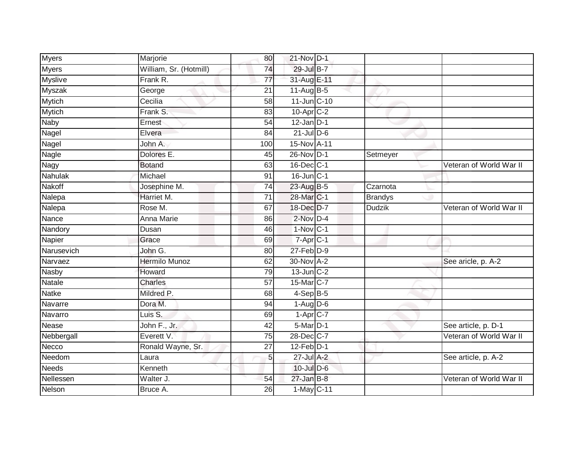| Myers          | Marjorie               | 80              | 21-Nov D-1             |                |                         |
|----------------|------------------------|-----------------|------------------------|----------------|-------------------------|
| <b>Myers</b>   | William, Sr. (Hotmill) | $\overline{74}$ | 29-Jul B-7             |                |                         |
| <b>Myslive</b> | Frank R.               | $\overline{77}$ | 31-Aug E-11            |                |                         |
| Myszak         | George                 | 21              | $11-Aug$ B-5           |                |                         |
| <b>Mytich</b>  | Cecilia                | $\overline{58}$ | $11$ -Jun $C-10$       |                |                         |
| Mytich         | Frank S.               | 83              | 10-Apr C-2             |                |                         |
| <b>Naby</b>    | Ernest                 | 54              | $12$ -Jan $D-1$        |                |                         |
| Nagel          | Elvera                 | 84              | $21$ -Jul $D-6$        |                |                         |
| Nagel          | John A.                | 100             | 15-Nov A-11            |                |                         |
| <b>Nagle</b>   | Dolores E.             | 45              | 26-Nov D-1             | Setmeyer       |                         |
| Nagy           | <b>Botand</b>          | 63              | 16-Dec C-1             |                | Veteran of World War II |
| Nahulak        | Michael                | 91              | $16$ -Jun $C-1$        |                |                         |
| Nakoff         | Josephine M.           | $\overline{74}$ | 23-Aug B-5             | Czarnota       |                         |
| Nalepa         | Harriet M.             | 71              | 28-Mar C-1             | <b>Brandys</b> |                         |
| Nalepa         | Rose M.                | 67              | 18-Dec D-7             | <b>Dudzik</b>  | Veteran of World War II |
| Nance          | Anna Marie             | 86              | $2$ -Nov $D-4$         |                |                         |
| Nandory        | Dusan                  | 46              | $1-Nov$ C-1            |                |                         |
| Napier         | Grace                  | 69              | $7-Apr$ $C-1$          |                |                         |
| Narusevich     | John G.                | 80              | $27$ -Feb $D-9$        |                |                         |
| Narvaez        | <b>Hermilo Munoz</b>   | 62              | 30-Nov A-2             |                | See aricle, p. A-2      |
| <b>Nasby</b>   | Howard                 | 79              | $13$ -Jun $C-2$        |                |                         |
| Natale         | Charles                | $\overline{57}$ | 15-Mar C-7             |                |                         |
| <b>Natke</b>   | Mildred P.             | 68              | $4-Sep\overline{B-5}$  |                |                         |
| Navarre        | Dora M.                | 94              | $1-Aug$ D-6            |                |                         |
| Navarro        | Luis S.                | 69              | $1-\overline{Apr}$ C-7 |                |                         |
| Nease          | John F., Jr.           | 42              | $5-Mar$ D-1            |                | See article, p. D-1     |
| Nebbergall     | Everett V.             | 75              | 28-Dec C-7             |                | Veteran of World War II |
| Necco          | Ronald Wayne, Sr.      | 27              | $12$ -Feb $D-1$        |                |                         |
| Needom         | Laura                  | 5 <sub>5</sub>  | 27-Jul A-2             |                | See article, p. A-2     |
| <b>Needs</b>   | Kenneth                |                 | 10-Jul D-6             |                |                         |
| Nellessen      | Walter J.              | 54              | $27$ -Jan B-8          |                | Veteran of World War II |
| Nelson         | Bruce A.               | 26              | 1-May C-11             |                |                         |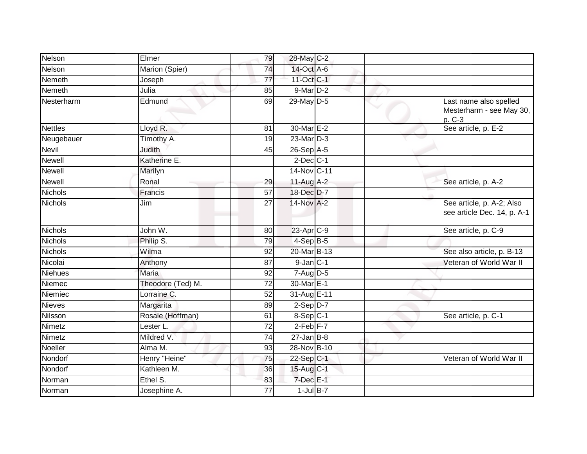| Nelson         | Elmer             | 79              | 28-May C-2            |  |                                                              |
|----------------|-------------------|-----------------|-----------------------|--|--------------------------------------------------------------|
| Nelson         | Marion (Spier)    | 74              | 14-Oct A-6            |  |                                                              |
| <b>Nemeth</b>  | Joseph            | $\overline{77}$ | 11-Oct C-1            |  |                                                              |
| Nemeth         | Julia             | 85              | $9$ -Mar $D-2$        |  |                                                              |
| Nesterharm     | Edmund            | 69              | 29-May D-5            |  | Last name also spelled<br>Mesterharm - see May 30,<br>p. C-3 |
| <b>Nettles</b> | Lloyd R.          | 81              | 30-Mar E-2            |  | See article, p. E-2                                          |
| Neugebauer     | Timothy A.        | 19              | 23-Mar D-3            |  |                                                              |
| Nevil          | Judith            | 45              | 26-Sep A-5            |  |                                                              |
| <b>Newell</b>  | Katherine E.      |                 | $2$ -Dec $C-1$        |  |                                                              |
| Newell         | Marilyn           |                 | 14-Nov C-11           |  |                                                              |
| <b>Newell</b>  | Ronal             | 29              | 11-Aug A-2            |  | See article, p. A-2                                          |
| <b>Nichols</b> | Francis           | $\overline{57}$ | 18-Dec D-7            |  |                                                              |
| Nichols        | Jim               | 27              | 14-Nov A-2            |  | See article, p. A-2; Also<br>see article Dec. 14, p. A-1     |
| Nichols        | John W.           | 80              | 23-Apr <sub>C-9</sub> |  | See article, p. C-9                                          |
| <b>Nichols</b> | Philip S.         | 79              | $4-SepB-5$            |  |                                                              |
| <b>Nichols</b> | Wilma             | 92              | 20-Mar B-13           |  | See also article, p. B-13                                    |
| Nicolai        | Anthony           | $\overline{87}$ | $9$ -Jan $C-1$        |  | Veteran of World War II                                      |
| Niehues        | <b>Maria</b>      | 92              | $7 - Aug$ $D-5$       |  |                                                              |
| Niemec         | Theodore (Ted) M. | $\overline{72}$ | 30-Mar <sub>E-1</sub> |  |                                                              |
| Niemiec        | Lorraine C.       | 52              | 31-Aug E-11           |  |                                                              |
| Nieves         | Margarita         | 89              | $2-Sep1D-7$           |  |                                                              |
| Nilsson        | Rosale (Hoffman)  | 61              | $8-Sep C-1$           |  | See article, p. C-1                                          |
| Nimetz         | Lester L.         | 72              | $2-Feb$ $F-7$         |  |                                                              |
| Nimetz         | Mildred V.        | 74              | $27 - Jan$ B-8        |  |                                                              |
| Noeller        | Alma M.           | 93              | 28-Nov B-10           |  |                                                              |
| Nondorf        | Henry "Heine"     | 75              | $22-Sep C-1$          |  | Veteran of World War II                                      |
| Nondorf        | Kathleen M.       | 36              | 15-Aug C-1            |  |                                                              |
| Norman         | Ethel S.          | 83              | $7$ -Dec $E-1$        |  |                                                              |
| Norman         | Josephine A.      | 77              | $1$ -Jul B-7          |  |                                                              |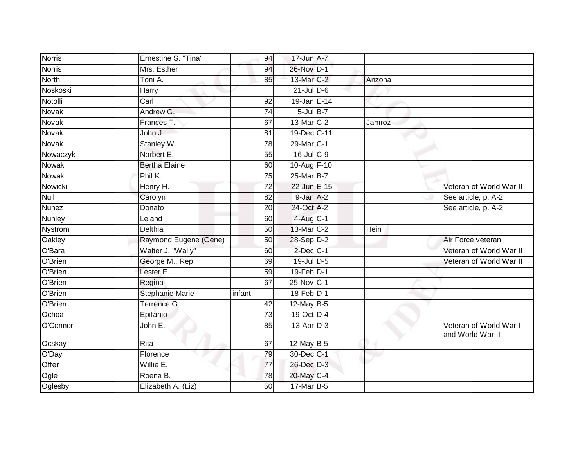| <b>Norris</b> | Ernestine S. "Tina"    | 94     | 17-Jun A-7                  |             |                                            |
|---------------|------------------------|--------|-----------------------------|-------------|--------------------------------------------|
| <b>Norris</b> | Mrs. Esther            | 94     | 26-Nov D-1                  |             |                                            |
| <b>North</b>  | Toni A.                | 85     | 13-Mar C-2                  | Anzona      |                                            |
| Noskoski      | Harry                  |        | $21$ -JulD-6                |             |                                            |
| Notolli       | Carl                   | 92     | $19$ -Jan E-14              |             |                                            |
| Novak         | Andrew G.              | 74     | $5$ -Jul $B-7$              |             |                                            |
| Novak         | Frances T.             | 67     | $13$ -Mar $ C-2 $           | Jamroz      |                                            |
| Novak         | John J.                | 81     | 19-Dec C-11                 |             |                                            |
| Novak         | Stanley W.             | 78     | 29-Mar <sub>IC-1</sub>      |             |                                            |
| Nowaczyk      | Norbert E.             | 55     | $16$ -Jul C-9               |             |                                            |
| Nowak         | <b>Bertha Elaine</b>   | 60     | 10-Aug F-10                 |             |                                            |
| Nowak         | Phil K.                | 75     | 25-Mar B-7                  |             |                                            |
| Nowicki       | Henry H.               | 72     | 22-Jun E-15                 |             | Veteran of World War II                    |
| Null          | Carolyn                | 82     | $9$ -Jan $A-2$              |             | See article, p. A-2                        |
| <b>Nunez</b>  | Donato                 | 20     | 24-Oct A-2                  |             | See article, p. A-2                        |
| Nunley        | Leland                 | 60     | $4$ -Aug C-1                |             |                                            |
| Nystrom       | <b>Delthia</b>         | 50     | 13-Mar C-2                  | <b>Hein</b> |                                            |
| Oakley        | Raymond Eugene (Gene)  | 50     | 28-Sep D-2                  |             | Air Force veteran                          |
| O'Bara        | Walter J. "Wally"      | 60     | $2$ -Dec $C-1$              |             | Veteran of World War II                    |
| O'Brien       | George M., Rep.        | 69     | $19$ -Jul $D-5$             |             | Veteran of World War II                    |
| O'Brien       | Lester E.              | 59     | $19$ -Feb $\overline{D}$ -1 |             |                                            |
| O'Brien       | Regina                 | 67     | 25-Nov C-1                  |             |                                            |
| O'Brien       | <b>Stephanie Marie</b> | infant | 18-Feb D-1                  |             |                                            |
| O'Brien       | Terrence G.            | 42     | $12$ -May B-5               |             |                                            |
| Ochoa         | Epifanio               | 73     | 19-Oct D-4                  |             |                                            |
| O'Connor      | John E.                | 85     | $13$ -Apr $D-3$             |             | Veteran of World War I<br>and World War II |
| Ocskay        | Rita                   | 67     | $12$ -May B-5               |             |                                            |
| O'Day         | Florence               | 79     | 30-Dec C-1                  |             |                                            |
| Offer         | Willie E.              | 77     | 26-Dec D-3                  |             |                                            |
| Ogle          | Roena B.               | 78     | 20-May C-4                  |             |                                            |
| Oglesby       | Elizabeth A. (Liz)     | 50     | 17-Mar B-5                  |             |                                            |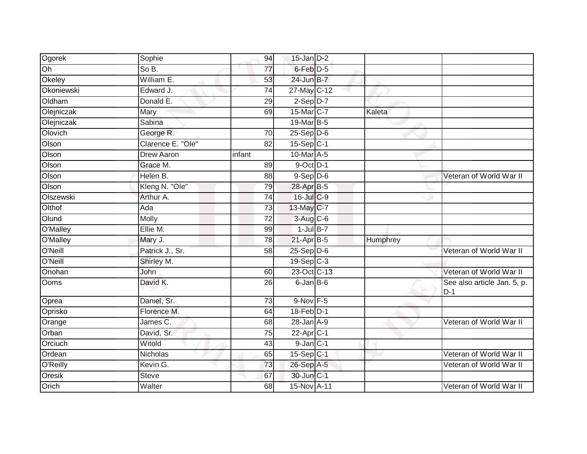| Ogorek     | Sophie            | 94              | $15$ -Jan $D-2$         |          |                                      |
|------------|-------------------|-----------------|-------------------------|----------|--------------------------------------|
| Oh         | So B.             | 77              | $6$ -Feb $D-5$          |          |                                      |
| Okeley     | William E.        | 53              | 24-Jun B-7              |          |                                      |
| Okoniewski | Edward J.         | 74              | 27-May C-12             |          |                                      |
| Oldham     | Donald E.         | 29              | $2-Sep$ $D-7$           |          |                                      |
| Olejniczak | Mary              | 69              | 15-Mar C-7              | Kaleta   |                                      |
| Olejniczak | Sabina            |                 | 19-Mar B-5              |          |                                      |
| Olovich    | George R.         | 70              | $25-Sep D-6$            |          |                                      |
| Olson      | Clarence E. "Ole" | 82              | $15-Sep C-1$            |          |                                      |
| Olson      | <b>Drew Aaron</b> | infant          | 10-Mar A-5              |          |                                      |
| Olson      | Grace M.          | 89              | 9-Oct D-1               |          |                                      |
| Olson      | Helen B.          | 88              | $9-Sep D-6$             |          | Veteran of World War II              |
| Olson      | Kleng N. "Ole"    | 79              | 28-Apr B-5              |          |                                      |
| Olszewski  | Arthur A.         | $\overline{74}$ | 16-Jul C-9              |          |                                      |
| Olthof     | Ada               | 73              | 13-May C-7              |          |                                      |
| Olund      | Molly             | 72              | 3-Aug C-6               |          |                                      |
| O'Malley   | Ellie M.          | 99              | $1$ -Jul $B-7$          |          |                                      |
| O'Malley   | Mary J.           | 78              | $21-Apr$ B-5            | Humphrey |                                      |
| O'Neill    | Patrick J., Sr.   | 58              | $25-Sep$ $D-6$          |          | Veteran of World War II              |
| O'Neill    | Shirley M.        |                 | $19-Sep$ <sub>C-3</sub> |          |                                      |
| Onohan     | John              | 60              | 23-Oct C-13             |          | Veteran of World War II              |
| Ooms       | David K.          | 26              | 6-Jan B-6               |          | See also article Jan. 5, p.<br>$D-1$ |
| Oprea      | Daniel, Sr.       | 73              | $9-Nov$ F-5             |          |                                      |
| Oprisko    | Florence M.       | 64              | 18-Feb D-1              |          |                                      |
| Orange     | James C.          | 68              | $28 - Jan A - 9$        |          | Veteran of World War II              |
| Orban      | David, Sr.        | 75              | $22-Apr$ <sub>C-1</sub> |          |                                      |
| Orciuch    | Witold            | 43              | $9$ -Jan $C-1$          |          |                                      |
| Ordean     | <b>Nicholas</b>   | 65              | 15-Sep C-1              |          | Veteran of World War II              |
| O'Reilly   | Kevin G.          | 73              | 26-Sep A-5              |          | Veteran of World War II              |
| Oresik     | <b>Steve</b>      | 67              | 30-Jun C-1              |          |                                      |
| Orich      | Walter            | 68              | 15-Nov A-11             |          | Veteran of World War II              |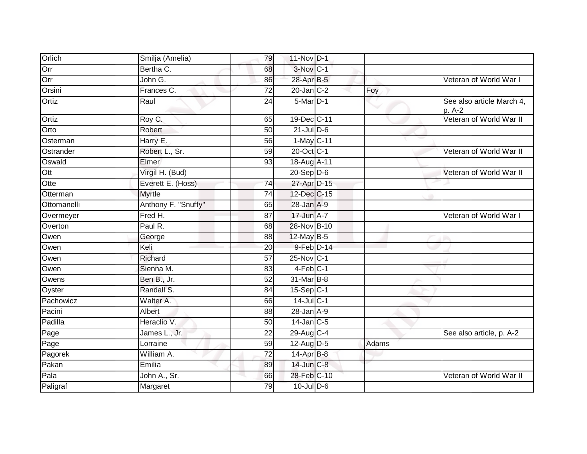| Orlich      | Smilja (Amelia)     | 79              | 11-Nov D-1       |       |                                     |
|-------------|---------------------|-----------------|------------------|-------|-------------------------------------|
| Orr         | Bertha C.           | 68              | 3-Nov C-1        |       |                                     |
| Orr         | John G.             | 86              | 28-Apr B-5       |       | Veteran of World War I              |
| Orsini      | Frances C.          | 72              | $20$ -Jan $C-2$  | Foy   |                                     |
| Ortiz       | Raul                | $\overline{24}$ | $5$ -Mar $D-1$   |       | See also article March 4,<br>p. A-2 |
| Ortiz       | Roy C.              | 65              | 19-Dec C-11      |       | Veteran of World War II             |
| Orto        | Robert              | 50              | $21$ -Jul $D-6$  |       |                                     |
| Osterman    | Harry E.            | 56              | 1-May C-11       |       |                                     |
| Ostrander   | Robert L., Sr.      | 59              | 20-Oct C-1       |       | Veteran of World War II             |
| Oswald      | Elmer               | 93              | 18-Aug A-11      |       |                                     |
| Ott         | Virgil H. (Bud)     |                 | $20 - Sep$ $D-6$ |       | Veteran of World War II             |
| Otte        | Everett E. (Hoss)   | $\overline{74}$ | 27-Apr D-15      |       |                                     |
| Otterman    | <b>Myrtle</b>       | 74              | 12-Dec C-15      |       |                                     |
| Ottomanelli | Anthony F. "Snuffy" | 65              | 28-Jan A-9       |       |                                     |
| Overmeyer   | Fred H.             | 87              | 17-Jun A-7       |       | Veteran of World War I              |
| Overton     | Paul R.             | 68              | 28-Nov B-10      |       |                                     |
| Owen        | George              | 88              | 12-May B-5       |       |                                     |
| Owen        | Keli                | 20              | 9-Feb D-14       |       |                                     |
| Owen        | Richard             | 57              | 25-Nov C-1       |       |                                     |
| Owen        | Sienna M.           | 83              | 4-Feb C-1        |       |                                     |
| Owens       | Ben B., Jr.         | 52              | 31-Mar B-8       |       |                                     |
| Oyster      | Randall S.          | 84              | 15-Sep C-1       |       |                                     |
| Pachowicz   | Walter A.           | 66              | $14$ -Jul C-1    |       |                                     |
| Pacini      | Albert              | 88              | $28$ -Jan $A-9$  |       |                                     |
| Padilla     | Heraclio V.         | 50              | $14$ -Jan C-5    |       |                                     |
| Page        | James L., Jr.       | 22              | 29-Aug C-4       |       | See also article, p. A-2            |
| Page        | Lorraine            | 59              | 12-Aug D-5       | Adams |                                     |
| Pagorek     | William A.          | $\overline{72}$ | 14-Apr B-8       |       |                                     |
| Pakan       | Emilia              | 89              | 14-Jun C-8       |       |                                     |
| Pala        | John A., Sr.        | 66              | 28-Feb C-10      |       | Veteran of World War II             |
| Paligraf    | Margaret            | 79              | $10$ -Jul $D-6$  |       |                                     |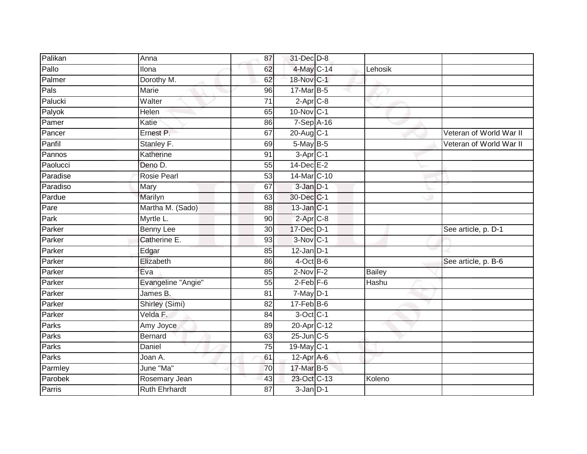| Palikan  | Anna                 | 87              | 31-Dec D-8             |               |                         |
|----------|----------------------|-----------------|------------------------|---------------|-------------------------|
| Pallo    | Ilona                | 62              | 4-May C-14             | Lehosik       |                         |
| Palmer   | Dorothy M.           | 62              | 18-Nov C-1             |               |                         |
| Pals     | Marie                | 96              | 17-Mar B-5             |               |                         |
| Palucki  | Walter               | $\overline{71}$ | $2-Apr$ $C-8$          |               |                         |
| Palyok   | Helen                | 65              | 10-Nov C-1             |               |                         |
| Pamer    | Katie                | 86              | 7-Sep A-16             |               |                         |
| Pancer   | Ernest P.            | 67              | 20-Aug C-1             |               | Veteran of World War II |
| Panfil   | Stanley F.           | 69              | 5-May B-5              |               | Veteran of World War II |
| Pannos   | Katherine            | 91              | 3-Apr <sub>C-1</sub>   |               |                         |
| Paolucci | Deno D.              | $\overline{55}$ | $14$ -Dec $E-2$        |               |                         |
| Paradise | Rosie Pearl          | 53              | 14-Mar C-10            |               |                         |
| Paradiso | Mary                 | 67              | 3-Jan D-1              |               |                         |
| Pardue   | Marilyn              | 63              | 30-Dec C-1             |               |                         |
| Pare     | Martha M. (Sado)     | $\overline{88}$ | $13$ -Jan $ C-1 $      |               |                         |
| Park     | Myrtle L.            | 90              | $2$ -Apr $C-8$         |               |                         |
| Parker   | <b>Benny Lee</b>     | 30              | 17-Dec D-1             |               | See article, p. D-1     |
| Parker   | Catherine E.         | 93              | 3-Nov C-1              |               |                         |
| Parker   | Edgar                | 85              | $12$ -Jan $D-1$        |               |                         |
| Parker   | Elizabeth            | 86              | $4$ -Oct B-6           |               | See article, p. B-6     |
| Parker   | Eva                  | 85              | $2-Nov$ F-2            | <b>Bailey</b> |                         |
| Parker   | Evangeline "Angie"   | $\overline{55}$ | $2$ -Feb $F-6$         | Hashu         |                         |
| Parker   | James B.             | 81              | $7$ -May $D-1$         |               |                         |
| Parker   | Shirley (Simi)       | 82              | $17$ -Feb $B$ -6       |               |                         |
| Parker   | Velda F.             | 84              | 3-Oct C-1              |               |                         |
| Parks    | Amy Joyce            | 89              | 20-Apr <sub>C-12</sub> |               |                         |
| Parks    | Bernard              | 63              | $25$ -Jun $C$ -5       |               |                         |
| Parks    | Daniel               | 75              | 19-May C-1             |               |                         |
| Parks    | Joan A.              | 61              | $12$ -Apr $A$ -6       |               |                         |
| Parmley  | June "Ma"            | 70              | 17-Mar B-5             |               |                         |
| Parobek  | Rosemary Jean        | 43              | 23-Oct C-13            | Koleno        |                         |
| Parris   | <b>Ruth Ehrhardt</b> | 87              | $3-Jan$ $D-1$          |               |                         |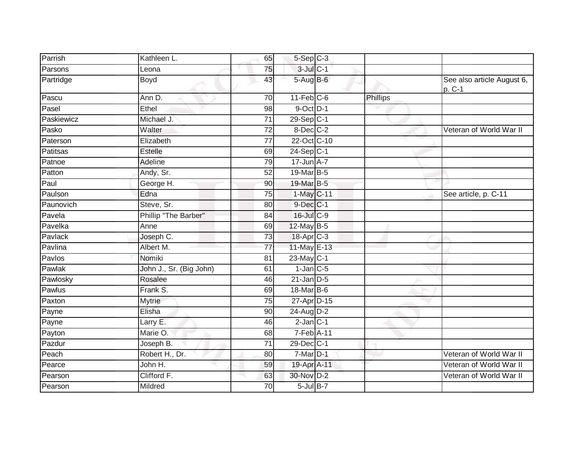| Parrish    | Kathleen L.             | 65              | $5-$ Sep $C-3$        |          |                                        |
|------------|-------------------------|-----------------|-----------------------|----------|----------------------------------------|
| Parsons    | Leona                   | 75              | $3$ -Jul $C-1$        |          |                                        |
| Partridge  | <b>Boyd</b>             | 43              | 5-Aug B-6             |          | See also article August 6,<br>$p. C-1$ |
| Pascu      | Ann D.                  | 70              | $11-Feb$ C-6          | Phillips |                                        |
| Pasel      | Ethel                   | 98              | $9$ -Oct $D-1$        |          |                                        |
| Paskiewicz | Michael J.              | $\overline{71}$ | $29-Sep C-1$          |          |                                        |
| Pasko      | Walter                  | 72              | 8-Dec C-2             |          | Veteran of World War II                |
| Paterson   | Elizabeth               | $\overline{77}$ | 22-Oct C-10           |          |                                        |
| Patitsas   | <b>Estelle</b>          | 69              | $24-Sep C-1$          |          |                                        |
| Patnoe     | Adeline                 | 79              | 17-Jun A-7            |          |                                        |
| Patton     | Andy, Sr.               | 52              | 19-Mar B-5            |          |                                        |
| Paul       | George H.               | 90              | 19-Mar B-5            |          |                                        |
| Paulson    | Edna                    | 75              | 1-May C-11            |          | See article, p. C-11                   |
| Paunovich  | Steve, Sr.              | 80              | $9$ -Dec $C-1$        |          |                                        |
| Pavela     | Phillip "The Barber"    | 84              | 16-Jul C-9            |          |                                        |
| Pavelka    | Anne                    | 69              | $12$ -May B-5         |          |                                        |
| Pavlack    | Joseph C.               | 73              | 18-Apr <sub>C-3</sub> |          |                                        |
| Pavlina    | Albert M.               | 77              | 11-May E-13           |          |                                        |
| Pavlos     | Nomiki                  | 81              | $23$ -May C-1         |          |                                        |
| Pawlak     | John J., Sr. (Big John) | 61              | $1$ -Jan $C$ -5       |          |                                        |
| Pawlosky   | Rosalee                 | 46              | $21$ -Jan D-5         |          |                                        |
| Pawlus     | Frank S.                | 69              | $18$ -Mar B-6         |          |                                        |
| Paxton     | <b>Mytrie</b>           | 75              | 27-Apr D-15           |          |                                        |
| Payne      | Elisha                  | 90              | 24-Aug D-2            |          |                                        |
| Payne      | Larry E.                | 46              | $2$ -Jan $C-1$        |          |                                        |
| Payton     | Marie O.                | 68              | 7-Feb A-11            |          |                                        |
| Pazdur     | Joseph B.               | $\overline{71}$ | 29-Dec C-1            |          |                                        |
| Peach      | Robert H., Dr.          | 80              | $7-Mar$ D-1           |          | Veteran of World War II                |
| Pearce     | John H.                 | 59              | 19-Apr A-11           |          | Veteran of World War II                |
| Pearson    | Clifford F.             | 63              | 30-Nov D-2            |          | Veteran of World War II                |
| Pearson    | Mildred                 | 70              | $5$ -Jul $B-7$        |          |                                        |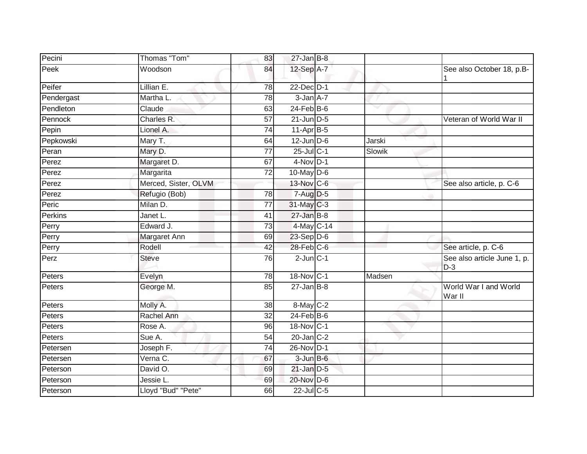| Pecini     | Thomas "Tom"         | 83              | $27$ -Jan B-8    |        |                                      |
|------------|----------------------|-----------------|------------------|--------|--------------------------------------|
| Peek       | Woodson              | 84              | 12-Sep A-7       |        | See also October 18, p.B-            |
| Peifer     | Lillian E.           | $\overline{78}$ | 22-Dec D-1       |        |                                      |
| Pendergast | Martha L.            | 78              | $3 - Jan A - 7$  |        |                                      |
| Pendleton  | Claude               | 63              | $24$ -Feb $B$ -6 | $\sim$ |                                      |
| Pennock    | Charles R.           | $\overline{57}$ | $21$ -Jun D-5    |        | Veteran of World War II              |
| Pepin      | Lionel A.            | 74              | $11-AprB-5$      |        |                                      |
| Pepkowski  | Mary T.              | 64              | $12$ -Jun $D-6$  | Jarski |                                      |
| Peran      | Mary D.              | $\overline{77}$ | $25$ -Jul C-1    | Slowik |                                      |
| Perez      | Margaret D.          | 67              | $4-Nov$ D-1      |        |                                      |
| Perez      | Margarita            | 72              | $10$ -May $D-6$  |        |                                      |
| Perez      | Merced, Sister, OLVM |                 | 13-Nov C-6       |        | See also article, p. C-6             |
| Perez      | Refugio (Bob)        | $\overline{78}$ | $7 - Aug$ $D-5$  |        |                                      |
| Peric      | Milan D.             | $\overline{77}$ | 31-May C-3       |        |                                      |
| Perkins    | Janet L.             | 41              | $27$ -Jan $B-8$  |        |                                      |
| Perry      | Edward J.            | 73              | 4-May C-14       |        |                                      |
| Perry      | Margaret Ann         | 69              | $23-Sep$ D-6     |        |                                      |
| Perry      | Rodell               | 42              | $28$ -Feb $C$ -6 |        | See article, p. C-6                  |
| Perz       | <b>Steve</b>         | 76              | $2$ -Jun $C-1$   |        | See also article June 1, p.<br>$D-3$ |
| Peters     | Evelyn               | 78              | 18-Nov C-1       | Madsen |                                      |
| Peters     | George M.            | 85              | $27 - Jan$ B-8   |        | World War I and World<br>War II      |
| Peters     | Molly A.             | 38              | 8-May C-2        |        |                                      |
| Peters     | Rachel Ann           | $\overline{32}$ | $24$ -Feb $B$ -6 |        |                                      |
| Peters     | Rose A.              | 96              | 18-Nov C-1       |        |                                      |
| Peters     | Sue A.               | 54              | $20$ -Jan $C-2$  |        |                                      |
| Petersen   | Joseph F.            | $\overline{74}$ | 26-Nov D-1       |        |                                      |
| Petersen   | Verna C.             | 67              | $3$ -Jun $B$ -6  |        |                                      |
| Peterson   | David O.             | 69              | $21$ -Jan $D-5$  |        |                                      |
| Peterson   | Jessie L.            | 69              | 20-Nov D-6       |        |                                      |
| Peterson   | Lloyd "Bud" "Pete"   | 66              | $22$ -Jul C-5    |        |                                      |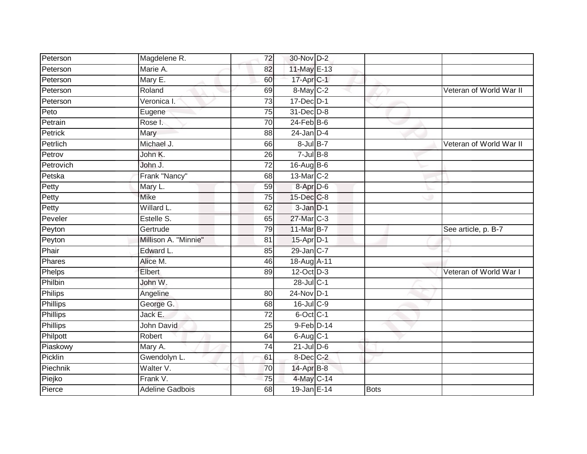| Peterson  | Magdelene R.           | 72              | 30-Nov D-2       |             |                         |
|-----------|------------------------|-----------------|------------------|-------------|-------------------------|
| Peterson  | Marie A.               | 82              | 11-May E-13      |             |                         |
| Peterson  | Mary E.                | 60              | 17-Apr C-1       |             |                         |
| Peterson  | Roland                 | 69              | 8-May C-2        |             | Veteran of World War II |
| Peterson  | Veronica I.            | $\overline{73}$ | 17-Dec D-1       |             |                         |
| Peto      | Eugene                 | $\overline{75}$ | 31-Dec D-8       |             |                         |
| Petrain   | Rose I.                | 70              | $24$ -Feb $B$ -6 |             |                         |
| Petrick   | Mary                   | 88              | $24$ -Jan $D-4$  |             |                         |
| Petrlich  | Michael J.             | 66              | 8-Jul B-7        |             | Veteran of World War II |
| Petrov    | John K.                | $\overline{26}$ | $7$ -Jul $B$ -8  |             |                         |
| Petrovich | John J.                | 72              | $16$ -Aug B-6    |             |                         |
| Petska    | Frank "Nancy"          | 68              | 13-Mar C-2       |             |                         |
| Petty     | Mary L.                | 59              | 8-Apr D-6        |             |                         |
| Petty     | <b>Mike</b>            | $\overline{75}$ | 15-Dec C-8       |             |                         |
| Petty     | Willard L.             | 62              | $3 - Jan$ $D-1$  |             |                         |
| Peveler   | Estelle S.             | 65              | 27-Mar C-3       |             |                         |
| Peyton    | Gertrude               | 79              | 11-Mar B-7       |             | See article, p. B-7     |
| Peyton    | Millison A. "Minnie"   | 81              | 15-Apr D-1       |             |                         |
| Phair     | Edward L.              | 85              | 29-Jan C-7       |             |                         |
| Phares    | Alice M.               | 46              | 18-Aug A-11      |             |                         |
| Phelps    | Elbert                 | 89              | 12-Oct D-3       |             | Veteran of World War I  |
| Philbin   | John W.                |                 | 28-Jul C-1       |             |                         |
| Philips   | Angeline               | 80              | 24-Nov D-1       |             |                         |
| Phillips  | George G.              | 68              | 16-Jul C-9       |             |                         |
| Phillips  | Jack E.                | 72              | $6$ -Oct $C$ -1  |             |                         |
| Phillips  | John David             | 25              | $9$ -Feb $D-14$  |             |                         |
| Philpott  | Robert                 | 64              | $6$ -Aug $C-1$   |             |                         |
| Piaskowy  | Mary A.                | 74              | $21$ -Jul $D-6$  |             |                         |
| Picklin   | Gwendolyn L.           | 61              | 8-Dec C-2        |             |                         |
| Piechnik  | Walter V.              | 70              | 14-Apr B-8       |             |                         |
| Piejko    | Frank V.               | $\overline{75}$ | 4-May C-14       |             |                         |
| Pierce    | <b>Adeline Gadbois</b> | $\overline{68}$ | 19-Jan E-14      | <b>Bots</b> |                         |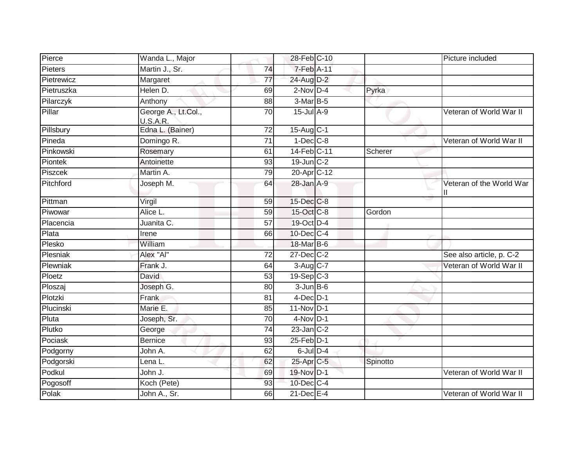| Pierce         | Wanda L., Major                 |                 | 28-Feb C-10             |          | Picture included         |
|----------------|---------------------------------|-----------------|-------------------------|----------|--------------------------|
| <b>Pieters</b> | Martin J., Sr.                  | 74              | 7-Feb A-11              |          |                          |
| Pietrewicz     | Margaret                        | $\overline{77}$ | 24-Aug D-2              |          |                          |
| Pietruszka     | Helen D.                        | 69              | $2$ -Nov $D-4$          | Pyrka    |                          |
| Pilarczyk      | Anthony                         | 88              | $3-MarB-5$              |          |                          |
| Pillar         | George A., Lt.Col.,<br>U.S.A.R. | $\overline{70}$ | 15-Jul A-9              |          | Veteran of World War II  |
| Pillsbury      | Edna L. (Bainer)                | 72              | 15-Aug C-1              |          |                          |
| Pineda         | Domingo R.                      | 71              | $1-Dec$ $C-8$           |          | Veteran of World War II  |
| Pinkowski      | Rosemary                        | 61              | 14-Feb C-11             | Scherer  |                          |
| Piontek        | Antoinette                      | 93              | 19-Jun C-2              |          |                          |
| Piszcek        | Martin A.                       | 79              | 20-Apr C-12             |          |                          |
| Pitchford      | Joseph M.                       | 64              | 28-Jan A-9              |          | Veteran of the World War |
| Pittman        | Virgil                          | 59              | 15-Dec C-8              |          |                          |
| Piwowar        | Alice L.                        | 59              | $15$ -Oct $ C-8$        | Gordon   |                          |
| Placencia      | Juanita C.                      | $\overline{57}$ | 19-Oct D-4              |          |                          |
| Plata          | Irene                           | 66              | 10-Dec C-4              |          |                          |
| Plesko         | William                         |                 | 18-Mar B-6              |          |                          |
| Plesniak       | Alex "Al"                       | $\overline{72}$ | 27-Dec C-2              |          | See also article, p. C-2 |
| Plewniak       | Frank J.                        | 64              | $3-Aug$ $C-7$           |          | Veteran of World War II  |
| Ploetz         | David                           | 53              | $19-Sep$ <sub>C-3</sub> |          |                          |
| Ploszaj        | Joseph G.                       | 80              | $3$ -Jun $B$ -6         |          |                          |
| Plotzki        | Frank                           | 81              | $4$ -Dec $D-1$          |          |                          |
| Plucinski      | Marie E.                        | 85              | 11-Nov D-1              |          |                          |
| Pluta          | Joseph, Sr.                     | 70              | $4-Nov$ D-1             |          |                          |
| Plutko         | George                          | $\overline{74}$ | $23$ -Jan $C-2$         |          |                          |
| Pociask        | <b>Bernice</b>                  | 93              | 25-Feb D-1              |          |                          |
| Podgorny       | John A.                         | 62              | $6$ -Jul $D-4$          |          |                          |
| Podgorski      | Lena L.                         | 62              | 25-Apr C-5              | Spinotto |                          |
| Podkul         | John J.                         | 69              | 19-Nov D-1              |          | Veteran of World War II  |
| Pogosoff       | Koch (Pete)                     | 93              | 10-Dec C-4              |          |                          |
| Polak          | John A., Sr.                    | 66              | $21$ -Dec $E-4$         |          | Veteran of World War II  |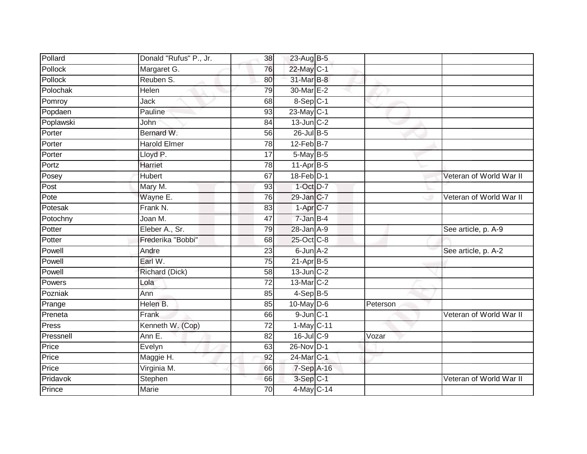| Pollard   | Donald "Rufus" P., Jr. | 38              | 23-Aug B-5             |          |                         |
|-----------|------------------------|-----------------|------------------------|----------|-------------------------|
| Pollock   | Margaret G.            | 76              | 22-May C-1             |          |                         |
| Pollock   | Reuben S.              | 80              | 31-Mar B-8             |          |                         |
| Polochak  | Helen                  | 79              | 30-Mar E-2             |          |                         |
| Pomroy    | Jack                   | 68              | 8-Sep C-1              |          |                         |
| Popdaen   | Pauline                | 93              | 23-May C-1             |          |                         |
| Poplawski | John                   | 84              | 13-Jun C-2             |          |                         |
| Porter    | Bernard W.             | 56              | $26$ -Jul B-5          |          |                         |
| Porter    | <b>Harold Elmer</b>    | 78              | $12$ -Feb $B$ -7       |          |                         |
| Porter    | Lloyd P.               | $\overline{17}$ | $5$ -May B-5           |          |                         |
| Portz     | Harriet                | 78              | $11-Apr$ B-5           |          |                         |
| Posey     | <b>Hubert</b>          | 67              | 18-Feb D-1             |          | Veteran of World War II |
| Post      | Mary M.                | 93              | $1$ -Oct $D-7$         |          |                         |
| Pote      | Wayne E.               | 76              | 29-Jan C-7             |          | Veteran of World War II |
| Potesak   | Frank N.               | 83              | $1-Apr$ <sub>C-7</sub> |          |                         |
| Potochny  | Joan M.                | 47              | $7$ -Jan $B-4$         |          |                         |
| Potter    | Eleber A., Sr.         | 79              | 28-Jan A-9             |          | See article, p. A-9     |
| Potter    | Frederika "Bobbi"      | 68              | 25-Oct C-8             |          |                         |
| Powell    | Andre                  | 23              | $6$ -Jun $A-2$         |          | See article, p. A-2     |
| Powell    | Earl W.                | 75              | $21-Apr$ B-5           |          |                         |
| Powell    | Richard (Dick)         | 58              | $13$ -Jun $C-2$        |          |                         |
| Powers    | Lola                   | $\overline{72}$ | 13-Mar C-2             |          |                         |
| Pozniak   | Ann                    | 85              | $4-SepB-5$             |          |                         |
| Prange    | Helen B.               | 85              | $10$ -May $D-6$        | Peterson |                         |
| Preneta   | Frank                  | 66              | $9$ -Jun $C-1$         |          | Veteran of World War II |
| Press     | Kenneth W. (Cop)       | 72              | 1-May C-11             |          |                         |
| Pressnell | Ann E.                 | $\overline{82}$ | 16-Jul C-9             | Vozar    |                         |
| Price     | Evelyn                 | 63              | 26-Nov D-1             |          |                         |
| Price     | Maggie H.              | 92              | 24-Mar C-1             |          |                         |
| Price     | Virginia M.            | 66              | 7-Sep A-16             |          |                         |
| Pridavok  | Stephen                | 66              | 3-Sep C-1              |          | Veteran of World War II |
| Prince    | <b>Marie</b>           | 70              | 4-May C-14             |          |                         |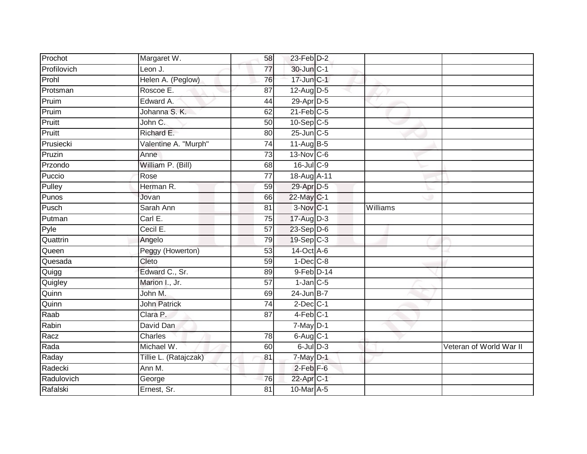| Prochot     | Margaret W.           | 58              | $23$ -Feb $D-2$         |          |                         |
|-------------|-----------------------|-----------------|-------------------------|----------|-------------------------|
| Profilovich | Leon J.               | 77              | 30-Jun C-1              |          |                         |
| Prohl       | Helen A. (Peglow)     | 76              | 17-Jun C-1              |          |                         |
| Protsman    | Roscoe E.             | 87              | $12$ -AugD-5            |          |                         |
| Pruim       | Edward A.             | $\overline{44}$ | 29-Apr D-5              |          |                         |
| Pruim       | Johanna S. K.         | 62              | $21$ -Feb $C-5$         |          |                         |
| Pruitt      | John C.               | 50              | $10-Sep$ <sub>C-5</sub> |          |                         |
| Pruitt      | Richard E.            | 80              | 25-Jun C-5              |          |                         |
| Prusiecki   | Valentine A. "Murph"  | 74              | 11-Aug B-5              |          |                         |
| Pruzin      | Anne                  | $\overline{73}$ | 13-Nov C-6              |          |                         |
| Przondo     | William P. (Bill)     | 68              | $16$ -Jul C-9           |          |                         |
| Puccio      | Rose                  | $\overline{77}$ | 18-Aug A-11             |          |                         |
| Pulley      | Herman R.             | 59              | 29-Apr D-5              |          |                         |
| Punos       | Jovan                 | 66              | 22-May C-1              |          |                         |
| Pusch       | Sarah Ann             | 81              | 3-Nov C-1               | Williams |                         |
| Putman      | Carl E.               | 75              | 17-Aug D-3              |          |                         |
| Pyle        | Cecil E.              | 57              | $23-Sep$ D-6            |          |                         |
| Quattrin    | Angelo                | 79              | 19-Sep C-3              |          |                         |
| Queen       | Peggy (Howerton)      | 53              | 14-Oct A-6              |          |                         |
| Quesada     | Cleto                 | 59              | $1$ -Dec $C-8$          |          |                         |
| Quigg       | Edward C., Sr.        | 89              | 9-Feb D-14              |          |                         |
| Quigley     | Marion I., Jr.        | 57              | $1$ -Jan $C$ -5         |          |                         |
| Quinn       | John M.               | 69              | $24$ -Jun B-7           |          |                         |
| Quinn       | <b>John Patrick</b>   | $\overline{74}$ | $2$ -Dec $C-1$          |          |                         |
| Raab        | Clara P.              | 87              | $4-Feb$ C-1             |          |                         |
| Rabin       | David Dan             |                 | $7-May$ D-1             |          |                         |
| Racz        | <b>Charles</b>        | 78              | $6$ -Aug $C$ -1         |          |                         |
| Rada        | Michael W.            | 60              | $6$ -JulD-3             |          | Veteran of World War II |
| Raday       | Tillie L. (Ratajczak) | 81              | $7$ -May $D-1$          |          |                         |
| Radecki     | Ann M.                |                 | $2$ -Feb $F-6$          |          |                         |
| Radulovich  | George                | 76              | 22-Apr C-1              |          |                         |
| Rafalski    | Ernest, Sr.           | $\overline{81}$ | 10-Mar A-5              |          |                         |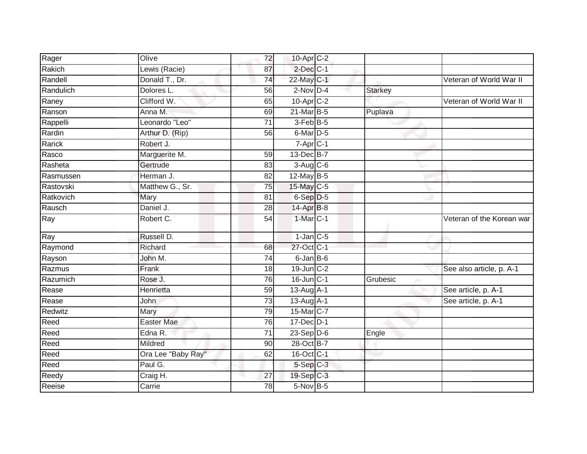| Rager     | Olive              | 72              | 10-Apr C-2       |                |                           |
|-----------|--------------------|-----------------|------------------|----------------|---------------------------|
| Rakich    | Lewis (Racie)      | 87              | $2$ -Dec $C-1$   |                |                           |
| Randell   | Donald T., Dr.     | 74              | 22-May C-1       |                | Veteran of World War II   |
| Randulich | Dolores L.         | 56              | $2$ -Nov $D-4$   | <b>Starkey</b> |                           |
| Raney     | Clifford W.        | 65              | 10-Apr C-2       |                | Veteran of World War II   |
| Ranson    | Anna M.            | 69              | 21-Mar B-5       | Puplava        |                           |
| Rappelli  | Leonardo "Leo"     | 71              | 3-Feb B-5        |                |                           |
| Rardin    | Arthur D. (Rip)    | 56              | 6-Mar D-5        |                |                           |
| Rarick    | Robert J.          |                 | $7-Apr$ $C-1$    |                |                           |
| Rasco     | Marguerite M.      | 59              | 13-Dec B-7       |                |                           |
| Rasheta   | Gertrude           | 83              | $3-Aug$ $C-6$    |                |                           |
| Rasmussen | Herman J.          | 82              | 12-May B-5       |                |                           |
| Rastovski | Matthew G., Sr.    | 75              | 15-May C-5       |                |                           |
| Ratkovich | Mary               | 81              | 6-Sep D-5        |                |                           |
| Rausch    | Daniel J.          | $\overline{28}$ | 14-Apr B-8       |                |                           |
| Ray       | Robert C.          | $\overline{54}$ | 1-Mar C-1        |                | Veteran of the Korean war |
| Ray       | Russell D.         |                 | $1-Jan$ C-5      |                |                           |
| Raymond   | Richard            | 68              | 27-Oct C-1       |                |                           |
| Rayson    | John M.            | 74              | 6-Jan B-6        |                |                           |
| Razmus    | Frank              | 18              | 19-Jun C-2       |                | See also article, p. A-1  |
| Razumich  | Rose J.            | 76              | 16-Jun C-1       | Grubesic       |                           |
| Rease     | Henrietta          | 59              | $13$ -Aug $A$ -1 |                | See article, p. A-1       |
| Rease     | <b>John</b>        | 73              | 13-Aug A-1       |                | See article, p. A-1       |
| Redwitz   | Mary               | 79              | 15-Mar C-7       |                |                           |
| Reed      | <b>Easter Mae</b>  | 76              | 17-Dec D-1       |                |                           |
| Reed      | Edna R.            | 71              | $23-Sep$ D-6     | Engle          |                           |
| Reed      | Mildred            | 90              | 28-Oct B-7       |                |                           |
| Reed      | Ora Lee "Baby Ray" | 62              | 16-Oct C-1       |                |                           |
| Reed      | Paul G.            |                 | $5-Sep$ $C-3$    |                |                           |
| Reedy     | Craig H.           | 27              | 19-Sep C-3       |                |                           |
| Reeise    | Carrie             | 78              | 5-Nov B-5        |                |                           |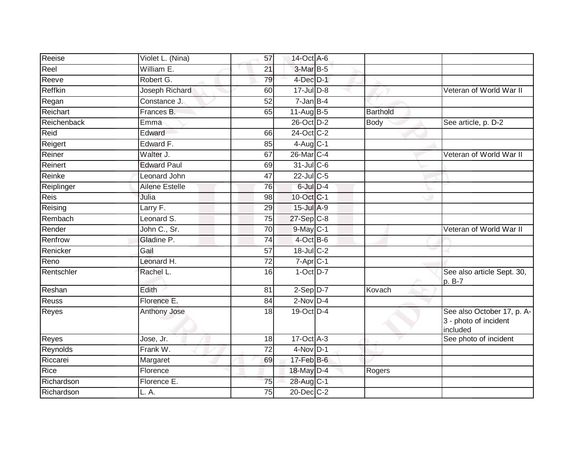| Reeise      | Violet L. (Nina)   | 57              | 14-Oct A-6               |                 |                                                                 |
|-------------|--------------------|-----------------|--------------------------|-----------------|-----------------------------------------------------------------|
| Reel        | William E.         | 21              | 3-Mar B-5                |                 |                                                                 |
| Reeve       | Robert G.          | 79              | $4$ -Dec $D-1$           |                 |                                                                 |
| Reffkin     | Joseph Richard     | 60              | 17-Jul D-8               |                 | Veteran of World War II                                         |
| Regan       | Constance J.       | 52              | $7 - Jan$ B-4            |                 |                                                                 |
| Reichart    | Frances B.         | 65              | 11-Aug B-5               | <b>Barthold</b> |                                                                 |
| Reichenback | Emma               |                 | 26-Oct D-2               | <b>Body</b>     | See article, p. D-2                                             |
| Reid        | Edward             | 66              | 24-Oct C-2               |                 |                                                                 |
| Reigert     | Edward F.          | 85              | $4$ -Aug C-1             |                 |                                                                 |
| Reiner      | Walter J.          | 67              | 26-Mar C-4               |                 | Veteran of World War II                                         |
| Reinert     | <b>Edward Paul</b> | 69              | 31-Jul C-6               |                 |                                                                 |
| Reinke      | Leonard John       | 47              | $22$ -Jul C-5            |                 |                                                                 |
| Reiplinger  | Ailene Estelle     | 76              | 6-Jul D-4                |                 |                                                                 |
| Reis        | Julia              | 98              | 10-Oct C-1               |                 |                                                                 |
| Reising     | Larry F.           | 29              | 15-Jul A-9               |                 |                                                                 |
| Rembach     | Leonard S.         | 75              | 27-Sep C-8               |                 |                                                                 |
| Render      | John C., Sr.       | $\overline{70}$ | $9$ -May $C-1$           |                 | Veteran of World War II                                         |
| Renfrow     | Gladine P.         | 74              | 4-Oct B-6                |                 |                                                                 |
| Renicker    | Gail               | 57              | 18-Jul C-2               |                 |                                                                 |
| Reno        | Leonard H.         | $\overline{72}$ | $7 - \overline{Apr}$ C-1 |                 |                                                                 |
| Rentschler  | Rachel L.          | 16              | $1-Oct$ $D-7$            |                 | See also article Sept. 30,<br>p. B-7                            |
| Reshan      | Edith              | 81              | $2-Sep$ $D-7$            | Kovach          |                                                                 |
| Reuss       | Florence E.        | 84              | $2-Nov$ D-4              |                 |                                                                 |
| Reyes       | Anthony Jose       | 18              | 19-Oct D-4               |                 | See also October 17, p. A-<br>3 - photo of incident<br>included |
| Reyes       | Jose, Jr.          | 18              | 17-Oct A-3               |                 | See photo of incident                                           |
| Reynolds    | Frank W.           | $\overline{72}$ | $4-Nov$ D-1              |                 |                                                                 |
| Riccarei    | Margaret           | 69              | 17-Feb B-6               |                 |                                                                 |
| Rice        | Florence           |                 | 18-May D-4               | Rogers          |                                                                 |
| Richardson  | Florence E.        | 75              | 28-Aug C-1               |                 |                                                                 |
| Richardson  | L. A.              | 75              | 20-Dec C-2               |                 |                                                                 |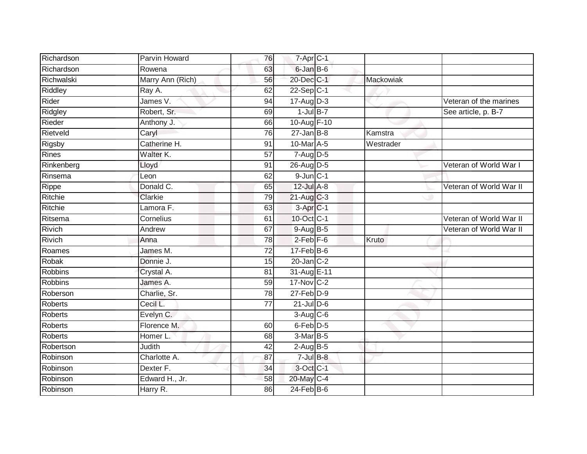| Richardson     | Parvin Howard    | 76              | 7-Apr C-1        |           |                         |
|----------------|------------------|-----------------|------------------|-----------|-------------------------|
| Richardson     | Rowena           | 63              | 6-Jan B-6        |           |                         |
| Richwalski     | Marry Ann (Rich) | 56              | 20-Dec C-1       | Mackowiak |                         |
| Riddley        | Ray A.           | 62              | $22-Sep$ C-1     |           |                         |
| Rider          | James V.         | 94              | $17 - Aug$ $D-3$ |           | Veteran of the marines  |
| Ridgley        | Robert, Sr.      | 69              | $1$ -Jul B-7     |           | See article, p. B-7     |
| Rieder         | Anthony J.       | 66              | 10-Aug F-10      |           |                         |
| Rietveld       | Caryl            | 76              | $27$ -Jan B-8    | Kamstra   |                         |
| Rigsby         | Catherine H.     | 91              | 10-Mar A-5       | Westrader |                         |
| Rines          | Walter K.        | 57              | $7-Aug$ D-5      |           |                         |
| Rinkenberg     | Lloyd            | 91              | 26-Aug D-5       |           | Veteran of World War I  |
| Rinsema        | Leon             | 62              | $9$ -Jun $C-1$   |           |                         |
| Rippe          | Donald C.        | 65              | 12-Jul A-8       |           | Veteran of World War II |
| Ritchie        | Clarkie          | 79              | 21-Aug C-3       |           |                         |
| Ritchie        | Lamora F.        | 63              | $3$ -Apr $C-1$   |           |                         |
| Ritsema        | Cornelius        | 61              | 10-Oct C-1       |           | Veteran of World War II |
| <b>Rivich</b>  | Andrew           | 67              | 9-Aug B-5        |           | Veteran of World War II |
| Rivich         | Anna             | 78              | $2$ -Feb $F-6$   | Kruto     |                         |
| Roames         | James M.         | 72              | 17-Feb B-6       |           |                         |
| Robak          | Donnie J.        | 15              | $20$ -Jan $C-2$  |           |                         |
| Robbins        | Crystal A.       | 81              | 31-Aug E-11      |           |                         |
| <b>Robbins</b> | James A.         | 59              | 17-Nov C-2       |           |                         |
| Roberson       | Charlie, Sr.     | 78              | $27$ -Feb $D-9$  |           |                         |
| <b>Roberts</b> | Cecil L.         | $\overline{77}$ | $21$ -Jul $D-6$  |           |                         |
| <b>Roberts</b> | Evelyn C.        |                 | $3-Aug$ $C-6$    |           |                         |
| <b>Roberts</b> | Florence M.      | 60              | 6-Feb D-5        |           |                         |
| <b>Roberts</b> | Homer L.         | 68              | $3-MarB-5$       |           |                         |
| Robertson      | Judith           | 42              | $2-AugB-5$       |           |                         |
| Robinson       | Charlotte A.     | 87              | $7$ -Jul $B-8$   |           |                         |
| Robinson       | Dexter F.        | 34              | 3-Oct C-1        |           |                         |
| Robinson       | Edward H., Jr.   | 58              | 20-May C-4       |           |                         |
| Robinson       | Harry R.         | 86              | $24$ -Feb $B$ -6 |           |                         |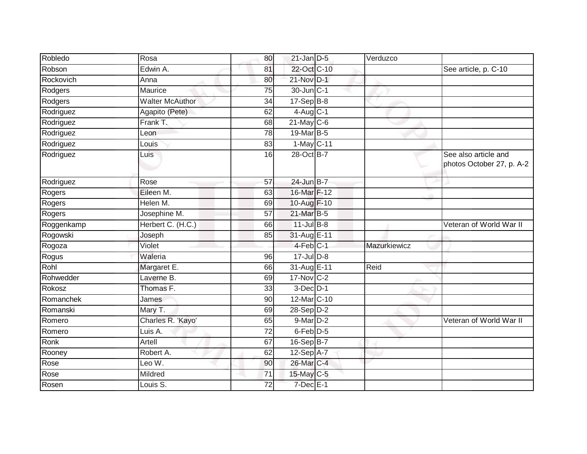| Robledo    | Rosa                   | 80              | $21$ -Jan D-5        | Verduzco     |                                                   |
|------------|------------------------|-----------------|----------------------|--------------|---------------------------------------------------|
| Robson     | Edwin A.               | 81              | 22-Oct C-10          |              | See article, p. C-10                              |
| Rockovich  | Anna                   | 80              | 21-Nov D-1           |              |                                                   |
| Rodgers    | Maurice                | 75              | $30$ -Jun $ C-1 $    |              |                                                   |
| Rodgers    | <b>Walter McAuthor</b> | $\overline{34}$ | $17-Sep$ B-8         |              |                                                   |
| Rodriguez  | Agapito (Pete)         | 62              | $4$ -Aug C-1         |              |                                                   |
| Rodriguez  | Frank T.               | 68              | $21$ -May C-6        |              |                                                   |
| Rodriguez  | Leon                   | 78              | 19-Mar B-5           |              |                                                   |
| Rodriguez  | Louis                  | 83              | 1-May C-11           |              |                                                   |
| Rodriguez  | Luis                   | 16              | 28-Oct B-7           |              | See also article and<br>photos October 27, p. A-2 |
| Rodriguez  | Rose                   | 57              | 24-Jun B-7           |              |                                                   |
| Rogers     | Eileen M.              | 63              | 16-Mar F-12          |              |                                                   |
| Rogers     | Helen M.               | 69              | 10-Aug F-10          |              |                                                   |
| Rogers     | Josephine M.           | 57              | 21-Mar B-5           |              |                                                   |
| Roggenkamp | Herbert C. (H.C.)      | 66              | $11$ -Jul B-8        |              | Veteran of World War II                           |
| Rogowski   | Joseph                 | 85              | 31-Aug E-11          |              |                                                   |
| Rogoza     | Violet                 |                 | 4-Feb C-1            | Mazurkiewicz |                                                   |
| Rogus      | Waleria                | 96              | $17 -$ Jul $D-8$     |              |                                                   |
| Rohl       | Margaret E.            | 66              | 31-Aug E-11          | Reid         |                                                   |
| Rohwedder  | Laverne B.             | 69              | 17-Nov C-2           |              |                                                   |
| Rokosz     | Thomas F.              | 33              | $3$ -Dec $D-1$       |              |                                                   |
| Romanchek  | James                  | 90              | 12-Mar C-10          |              |                                                   |
| Romanski   | Mary T.                | 69              | $28-Sep D-2$         |              |                                                   |
| Romero     | Charles R. 'Kayo'      | 65              | $9$ -Mar $D-2$       |              | Veteran of World War II                           |
| Romero     | Luis A.                | 72              | 6-Feb <sup>D-5</sup> |              |                                                   |
| Ronk       | Artell                 | 67              | 16-Sep B-7           |              |                                                   |
| Rooney     | Robert A.              | 62              | 12-Sep A-7           |              |                                                   |
| Rose       | Leo W.                 | 90              | 26-Mar C-4           |              |                                                   |
| Rose       | Mildred                | 71              | $15$ -May C-5        |              |                                                   |
| Rosen      | Louis S.               | 72              | $7$ -Dec $E-1$       |              |                                                   |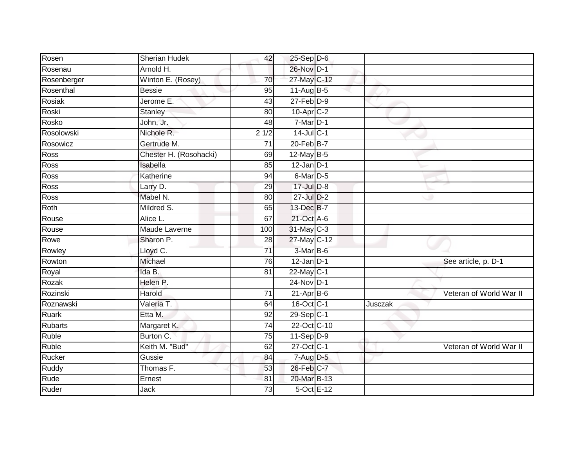| 26-Nov D-1<br>Arnold H.<br>Rosenau<br>27-May C-12<br>Winton E. (Rosey)<br>Rosenberger<br>70<br>Rosenthal<br>95<br>11-Aug $B-5$<br><b>Bessie</b><br>$27$ -Feb $D-9$<br>Rosiak<br>Jerome E.<br>$\overline{43}$<br>10-Apr <sub>IC-2</sub><br>Roski<br><b>Stanley</b><br>80<br>John, Jr.<br>$7$ -Mar $D-1$<br>Rosko<br>48<br>Rosolowski<br>$14$ -Jul C-1<br>Nichole R.<br>21/2<br>$20$ -Feb $B$ -7<br>Rosowicz<br>Gertrude M.<br>71<br>12-May B-5<br>Ross<br>Chester H. (Rosohacki)<br>69<br>Ross<br>$12$ -Jan D-1<br>Isabella<br>85<br>$6$ -Mar $D-5$<br>Ross<br>Katherine<br>94<br>$17 -$ Jul $D-8$<br>Ross<br>Larry D.<br>29<br>Mabel N.<br>Ross<br>$27 -$ Jul $D-2$<br>80<br>Mildred S.<br>13-Dec B-7<br>Roth<br>65<br>21-Oct A-6<br>67<br>Rouse<br>Alice L.<br>31-May C-3<br><b>Maude Laverne</b><br>Rouse<br>100<br>27-May C-12<br>Sharon P.<br>Rowe<br>28<br>Lloyd C.<br>$\overline{71}$<br>3-Mar B-6<br>Rowley<br>Michael<br>$12$ -Jan D-1<br>See article, p. D-1<br>Rowton<br>76<br>Ida B.<br>22-May C-1<br>Royal<br>81<br>$24$ -Nov D-1<br>Helen P.<br>Rozak<br>Rozinski<br>Harold<br>71<br>$21-Apr$ B-6<br>16-Oct C-1<br>Valeria T.<br>Roznawski<br>64<br>Jusczak<br>Etta M.<br>29-Sep C-1<br><b>Ruark</b><br>92<br>22-Oct C-10<br><b>Rubarts</b><br>Margaret K.<br>74<br>Burton C.<br><b>Ruble</b><br>$11-Sep D-9$<br>75<br>Ruble<br>Keith M. "Bud"<br>27-Oct C-1<br>62<br>Rucker<br>Gussie<br>$7 - Aug$ $D-5$<br>84<br>26-Feb C-7<br>Thomas F.<br>Ruddy<br>53<br>20-Mar B-13<br>Rude<br>81<br>Ernest<br>5-Oct E-12<br>Ruder<br>Jack<br>$\overline{73}$ | Rosen | <b>Sherian Hudek</b> | 42 | 25-Sep D-6 |  |                         |
|-----------------------------------------------------------------------------------------------------------------------------------------------------------------------------------------------------------------------------------------------------------------------------------------------------------------------------------------------------------------------------------------------------------------------------------------------------------------------------------------------------------------------------------------------------------------------------------------------------------------------------------------------------------------------------------------------------------------------------------------------------------------------------------------------------------------------------------------------------------------------------------------------------------------------------------------------------------------------------------------------------------------------------------------------------------------------------------------------------------------------------------------------------------------------------------------------------------------------------------------------------------------------------------------------------------------------------------------------------------------------------------------------------------------------------------------------------------------------------------------------------------------------------------------------------------------|-------|----------------------|----|------------|--|-------------------------|
|                                                                                                                                                                                                                                                                                                                                                                                                                                                                                                                                                                                                                                                                                                                                                                                                                                                                                                                                                                                                                                                                                                                                                                                                                                                                                                                                                                                                                                                                                                                                                                 |       |                      |    |            |  |                         |
|                                                                                                                                                                                                                                                                                                                                                                                                                                                                                                                                                                                                                                                                                                                                                                                                                                                                                                                                                                                                                                                                                                                                                                                                                                                                                                                                                                                                                                                                                                                                                                 |       |                      |    |            |  |                         |
|                                                                                                                                                                                                                                                                                                                                                                                                                                                                                                                                                                                                                                                                                                                                                                                                                                                                                                                                                                                                                                                                                                                                                                                                                                                                                                                                                                                                                                                                                                                                                                 |       |                      |    |            |  |                         |
|                                                                                                                                                                                                                                                                                                                                                                                                                                                                                                                                                                                                                                                                                                                                                                                                                                                                                                                                                                                                                                                                                                                                                                                                                                                                                                                                                                                                                                                                                                                                                                 |       |                      |    |            |  |                         |
|                                                                                                                                                                                                                                                                                                                                                                                                                                                                                                                                                                                                                                                                                                                                                                                                                                                                                                                                                                                                                                                                                                                                                                                                                                                                                                                                                                                                                                                                                                                                                                 |       |                      |    |            |  |                         |
|                                                                                                                                                                                                                                                                                                                                                                                                                                                                                                                                                                                                                                                                                                                                                                                                                                                                                                                                                                                                                                                                                                                                                                                                                                                                                                                                                                                                                                                                                                                                                                 |       |                      |    |            |  |                         |
|                                                                                                                                                                                                                                                                                                                                                                                                                                                                                                                                                                                                                                                                                                                                                                                                                                                                                                                                                                                                                                                                                                                                                                                                                                                                                                                                                                                                                                                                                                                                                                 |       |                      |    |            |  |                         |
|                                                                                                                                                                                                                                                                                                                                                                                                                                                                                                                                                                                                                                                                                                                                                                                                                                                                                                                                                                                                                                                                                                                                                                                                                                                                                                                                                                                                                                                                                                                                                                 |       |                      |    |            |  |                         |
|                                                                                                                                                                                                                                                                                                                                                                                                                                                                                                                                                                                                                                                                                                                                                                                                                                                                                                                                                                                                                                                                                                                                                                                                                                                                                                                                                                                                                                                                                                                                                                 |       |                      |    |            |  |                         |
|                                                                                                                                                                                                                                                                                                                                                                                                                                                                                                                                                                                                                                                                                                                                                                                                                                                                                                                                                                                                                                                                                                                                                                                                                                                                                                                                                                                                                                                                                                                                                                 |       |                      |    |            |  |                         |
|                                                                                                                                                                                                                                                                                                                                                                                                                                                                                                                                                                                                                                                                                                                                                                                                                                                                                                                                                                                                                                                                                                                                                                                                                                                                                                                                                                                                                                                                                                                                                                 |       |                      |    |            |  |                         |
|                                                                                                                                                                                                                                                                                                                                                                                                                                                                                                                                                                                                                                                                                                                                                                                                                                                                                                                                                                                                                                                                                                                                                                                                                                                                                                                                                                                                                                                                                                                                                                 |       |                      |    |            |  |                         |
|                                                                                                                                                                                                                                                                                                                                                                                                                                                                                                                                                                                                                                                                                                                                                                                                                                                                                                                                                                                                                                                                                                                                                                                                                                                                                                                                                                                                                                                                                                                                                                 |       |                      |    |            |  |                         |
|                                                                                                                                                                                                                                                                                                                                                                                                                                                                                                                                                                                                                                                                                                                                                                                                                                                                                                                                                                                                                                                                                                                                                                                                                                                                                                                                                                                                                                                                                                                                                                 |       |                      |    |            |  |                         |
|                                                                                                                                                                                                                                                                                                                                                                                                                                                                                                                                                                                                                                                                                                                                                                                                                                                                                                                                                                                                                                                                                                                                                                                                                                                                                                                                                                                                                                                                                                                                                                 |       |                      |    |            |  |                         |
|                                                                                                                                                                                                                                                                                                                                                                                                                                                                                                                                                                                                                                                                                                                                                                                                                                                                                                                                                                                                                                                                                                                                                                                                                                                                                                                                                                                                                                                                                                                                                                 |       |                      |    |            |  |                         |
|                                                                                                                                                                                                                                                                                                                                                                                                                                                                                                                                                                                                                                                                                                                                                                                                                                                                                                                                                                                                                                                                                                                                                                                                                                                                                                                                                                                                                                                                                                                                                                 |       |                      |    |            |  |                         |
|                                                                                                                                                                                                                                                                                                                                                                                                                                                                                                                                                                                                                                                                                                                                                                                                                                                                                                                                                                                                                                                                                                                                                                                                                                                                                                                                                                                                                                                                                                                                                                 |       |                      |    |            |  |                         |
|                                                                                                                                                                                                                                                                                                                                                                                                                                                                                                                                                                                                                                                                                                                                                                                                                                                                                                                                                                                                                                                                                                                                                                                                                                                                                                                                                                                                                                                                                                                                                                 |       |                      |    |            |  |                         |
|                                                                                                                                                                                                                                                                                                                                                                                                                                                                                                                                                                                                                                                                                                                                                                                                                                                                                                                                                                                                                                                                                                                                                                                                                                                                                                                                                                                                                                                                                                                                                                 |       |                      |    |            |  |                         |
|                                                                                                                                                                                                                                                                                                                                                                                                                                                                                                                                                                                                                                                                                                                                                                                                                                                                                                                                                                                                                                                                                                                                                                                                                                                                                                                                                                                                                                                                                                                                                                 |       |                      |    |            |  |                         |
|                                                                                                                                                                                                                                                                                                                                                                                                                                                                                                                                                                                                                                                                                                                                                                                                                                                                                                                                                                                                                                                                                                                                                                                                                                                                                                                                                                                                                                                                                                                                                                 |       |                      |    |            |  | Veteran of World War II |
|                                                                                                                                                                                                                                                                                                                                                                                                                                                                                                                                                                                                                                                                                                                                                                                                                                                                                                                                                                                                                                                                                                                                                                                                                                                                                                                                                                                                                                                                                                                                                                 |       |                      |    |            |  |                         |
|                                                                                                                                                                                                                                                                                                                                                                                                                                                                                                                                                                                                                                                                                                                                                                                                                                                                                                                                                                                                                                                                                                                                                                                                                                                                                                                                                                                                                                                                                                                                                                 |       |                      |    |            |  |                         |
|                                                                                                                                                                                                                                                                                                                                                                                                                                                                                                                                                                                                                                                                                                                                                                                                                                                                                                                                                                                                                                                                                                                                                                                                                                                                                                                                                                                                                                                                                                                                                                 |       |                      |    |            |  |                         |
|                                                                                                                                                                                                                                                                                                                                                                                                                                                                                                                                                                                                                                                                                                                                                                                                                                                                                                                                                                                                                                                                                                                                                                                                                                                                                                                                                                                                                                                                                                                                                                 |       |                      |    |            |  |                         |
|                                                                                                                                                                                                                                                                                                                                                                                                                                                                                                                                                                                                                                                                                                                                                                                                                                                                                                                                                                                                                                                                                                                                                                                                                                                                                                                                                                                                                                                                                                                                                                 |       |                      |    |            |  | Veteran of World War II |
|                                                                                                                                                                                                                                                                                                                                                                                                                                                                                                                                                                                                                                                                                                                                                                                                                                                                                                                                                                                                                                                                                                                                                                                                                                                                                                                                                                                                                                                                                                                                                                 |       |                      |    |            |  |                         |
|                                                                                                                                                                                                                                                                                                                                                                                                                                                                                                                                                                                                                                                                                                                                                                                                                                                                                                                                                                                                                                                                                                                                                                                                                                                                                                                                                                                                                                                                                                                                                                 |       |                      |    |            |  |                         |
|                                                                                                                                                                                                                                                                                                                                                                                                                                                                                                                                                                                                                                                                                                                                                                                                                                                                                                                                                                                                                                                                                                                                                                                                                                                                                                                                                                                                                                                                                                                                                                 |       |                      |    |            |  |                         |
|                                                                                                                                                                                                                                                                                                                                                                                                                                                                                                                                                                                                                                                                                                                                                                                                                                                                                                                                                                                                                                                                                                                                                                                                                                                                                                                                                                                                                                                                                                                                                                 |       |                      |    |            |  |                         |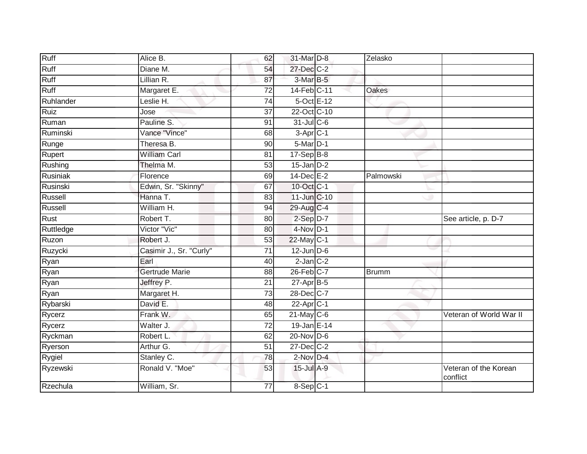| Ruff      | Alice B.                | 62              | 31-Mar D-8               | Zelasko      |                                   |
|-----------|-------------------------|-----------------|--------------------------|--------------|-----------------------------------|
| Ruff      | Diane M.                | 54              | 27-Dec C-2               |              |                                   |
| Ruff      | Lillian R.              | 87              | 3-Mar B-5                |              |                                   |
| Ruff      | Margaret E.             | 72              | 14-Feb C-11              | <b>Oakes</b> |                                   |
| Ruhlander | Leslie H.               | $\overline{74}$ | $5$ -Oct $E-12$          |              |                                   |
| Ruiz      | Jose                    | 37              | 22-Oct C-10              |              |                                   |
| Ruman     | Pauline S.              | 91              | $31$ -Jul C-6            |              |                                   |
| Ruminski  | Vance "Vince"           | 68              | $3 - Apr$ <sub>C-1</sub> |              |                                   |
| Runge     | Theresa B.              | 90              | 5-Mar D-1                |              |                                   |
| Rupert    | <b>William Carl</b>     | 81              | $17-Sep$ B-8             |              |                                   |
| Rushing   | Thelma M.               | 53              | $15$ -Jan $D-2$          |              |                                   |
| Rusiniak  | Florence                | 69              | $14$ -Dec $E-2$          | Palmowski    |                                   |
| Rusinski  | Edwin, Sr. "Skinny"     | 67              | 10-Oct C-1               |              |                                   |
| Russell   | Hanna T.                | 83              | 11-Jun C-10              |              |                                   |
| Russell   | William H.              | 94              | 29-Aug C-4               |              |                                   |
| Rust      | Robert T.               | 80              | 2-Sep D-7                |              | See article, p. D-7               |
| Ruttledge | Victor "Vic"            | 80              | $4-Nov$ D-1              |              |                                   |
| Ruzon     | Robert J.               | 53              | $22$ -May C-1            |              |                                   |
| Ruzycki   | Casimir J., Sr. "Curly" | 71              | $12$ -Jun $D-6$          |              |                                   |
| Ryan      | Earl                    | 40              | $2$ -Jan $C-2$           |              |                                   |
| Ryan      | <b>Gertrude Marie</b>   | 88              | $26$ -Feb $C$ -7         | <b>Brumm</b> |                                   |
| Ryan      | Jeffrey P.              | $\overline{21}$ | $27$ -Apr $B-5$          |              |                                   |
| Ryan      | Margaret H.             | 73              | 28-Dec C-7               |              |                                   |
| Rybarski  | David E.                | 48              | $22$ -Apr $C-1$          |              |                                   |
| Rycerz    | Frank W.                | 65              | $21$ -May C-6            |              | Veteran of World War II           |
| Rycerz    | Walter J.               | $\overline{72}$ | 19-Jan E-14              |              |                                   |
| Ryckman   | Robert L.               | 62              | $20$ -Nov D-6            |              |                                   |
| Ryerson   | Arthur G.               | 51              | $27 - Dec$ $C-2$         |              |                                   |
| Rygiel    | Stanley C.              | 78              | $2$ -Nov $D-4$           |              |                                   |
| Ryzewski  | Ronald V. "Moe"         | 53              | 15-Jul A-9               |              | Veteran of the Korean<br>conflict |
| Rzechula  | William, Sr.            | 77              | 8-Sep C-1                |              |                                   |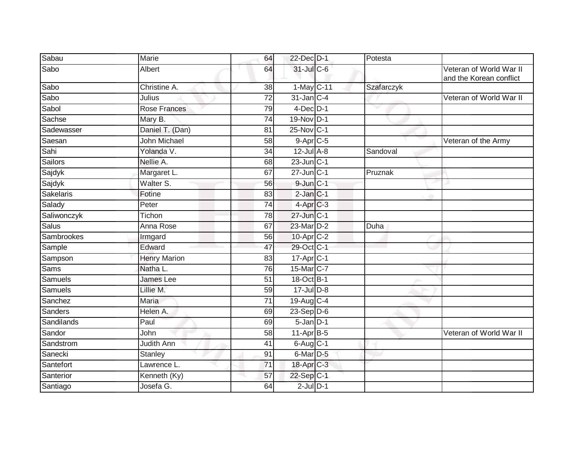| Sabau            | Marie               | 64              | 22-Dec D-1        | Potesta    |                                                    |
|------------------|---------------------|-----------------|-------------------|------------|----------------------------------------------------|
| Sabo             | Albert              | 64              | 31-Jul C-6        |            | Veteran of World War II<br>and the Korean conflict |
| Sabo             | Christine A.        | 38              | 1-May C-11        | Szafarczyk |                                                    |
| Sabo             | Julius              | 72              | 31-Jan C-4        |            | Veteran of World War II                            |
| Sabol            | Rose Frances        | 79              | $4$ -Dec $D-1$    |            |                                                    |
| Sachse           | Mary B.             | 74              | 19-Nov D-1        |            |                                                    |
| Sadewasser       | Daniel T. (Dan)     | 81              | 25-Nov C-1        |            |                                                    |
| Saesan           | <b>John Michael</b> | 58              | $9-AprC-5$        |            | Veteran of the Army                                |
| Sahi             | Yolanda V.          | 34              | $12$ -Jul $A-8$   | Sandoval   |                                                    |
| Sailors          | Nellie A.           | 68              | $23$ -Jun $ C-1 $ |            |                                                    |
| Sajdyk           | Margaret L.         | 67              | $27$ -Jun $C-1$   | Pruznak    |                                                    |
| Sajdyk           | Walter S.           | 56              | $9$ -Jun $C-1$    |            |                                                    |
| <b>Sakelaris</b> | Fotine              | 83              | $2$ -Jan $C-1$    |            |                                                    |
| Salady           | Peter               | 74              | 4-Apr C-3         |            |                                                    |
| Saliwonczyk      | Tichon              | 78              | 27-Jun C-1        |            |                                                    |
| Salus            | Anna Rose           | 67              | 23-Mar D-2        | Duha       |                                                    |
| Sambrookes       | Irmgard             | 56              | 10-Apr C-2        |            |                                                    |
| Sample           | Edward              | 47              | 29-Oct C-1        |            |                                                    |
| Sampson          | <b>Henry Marion</b> | 83              | $17 - Apr$ C-1    |            |                                                    |
| <b>Sams</b>      | Natha L.            | 76              | 15-Mar C-7        |            |                                                    |
| Samuels          | James Lee           | 51              | 18-Oct B-1        |            |                                                    |
| Samuels          | Lillie M.           | 59              | $17 -$ Jul $D-8$  |            |                                                    |
| Sanchez          | <b>Maria</b>        | $\overline{71}$ | 19-Aug C-4        |            |                                                    |
| Sanders          | Helen A.            | 69              | $23-Sep$ D-6      |            |                                                    |
| Sandilands       | Paul                | 69              | $5 - Jan$ $D-1$   |            |                                                    |
| Sandor           | John                | 58              | $11$ -Apr $B-5$   |            | Veteran of World War II                            |
| Sandstrom        | <b>Judith Ann</b>   | 41              | $6$ -Aug C-1      |            |                                                    |
| Sanecki          | Stanley             | 91              | 6-Mar D-5         |            |                                                    |
| Santefort        | Lawrence L.         | $\overline{71}$ | 18-Apr C-3        |            |                                                    |
| Santerior        | Kenneth (Ky)        | 57              | 22-Sep C-1        |            |                                                    |
| Santiago         | Josefa G.           | 64              | $2$ -Jul $D-1$    |            |                                                    |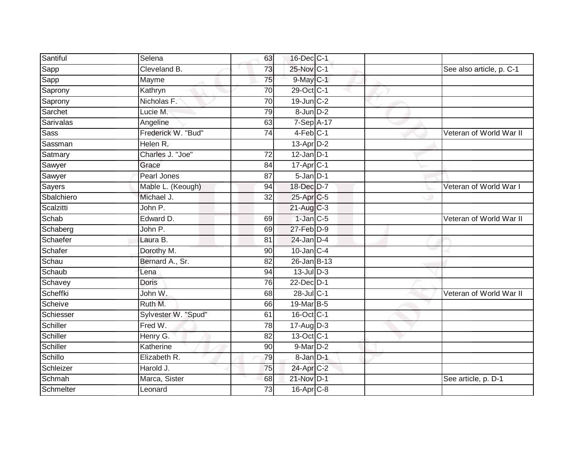| Santiful    | Selena              | 63              | 16-Dec C-1                |  |                          |
|-------------|---------------------|-----------------|---------------------------|--|--------------------------|
|             | Cleveland B.        | 73              | 25-Nov C-1                |  |                          |
| Sapp        |                     |                 |                           |  | See also article, p. C-1 |
| Sapp        | Mayme               | 75              | 9-May C-1                 |  |                          |
| Saprony     | Kathryn             | $\overline{70}$ | 29-Oct C-1                |  |                          |
| Saprony     | Nicholas F.         | $\overline{70}$ | $19$ -Jun $C-2$           |  |                          |
| Sarchet     | Lucie M.            | 79              | 8-Jun D-2                 |  |                          |
| Sarivalas   | Angeline            | 63              | $7-Sep\overline{A-17}$    |  |                          |
| <b>Sass</b> | Frederick W. "Bud"  | 74              | $4-Feb$ C-1               |  | Veteran of World War II  |
| Sassman     | Helen R.            |                 | $13$ -Apr $D-2$           |  |                          |
| Satmary     | Charles J. "Joe"    | 72              | $12$ -Jan $D-1$           |  |                          |
| Sawyer      | Grace               | 84              | $17-Apr$ <sub>C-1</sub>   |  |                          |
| Sawyer      | Pearl Jones         | 87              | 5-Jan D-1                 |  |                          |
| Sayers      | Mable L. (Keough)   | 94              | 18-Dec D-7                |  | Veteran of World War I   |
| Sbalchiero  | Michael J.          | 32              | 25-Apr C-5                |  |                          |
| Scalzitti   | John P.             |                 | $21$ -Aug C-3             |  |                          |
| Schab       | Edward D.           | 69              | $1-Jan$ $C-5$             |  | Veteran of World War II  |
| Schaberg    | John P.             | 69              | $27$ -Feb $D-9$           |  |                          |
| Schaefer    | Laura B.            | 81              | $24$ -Jan D-4             |  |                          |
| Schafer     | Dorothy M.          | 90              | $10$ -Jan $C-4$           |  |                          |
| Schau       | Bernard A., Sr.     | 82              | 26-Jan B-13               |  |                          |
| Schaub      | Lena                | 94              | 13-Jul D-3                |  |                          |
| Schavey     | <b>Doris</b>        | 76              | 22-Dec D-1                |  |                          |
| Scheffki    | John W.             | 68              | 28-Jul C-1                |  | Veteran of World War II  |
| Scheive     | Ruth M.             | 66              | 19-Mar B-5                |  |                          |
| Schiesser   | Sylvester W. "Spud" | 61              | 16-Oct C-1                |  |                          |
| Schiller    | Fred W.             | $\overline{78}$ | $17 - \overline{Aug}$ D-3 |  |                          |
| Schiller    | Henry G.            | 82              | 13-Oct C-1                |  |                          |
| Schiller    | Katherine           | 90              | 9-Mar D-2                 |  |                          |
| Schillo     | Elizabeth R.        | 79              | 8-Jan D-1                 |  |                          |
| Schleizer   | Harold J.           | 75              | 24-Apr C-2                |  |                          |
| Schmah      | Marca, Sister       | 68              | 21-Nov D-1                |  | See article, p. D-1      |
| Schmelter   | Leonard             | 73              | 16-Apr <sub>C-8</sub>     |  |                          |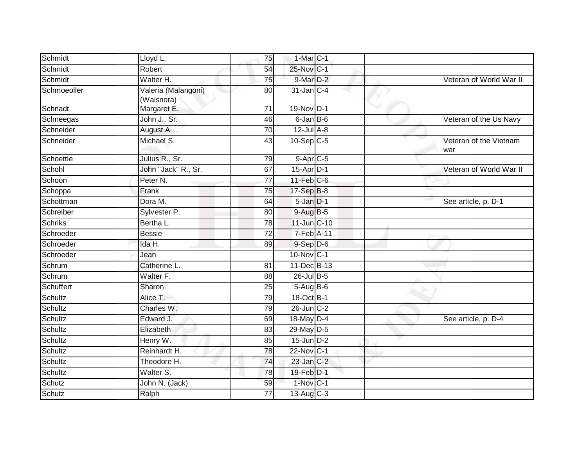| Schmidt        | Lloyd L.                          | 75              | $1-MarC-1$       |   |                               |
|----------------|-----------------------------------|-----------------|------------------|---|-------------------------------|
| Schmidt        | Robert                            | 54              | 25-Nov C-1       |   |                               |
| Schmidt        | Walter H.                         | 75              | 9-Mar D-2        |   | Veteran of World War II       |
| Schmoeoller    | Valeria (Malangoni)<br>(Waisnora) | 80              | 31-Jan C-4       |   |                               |
| Schnadt        | Margaret E.                       | 71              | 19-Nov D-1       | v |                               |
| Schneegas      | John J., Sr.                      | 46              | 6-Jan B-6        |   | Veteran of the Us Navy        |
| Schneider      | August A.                         | 70              | $12$ -Jul A-8    |   |                               |
| Schneider      | Michael S.                        | 43              | $10-Sep$ C-5     |   | Veteran of the Vietnam<br>war |
| Schoettle      | Julius R., Sr.                    | 79              | $9-AprC-5$       |   |                               |
| Schohl         | John "Jack" R., Sr.               | 67              | 15-Apr D-1       |   | Veteran of World War II       |
| Schoon         | Peter N.                          | 77              | $11$ -Feb $C$ -6 |   |                               |
| Schoppa        | Frank                             | 75              | 17-Sep B-8       |   |                               |
| Schottman      | Dora M.                           | 64              | $5 - Jan$ $D-1$  |   | See article, p. D-1           |
| Schreiber      | Sylvester P.                      | 80              | $9-AugB-5$       |   |                               |
| <b>Schriks</b> | Bertha L.                         | 78              | 11-Jun C-10      |   |                               |
| Schroeder      | <b>Bessie</b>                     | 72              | $7-Feb$ A-11     |   |                               |
| Schroeder      | Ida H.                            | 89              | $9-$ Sep $D-6$   |   |                               |
| Schroeder      | Jean                              |                 | 10-Nov C-1       |   |                               |
| Schrum         | Catherine L.                      | 81              | 11-Dec B-13      |   |                               |
| Schrum         | Walter F.                         | $\overline{88}$ | 26-Jul B-5       |   |                               |
| Schuffert      | Sharon                            | 25              | $5-Aug$ B-6      |   |                               |
| Schultz        | Alice T.                          | 79              | 18-Oct B-1       |   |                               |
| Schultz        | Charles W.                        | 79              | 26-Jun C-2       |   |                               |
| Schultz        | Edward J.                         | 69              | 18-May $D-4$     |   | See article, p. D-4           |
| Schultz        | Elizabeth                         | 83              | 29-May D-5       |   |                               |
| Schultz        | Henry W.                          | 85              | $15$ -Jun $D-2$  |   |                               |
| Schultz        | Reinhardt H.                      | 78              | 22-Nov C-1       |   |                               |
| Schultz        | Theodore H.                       | 74              | $23$ -Jan $C-2$  |   |                               |
| Schultz        | Walter S.                         | 78              | 19-Feb D-1       |   |                               |
| Schutz         | John N. (Jack)                    | 59              | $1-Nov$ C-1      |   |                               |
| Schutz         | Ralph                             | 77              | 13-Aug $C-3$     |   |                               |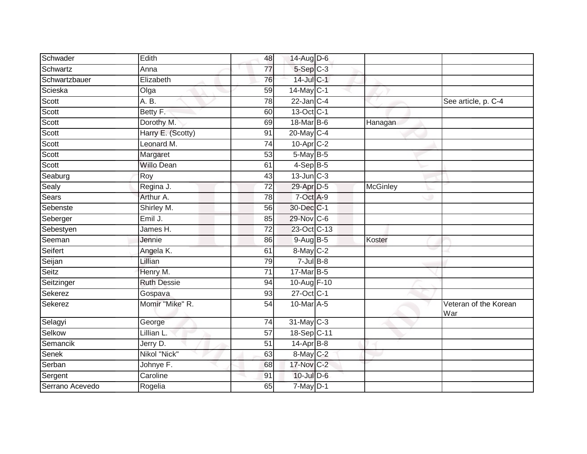| Schwader        | Edith              | 48              | 14-Aug $D-6$          |                 |                              |
|-----------------|--------------------|-----------------|-----------------------|-----------------|------------------------------|
| Schwartz        | Anna               | $\overline{77}$ | $5-$ Sep $C-3$        |                 |                              |
| Schwartzbauer   | Elizabeth          | 76              | 14-Jul C-1            |                 |                              |
| Scieska         | Olga               | 59              | 14-May C-1            |                 |                              |
| Scott           | A. B.              | 78              | $22$ -Jan $C-4$       |                 | See article, p. C-4          |
| Scott           | Betty F.           | 60              | 13-Oct C-1            |                 |                              |
| Scott           | Dorothy M.         | 69              | 18-Mar B-6            | Hanagan         |                              |
| Scott           | Harry E. (Scotty)  | 91              | 20-May C-4            |                 |                              |
| Scott           | Leonard M.         | 74              | 10-Apr <sub>C-2</sub> |                 |                              |
| Scott           | Margaret           | 53              | 5-May B-5             |                 |                              |
| Scott           | <b>Willo Dean</b>  | 61              | $4-Sep$ B-5           |                 |                              |
| Seaburg         | Roy                | 43              | $13$ -Jun $C-3$       |                 |                              |
| Sealy           | Regina J.          | 72              | 29-Apr D-5            | <b>McGinley</b> |                              |
| Sears           | Arthur A.          | 78              | 7-Oct A-9             |                 |                              |
| Sebenste        | Shirley M.         | $\overline{56}$ | 30-Dec C-1            |                 |                              |
| Seberger        | Emil J.            | 85              | 29-Nov C-6            |                 |                              |
| Sebestyen       | James H.           | $\overline{72}$ | 23-Oct C-13           |                 |                              |
| Seeman          | Jennie             | 86              | $9-Aug$ B-5           | Koster          |                              |
| Seifert         | Angela K.          | 61              | 8-May C-2             |                 |                              |
| Seijan          | Lillian            | 79              | $7$ -Jul $B$ -8       |                 |                              |
| Seitz           | Henry M.           | $\overline{71}$ | 17-Mar B-5            |                 |                              |
| Seitzinger      | <b>Ruth Dessie</b> | 94              | 10-Aug F-10           |                 |                              |
| Sekerez         | Gospava            | 93              | 27-Oct C-1            |                 |                              |
| Sekerez         | Momir "Mike" R.    | $\overline{54}$ | 10-Mar A-5            |                 | Veteran of the Korean<br>War |
| Selagyi         | George             | 74              | 31-May C-3            |                 |                              |
| Selkow          | Lillian L.         | 57              | 18-Sep C-11           |                 |                              |
| Semancik        | Jerry D.           | $\overline{51}$ | $14-Apr$ B-8          |                 |                              |
| Senek           | Nikol "Nick"       | 63              | 8-May C-2             |                 |                              |
| Serban          | Johnye F.          | 68              | 17-Nov C-2            |                 |                              |
| Sergent         | Caroline           | 91              | $10$ -Jul $D-6$       |                 |                              |
| Serrano Acevedo | Rogelia            | 65              | $7$ -May $D-1$        |                 |                              |
|                 |                    |                 |                       |                 |                              |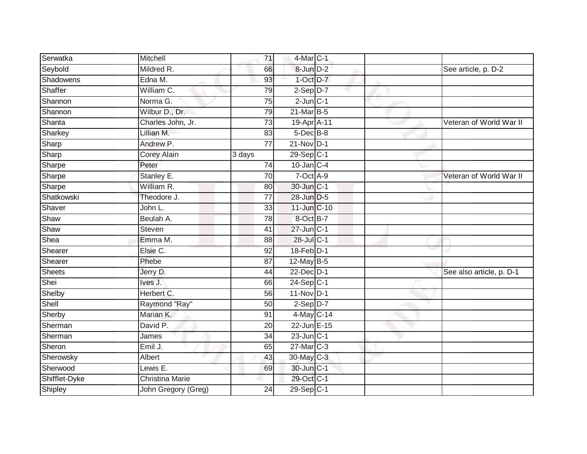| Serwatka      | Mitchell               | 71              | 4-Mar C-1               |                          |
|---------------|------------------------|-----------------|-------------------------|--------------------------|
| Seybold       | Mildred R.             | 66              | 8-Jun D-2               | See article, p. D-2      |
| Shadowens     | Edna M.                | 93              | $1$ -Oct $D-7$          |                          |
| Shaffer       | William C.             | 79              | $2-Sep$ $D-7$           |                          |
| Shannon       | Norma G.               | 75              | $2$ -Jun $C-1$          |                          |
| Shannon       | Wilbur D., Dr.         | 79              | 21-Mar B-5              |                          |
| Shanta        | Charles John, Jr.      | $\overline{73}$ | 19-Apr A-11             | Veteran of World War II  |
| Sharkey       | Lillian M.             | 83              | $5$ -Dec $B$ -8         |                          |
| Sharp         | Andrew P.              | 77              | $21-Nov$ D-1            |                          |
| Sharp         | Corey Alain            | 3 days          | 29-Sep C-1              |                          |
| Sharpe        | Peter                  | 74              | $10$ -Jan $C-4$         |                          |
| Sharpe        | Stanley E.             | 70              | 7-Oct A-9               | Veteran of World War II  |
| Sharpe        | William R.             | 80              | 30-Jun C-1              |                          |
| Shatkowski    | Theodore J.            | 77              | 28-Jun D-5              |                          |
| Shaver        | John L.                | 33              | 11-Jun C-10             |                          |
| Shaw          | Beulah A.              | 78              | 8-Oct B-7               |                          |
| Shaw          | Steven                 | 41              | $27$ -Jun $ C-1 $       |                          |
| Shea          | Emma M.                | 88              | 28-Jul C-1              |                          |
| Shearer       | Elsie C.               | 92              | 18-Feb D-1              |                          |
| Shearer       | Phebe                  | 87              | $12$ -May B-5           |                          |
| Sheets        | Jerry D.               | 44              | 22-Dec D-1              | See also article, p. D-1 |
| Shei          | Ives J.                | 66              | $24-Sep$ C-1            |                          |
| Shelby        | Herbert C.             | 56              | 11-Nov D-1              |                          |
| Shell         | Raymond "Ray"          | 50              | $2-Sep$ D-7             |                          |
| Sherby        | Marian K.              | 91              | 4-May C-14              |                          |
| Sherman       | David P.               | 20              | 22-Jun E-15             |                          |
| Sherman       | James                  | 34              | $23$ -Jun $ C-1 $       |                          |
| Sheron        | Emil J.                | 65              | $27$ -Mar $C-3$         |                          |
| Sherowsky     | Albert                 | 43              | 30-May C-3              |                          |
| Sherwood      | Lewis E.               | 69              | 30-Jun C-1              |                          |
| Shifflet-Dyke | <b>Christina Marie</b> |                 | 29-Oct C-1              |                          |
| Shipley       | John Gregory (Greg)    | 24              | $29-Sep$ <sub>C-1</sub> |                          |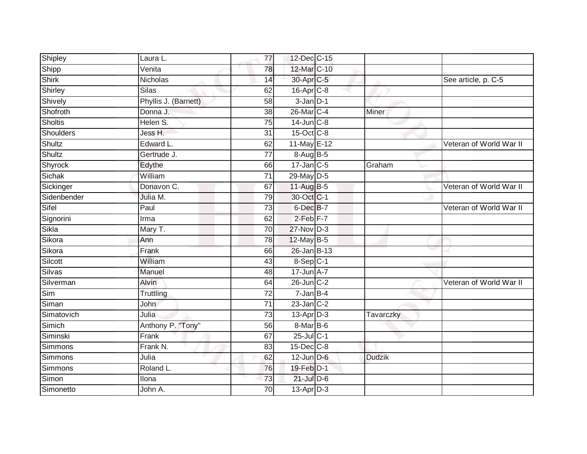| Shipley        | Laura L.             | 77              | 12-Dec C-15           |               |                         |
|----------------|----------------------|-----------------|-----------------------|---------------|-------------------------|
| Shipp          | Venita               | 78              | 12-Mar C-10           |               |                         |
| Shirk          | Nicholas             | 14              | 30-Apr C-5            |               | See article, p. C-5     |
| Shirley        | <b>Silas</b>         | 62              | 16-Apr <sub>C-8</sub> |               |                         |
| Shively        | Phyllis J. (Barnett) | 58              | $3 - Jan$ $D-1$       |               |                         |
| Shofroth       | Donna J.             | 38              | 26-Mar C-4            | Miner         |                         |
| <b>Sholtis</b> | Helen S.             | 75              | $14$ -Jun $C-8$       |               |                         |
| Shoulders      | Jess H.              | 31              | 15-Oct C-8            |               |                         |
| Shultz         | Edward L.            | 62              | 11-May E-12           |               | Veteran of World War II |
| Shultz         | Gertrude J.          | $\overline{77}$ | 8-Aug B-5             |               |                         |
| Shyrock        | Edythe               | 66              | $17$ -Jan $C-5$       | Graham        |                         |
| Sichak         | William              | $\overline{71}$ | 29-May D-5            |               |                         |
| Sickinger      | Donavon C.           | 67              | 11-Aug B-5            |               | Veteran of World War II |
| Sidenbender    | Julia M.             | 79              | 30-Oct C-1            |               |                         |
| Sifel          | Paul                 | $\overline{73}$ | 6-Dec B-7             |               | Veteran of World War II |
| Signorini      | Irma                 | 62              | $2$ -Feb $F-7$        |               |                         |
| Sikla          | Mary T.              | 70              | 27-Nov D-3            |               |                         |
| Sikora         | Ann                  | 78              | $12$ -May B-5         |               |                         |
| Sikora         | Frank                | 66              | 26-Jan B-13           |               |                         |
| Silcott        | William              | 43              | $8-Sep$ C-1           |               |                         |
| Silvas         | Manuel               | 48              | $17 - Jun A - 7$      |               |                         |
| Silverman      | Alvin                | 64              | $26$ -Jun $C-2$       |               | Veteran of World War II |
| Sim            | Truttling            | $\overline{72}$ | $7 - Jan$ B-4         |               |                         |
| Siman          | John                 | $\overline{71}$ | $23$ -Jan $C-2$       |               |                         |
| Simatovich     | Julia                | $\overline{73}$ | $13-AprD-3$           | Tavarczky     |                         |
| Simich         | Anthony P. "Tony"    | 56              | 8-Mar B-6             |               |                         |
| Siminski       | Frank                | 67              | $25$ -Jul C-1         |               |                         |
| Simmons        | Frank N.             | 83              | 15-Dec C-8            |               |                         |
| Simmons        | Julia                | 62              | $12$ -Jun $D-6$       | <b>Dudzik</b> |                         |
| Simmons        | Roland L.            | 76              | 19-Feb D-1            |               |                         |
| Simon          | Ilona                | 73              | $21$ -Jul $D-6$       |               |                         |
| Simonetto      | John A.              | 70              | 13-Apr D-3            |               |                         |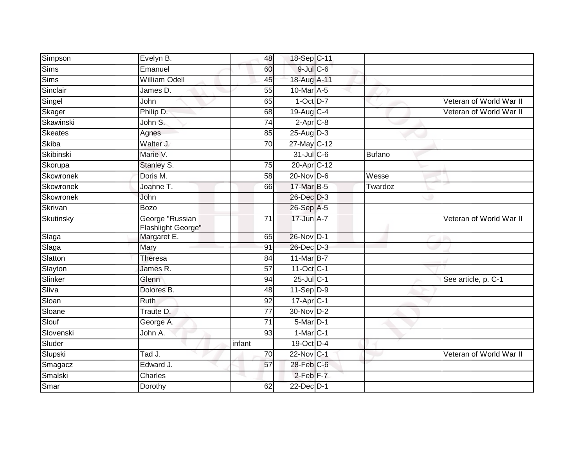| Simpson        | Evelyn B.                             | 48              | 18-Sep C-11            |               |                         |
|----------------|---------------------------------------|-----------------|------------------------|---------------|-------------------------|
| Sims           | Emanuel                               | 60              | 9-Jul C-6              |               |                         |
| Sims           | <b>William Odell</b>                  | 45              | 18-Aug A-11            |               |                         |
| Sinclair       | James D.                              | 55              | 10-Mar A-5             |               |                         |
| Singel         | John                                  | 65              | $1-Oct$ $D-7$          |               | Veteran of World War II |
| Skager         | Philip D.                             | 68              | 19-Aug C-4             |               | Veteran of World War II |
| Skawinski      | John S.                               | 74              | $2-Apr$ C-8            |               |                         |
| <b>Skeates</b> | Agnes                                 | 85              | $25-Aug$ D-3           |               |                         |
| Skiba          | Walter J.                             | 70              | 27-May C-12            |               |                         |
| Skibinski      | Marie V.                              |                 | $31$ -Jul C-6          | <b>Bufano</b> |                         |
| Skorupa        | Stanley S.                            | 75              | 20-Apr C-12            |               |                         |
| Skowronek      | Doris M.                              | 58              | 20-Nov D-6             | Wesse         |                         |
| Skowronek      | Joanne T.                             | 66              | 17-Mar B-5             | Twardoz       |                         |
| Skowronek      | John                                  |                 | 26-Dec D-3             |               |                         |
| Skrivan        | <b>Bozo</b>                           |                 | 26-Sep A-5             |               |                         |
| Skutinsky      | George "Russian<br>Flashlight George" | 71              | 17-Jun A-7             |               | Veteran of World War II |
| Slaga          | Margaret E.                           | 65              | 26-Nov D-1             |               |                         |
| Slaga          | Mary                                  | 91              | 26-Dec D-3             |               |                         |
| Slatton        | Theresa                               | 84              | 11-Mar B-7             |               |                         |
| Slayton        | James R.                              | 57              | 11-Oct C-1             |               |                         |
| Slinker        | Glenn                                 | 94              | $25$ -Jul C-1          |               | See article, p. C-1     |
| Sliva          | Dolores B.                            | 48              | $11-Sep$ D-9           |               |                         |
| Sloan          | Ruth                                  | 92              | $17 - Apr$ C-1         |               |                         |
| Sloane         | Traute D.                             | 77              | 30-Nov D-2             |               |                         |
| Slouf          | George A.                             | $\overline{71}$ | $5$ -Mar $D-1$         |               |                         |
| Slovenski      | John A.                               | 93              | $1-Mar$ <sub>C-1</sub> |               |                         |
| Sluder         |                                       | infant          | 19-Oct D-4             |               |                         |
| Slupski        | Tad J.                                | 70              | 22-Nov C-1             |               | Veteran of World War II |
| Smagacz        | Edward J.                             | 57              | 28-Feb C-6             |               |                         |
| Smalski        | Charles                               |                 | $2$ -Feb $F-7$         |               |                         |
| Smar           | Dorothy                               | 62              | 22-Dec D-1             |               |                         |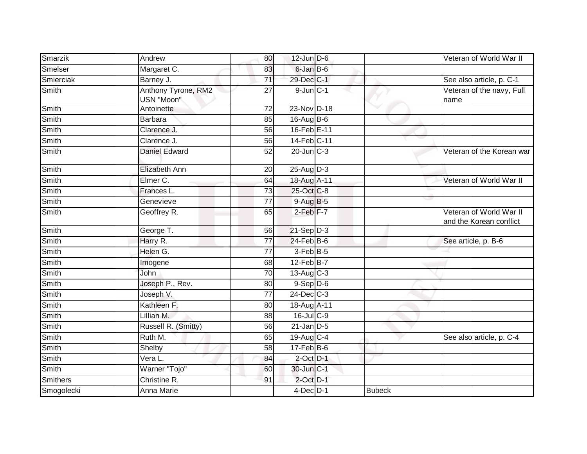| Smarzik         | Andrew                            | 80              | $12$ -Jun $D-6$      |               | Veteran of World War II                            |
|-----------------|-----------------------------------|-----------------|----------------------|---------------|----------------------------------------------------|
| Smelser         | Margaret C.                       | 83              | 6-Jan B-6            |               |                                                    |
| Smierciak       | Barney J.                         | $\overline{71}$ | 29-Dec C-1           |               | See also article, p. C-1                           |
| Smith           | Anthony Tyrone, RM2<br>USN "Moon" | 27              | $9$ -Jun $C-1$       |               | Veteran of the navy, Full<br>name                  |
| Smith           | Antoinette                        | $\overline{72}$ | 23-Nov D-18          |               |                                                    |
| Smith           | <b>Barbara</b>                    | 85              | 16-Aug B-6           |               |                                                    |
| Smith           | Clarence J.                       | 56              | 16-Feb E-11          |               |                                                    |
| Smith           | Clarence J.                       | 56              | 14-Feb C-11          |               |                                                    |
| Smith           | Daniel Edward                     | 52              | $20$ -Jun $C-3$      |               | Veteran of the Korean war                          |
| Smith           | <b>Elizabeth Ann</b>              | 20              | $25$ -Aug $D-3$      |               |                                                    |
| Smith           | Elmer C.                          | 64              | 18-Aug A-11          |               | Veteran of World War II                            |
| Smith           | Frances L.                        | 73              | 25-Oct C-8           |               |                                                    |
| Smith           | Genevieve                         | $\overline{77}$ | 9-Aug B-5            |               |                                                    |
| Smith           | Geoffrey R.                       | 65              | 2-Feb <sup>F-7</sup> |               | Veteran of World War II<br>and the Korean conflict |
| Smith           | George T.                         | 56              | $21-Sep$ D-3         |               |                                                    |
| <b>Smith</b>    | Harry R.                          | 77              | $24$ -Feb $B$ -6     |               | See article, p. B-6                                |
| Smith           | Helen G.                          | 77              | 3-Feb B-5            |               |                                                    |
| <b>Smith</b>    | Imogene                           | 68              | $12$ -Feb $B$ -7     |               |                                                    |
| Smith           | John                              | 70              | 13-Aug C-3           |               |                                                    |
| Smith           | Joseph P., Rev.                   | 80              | $9-$ Sep $D-6$       |               |                                                    |
| Smith           | Joseph V.                         | $\overline{77}$ | $24$ -Dec $C-3$      |               |                                                    |
| Smith           | Kathleen F.                       | 80              | 18-Aug A-11          |               |                                                    |
| Smith           | Lillian M.                        | 88              | $16$ -Jul $C$ -9     |               |                                                    |
| Smith           | Russell R. (Smitty)               | 56              | $21$ -Jan $D-5$      |               |                                                    |
| Smith           | Ruth M.                           | 65              | 19-Aug C-4           |               | See also article, p. C-4                           |
| Smith           | Shelby                            | 58              | $17$ -Feb $B$ -6     |               |                                                    |
| Smith           | Vera L.                           | 84              | $2$ -Oct $D-1$       |               |                                                    |
| Smith           | Warner "Tojo"                     | 60              | 30-Jun C-1           |               |                                                    |
| <b>Smithers</b> | Christine R.                      | 91              | $2$ -Oct $D-1$       |               |                                                    |
| Smogolecki      | <b>Anna Marie</b>                 |                 | $4$ -Dec $D-1$       | <b>Bubeck</b> |                                                    |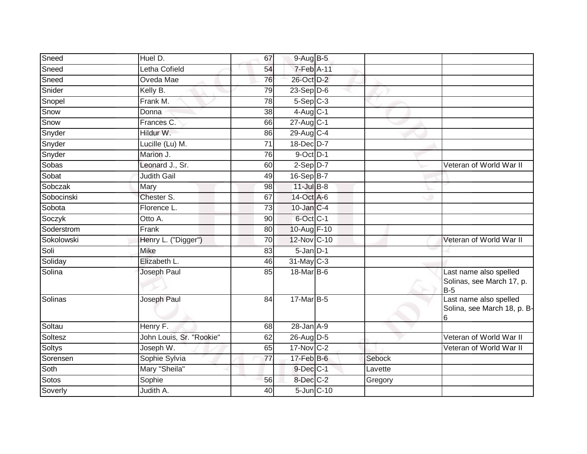| Sneed         | Huel D.                  | 67              | $9-Aug$ B-5       |         |                                                                   |
|---------------|--------------------------|-----------------|-------------------|---------|-------------------------------------------------------------------|
| Sneed         | Letha Cofield            | 54              | 7-Feb A-11        |         |                                                                   |
| Sneed         | Oveda Mae                | 76              | 26-Oct D-2        |         |                                                                   |
| Snider        | Kelly B.                 | 79              | $23-Sep$ D-6      |         |                                                                   |
| Snopel        | Frank M.                 | 78              | $5-$ Sep $C-3$    |         |                                                                   |
| Snow          | Donna                    | 38              | $4$ -Aug C-1      |         |                                                                   |
| Snow          | Frances C.               | 66              | $27$ -Aug C-1     |         |                                                                   |
| Snyder        | Hildur W.                | 86              | 29-Aug C-4        |         |                                                                   |
| Snyder        | Lucille (Lu) M.          | 71              | 18-Dec D-7        |         |                                                                   |
| Snyder        | Marion J.                | $\overline{76}$ | 9-Oct D-1         |         |                                                                   |
| Sobas         | Leonard J., Sr.          | 60              | $2-Sep D-7$       |         | Veteran of World War II                                           |
| Sobat         | <b>Judith Gail</b>       | 49              | $16-Sep$ B-7      |         |                                                                   |
| Sobczak       | Mary                     | 98              | $11$ -Jul $B-8$   |         |                                                                   |
| Sobocinski    | Chester S.               | 67              | 14-Oct A-6        |         |                                                                   |
| Sobota        | Florence L.              | $\overline{73}$ | $10$ -Jan $C-4$   |         |                                                                   |
| Soczyk        | Otto A.                  | 90              | 6-Oct C-1         |         |                                                                   |
| Soderstrom    | Frank                    | 80              | 10-Aug F-10       |         |                                                                   |
| Sokolowski    | Henry L. ("Digger")      | 70              | 12-Nov C-10       |         | Veteran of World War II                                           |
| Soli          | Mike                     | 83              | 5-Jan D-1         |         |                                                                   |
| Soliday       | Elizabeth L.             | 46              | 31-May C-3        |         |                                                                   |
| Solina        | Joseph Paul              | 85              | 18-Mar B-6        |         | Last name also spelled<br>Solinas, see March 17, p.<br><b>B-5</b> |
| Solinas       | Joseph Paul              | 84              | 17-Mar B-5        |         | Last name also spelled<br>Solina, see March 18, p. B-<br>6        |
| Soltau        | Henry F.                 | 68              | $28 - Jan A - 9$  |         |                                                                   |
| Soltesz       | John Louis, Sr. "Rookie" | 62              | 26-Aug D-5        |         | Veteran of World War II                                           |
| <b>Soltys</b> | Joseph W.                | 65              | $17$ -Nov $ C-2 $ |         | Veteran of World War II                                           |
| Sorensen      | Sophie Sylvia            | 77              | $17$ -Feb $B$ -6  | Sebock  |                                                                   |
| Soth          | Mary "Sheila"            |                 | 9-Dec C-1         | Lavette |                                                                   |
| Sotos         | Sophie                   | 56              | 8-Dec C-2         | Gregory |                                                                   |
| Soverly       | Judith A.                | 40              | 5-Jun C-10        |         |                                                                   |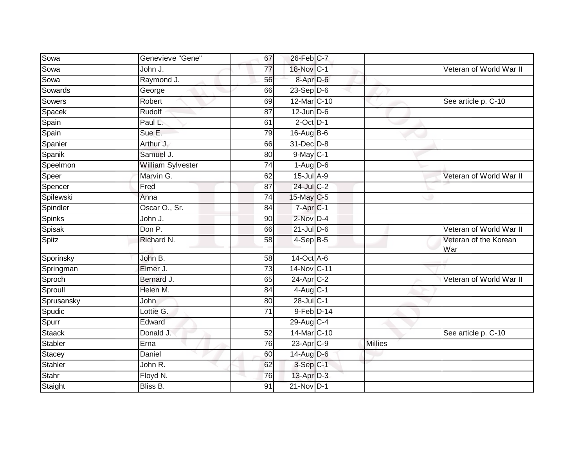| Sowa       | Genevieve "Gene"  | 67 | 26-Feb C-7             |                |                              |
|------------|-------------------|----|------------------------|----------------|------------------------------|
| Sowa       | John J.           | 77 | 18-Nov C-1             |                | Veteran of World War II      |
| Sowa       | Raymond J.        | 56 | 8-Apr D-6              |                |                              |
| Sowards    | George            | 66 | $23-Sep D-6$           |                |                              |
| Sowers     | Robert            | 69 | 12-Mar C-10            |                | See article p. C-10          |
| Spacek     | Rudolf            | 87 | $12$ -Jun $D-6$        |                |                              |
| Spain      | Paul L.           | 61 | $2$ -Oct $D-1$         |                |                              |
| Spain      | Sue E.            | 79 | $16$ -Aug B-6          |                |                              |
| Spanier    | Arthur J.         | 66 | 31-Dec D-8             |                |                              |
| Spanik     | Samuel J.         | 80 | $9$ -May $C-1$         |                |                              |
| Speelmon   | William Sylvester | 74 | $1-Aug$ D-6            |                |                              |
| Speer      | Marvin G.         | 62 | $15$ -Jul $A-9$        |                | Veteran of World War II      |
| Spencer    | Fred              | 87 | 24-Jul C-2             |                |                              |
| Spilewski  | Anna              | 74 | 15-May C-5             |                |                              |
| Spindler   | Oscar O., Sr.     | 84 | 7-Apr <sub>C-1</sub>   |                |                              |
| Spinks     | John J.           | 90 | $2$ -Nov $D-4$         |                |                              |
| Spisak     | Don P.            | 66 | $21$ -Jul $D-6$        |                | Veteran of World War II      |
| Spitz      | Richard N.        | 58 | $4-Sep$ B-5            |                | Veteran of the Korean<br>War |
| Sporinsky  | John B.           | 58 | $14-Oct$ A-6           |                |                              |
| Springman  | Elmer J.          | 73 | 14-Nov C-11            |                |                              |
| Sproch     | Bernard J.        | 65 | $24$ -Apr $C-2$        |                | Veteran of World War II      |
| Sproull    | Helen M.          | 84 | $4$ -Aug $C-1$         |                |                              |
| Sprusansky | John              | 80 | 28-Jul C-1             |                |                              |
| Spudic     | Lottie G.         | 71 | 9-Feb D-14             |                |                              |
| Spurr      | Edward            |    | 29-Aug C-4             |                |                              |
| Staack     | Donald J.         | 52 | 14-Mar C-10            |                | See article p. C-10          |
| Stabler    | Erna              | 76 | 23-Apr <sub>IC-9</sub> | <b>Millies</b> |                              |
| Stacey     | Daniel            | 60 | $14$ -Aug $D-6$        |                |                              |
| Stahler    | John R.           | 62 | $3-Sep$ $C-1$          |                |                              |
| Stahr      | Floyd N.          | 76 | 13-Apr D-3             |                |                              |
| Staight    | Bliss B.          | 91 | $21-Nov$ D-1           |                |                              |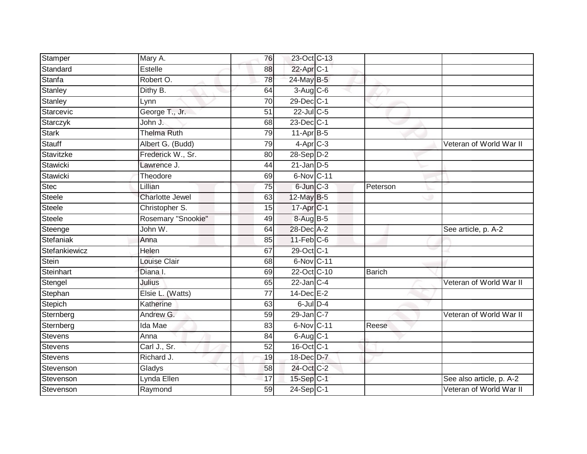| Stamper        | Mary A.                | 76              | 23-Oct C-13            |               |                          |
|----------------|------------------------|-----------------|------------------------|---------------|--------------------------|
| Standard       | Estelle                | 88              | 22-Apr C-1             |               |                          |
| Stanfa         | Robert O.              | 78              | 24-May B-5             |               |                          |
| Stanley        | Dithy B.               | 64              | $3-Aug$ $C-6$          |               |                          |
| Stanley        | Lynn                   | $\overline{70}$ | 29-Dec C-1             |               |                          |
| Starcevic      | George T., Jr.         | 51              | 22-Jul C-5             |               |                          |
| Starczyk       | John J.                | 68              | 23-Dec C-1             |               |                          |
| Stark          | <b>Thelma Ruth</b>     | 79              | $11-Apr$ B-5           |               |                          |
| Stauff         | Albert G. (Budd)       | 79              | $4-Apr$ <sub>C-3</sub> |               | Veteran of World War II  |
| Stavitzke      | Frederick W., Sr.      | 80              | $28-Sep D-2$           |               |                          |
| Stawicki       | Lawrence J.            | 44              | $21$ -Jan D-5          |               |                          |
| Stawicki       | Theodore               | 69              | 6-Nov C-11             |               |                          |
| <b>Stec</b>    | Lillian                | 75              | $6$ -Jun $C-3$         | Peterson      |                          |
| Steele         | <b>Charlotte Jewel</b> | 63              | 12-May B-5             |               |                          |
| Steele         | Christopher S.         | 15              | 17-Apr <sub>C-1</sub>  |               |                          |
| <b>Steele</b>  | Rosemary "Snookie"     | 49              | 8-Aug B-5              |               |                          |
| Steenge        | John W.                | 64              | 28-Dec A-2             |               | See article, p. A-2      |
| Stefaniak      | Anna                   | 85              | $11$ -Feb $C$ -6       |               |                          |
| Stefankiewicz  | Helen                  | 67              | 29-Oct C-1             |               |                          |
| Stein          | Louise Clair           | 68              | 6-Nov C-11             |               |                          |
| Steinhart      | Diana I.               | 69              | 22-Oct C-10            | <b>Barich</b> |                          |
| Stengel        | Julius                 | 65              | $22$ -Jan C-4          |               | Veteran of World War II  |
| Stephan        | Elsie L. (Watts)       | 77              | $14$ -Dec $E-2$        |               |                          |
| Stepich        | Katherine              | 63              | $6$ -Jul $D-4$         |               |                          |
| Sternberg      | Andrew G.              | 59              | $29$ -Jan $ C-7 $      |               | Veteran of World War II  |
| Sternberg      | Ida Mae                | 83              | 6-Nov C-11             | Reese         |                          |
| Stevens        | Anna                   | 84              | $6$ -Aug $C-1$         |               |                          |
| <b>Stevens</b> | Carl J., Sr.           | 52              | $16$ -Oct $ C-1 $      |               |                          |
| Stevens        | Richard J.             | 19              | 18-Dec D-7             |               |                          |
| Stevenson      | Gladys                 | 58              | 24-Oct C-2             |               |                          |
| Stevenson      | Lynda Ellen            | 17              | 15-Sep C-1             |               | See also article, p. A-2 |
| Stevenson      | Raymond                | 59              | $24-Sep$ C-1           |               | Veteran of World War II  |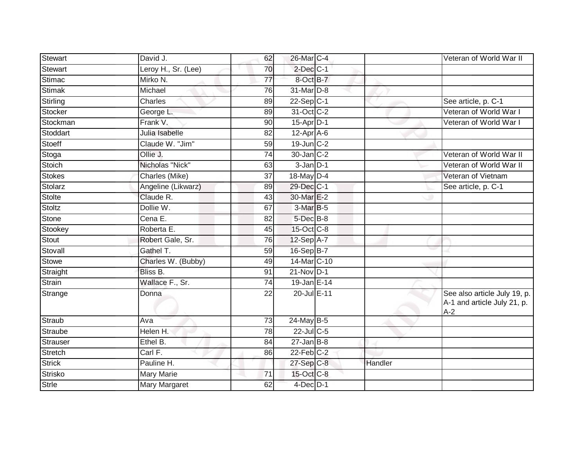| Stewart        | David J.            | 62              | 26-Mar C-4      |         | Veteran of World War II                                              |
|----------------|---------------------|-----------------|-----------------|---------|----------------------------------------------------------------------|
| <b>Stewart</b> | Leroy H., Sr. (Lee) | 70              | $2$ -Dec $C-1$  |         |                                                                      |
| Stimac         | Mirko N.            | 77              | 8-Oct B-7       |         |                                                                      |
| Stimak         | Michael             | 76              | 31-Mar D-8      |         |                                                                      |
| Stirling       | Charles             | 89              | $22-Sep C-1$    |         | See article, p. C-1                                                  |
| Stocker        | George L.           | 89              | 31-Oct C-2      |         | Veteran of World War I                                               |
| Stockman       | Frank V.            | 90              | $15$ -Apr $D-1$ |         | Veteran of World War I                                               |
| Stoddart       | Julia Isabelle      | 82              | 12-Apr A-6      |         |                                                                      |
| Stoeff         | Claude W. "Jim"     | 59              | $19$ -Jun $C-2$ |         |                                                                      |
| Stoga          | Ollie J.            | 74              | 30-Jan C-2      |         | Veteran of World War II                                              |
| Stoich         | Nicholas "Nick"     | 63              | $3-Jan$ $D-1$   |         | Veteran of World War II                                              |
| <b>Stokes</b>  | Charles (Mike)      | 37              | 18-May $D-4$    |         | Veteran of Vietnam                                                   |
| Stolarz        | Angeline (Likwarz)  | 89              | 29-Dec C-1      |         | See article, p. C-1                                                  |
| <b>Stolte</b>  | Claude R.           | 43              | 30-Mar E-2      |         |                                                                      |
| <b>Stoltz</b>  | Dollie W.           | 67              | $3-MarB-5$      |         |                                                                      |
| Stone          | Cena E.             | 82              | $5$ -Dec $B$ -8 |         |                                                                      |
| Stookey        | Roberta E.          | 45              | 15-Oct C-8      |         |                                                                      |
| Stout          | Robert Gale, Sr.    | 76              | $12-Sep$ A-7    |         |                                                                      |
| Stovall        | Gathel T.           | 59              | 16-Sep B-7      |         |                                                                      |
| Stowe          | Charles W. (Bubby)  | 49              | 14-Mar C-10     |         |                                                                      |
| Straight       | Bliss B.            | 91              | $21-Nov$ D-1    |         |                                                                      |
| Strain         | Wallace F., Sr.     | $\overline{74}$ | 19-Jan E-14     |         |                                                                      |
| Strange        | Donna               | 22              | 20-Jul E-11     |         | See also article July 19, p.<br>A-1 and article July 21, p.<br>$A-2$ |
| Straub         | Ava                 | 73              | 24-May B-5      |         |                                                                      |
| Straube        | Helen H.            | 78              | 22-Jul C-5      |         |                                                                      |
| Strauser       | Ethel B.            | 84              | $27 - Jan$ B-8  |         |                                                                      |
| <b>Stretch</b> | Carl F.             | 86              | $22$ -Feb $C-2$ |         |                                                                      |
| <b>Strick</b>  | Pauline H.          |                 | 27-Sep C-8      | Handler |                                                                      |
| Strisko        | Mary Marie          | 71              | 15-Oct C-8      |         |                                                                      |
| <b>Strle</b>   | Mary Margaret       | 62              | $4$ -Dec $D-1$  |         |                                                                      |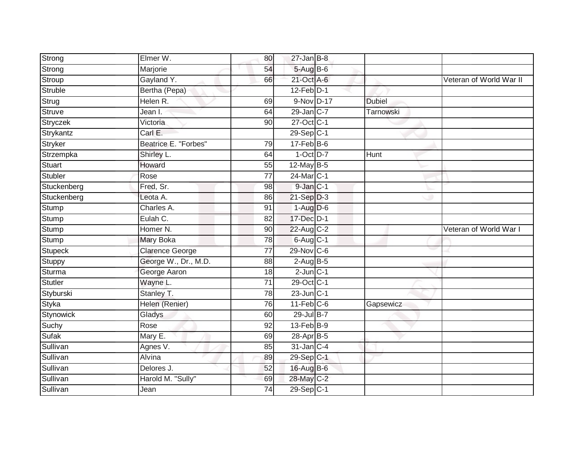| Strong               | Elmer W.             | 80                    | $27$ -Jan B-8              |               |                         |
|----------------------|----------------------|-----------------------|----------------------------|---------------|-------------------------|
| Strong               | Marjorie             | 54                    | 5-Aug B-6                  |               |                         |
| Stroup               | Gayland Y.           | 66                    | 21-Oct A-6                 |               | Veteran of World War II |
| Struble              | Bertha (Pepa)        |                       | $12$ -Feb $D-1$            |               |                         |
| Strug                | Helen R.             | 69                    | 9-Nov D-17                 | <b>Dubiel</b> |                         |
| Struve               | Jean I.              | 64                    | 29-Jan C-7                 | Tarnowski     |                         |
| Stryczek             | Victoria             | 90                    | 27-Oct C-1                 |               |                         |
| Strykantz            | Carl E.              |                       | $29-Sep$ <sub>C-1</sub>    |               |                         |
| Stryker              | Beatrice E. "Forbes" | 79                    | $17$ -Feb $B$ -6           |               |                         |
| Strzempka            | Shirley L.           | 64                    | $1-Oct$ $D-7$              | Hunt          |                         |
| <b>Stuart</b>        | Howard               | 55                    | 12-May B-5                 |               |                         |
| Stubler              | Rose                 | $\overline{77}$       | 24-Mar C-1                 |               |                         |
| Stuckenberg          | Fred, Sr.            | 98                    | $9$ -Jan $C-1$             |               |                         |
| Stuckenberg          | Leota A.             | 86                    | $21-Sep$ D-3               |               |                         |
| Stump                | Charles A.           | 91                    | $1-Aug$ $D-6$              |               |                         |
| Stump                | Eulah C.             | 82                    | 17-Dec D-1                 |               |                         |
|                      |                      |                       |                            |               |                         |
| Stump                | Homer <sub>N.</sub>  | 90                    | 22-Aug C-2                 |               | Veteran of World War I  |
| <b>Stump</b>         | Mary Boka            | 78                    | $6$ -Aug C-1               |               |                         |
| Stupeck              | Clarence George      | $\overline{77}$       | 29-Nov C-6                 |               |                         |
| Stuppy               | George W., Dr., M.D. | 88                    | $2-AugB-5$                 |               |                         |
| Sturma               | George Aaron         | 18                    | $2$ -Jun $C-1$             |               |                         |
| <b>Stutler</b>       | Wayne L.             | $\overline{71}$       | 29-Oct C-1                 |               |                         |
| Styburski            | Stanley T.           | 78                    | $23$ -Jun $C-1$            |               |                         |
| Styka                | Helen (Renier)       | 76                    | $11$ -Feb $C$ -6           | Gapsewicz     |                         |
| Stynowick            | Gladys               | 60                    | 29-Jul B-7                 |               |                         |
| Suchy                | Rose                 | 92                    | $13$ -Feb $B-9$            |               |                         |
| <b>Sufak</b>         | Mary E.              | 69                    | 28-Apr B-5                 |               |                         |
| Sullivan             | Agnes V.             | 85                    | $31$ -Jan $C-4$            |               |                         |
| Sullivan             | Alvina               | 89                    | 29-Sep C-1                 |               |                         |
| Sullivan             | Delores J.           | 52                    | 16-Aug B-6                 |               |                         |
| Sullivan<br>Sullivan | Harold M. "Sully"    | 69<br>$\overline{74}$ | 28-May C-2<br>$29-Sep C-1$ |               |                         |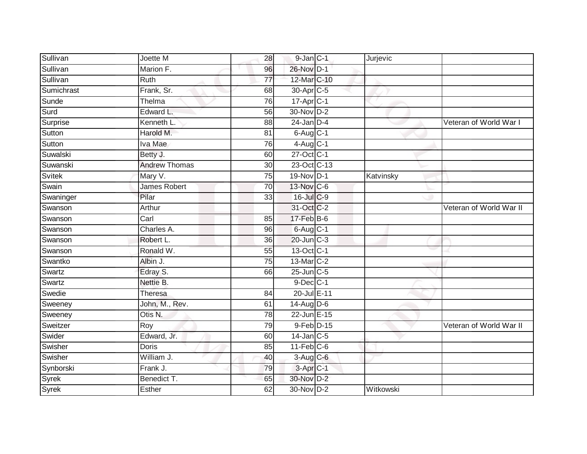| Sullivan   | Joette M             | 28              | $9$ -Jan $C-1$        | Jurjevic  |                         |
|------------|----------------------|-----------------|-----------------------|-----------|-------------------------|
| Sullivan   | Marion F.            | 96              | 26-Nov D-1            |           |                         |
| Sullivan   | <b>Ruth</b>          | $\overline{77}$ | 12-Mar C-10           |           |                         |
| Sumichrast | Frank, Sr.           | 68              | 30-Apr <sub>C-5</sub> |           |                         |
| Sunde      | Thelma               | 76              | 17-Apr <sub>C-1</sub> |           |                         |
| Surd       | Edward L.            | 56              | 30-Nov D-2            |           |                         |
| Surprise   | Kenneth L.           | 88              | $24$ -Jan $D-4$       |           | Veteran of World War I  |
| Sutton     | Harold M.            | 81              | $6$ -Aug $C-1$        |           |                         |
| Sutton     | Iva Mae              | 76              | $4$ -Aug C-1          |           |                         |
| Suwalski   | Betty J.             | 60              | 27-Oct C-1            |           |                         |
| Suwanski   | <b>Andrew Thomas</b> | 30              | 23-Oct C-13           |           |                         |
| Svitek     | Mary V.              | 75              | 19-Nov D-1            | Katvinsky |                         |
| Swain      | <b>James Robert</b>  | 70              | 13-Nov C-6            |           |                         |
| Swaninger  | Pilar                | 33              | 16-Jul C-9            |           |                         |
| Swanson    | Arthur               |                 | 31-Oct C-2            |           | Veteran of World War II |
| Swanson    | Carl                 | 85              | $17$ -Feb $B$ -6      |           |                         |
| Swanson    | Charles A.           | 96              | $6$ -Aug $C-1$        |           |                         |
| Swanson    | Robert L.            | 36              | 20-Jun C-3            |           |                         |
| Swanson    | Ronald W.            | 55              | 13-Oct C-1            |           |                         |
| Swantko    | Albin J.             | 75              | 13-Mar C-2            |           |                         |
| Swartz     | Edray S.             | 66              | 25-Jun C-5            |           |                         |
| Swartz     | Nettie B.            |                 | 9-Dec C-1             |           |                         |
| Swedie     | Theresa              | 84              | 20-Jul E-11           |           |                         |
| Sweeney    | John, M., Rev.       | 61              | $14$ -Aug D-6         |           |                         |
| Sweeney    | Otis N.              | 78              | 22-Jun E-15           |           |                         |
| Sweitzer   | Roy                  | 79              | 9-Feb D-15            |           | Veteran of World War II |
| Swider     | Edward, Jr.          | 60              | $14$ -Jan $C-5$       |           |                         |
| Swisher    | <b>Doris</b>         | 85              | $11$ -Feb $C$ -6      |           |                         |
| Swisher    | William J.           | 40              | 3-Aug C-6             |           |                         |
| Synborski  | Frank J.             | 79              | 3-Apr <sub>IC-1</sub> |           |                         |
| Syrek      | Benedict T.          | 65              | 30-Nov D-2            |           |                         |
| Syrek      | Esther               | 62              | 30-Nov D-2            | Witkowski |                         |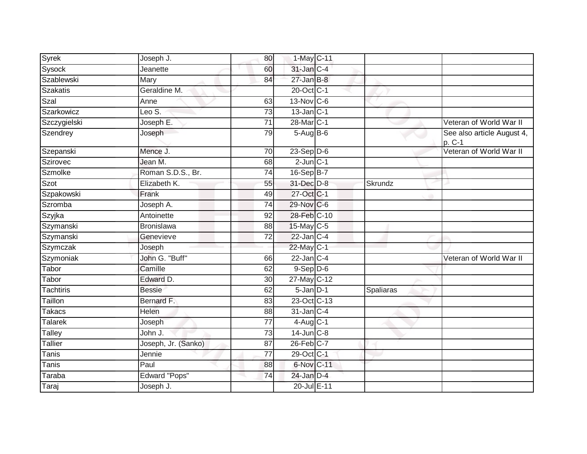| Syrek           | Joseph J.            | 80              | 1-May C-11       |           |                                      |
|-----------------|----------------------|-----------------|------------------|-----------|--------------------------------------|
| Sysock          | Jeanette             | 60              | 31-Jan C-4       |           |                                      |
| Szablewski      | Mary                 | 84              | $27 - Jan$ $B-8$ |           |                                      |
| <b>Szakatis</b> | Geraldine M.         |                 | 20-Oct C-1       |           |                                      |
| Szal            | Anne                 | 63              | 13-Nov C-6       |           |                                      |
| Szarkowicz      | Leo S.               | 73              | $13$ -Jan $C-1$  |           |                                      |
| Szczygielski    | Joseph E.            | 71              | 28-Mar C-1       |           | Veteran of World War II              |
| Szendrey        | Joseph               | 79              | $5-AugB-6$       |           | See also article August 4,<br>p. C-1 |
| Szepanski       | Mence J.             | 70              | $23-Sep$ D-6     |           | Veteran of World War II              |
| Szirovec        | Jean M.              | 68              | $2$ -Jun $C-1$   |           |                                      |
| Szmolke         | Roman S.D.S., Br.    | $\overline{74}$ | $16 - SepB-7$    |           |                                      |
| Szot            | Elizabeth K.         | 55              | 31-Dec D-8       | Skrundz   |                                      |
| Szpakowski      | Frank                | 49              | 27-Oct C-1       |           |                                      |
| Szromba         | Joseph A.            | 74              | 29-Nov C-6       |           |                                      |
| Szyjka          | Antoinette           | 92              | 28-Feb C-10      |           |                                      |
| Szymanski       | Bronislawa           | 88              | 15-May C-5       |           |                                      |
| Szymanski       | Genevieve            | 72              | $22$ -Jan C-4    |           |                                      |
| Szymczak        | Joseph               |                 | 22-May C-1       |           |                                      |
| Szymoniak       | John G. "Buff"       | 66              | $22$ -Jan C-4    |           | Veteran of World War II              |
| Tabor           | Camille              | 62              | $9-Sep$ $D-6$    |           |                                      |
| Tabor           | Edward D.            | 30              | 27-May C-12      |           |                                      |
| Tachtiris       | <b>Bessie</b>        | 62              | $5$ -Jan $D-1$   | Spaliaras |                                      |
| Taillon         | Bernard F.           | 83              | 23-Oct C-13      |           |                                      |
| Takacs          | <b>Helen</b>         | 88              | $31$ -Jan $C-4$  |           |                                      |
| <b>Talarek</b>  | Joseph               | $\overline{77}$ | $4$ -Aug C-1     |           |                                      |
| Talley          | John J.              | 73              | $14$ -Jun $C-8$  |           |                                      |
| Tallier         | Joseph, Jr. (Sanko)  | $\overline{87}$ | $26$ -Feb $C-7$  |           |                                      |
| Tanis           | Jennie               | $\overline{77}$ | 29-Oct C-1       |           |                                      |
| Tanis           | Paul                 | 88              | 6-Nov C-11       |           |                                      |
| Taraba          | <b>Edward "Pops"</b> | 74              | $24$ -Jan $D-4$  |           |                                      |
| Taraj           | Joseph J.            |                 | 20-Jul E-11      |           |                                      |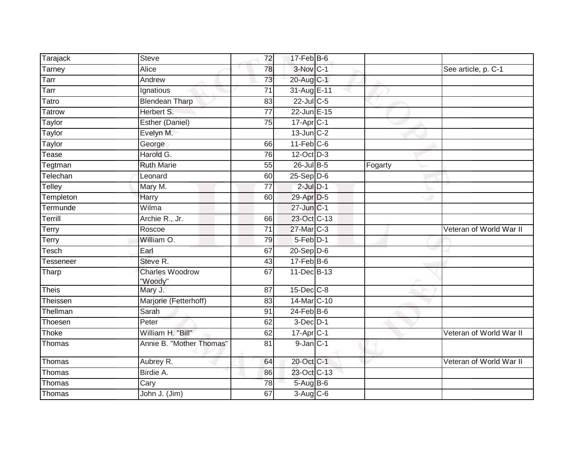| Tarajack      | <b>Steve</b>                      | 72              | $17$ -Feb $B$ -6        |         |                         |
|---------------|-----------------------------------|-----------------|-------------------------|---------|-------------------------|
| Tarney        | Alice                             | 78              | 3-Nov C-1               |         | See article, p. C-1     |
| Tarr          | Andrew                            | 73              | 20-Aug C-1              |         |                         |
| Tarr          | Ignatious                         | 71              | 31-Aug E-11             |         |                         |
| Tatro         | <b>Blendean Tharp</b>             | $\overline{83}$ | $22$ -Jul C-5           |         |                         |
| <b>Tatrow</b> | Herbert S.                        | $\overline{77}$ | 22-Jun E-15             |         |                         |
| Taylor        | Esther (Daniel)                   | 75              | $17-Apr$ <sub>C-1</sub> |         |                         |
| Taylor        | Evelyn M.                         |                 | $13$ -Jun $C-2$         |         |                         |
| Taylor        | George                            | 66              | $11$ -Feb $C$ -6        |         |                         |
| Tease         | Harold G.                         | 76              | 12-Oct D-3              |         |                         |
| Tegtman       | <b>Ruth Marie</b>                 | 55              | 26-Jul B-5              | Fogarty |                         |
| Telechan      | Leonard                           | 60              | $25-Sep$ D-6            |         |                         |
| Telley        | Mary M.                           | $\overline{77}$ | $2$ -Jul $D-1$          |         |                         |
| Templeton     | Harry                             | 60              | 29-Apr D-5              |         |                         |
| Termunde      | Wilma                             |                 | 27-Jun C-1              |         |                         |
| Terrill       | Archie R., Jr.                    | 66              | 23-Oct C-13             |         |                         |
| Terry         | Roscoe                            | 71              | 27-Mar C-3              |         | Veteran of World War II |
| Terry         | William O.                        | 79              | $5-Feb$ D-1             |         |                         |
| Tesch         | Earl                              | 67              | $20-Sep$ D-6            |         |                         |
| Tesseneer     | Steve R.                          | 43              | $17 - Feb$ B-6          |         |                         |
| Tharp         | <b>Charles Woodrow</b><br>"Woody" | 67              | 11-Dec B-13             |         |                         |
| <b>Theis</b>  | Mary J.                           | 87              | 15-Dec C-8              |         |                         |
| Theissen      | Marjorie (Fetterhoff)             | 83              | 14-Mar C-10             |         |                         |
| Thellman      | Sarah                             | 91              | $24$ -Feb $B$ -6        |         |                         |
| Thoesen       | Peter                             | 62              | $3$ -Dec $D-1$          |         |                         |
| Thoke         | William H. "Bill"                 | 62              | $17$ -Apr $C-1$         |         | Veteran of World War II |
| Thomas        | Annie B. "Mother Thomas"          | $\overline{81}$ | $9$ -Jan $C-1$          |         |                         |
| Thomas        | Aubrey R.                         | 64              | 20-Oct C-1              |         | Veteran of World War II |
| Thomas        | Birdie A.                         | 86              | 23-Oct C-13             |         |                         |
| Thomas        | Cary                              | 78              | $5-AugB-6$              |         |                         |
| Thomas        | John J. (Jim)                     | 67              | $3-Aug$ $C-6$           |         |                         |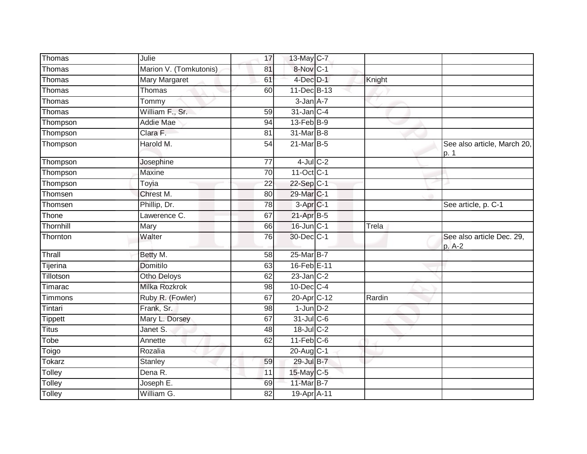| Thomas         | Julie                  | 17              | 13-May C-7           |        |                                      |
|----------------|------------------------|-----------------|----------------------|--------|--------------------------------------|
| Thomas         | Marion V. (Tomkutonis) | 81              | 8-Nov C-1            |        |                                      |
| Thomas         | <b>Mary Margaret</b>   | 61              | 4-Dec D-1            | Knight |                                      |
| Thomas         | Thomas                 | 60              | 11-Dec B-13          |        |                                      |
| Thomas         | Tommy                  |                 | $3 - Jan A - 7$      |        |                                      |
| Thomas         | William F., Sr.        | 59              | 31-Jan C-4           |        |                                      |
| Thompson       | <b>Addie Mae</b>       | 94              | 13-Feb B-9           |        |                                      |
| Thompson       | Clara F.               | 81              | 31-Mar B-8           |        |                                      |
| Thompson       | Harold M.              | 54              | 21-Mar B-5           |        | See also article, March 20,<br> p. 1 |
| Thompson       | Josephine              | 77              | $4$ -Jul $C-2$       |        |                                      |
| Thompson       | <b>Maxine</b>          | 70              | 11-Oct C-1           |        |                                      |
| Thompson       | Toyia                  | 22              | 22-Sep C-1           |        |                                      |
| Thomsen        | Chrest M.              | $\overline{80}$ | 29-Mar C-1           |        |                                      |
| Thomsen        | Phillip, Dr.           | $\overline{78}$ | 3-Apr <sub>C-1</sub> |        | See article, p. C-1                  |
| Thone          | Lawerence C.           | 67              | 21-Apr B-5           |        |                                      |
| Thornhill      | Mary                   | 66              | $16$ -Jun $C-1$      | Trela  |                                      |
| Thornton       | Walter                 | 76              | 30-Dec C-1           |        | See also article Dec. 29,<br>p. A-2  |
| Thrall         | Betty M.               | 58              | 25-Mar B-7           |        |                                      |
| Tijerina       | <b>Domitilo</b>        | 63              | 16-Feb E-11          |        |                                      |
| Tillotson      | Otho Deloys            | 62              | $23$ -Jan $C-2$      |        |                                      |
| Timarac        | Milka Rozkrok          | 98              | $10$ -Dec $C-4$      |        |                                      |
| Timmons        | Ruby R. (Fowler)       | 67              | 20-Apr C-12          | Rardin |                                      |
| Tintari        | Frank, Sr.             | 98              | $1$ -Jun $D-2$       |        |                                      |
| <b>Tippett</b> | Mary L. Dorsey         | 67              | $31$ -Jul C-6        |        |                                      |
| <b>Titus</b>   | Janet S.               | 48              | 18-Jul C-2           |        |                                      |
| Tobe           | Annette                | 62              | $11-Feb$ C-6         |        |                                      |
| Toigo          | Rozalia                |                 | 20-Aug C-1           |        |                                      |
| Tokarz         | Stanley                | 59              | 29-Jul B-7           |        |                                      |
| Tolley         | Dena R.                | 11              | 15-May C-5           |        |                                      |
| Tolley         | Joseph E.              | 69              | 11-Mar B-7           |        |                                      |
| Tolley         | William G.             | 82              | 19-Apr A-11          |        |                                      |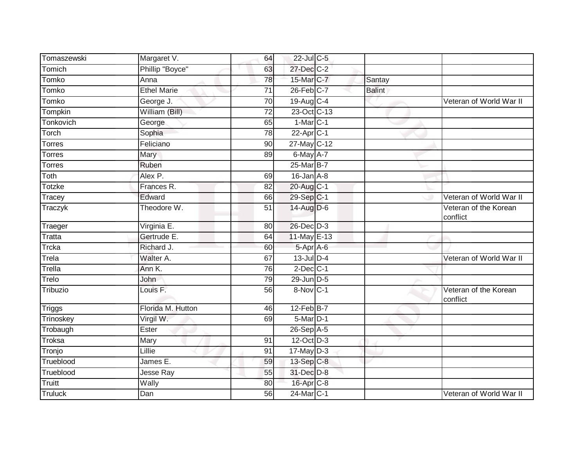| Tomaszewski    | Margaret V.         | 64              | 22-Jul C-5              |               |                                   |
|----------------|---------------------|-----------------|-------------------------|---------------|-----------------------------------|
| Tomich         | Phillip "Boyce"     | 63              | 27-Dec C-2              |               |                                   |
| Tomko          | Anna                | 78              | 15-Mar C-7              | Santay        |                                   |
| Tomko          | <b>Ethel Marie</b>  | 71              | 26-Feb C-7              | <b>Balint</b> |                                   |
| Tomko          | George J.           | 70              | 19-Aug C-4              |               | Veteran of World War II           |
| Tompkin        | William (Bill)      | $\overline{72}$ | 23-Oct C-13             |               |                                   |
| Tonkovich      | George              | 65              | $1-MarC-1$              |               |                                   |
| Torch          | Sophia              | 78              | 22-Apr C-1              |               |                                   |
| <b>Torres</b>  | Feliciano           | 90              | 27-May C-12             |               |                                   |
| <b>Torres</b>  | <b>Mary</b>         | 89              | 6-May A-7               |               |                                   |
| <b>Torres</b>  | Ruben               |                 | 25-Mar B-7              |               |                                   |
| Toth           | Alex P.             | 69              | $16$ -Jan $A-8$         |               |                                   |
| Totzke         | Frances R.          | 82              | 20-Aug C-1              |               |                                   |
| Tracey         | Edward              | 66              | $29-Sep$ <sub>C-1</sub> |               | Veteran of World War II           |
| Traczyk        | Theodore W.         | $\overline{51}$ | 14-Aug D-6              |               | Veteran of the Korean<br>conflict |
| Traeger        | Virginia E.         | 80              | 26-Dec D-3              |               |                                   |
| <b>Tratta</b>  | Gertrude E.         | 64              | 11-May E-13             |               |                                   |
| Trcka          | Richard J.          | 60              | 5-Apr A-6               |               |                                   |
| Trela          | Walter A.           | 67              | $13$ -Jul $D-4$         |               | Veteran of World War II           |
| Trella         | Ann K.              | 76              | $2$ -Dec $C-1$          |               |                                   |
| Trelo          | John                | 79              | 29-Jun D-5              |               |                                   |
| Tribuzio       | Louis <sub>F.</sub> | 56              | 8-Nov C-1               |               | Veteran of the Korean<br>conflict |
| <b>Triggs</b>  | Florida M. Hutton   | 46              | $12$ -Feb $B$ -7        |               |                                   |
| Trinoskey      | Virgil W.           | 69              | 5-Mar D-1               |               |                                   |
| Trobaugh       | Ester               |                 | $26-SepA-5$             |               |                                   |
| Troksa         | Mary                | 91              | 12-Oct D-3              |               |                                   |
| Tronjo         | Lillie              | 91              | $17$ -May D-3           |               |                                   |
| Trueblood      | James E.            | 59              | 13-Sep C-8              |               |                                   |
| Trueblood      | Jesse Ray           | 55              | 31-Dec D-8              |               |                                   |
| <b>Truitt</b>  | Wally               | 80              | 16-Apr C-8              |               |                                   |
| <b>Truluck</b> | Dan                 | 56              | 24-Mar C-1              |               | Veteran of World War II           |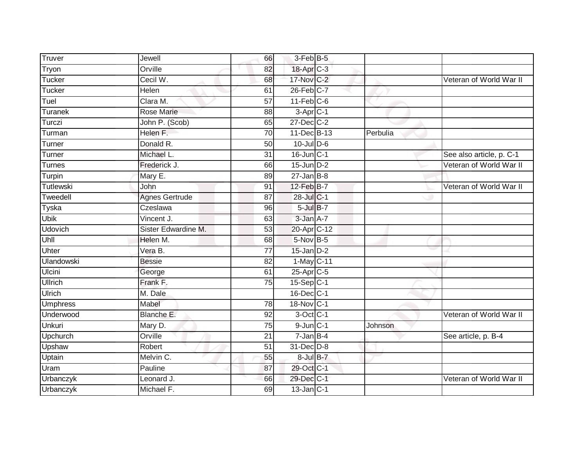| Truver          | Jewell                | 66              | 3-Feb B-5        |          |                          |
|-----------------|-----------------------|-----------------|------------------|----------|--------------------------|
|                 |                       |                 |                  |          |                          |
| Tryon           | Orville               | 82              | 18-Apr C-3       |          |                          |
| Tucker          | Cecil W.              | 68              | 17-Nov C-2       |          | Veteran of World War II  |
| Tucker          | Helen                 | 61              | $26$ -Feb $C-7$  |          |                          |
| Tuel            | Clara M.              | $\overline{57}$ | $11$ -Feb $C$ -6 |          |                          |
| Turanek         | Rose Marie            | 88              | $3-Apr$ C-1      |          |                          |
| Turczi          | John P. (Scob)        | 65              | 27-Dec C-2       |          |                          |
| Turman          | Helen F.              | 70              | 11-Dec B-13      | Perbulia |                          |
| Turner          | Donald R.             | 50              | $10$ -Jul $D-6$  |          |                          |
| Turner          | Michael L.            | $\overline{31}$ | $16$ -Jun $C-1$  |          | See also article, p. C-1 |
| Turnes          | Frederick J.          | 66              | $15$ -Jun $D-2$  |          | Veteran of World War II  |
| Turpin          | Mary E.               | 89              | $27$ -Jan B-8    |          |                          |
| Tutlewski       | John                  | 91              | 12-Feb B-7       |          | Veteran of World War II  |
| Tweedell        | <b>Agnes Gertrude</b> | 87              | 28-Jul C-1       |          |                          |
| Tyska           | Czeslawa              | $\overline{96}$ | $5$ -Jul $B-7$   |          |                          |
| <b>Ubik</b>     | Vincent J.            | 63              | 3-Jan A-7        |          |                          |
| <b>Udovich</b>  | Sister Edwardine M.   | 53              | 20-Apr C-12      |          |                          |
| Uhll            | Helen M.              | 68              | 5-Nov B-5        |          |                          |
| Uhter           | Vera B.               | 77              | $15$ -Jan $D-2$  |          |                          |
| Ulandowski      | <b>Bessie</b>         | $\overline{82}$ | $1$ -May $C-11$  |          |                          |
| <b>Ulcini</b>   | George                | 61              | $25$ -Apr $C$ -5 |          |                          |
| <b>Ullrich</b>  | Frank F.              | 75              | $15-Sep C-1$     |          |                          |
| Ulrich          | M. Dale               |                 | 16-Dec C-1       |          |                          |
| <b>Umphress</b> | Mabel                 | 78              | 18-Nov C-1       |          |                          |
| Underwood       | Blanche E.            | 92              | $3-Oct$ C-1      |          | Veteran of World War II  |
| Unkuri          | Mary D.               | $\overline{75}$ | $9$ -Jun $C-1$   | Johnson  |                          |
| Upchurch        | Orville               | $\overline{21}$ | $7 - Jan$ B-4    |          | See article, p. B-4      |
| Upshaw          | Robert                | 51              | 31-Dec D-8       |          |                          |
| Uptain          | Melvin C.             | 55              | 8-Jul B-7        |          |                          |
| Uram            | Pauline               | 87              | 29-Oct C-1       |          |                          |
| Urbanczyk       | Leonard J.            | 66              | 29-Dec C-1       |          | Veteran of World War II  |
| Urbanczyk       | Michael F.            | 69              | $13$ -Jan $C-1$  |          |                          |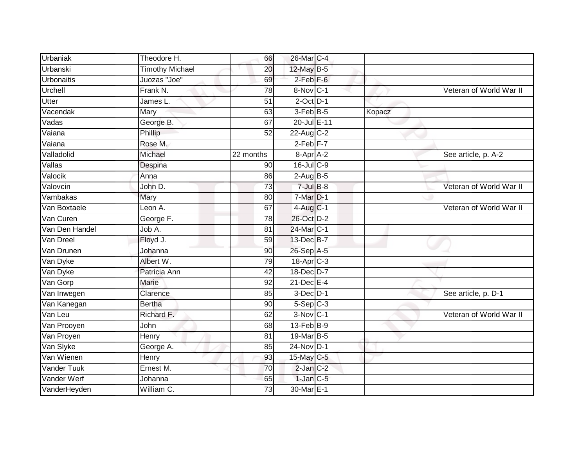| Urbaniak           | Theodore H.            | 66              | 26-Mar C-4            |        |                         |
|--------------------|------------------------|-----------------|-----------------------|--------|-------------------------|
| Urbanski           | <b>Timothy Michael</b> | 20              | 12-May B-5            |        |                         |
| <b>Urbonaitis</b>  | Juozas "Joe"           | 69              | $2$ -Feb $F-6$        |        |                         |
| Urchell            | Frank N.               | 78              | 8-Nov C-1             |        | Veteran of World War II |
| <b>Utter</b>       | James L.               | $\overline{51}$ | $2$ -Oct $D-1$        |        |                         |
| Vacendak           | Mary                   | 63              | $3-Feb$ B-5           | Kopacz |                         |
| Vadas              | George B.              | 67              | 20-Jul E-11           |        |                         |
| Vaiana             | Phillip                | 52              | 22-Aug C-2            |        |                         |
| Vaiana             | Rose M.                |                 | $2-Feb$ $F-7$         |        |                         |
| Valladolid         | Michael                | 22 months       | 8-Apr A-2             |        | See article, p. A-2     |
| Vallas             | Despina                | 90              | 16-Jul C-9            |        |                         |
| Valocik            | Anna                   | 86              | $2-Aug$ B-5           |        |                         |
| Valovcin           | John D.                | 73              | $7$ -Jul $B-8$        |        | Veteran of World War II |
| Vambakas           | Mary                   | 80              | 7-Mar D-1             |        |                         |
| Van Boxtaele       | Leon A.                | 67              | $4$ -Aug C-1          |        | Veteran of World War II |
| Van Curen          | George F.              | 78              | 26-Oct D-2            |        |                         |
| Van Den Handel     | Job A.                 | 81              | 24-Mar C-1            |        |                         |
| Van Dreel          | Floyd J.               | 59              | 13-Dec B-7            |        |                         |
| Van Drunen         | Johanna                | 90              | $26-Sep$ A-5          |        |                         |
| Van Dyke           | Albert W.              | 79              | 18-Apr <sub>C-3</sub> |        |                         |
| Van Dyke           | Patricia Ann           | 42              | 18-Dec D-7            |        |                         |
| Van Gorp           | Marie                  | 92              | 21-Dec E-4            |        |                         |
| Van Inwegen        | Clarence               | 85              | $3$ -Dec $D-1$        |        | See article, p. D-1     |
| Van Kanegan        | <b>Bertha</b>          | 90              | $5-Sep$ $C-3$         |        |                         |
| Van Leu            | Richard F.             | 62              | 3-Nov C-1             |        | Veteran of World War II |
| Van Prooyen        | John                   | 68              | $13$ -Feb $ B-9 $     |        |                         |
| Van Proyen         | Henry                  | 81              | 19-Mar B-5            |        |                         |
| Van Slyke          | George A.              | 85              | 24-Nov D-1            |        |                         |
| Van Wienen         | Henry                  | 93              | 15-May C-5            |        |                         |
| <b>Vander Tuuk</b> | Ernest M.              | 70              | $2$ -Jan $C-2$        |        |                         |
| Vander Werf        | Johanna                | 65              | $1$ -Jan $C-5$        |        |                         |
| VanderHeyden       | William C.             | $\overline{73}$ | 30-Mar E-1            |        |                         |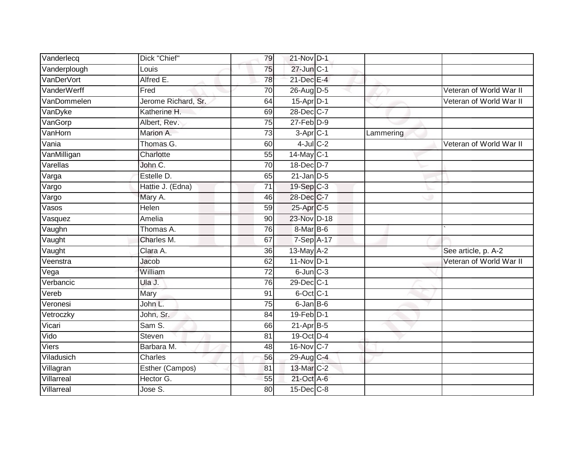| Vanderlecq       | Dick "Chief"           | 79              | 21-Nov D-1                  |           |                         |
|------------------|------------------------|-----------------|-----------------------------|-----------|-------------------------|
| Vanderplough     | Louis                  | 75              | 27-Jun C-1                  |           |                         |
| VanDerVort       | Alfred E.              | 78              | 21-Dec E-4                  |           |                         |
| VanderWerff      | Fred                   | 70              | 26-Aug D-5                  |           | Veteran of World War II |
| VanDommelen      | Jerome Richard, Sr.    | 64              | $15-AprD-1$                 |           | Veteran of World War II |
| VanDyke          | Katherine H.           | 69              | 28-Dec C-7                  |           |                         |
| VanGorp          | Albert, Rev.           | 75              | $27$ -Feb $D-9$             |           |                         |
| VanHorn          | Marion A.              | 73              | $3-Apr$ $C-1$               | Lammering |                         |
| Van <sub>i</sub> | Thomas G.              | 60              | $4$ -Jul $C-2$              |           | Veteran of World War II |
| VanMilligan      | Charlotte              | $\overline{55}$ | 14-May C-1                  |           |                         |
| Varellas         | John C.                | 70              | 18-Dec D-7                  |           |                         |
| Varga            | Estelle D.             | 65              | $21$ -Jan D-5               |           |                         |
| Vargo            | Hattie J. (Edna)       | 71              | 19-Sep C-3                  |           |                         |
| Vargo            | Mary A.                | 46              | 28-Dec C-7                  |           |                         |
| Vasos            | <b>Helen</b>           | $\overline{59}$ | 25-Apr C-5                  |           |                         |
| Vasquez          | Amelia                 | 90              | 23-Nov D-18                 |           |                         |
| Vaughn           | Thomas A.              | 76              | 8-Mar B-6                   |           |                         |
| Vaught           | Charles M.             | 67              | 7-Sep A-17                  |           |                         |
| Vaught           | Clara A.               | 36              | 13-May A-2                  |           | See article, p. A-2     |
| Veenstra         | Jacob                  | 62              | $11-Nov$ D-1                |           | Veteran of World War II |
| Vega             | William                | 72              | $6$ -Jun $C-3$              |           |                         |
| Verbancic        | Ula J.                 | $\overline{76}$ | 29-Dec C-1                  |           |                         |
| Vereb            | Mary                   | 91              | 6-Oct C-1                   |           |                         |
| Veronesi         | John L.                | $\overline{75}$ | 6-Jan B-6                   |           |                         |
| Vetroczky        | John, Sr.              | 84              | $19$ -Feb $\overline{D}$ -1 |           |                         |
| Vicari           | Sam S.                 | 66              | $21-AprB-5$                 |           |                         |
| Vido             | Steven                 | 81              | 19-Oct D-4                  |           |                         |
| Viers            | Barbara M.             | 48              | 16-Nov C-7                  |           |                         |
| Viladusich       | <b>Charles</b>         | 56              | 29-Aug C-4                  |           |                         |
| Villagran        | <b>Esther (Campos)</b> | 81              | 13-Mar C-2                  |           |                         |
| Villarreal       | Hector G.              | $\overline{55}$ | 21-Oct A-6                  |           |                         |
| Villarreal       | Jose S.                | $\overline{80}$ | 15-Dec C-8                  |           |                         |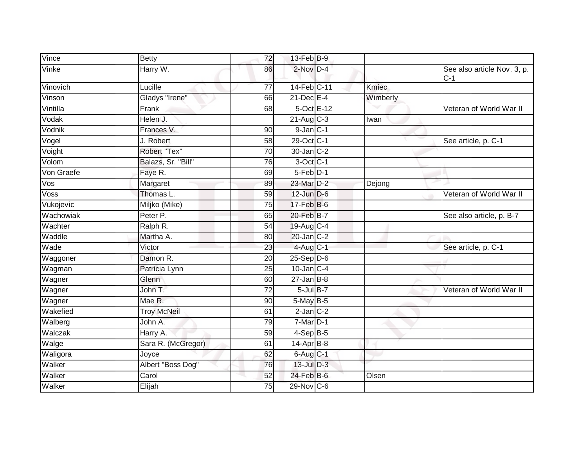| Vince      | <b>Betty</b>       | 72              | 13-Feb B-9                    |              |                                      |
|------------|--------------------|-----------------|-------------------------------|--------------|--------------------------------------|
| Vinke      | Harry W.           | 86              | $2$ -Nov $D-4$                |              | See also article Nov. 3, p.<br>$C-1$ |
| Vinovich   | Lucille            | $\overline{77}$ | 14-Feb C-11                   | <b>Kmiec</b> |                                      |
| Vinson     | Gladys "Irene"     | 66              | $21$ -Dec $E-4$               | Wimberly     |                                      |
| Vintilla   | Frank              | 68              | 5-Oct E-12                    |              | Veteran of World War II              |
| Vodak      | Helen J.           |                 | $21 - \text{Aug } \text{C-3}$ | Iwan         |                                      |
| Vodnik     | Frances V.         | 90              | $9$ -Jan $C-1$                |              |                                      |
| Vogel      | J. Robert          | 58              | 29-Oct C-1                    |              | See article, p. C-1                  |
| Voight     | Robert "Tex"       | 70              | $30 - Jan$ $C-2$              |              |                                      |
| Volom      | Balazs, Sr. "Bill" | 76              | $3$ -Oct C-1                  |              |                                      |
| Von Graefe | Faye R.            | 69              | 5-Feb <sup>D-1</sup>          |              |                                      |
| Vos        | Margaret           | 89              | 23-Mar D-2                    | Dejong       |                                      |
| Voss       | Thomas L.          | $\overline{59}$ | $12$ -Jun $D-6$               |              | Veteran of World War II              |
| Vukojevic  | Miljko (Mike)      | 75              | $17$ -Feb $B$ -6              |              |                                      |
| Wachowiak  | Peter P.           | 65              | 20-Feb B-7                    |              | See also article, p. B-7             |
| Wachter    | Ralph R.           | 54              | $19$ -Aug C-4                 |              |                                      |
| Waddle     | Martha A.          | 80              | 20-Jan C-2                    |              |                                      |
| Wade       | Victor             | 23              | $4$ -Aug $C-1$                |              | See article, p. C-1                  |
| Waggoner   | Damon R.           | 20              | $25-Sep D-6$                  |              |                                      |
| Wagman     | Patricia Lynn      | 25              | $10$ -Jan $C-4$               |              |                                      |
| Wagner     | Glenn              | 60              | $27$ -Jan B-8                 |              |                                      |
| Wagner     | John T.            | $\overline{72}$ | $5$ -Jul $B-7$                |              | Veteran of World War II              |
| Wagner     | Mae R.             | 90              | 5-May B-5                     |              |                                      |
| Wakefied   | <b>Troy McNeil</b> | 61              | $2$ -Jan $C-2$                |              |                                      |
| Walberg    | John A.            | 79              | $7$ -Mar $D-1$                |              |                                      |
| Walczak    | Harry A.           | 59              | $4-SepB-5$                    |              |                                      |
| Walge      | Sara R. (McGregor) | 61              | $14$ -Apr $B-8$               |              |                                      |
| Waligora   | Joyce              | 62              | $6$ -Aug $C-1$                |              |                                      |
| Walker     | Albert "Boss Dog"  | 76              | $13$ -Jul $D-3$               |              |                                      |
| Walker     | Carol              | 52              | 24-Feb B-6                    | Olsen        |                                      |
| Walker     | Elijah             | 75              | 29-Nov C-6                    |              |                                      |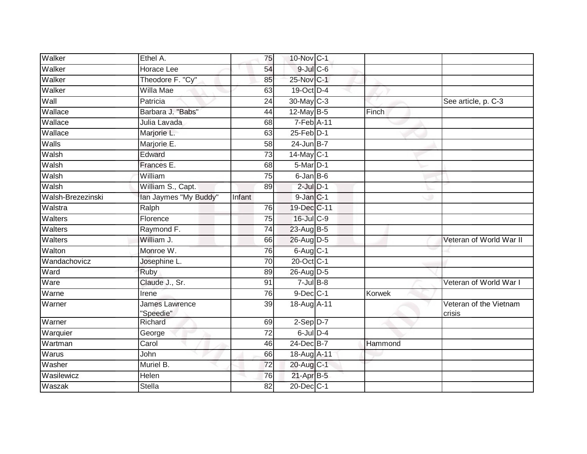| Walker            | Ethel A.                    | 75              | 10-Nov C-1      |         |                                  |
|-------------------|-----------------------------|-----------------|-----------------|---------|----------------------------------|
| Walker            | <b>Horace Lee</b>           | 54              | $9$ -Jul $C$ -6 |         |                                  |
| Walker            | Theodore F. "Cy"            | 85              | 25-Nov C-1      |         |                                  |
| Walker            | Willa Mae                   | 63              | 19-Oct D-4      |         |                                  |
| Wall              | Patricia                    | $\overline{24}$ | 30-May C-3      |         | See article, p. C-3              |
| Wallace           | Barbara J. "Babs"           | 44              | 12-May B-5      | Finch   |                                  |
| Wallace           | Julia Lavada                | 68              | 7-Feb A-11      |         |                                  |
| Wallace           | Marjorie L.                 | 63              | $25$ -Feb $D-1$ |         |                                  |
| Walls             | Marjorie E.                 | 58              | 24-Jun B-7      |         |                                  |
| Walsh             | Edward                      | $\overline{73}$ | 14-May C-1      |         |                                  |
| Walsh             | Frances E.                  | 68              | 5-Mar D-1       |         |                                  |
| Walsh             | William                     | 75              | $6$ -Jan $B$ -6 |         |                                  |
| Walsh             | William S., Capt.           | 89              | $2$ -Jul $D-1$  |         |                                  |
| Walsh-Brezezinski | lan Jaymes "My Buddy"       | Infant          | $9$ -Jan $C-1$  |         |                                  |
| Walstra           | Ralph                       | 76              | 19-Dec C-11     |         |                                  |
| Walters           | Florence                    | 75              | 16-Jul C-9      |         |                                  |
| Walters           | Raymond F.                  | 74              | 23-Aug B-5      |         |                                  |
| Walters           | William J.                  | 66              | 26-Aug D-5      |         | Veteran of World War II          |
| Walton            | Monroe W.                   | 76              | 6-Aug C-1       |         |                                  |
| Wandachovicz      | Josephine L.                | 70              | 20-Oct C-1      |         |                                  |
| Ward              | Ruby                        | 89              | $26$ -AugD-5    |         |                                  |
| Ware              | Claude J., Sr.              | 91              | $7 -$ Jul B-8   |         | Veteran of World War I           |
| Warne             | Irene                       | 76              | $9$ -Dec $C-1$  | Korwek  |                                  |
| Warner            | James Lawrence<br>"Speedie" | $\overline{39}$ | 18-Aug A-11     |         | Veteran of the Vietnam<br>crisis |
| Warner            | Richard                     | 69              | $2-Sep$ D-7     |         |                                  |
| Warquier          | George                      | 72              | $6$ -Jul $D-4$  |         |                                  |
| Wartman           | Carol                       | 46              | 24-Dec B-7      | Hammond |                                  |
| Warus             | John                        | 66              | 18-Aug A-11     |         |                                  |
| Washer            | Muriel B.                   | $\overline{72}$ | 20-Aug C-1      |         |                                  |
| Wasilewicz        | Helen                       | 76              | $21-Apr$ B-5    |         |                                  |
| Waszak            | <b>Stella</b>               | 82              | 20-Dec C-1      |         |                                  |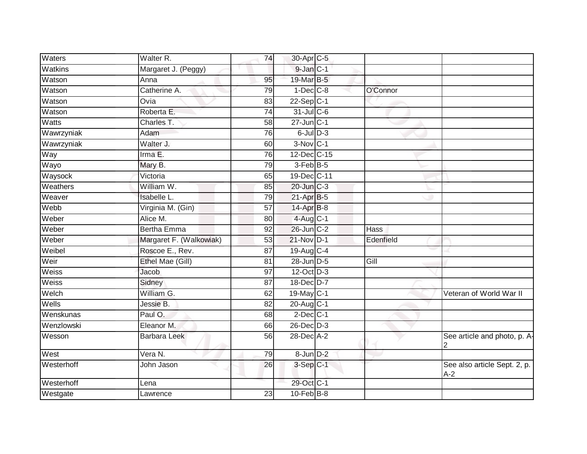| Waters     | Walter R.               | 74              | 30-Apr C-5      |           |                                       |
|------------|-------------------------|-----------------|-----------------|-----------|---------------------------------------|
| Watkins    | Margaret J. (Peggy)     |                 | 9-Jan C-1       |           |                                       |
| Watson     | Anna                    | 95              | 19-Mar B-5      |           |                                       |
| Watson     | Catherine A.            | 79              | $1-Dec$ $C-8$   | O'Connor  |                                       |
| Watson     | Ovia                    | 83              | $22-Sep C-1$    |           |                                       |
| Watson     | Roberta E.              | $\overline{74}$ | $31$ -Jul C-6   |           |                                       |
| Watts      | Charles T.              | 58              | $27$ -Jun $C-1$ |           |                                       |
| Wawrzyniak | Adam                    | 76              | $6$ -Jul $D-3$  |           |                                       |
| Wawrzyniak | Walter J.               | 60              | $3-Nov$ C-1     |           |                                       |
| Way        | Irma E.                 | 76              | 12-Dec C-15     |           |                                       |
| Wayo       | Mary B.                 | 79              | 3-Feb B-5       |           |                                       |
| Waysock    | Victoria                | 65              | 19-Dec C-11     |           |                                       |
| Weathers   | William W.              | 85              | 20-Jun C-3      |           |                                       |
| Weaver     | <b>Isabelle L.</b>      | 79              | 21-Apr B-5      |           |                                       |
| Webb       | Virginia M. (Gin)       | $\overline{57}$ | 14-Apr B-8      |           |                                       |
| Weber      | Alice M.                | 80              | $4$ -Aug C-1    |           |                                       |
| Weber      | <b>Bertha Emma</b>      | 92              | 26-Jun C-2      | Hass      |                                       |
| Weber      | Margaret F. (Walkowiak) | 53              | 21-Nov D-1      | Edenfield |                                       |
| Weibel     | Roscoe E., Rev.         | 87              | 19-Aug C-4      |           |                                       |
| Weir       | Ethel Mae (Gill)        | $\overline{81}$ | 28-Jun D-5      | Gill      |                                       |
| Weiss      | Jacob                   | 97              | 12-Oct D-3      |           |                                       |
| Weiss      | Sidney                  | 87              | 18-Dec D-7      |           |                                       |
| Welch      | William G.              | 62              | 19-May C-1      |           | Veteran of World War II               |
| Wells      | Jessie B.               | 82              | 20-Aug C-1      |           |                                       |
| Wenskunas  | Paul O.                 | 68              | $2$ -Dec $C-1$  |           |                                       |
| Wenzlowski | Eleanor M.              | 66              | $26$ -Dec $D-3$ |           |                                       |
| Wesson     | <b>Barbara Leek</b>     | 56              | 28-Dec A-2      |           | See article and photo, p. A-          |
| West       | Vera N.                 | 79              | 8-Jun D-2       |           |                                       |
| Westerhoff | John Jason              | 26              | 3-Sep C-1       |           | See also article Sept. 2, p.<br>$A-2$ |
| Westerhoff | Lena                    |                 | 29-Oct C-1      |           |                                       |
| Westgate   | Lawrence                | 23              | $10-FebB-8$     |           |                                       |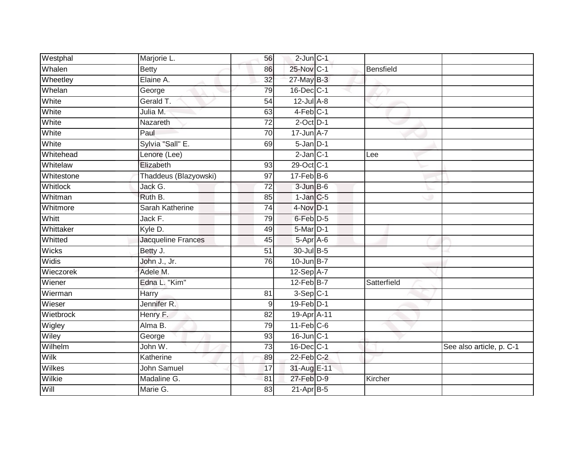| Westphal        | Marjorie L.           | 56              | $2$ -Jun $C-1$    |             |                          |
|-----------------|-----------------------|-----------------|-------------------|-------------|--------------------------|
| Whalen          | <b>Betty</b>          | 86              | 25-Nov C-1        | Bensfield   |                          |
| Wheetley        | Elaine A.             | 32              | $27$ -May B-3     |             |                          |
| Whelan          | George                | 79              | 16-Dec C-1        |             |                          |
| White           | Gerald T.             | $\overline{54}$ | $12$ -Jul $A-8$   |             |                          |
| White           | Julia M.              | 63              | $4-Feb$ C-1       |             |                          |
| White           | Nazareth              | $\overline{72}$ | $2$ -Oct $D-1$    |             |                          |
| White           | Paul                  | 70              | 17-Jun A-7        |             |                          |
| White           | Sylvia "Sall" E.      | 69              | $5 - Jan$ $D-1$   |             |                          |
| Whitehead       | Lenore (Lee)          |                 | $2-Jan C-1$       | Lee         |                          |
| Whitelaw        | Elizabeth             | 93              | 29-Oct C-1        |             |                          |
| Whitestone      | Thaddeus (Blazyowski) | 97              | $17$ -Feb $B$ -6  |             |                          |
| <b>Whitlock</b> | Jack G.               | 72              | $3 - Jun$ $B - 6$ |             |                          |
| Whitman         | Ruth B.               | 85              | $1$ -Jan $C$ -5   |             |                          |
| Whitmore        | Sarah Katherine       | $\overline{74}$ | 4-Nov D-1         |             |                          |
| Whitt           | Jack F.               | 79              | 6-Feb D-5         |             |                          |
| Whittaker       | Kyle D.               | 49              | 5-Mar D-1         |             |                          |
| Whitted         | Jacqueline Frances    | 45              | 5-Apr A-6         |             |                          |
| <b>Wicks</b>    | Betty J.              | 51              | 30-Jul B-5        |             |                          |
| <b>Widis</b>    | John J., Jr.          | 76              | $10$ -Jun $B-7$   |             |                          |
| Wieczorek       | Adele M.              |                 | 12-Sep A-7        |             |                          |
| Wiener          | Edna L. "Kim"         |                 | $12$ -Feb $B$ -7  | Satterfield |                          |
| Wierman         | Harry                 | 81              | $3-Sep$ C-1       |             |                          |
| Wieser          | Jennifer R.           | 9               | $19$ -Feb $D-1$   |             |                          |
| Wietbrock       | Henry F.              | 82              | 19-Apr A-11       |             |                          |
| Wigley          | Alma B.               | 79              | $11$ -Feb $C$ -6  |             |                          |
| Wiley           | George                | 93              | $16$ -Jun $C-1$   |             |                          |
| Wilhelm         | John W.               | 73              | 16-Dec C-1        |             | See also article, p. C-1 |
| <b>Wilk</b>     | Katherine             | 89              | $22$ -Feb $C-2$   |             |                          |
| <b>Wilkes</b>   | John Samuel           | 17              | 31-Aug E-11       |             |                          |
| Wilkie          | Madaline G.           | 81              | 27-Feb D-9        | Kircher     |                          |
| Will            | Marie G.              | 83              | $21-AprB-5$       |             |                          |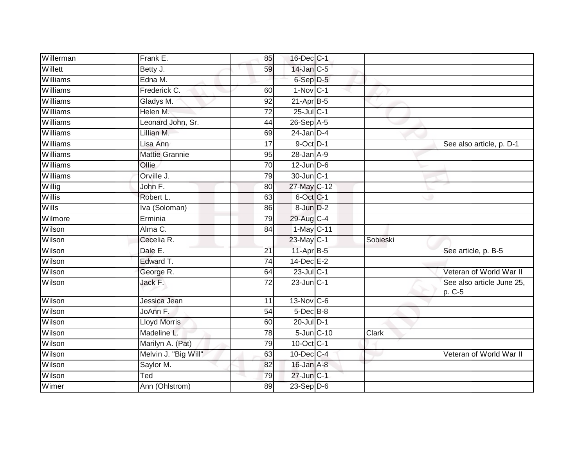| Willerman | Frank E.              | 85              | 16-Dec C-1             |              |                                     |
|-----------|-----------------------|-----------------|------------------------|--------------|-------------------------------------|
| Willett   | Betty J.              | 59              | 14-Jan C-5             |              |                                     |
| Williams  | Edna M.               |                 | 6-Sep D-5              |              |                                     |
| Williams  | Frederick C.          | 60              | $1-Nov$ <sub>C-1</sub> |              |                                     |
| Williams  | Gladys M.             | 92              | $21-Apr$ B-5           |              |                                     |
| Williams  | Helen M.              | $\overline{72}$ | $25$ -Jul C-1          |              |                                     |
| Williams  | Leonard John, Sr.     | 44              | $26-Sep$ A-5           |              |                                     |
| Williams  | Lillian M.            | 69              | $24$ -Jan D-4          |              |                                     |
| Williams  | Lisa Ann              | 17              | $9$ -Oct $D-1$         |              | See also article, p. D-1            |
| Williams  | <b>Mattie Grannie</b> | 95              | $28$ -Jan $A-9$        |              |                                     |
| Williams  | Ollie                 | $\overline{70}$ | $12$ -Jun $D-6$        |              |                                     |
| Williams  | Orville J.            | 79              | $30$ -Jun $ C-1 $      |              |                                     |
| Willig    | John F.               | 80              | 27-May C-12            |              |                                     |
| Willis    | Robert L.             | 63              | 6-Oct C-1              |              |                                     |
| Wills     | Iva (Soloman)         | 86              | 8-Jun D-2              |              |                                     |
| Wilmore   | Erminia               | 79              | 29-Aug C-4             |              |                                     |
| Wilson    | Alma C.               | 84              | 1-May C-11             |              |                                     |
| Wilson    | Cecelia R.            |                 | 23-May C-1             | Sobieski     |                                     |
| Wilson    | Dale E.               | 21              | 11-Apr B-5             |              | See article, p. B-5                 |
| Wilson    | Edward T.             | 74              | $14$ -Dec $E-2$        |              |                                     |
| Wilson    | George R.             | 64              | $23$ -Jul C-1          |              | Veteran of World War II             |
| Wilson    | Jack F.               | 72              | $23$ -Jun $C-1$        |              | See also article June 25,<br>p. C-5 |
| Wilson    | Jessica Jean          | 11              | 13-Nov C-6             |              |                                     |
| Wilson    | JoAnn <sub>F.</sub>   | 54              | $5$ -Dec $B$ -8        |              |                                     |
| Wilson    | <b>Lloyd Morris</b>   | 60              | $20$ -Jul $D-1$        |              |                                     |
| Wilson    | Madeline L.           | 78              | 5-Jun C-10             | <b>Clark</b> |                                     |
| Wilson    | Marilyn A. (Pat)      | 79              | 10-Oct C-1             |              |                                     |
| Wilson    | Melvin J. "Big Will"  | 63              | $10$ -Dec $C$ -4       |              | Veteran of World War II             |
| Wilson    | Saylor M.             | 82              | $16$ -Jan $A$ -8       |              |                                     |
| Wilson    | Ted                   | 79              | $27$ -Jun $C-1$        |              |                                     |
| Wimer     | Ann (Ohlstrom)        | 89              | $23-Sep$ D-6           |              |                                     |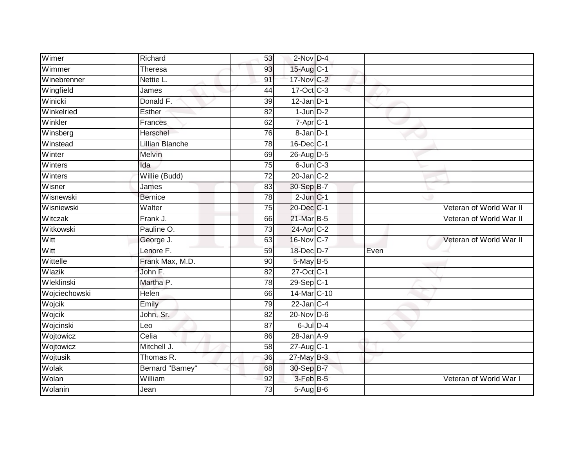| Wimer         | Richard                | 53              | $2$ -Nov $D-4$          |      |                         |
|---------------|------------------------|-----------------|-------------------------|------|-------------------------|
| Wimmer        | Theresa                | 93              | 15-Aug C-1              |      |                         |
| Winebrenner   | Nettie L.              | 91              | 17-Nov C-2              |      |                         |
| Wingfield     | James                  | 44              | 17-Oct C-3              |      |                         |
| Winicki       | Donald F.              | 39              | $12$ -Jan D-1           |      |                         |
| Winkelried    | Esther                 | 82              | $1$ -Jun $D-2$          |      |                         |
| Winkler       | Frances                | 62              | 7-Apr C-1               |      |                         |
| Winsberg      | Herschel               | 76              | 8-Jan D-1               |      |                         |
| Winstead      | <b>Lillian Blanche</b> | 78              | 16-Dec C-1              |      |                         |
| Winter        | Melvin                 | 69              | 26-Aug D-5              |      |                         |
| Winters       | Ida                    | 75              | $6$ -Jun $C-3$          |      |                         |
| Winters       | Willie (Budd)          | 72              | $20$ -Jan $C-2$         |      |                         |
| Wisner        | James                  | 83              | 30-Sep B-7              |      |                         |
| Wisnewski     | <b>Bernice</b>         | 78              | $2$ -Jun $C-1$          |      |                         |
| Wisniewski    | Walter                 | $\overline{75}$ | 20-Dec C-1              |      | Veteran of World War II |
| Witczak       | Frank J.               | 66              | 21-Mar B-5              |      | Veteran of World War II |
| Witkowski     | Pauline O.             | $\overline{73}$ | 24-Apr C-2              |      |                         |
| Witt          | George J.              | 63              | 16-Nov C-7              |      | Veteran of World War II |
| Witt          | Lenore F.              | 59              | 18-Dec D-7              | Even |                         |
| Wittelle      | Frank Max, M.D.        | 90              | 5-May B-5               |      |                         |
| Wlazik        | John F.                | 82              | 27-Oct C-1              |      |                         |
| Wleklinski    | Martha P.              | $\overline{78}$ | $29-Sep$ <sub>C-1</sub> |      |                         |
| Wojciechowski | Helen                  | 66              | 14-Mar C-10             |      |                         |
| Wojcik        | Emily                  | 79              | $22$ -Jan C-4           |      |                         |
| Wojcik        | John, Sr.              | 82              | 20-Nov D-6              |      |                         |
| Wojcinski     | Leo                    | 87              | $6$ -Jul $D-4$          |      |                         |
| Wojtowicz     | Celia                  | 86              | $28 - Jan A - 9$        |      |                         |
| Wojtowicz     | Mitchell J.            | 58              | 27-Aug C-1              |      |                         |
| Wojtusik      | Thomas R.              | 36              | $27$ -May B-3           |      |                         |
| Wolak         | Bernard "Barney"       | 68              | 30-Sep B-7              |      |                         |
| Wolan         | William                | 92              | 3-Feb B-5               |      | Veteran of World War I  |
| Wolanin       | Jean                   | $\overline{73}$ | $5-AugB-6$              |      |                         |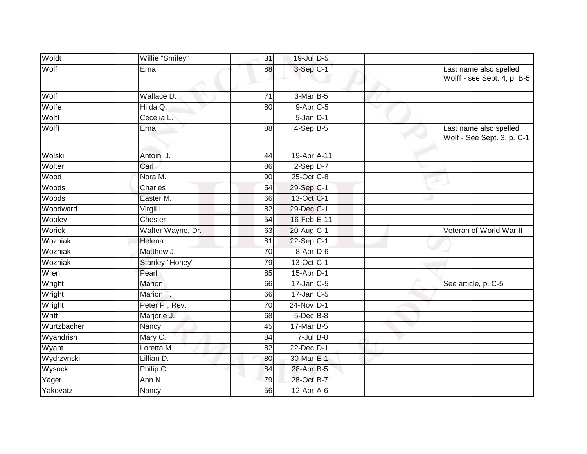| Woldt       | Willie "Smiley"   | 31              | 19-Jul D-5             |  |                                                       |
|-------------|-------------------|-----------------|------------------------|--|-------------------------------------------------------|
| Wolf        | Erna              | 88              | $3-Sep$ $C-1$          |  | Last name also spelled<br>Wolff - see Sept. 4, p. B-5 |
| Wolf        | Wallace D.        | 71              | 3-Mar B-5              |  |                                                       |
| Wolfe       | Hilda Q.          | 80              | 9-Apr C-5              |  |                                                       |
| Wolff       | Cecelia L.        |                 | $5 - Jan$ $D-1$        |  |                                                       |
| Wolff       | Erna              | 88              | $4-Sep$ B-5            |  | Last name also spelled<br>Wolf - See Sept. 3, p. C-1  |
| Wolski      | Antoini J.        | 44              | 19-Apr <sub>A-11</sub> |  |                                                       |
| Wolter      | Carl              | 86              | $2-Sep$ $D-7$          |  |                                                       |
| Wood        | Nora M.           | 90              | 25-Oct C-8             |  |                                                       |
| Woods       | Charles           | 54              | $29-Sep C-1$           |  |                                                       |
| Woods       | Easter M.         | 66              | 13-Oct C-1             |  |                                                       |
| Woodward    | Virgil L.         | $\overline{82}$ | 29-Dec C-1             |  |                                                       |
| Wooley      | Chester           | 54              | 16-Feb E-11            |  |                                                       |
| Worick      | Walter Wayne, Dr. | 63              | $20$ -Aug $C-1$        |  | Veteran of World War II                               |
| Wozniak     | Helena            | 81              | $22-Sep C-1$           |  |                                                       |
| Wozniak     | Matthew J.        | $\overline{70}$ | 8-Apr D-6              |  |                                                       |
| Wozniak     | Stanley "Honey"   | $\overline{79}$ | 13-Oct C-1             |  |                                                       |
| Wren        | Pearl             | 85              | $15$ -Apr $ D-1$       |  |                                                       |
| Wright      | Marion            | 66              | $17$ -Jan C-5          |  | See article, p. C-5                                   |
| Wright      | Marion T.         | 66              | $17$ -Jan C-5          |  |                                                       |
| Wright      | Peter P., Rev.    | $\overline{70}$ | 24-Nov D-1             |  |                                                       |
| Writt       | Marjorie J.       | 68              | $5$ -Dec $B$ -8        |  |                                                       |
| Wurtzbacher | Nancy             | 45              | 17-Mar B-5             |  |                                                       |
| Wyandrish   | Mary C.           | 84              | $7$ -Jul $B$ -8        |  |                                                       |
| Wyant       | Loretta M.        | 82              | 22-Dec D-1             |  |                                                       |
| Wydrzynski  | Lillian D.        | 80              | 30-Mar E-1             |  |                                                       |
| Wysock      | Philip C.         | 84              | 28-Apr B-5             |  |                                                       |
| Yager       | Ann N.            | 79              | 28-Oct B-7             |  |                                                       |
| Yakovatz    | Nancy             | 56              | $12-Apr$ A-6           |  |                                                       |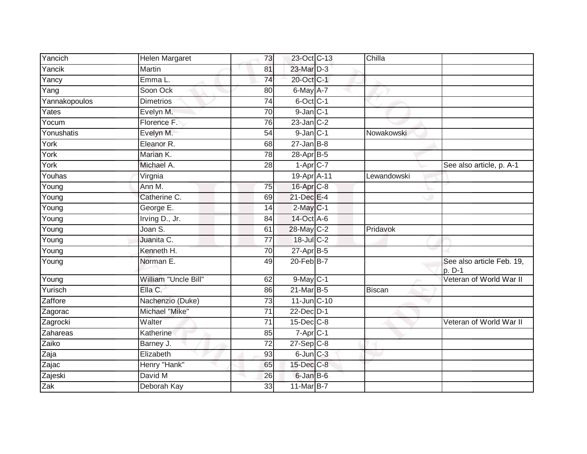| Yancich       | Helen Margaret        | 73              | 23-Oct C-13             | Chilla      |                                     |
|---------------|-----------------------|-----------------|-------------------------|-------------|-------------------------------------|
| Yancik        | Martin                | 81              | 23-Mar D-3              |             |                                     |
| Yancy         | Emma L.               | $\overline{74}$ | 20-Oct C-1              |             |                                     |
| Yang          | Soon Ock              | 80              | $6$ -May $A$ -7         |             |                                     |
| Yannakopoulos | <b>Dimetrios</b>      | $\overline{74}$ | 6-Oct C-1               |             |                                     |
| Yates         | Evelyn M.             | 70              | $9$ -Jan $C-1$          |             |                                     |
| Yocum         | Florence F.           | 76              | $23$ -Jan $C-2$         |             |                                     |
| Yonushatis    | Evelyn M.             | 54              | $9$ -Jan $C-1$          | Nowakowski  |                                     |
| York          | Eleanor <sub>R.</sub> | 68              | $27 - Jan$ B-8          |             |                                     |
| York          | Marian K.             | 78              | 28-Apr B-5              |             |                                     |
| York          | Michael A.            | 28              | $1-Apr$ <sub>C-7</sub>  |             | See also article, p. A-1            |
| Youhas        | Virgnia               |                 | 19-Apr A-11             | Lewandowski |                                     |
| Young         | Ann M.                | 75              | 16-Apr C-8              |             |                                     |
| Young         | Catherine C.          | 69              | 21-Dec E-4              |             |                                     |
| Young         | George E.             | 14              | $2$ -May $C-1$          |             |                                     |
| Young         | Irving D., Jr.        | 84              | 14-Oct A-6              |             |                                     |
| Young         | Joan S.               | 61              | 28-May C-2              | Pridavok    |                                     |
| Young         | Juanita C.            | 77              | 18-Jul C-2              |             |                                     |
| Young         | Kenneth H.            | 70              | 27-Apr B-5              |             |                                     |
| Young         | Norman <sub>E</sub> . | 49              | $20$ -Feb $B$ -7        |             | See also article Feb. 19,<br>p. D-1 |
| Young         | William "Uncle Bill"  | 62              | $9$ -May $C-1$          |             | Veteran of World War II             |
| Yurisch       | Ella C.               | 86              | $21$ -Mar $B-5$         | Biscan      |                                     |
| Zaffore       | Nachenzio (Duke)      | 73              | 11-Jun C-10             |             |                                     |
| Zagorac       | Michael "Mike"        | 71              | $22$ -Dec $D-1$         |             |                                     |
| Zagrocki      | Walter                | $\overline{71}$ | $15$ -Dec $C$ -8        |             | Veteran of World War II             |
| Zahareas      | Katherine             | 85              | $7-Apr$ C-1             |             |                                     |
| Zaiko         | Barney J.             | 72              | $27-Sep$ <sub>C-8</sub> |             |                                     |
| Zaja          | Elizabeth             | 93              | $6$ -Jun $C-3$          |             |                                     |
| Zajac         | Henry "Hank"          | 65              | 15-Dec C-8              |             |                                     |
| Zajeski       | David M               | 26              | 6-Jan B-6               |             |                                     |
| Zak           | Deborah Kay           | 33              | 11-Mar B-7              |             |                                     |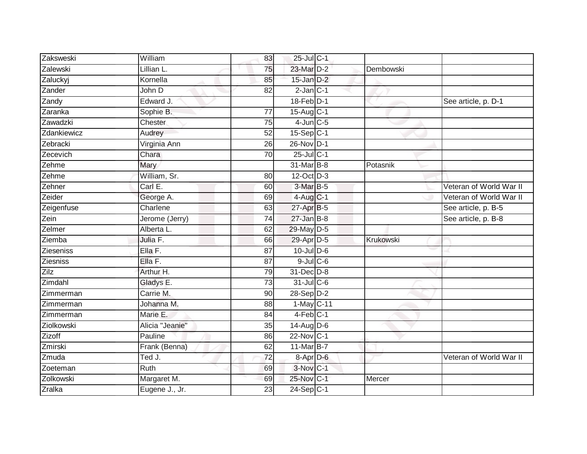| Zaksweski     | William         | 83              | 25-Jul C-1                 |           |                         |
|---------------|-----------------|-----------------|----------------------------|-----------|-------------------------|
| Zalewski      | Lillian L.      | 75              | 23-Mar D-2                 | Dembowski |                         |
| Zaluckyj      | Kornella        | 85              | $15$ -Jan $D-2$            |           |                         |
| Zander        | John D          | 82              | $2$ -Jan $C-1$             |           |                         |
| Zandy         | Edward J.       |                 | $18$ -Feb $D-1$            |           | See article, p. D-1     |
| Zaranka       | Sophie B.       | 77              | 15-Aug C-1                 |           |                         |
| Zawadzki      | Chester         | 75              | $4$ -Jun $\overline{C}$ -5 |           |                         |
| Zdankiewicz   | Audrey          | 52              | 15-Sep C-1                 |           |                         |
| Zebracki      | Virginia Ann    | 26              | 26-Nov D-1                 |           |                         |
| Zecevich      | Chara           | 70              | 25-Jul C-1                 |           |                         |
| Zehme         | Mary            |                 | 31-Mar B-8                 | Potasnik  |                         |
| Zehme         | William, Sr.    | 80              | 12-Oct D-3                 |           |                         |
| Zehner        | Carl E.         | 60              | 3-Mar B-5                  |           | Veteran of World War II |
| Zeider        | George A.       | 69              | $4$ -Aug C-1               |           | Veteran of World War II |
| Zeigenfuse    | Charlene        | 63              | $27$ -Apr $B-5$            |           | See article, p. B-5     |
| Zein          | Jerome (Jerry)  | 74              | $27$ -Jan B-8              |           | See article, p. B-8     |
| Zelmer        | Alberta L.      | 62              | 29-May D-5                 |           |                         |
| Ziemba        | Julia F.        | 66              | 29-Apr D-5                 | Krukowski |                         |
| Zieseniss     | Ella F.         | 87              | $10$ -Jul $D-6$            |           |                         |
| Ziesniss      | Ella F.         | $\overline{87}$ | $9$ -Jul $C$ -6            |           |                         |
| Zilz          | Arthur H.       | 79              | 31-Dec D-8                 |           |                         |
| Zimdahl       | Gladys E.       | 73              | 31-Jul C-6                 |           |                         |
| Zimmerman     | Carrie M.       | 90              | 28-Sep D-2                 |           |                         |
| Zimmerman     | Johanna M.      | 88              | $1-May$ C-11               |           |                         |
| Zimmerman     | Marie E.        | 84              | $4-Feb$ C-1                |           |                         |
| Ziolkowski    | Alicia "Jeanie" | 35              | $14$ -Aug D-6              |           |                         |
| Zizoff        | Pauline         | 86              | 22-Nov C-1                 |           |                         |
| Zmirski       | Frank (Benna)   | 62              | 11-Mar B-7                 |           |                         |
| Zmuda         | Ted J.          | $\overline{72}$ | 8-Apr D-6                  |           | Veteran of World War II |
| Zoeteman      | Ruth            | 69              | 3-Nov C-1                  |           |                         |
| Zolkowski     | Margaret M.     | 69              | 25-Nov C-1                 | Mercer    |                         |
| <b>Zralka</b> | Eugene J., Jr.  | 23              | $24-Sep$ C-1               |           |                         |